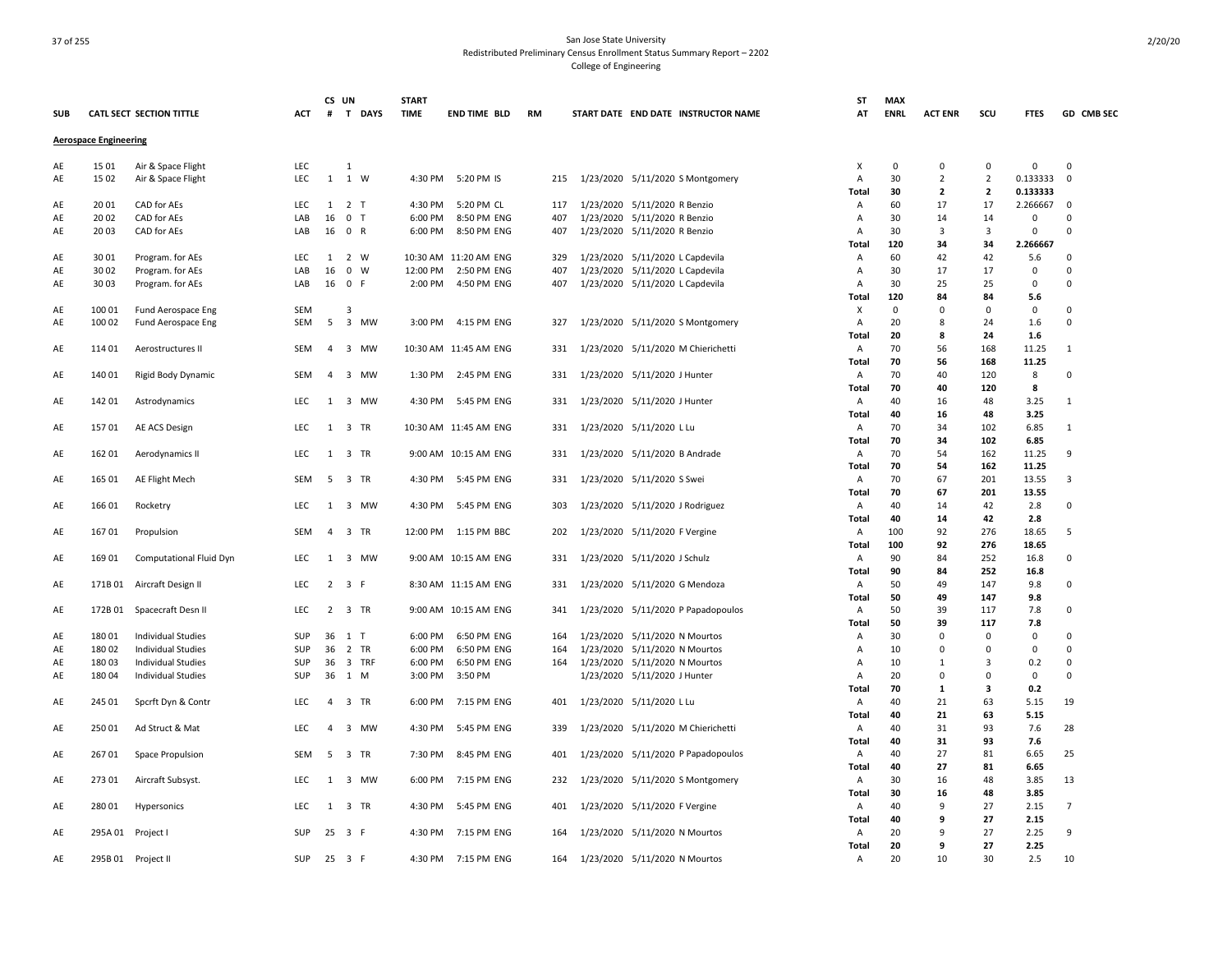| <b>SUB</b> |                              | <b>CATL SECT SECTION TITTLE</b>                        | АСТ        | CS UN          | # T DAYS            | <b>START</b><br><b>TIME</b> | <b>END TIME BLD</b>    | <b>RM</b> | START DATE END DATE INSTRUCTOR NAME                           | ST<br>AT     | <b>MAX</b><br><b>ENRL</b> | <b>ACT ENR</b>   | scu                           | <b>FTES</b>             | GD CMB SEC              |
|------------|------------------------------|--------------------------------------------------------|------------|----------------|---------------------|-----------------------------|------------------------|-----------|---------------------------------------------------------------|--------------|---------------------------|------------------|-------------------------------|-------------------------|-------------------------|
|            | <b>Aerospace Engineering</b> |                                                        |            |                |                     |                             |                        |           |                                                               |              |                           |                  |                               |                         |                         |
| AE         | 15 01                        | Air & Space Flight                                     | <b>LEC</b> |                | $\mathbf{1}$        |                             |                        |           |                                                               | х            | $\mathbf 0$               | 0                | $\mathbf 0$                   | $\mathbf 0$             | $\mathbf 0$             |
| AE         | 15 02                        | Air & Space Flight                                     | LEC        | $\mathbf{1}$   | 1 W                 | 4:30 PM                     | 5:20 PM IS             | 215       | 1/23/2020 5/11/2020 S Montgomery                              | Α            | 30                        | $\overline{2}$   | $\overline{2}$                | 0.133333                | $\mathbf 0$             |
|            |                              |                                                        |            |                |                     |                             |                        |           |                                                               | Total        | 30                        | $\overline{2}$   | $\overline{2}$                | 0.133333                |                         |
| AE         | 20 01                        | CAD for AEs                                            | <b>LEC</b> |                | $1 \quad 2 \quad T$ | 4:30 PM                     | 5:20 PM CL             | 117       | 1/23/2020 5/11/2020 R Benzio                                  | Α            | 60                        | 17               | 17                            | 2.266667                | $\mathbf 0$             |
| AE         | 20 02                        | CAD for AEs                                            | LAB        | 16             | 0 <sub>T</sub>      | 6:00 PM                     | 8:50 PM ENG            | 407       | 1/23/2020 5/11/2020 R Benzio                                  | Α            | 30                        | 14               | 14                            | $\Omega$                | $\Omega$                |
| AE         | 20 03                        | CAD for AEs                                            | LAB        | 16             | 0 R                 | 6:00 PM                     | 8:50 PM ENG            | 407       | 1/23/2020 5/11/2020 R Benzio                                  | Α<br>Total   | 30<br>120                 | 3<br>34          | $\overline{\mathbf{3}}$<br>34 | $\mathsf 0$<br>2.266667 | $\Omega$                |
| AE         | 3001                         | Program. for AEs                                       | <b>LEC</b> | 1              | 2 W                 |                             | 10:30 AM 11:20 AM ENG  | 329       | 1/23/2020 5/11/2020 L Capdevila                               | Α            | 60                        | 42               | 42                            | 5.6                     | $\Omega$                |
| AE         | 30 02                        | Program. for AEs                                       | LAB        | 16             | $0 \quad W$         | 12:00 PM                    | 2:50 PM ENG            | 407       | 1/23/2020 5/11/2020 L Capdevila                               | Α            | 30                        | 17               | 17                            | $\mathbf 0$             | $\Omega$                |
| AE         | 30 03                        | Program. for AEs                                       | LAB        | 16             | 0 F                 | 2:00 PM                     | 4:50 PM ENG            | 407       | 1/23/2020 5/11/2020 L Capdevila                               | A            | 30                        | 25               | 25                            | $\mathsf 0$             | $\mathbf 0$             |
|            |                              |                                                        |            |                |                     |                             |                        |           |                                                               | Total        | 120                       | 84               | 84                            | 5.6                     |                         |
| AE         | 100 01                       | Fund Aerospace Eng                                     | <b>SEM</b> |                | 3                   |                             |                        |           |                                                               | X            | $\mathbf 0$               | 0                | $\mathbf 0$                   | $\mathsf 0$             | $\mathbf 0$             |
| AE         | 100 02                       | Fund Aerospace Eng                                     | SEM        | 5              | 3 MW                |                             | 3:00 PM 4:15 PM ENG    | 327       | 1/23/2020 5/11/2020 S Montgomery                              | Α            | 20                        | 8                | 24                            | 1.6                     | $\mathbf 0$             |
| AE         | 114 01                       | Aerostructures II                                      | <b>SEM</b> | $\overline{a}$ | 3 MW                |                             | 10:30 AM 11:45 AM ENG  | 331       | 1/23/2020 5/11/2020 M Chierichetti                            | Total<br>Α   | 20<br>70                  | 8<br>56          | 24<br>168                     | 1.6<br>11.25            | $\mathbf{1}$            |
|            |                              |                                                        |            |                |                     |                             |                        |           |                                                               | Total        | 70                        | 56               | 168                           | 11.25                   |                         |
| AE         | 140 01                       | Rigid Body Dynamic                                     | <b>SEM</b> | $\overline{a}$ | 3 MW                |                             | 1:30 PM 2:45 PM ENG    | 331       | 1/23/2020 5/11/2020 J Hunter                                  | Α            | 70                        | 40               | 120                           | 8                       | 0                       |
|            |                              |                                                        |            |                |                     |                             |                        |           |                                                               | Total        | 70                        | 40               | 120                           | 8                       |                         |
| AE         | 142 01                       | Astrodynamics                                          | LEC        |                | 1 3 MW              | 4:30 PM                     | 5:45 PM ENG            | 331       | 1/23/2020 5/11/2020 J Hunter                                  | Α            | 40                        | 16               | 48                            | 3.25                    | $\mathbf{1}$            |
|            |                              |                                                        |            |                |                     |                             |                        |           |                                                               | Total        | 40                        | 16               | 48                            | 3.25                    |                         |
| AE         | 15701                        | AE ACS Design                                          | <b>LEC</b> |                | 1 3 TR              |                             | 10:30 AM 11:45 AM ENG  | 331       | 1/23/2020 5/11/2020 L Lu                                      | Α            | 70                        | 34               | 102                           | 6.85                    | $\mathbf{1}$            |
| AE         | 162 01                       |                                                        | LEC        |                | 1 3 TR              |                             | 9:00 AM 10:15 AM ENG   | 331       |                                                               | Total<br>Α   | 70<br>70                  | 34<br>54         | 102<br>162                    | 6.85<br>11.25           | 9                       |
|            |                              | Aerodynamics II                                        |            |                |                     |                             |                        |           | 1/23/2020 5/11/2020 B Andrade                                 | Total        | 70                        | 54               | 162                           | 11.25                   |                         |
| AE         | 165 01                       | AE Flight Mech                                         | <b>SEM</b> |                | 5 3 TR              | 4:30 PM                     | 5:45 PM ENG            | 331       | 1/23/2020 5/11/2020 S Swei                                    | Α            | 70                        | 67               | 201                           | 13.55                   | 3                       |
|            |                              |                                                        |            |                |                     |                             |                        |           |                                                               | Total        | 70                        | 67               | 201                           | 13.55                   |                         |
| AE         | 16601                        | Rocketry                                               | LEC        | 1              | 3 MW                | 4:30 PM                     | 5:45 PM ENG            | 303       | 1/23/2020 5/11/2020 J Rodriguez                               | A            | 40                        | 14               | 42                            | 2.8                     | $\Omega$                |
|            |                              |                                                        |            |                |                     |                             |                        |           |                                                               | Total        | 40                        | 14               | 42                            | 2.8                     |                         |
| AE         | 16701                        | Propulsion                                             | <b>SEM</b> | $\overline{4}$ | 3 TR                | 12:00 PM                    | 1:15 PM BBC            | 202       | 1/23/2020 5/11/2020 F Vergine                                 | Α            | 100                       | 92               | 276                           | 18.65                   | 5                       |
| AE         | 16901                        | Computational Fluid Dyn                                | LEC        | 1              | 3 MW                |                             | 9:00 AM 10:15 AM ENG   | 331       | 1/23/2020 5/11/2020 J Schulz                                  | Total<br>A   | 100<br>90                 | 92<br>84         | 276<br>252                    | 18.65<br>16.8           | 0                       |
|            |                              |                                                        |            |                |                     |                             |                        |           |                                                               | <b>Total</b> | 90                        | 84               | 252                           | 16.8                    |                         |
| AE         | 171B01                       | Aircraft Design II                                     | <b>LEC</b> |                | $2 \t3 \tF$         |                             | 8:30 AM 11:15 AM ENG   | 331       | 1/23/2020 5/11/2020 G Mendoza                                 | A            | 50                        | 49               | 147                           | 9.8                     | 0                       |
|            |                              |                                                        |            |                |                     |                             |                        |           |                                                               | Total        | 50                        | 49               | 147                           | 9.8                     |                         |
| AE         |                              | 172B 01 Spacecraft Desn II                             | <b>LEC</b> |                | 2 3 TR              |                             | 9:00 AM 10:15 AM ENG   | 341       | 1/23/2020 5/11/2020 P Papadopoulos                            | Α            | 50                        | 39               | 117                           | 7.8                     | 0                       |
|            |                              |                                                        |            |                |                     |                             |                        |           |                                                               | Total        | 50                        | 39               | 117                           | 7.8                     |                         |
| AE         | 180 01                       | <b>Individual Studies</b>                              | SUP        |                | 36 1 T              | 6:00 PM                     | 6:50 PM ENG            | 164       | 1/23/2020 5/11/2020 N Mourtos                                 | Α            | 30                        | $\pmb{0}$        | $\Omega$                      | $\mathsf 0$             | $\Omega$                |
| AE         | 180 02                       | <b>Individual Studies</b>                              | SUP        | 36             | 2 TR                | 6:00 PM                     | 6:50 PM ENG            | 164       | 1/23/2020 5/11/2020 N Mourtos                                 | A            | 10                        | $\mathbf 0$<br>1 | $\mathbf 0$<br>3              | $\mathsf 0$             | $\Omega$<br>$\mathbf 0$ |
| AE<br>AE   | 18003<br>18004               | <b>Individual Studies</b><br><b>Individual Studies</b> | SUP<br>SUP | 36<br>36       | 3 TRF<br>1 M        | 6:00 PM<br>3:00 PM          | 6:50 PM ENG<br>3:50 PM | 164       | 1/23/2020 5/11/2020 N Mourtos<br>1/23/2020 5/11/2020 J Hunter | Α<br>Α       | 10<br>20                  | $\mathbf 0$      | $\mathbf 0$                   | 0.2<br>$\mathsf 0$      | $\mathbf 0$             |
|            |                              |                                                        |            |                |                     |                             |                        |           |                                                               | <b>Total</b> | 70                        | 1                | $\overline{\mathbf{3}}$       | 0.2                     |                         |
| AE         | 245 01                       | Spcrft Dyn & Contr                                     | LEC        | $\overline{a}$ | 3 TR                | 6:00 PM                     | 7:15 PM ENG            | 401       | 1/23/2020 5/11/2020 L Lu                                      | Α            | 40                        | 21               | 63                            | 5.15                    | 19                      |
|            |                              |                                                        |            |                |                     |                             |                        |           |                                                               | Total        | 40                        | 21               | 63                            | 5.15                    |                         |
| AE         | 25001                        | Ad Struct & Mat                                        | LEC        |                | 4 3 MW              | 4:30 PM                     | 5:45 PM ENG            | 339       | 1/23/2020 5/11/2020 M Chierichetti                            | Α            | 40                        | 31               | 93                            | 7.6                     | 28                      |
|            |                              |                                                        |            |                |                     |                             |                        |           |                                                               | Total        | 40                        | 31               | 93                            | 7.6                     |                         |
| AE         | 267 01                       | Space Propulsion                                       | SEM        | 5              | 3 TR                | 7:30 PM                     | 8:45 PM ENG            | 401       | 1/23/2020 5/11/2020 P Papadopoulos                            | Α            | 40                        | 27               | 81                            | 6.65                    | 25                      |
|            | 27301                        | Aircraft Subsyst.                                      | LEC        |                | 1 3 MW              | 6:00 PM                     | 7:15 PM ENG            | 232       | 1/23/2020 5/11/2020 S Montgomery                              | Total<br>Α   | 40<br>30                  | 27<br>16         | 81<br>48                      | 6.65<br>3.85            | 13                      |
| AE         |                              |                                                        |            |                |                     |                             |                        |           |                                                               | Total        | 30                        | 16               | 48                            | 3.85                    |                         |
| AE         | 28001                        | Hypersonics                                            | LEC        |                | 1 3 TR              | 4:30 PM                     | 5:45 PM ENG            | 401       | 1/23/2020 5/11/2020 F Vergine                                 | Α            | 40                        | 9                | 27                            | 2.15                    | 7                       |
|            |                              |                                                        |            |                |                     |                             |                        |           |                                                               | Total        | 40                        | 9                | 27                            | 2.15                    |                         |
| AE         |                              | 295A 01 Project I                                      | SUP        |                | 25 3 F              | 4:30 PM                     | 7:15 PM ENG            | 164       | 1/23/2020 5/11/2020 N Mourtos                                 | A            | 20                        | 9                | 27                            | 2.25                    | 9                       |
|            |                              |                                                        |            |                |                     |                             |                        |           |                                                               | <b>Total</b> | 20                        | 9                | 27                            | 2.25                    |                         |
| AE         |                              | 295B 01 Project II                                     | SUP        |                | 25 3 F              | 4:30 PM                     | 7:15 PM ENG            | 164       | 1/23/2020 5/11/2020 N Mourtos                                 | Α            | 20                        | 10               | 30                            | 2.5                     | 10                      |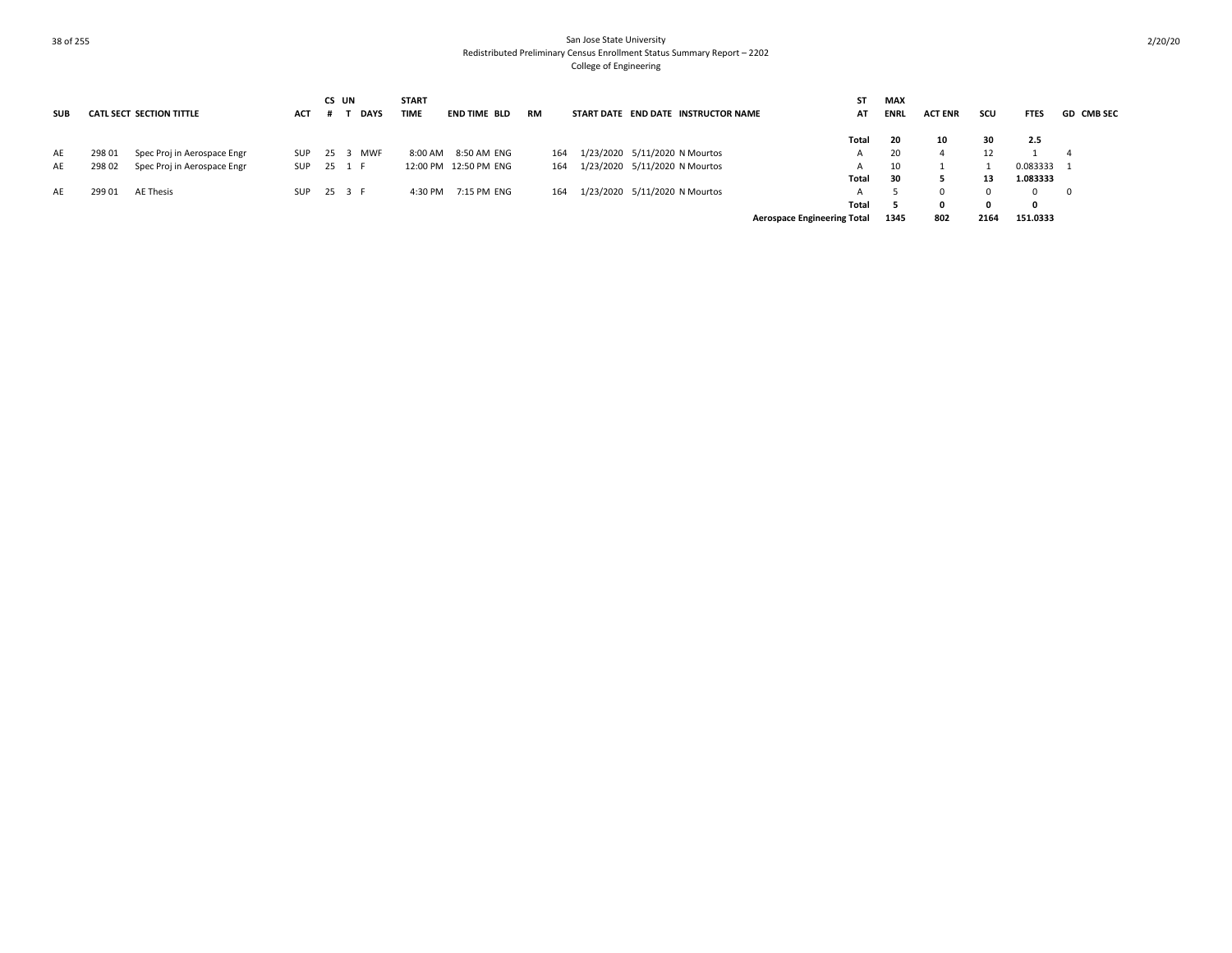|            |        |                                 |            |      | CS UN       | <b>START</b> |                       |           |                                     | ST                                 | <b>MAX</b>  |                |      |             |                   |
|------------|--------|---------------------------------|------------|------|-------------|--------------|-----------------------|-----------|-------------------------------------|------------------------------------|-------------|----------------|------|-------------|-------------------|
| <b>SUB</b> |        | <b>CATL SECT SECTION TITTLE</b> | <b>ACT</b> |      | <b>DAYS</b> | <b>TIME</b>  | END TIME BLD          | <b>RM</b> | START DATE END DATE INSTRUCTOR NAME | AT                                 | <b>ENRL</b> | <b>ACT ENR</b> | scu  | <b>FTES</b> | <b>GD CMB SEC</b> |
|            |        |                                 |            |      |             |              |                       |           |                                     | Total                              | 20          | 10             | 30   | 2.5         |                   |
| AE         | 298 01 | Spec Proj in Aerospace Engr     | SUP        | 25 3 | <b>MWF</b>  | 8:00 AM      | 8:50 AM ENG           | 164       | 1/23/2020 5/11/2020 N Mourtos       | А                                  | 20          |                |      |             | 4                 |
| AE         | 298 02 | Spec Proj in Aerospace Engr     | SUP        |      | 25 1 F      |              | 12:00 PM 12:50 PM ENG | 164       | 1/23/2020 5/11/2020 N Mourtos       |                                    | 10          |                |      | 0.083333 1  |                   |
|            |        |                                 |            |      |             |              |                       |           |                                     | Total                              | 30          |                | 13   | 1.083333    |                   |
| AE         | 299 01 | AE Thesis                       | SUP        |      | 25 3 F      | 4:30 PM      | 7:15 PM ENG           | 164       | 1/23/2020 5/11/2020 N Mourtos       |                                    |             |                |      | $\Omega$    | - 0               |
|            |        |                                 |            |      |             |              |                       |           |                                     | Total                              |             |                |      |             |                   |
|            |        |                                 |            |      |             |              |                       |           |                                     | <b>Aerospace Engineering Total</b> | 1345        | 802            | 2164 | 151.0333    |                   |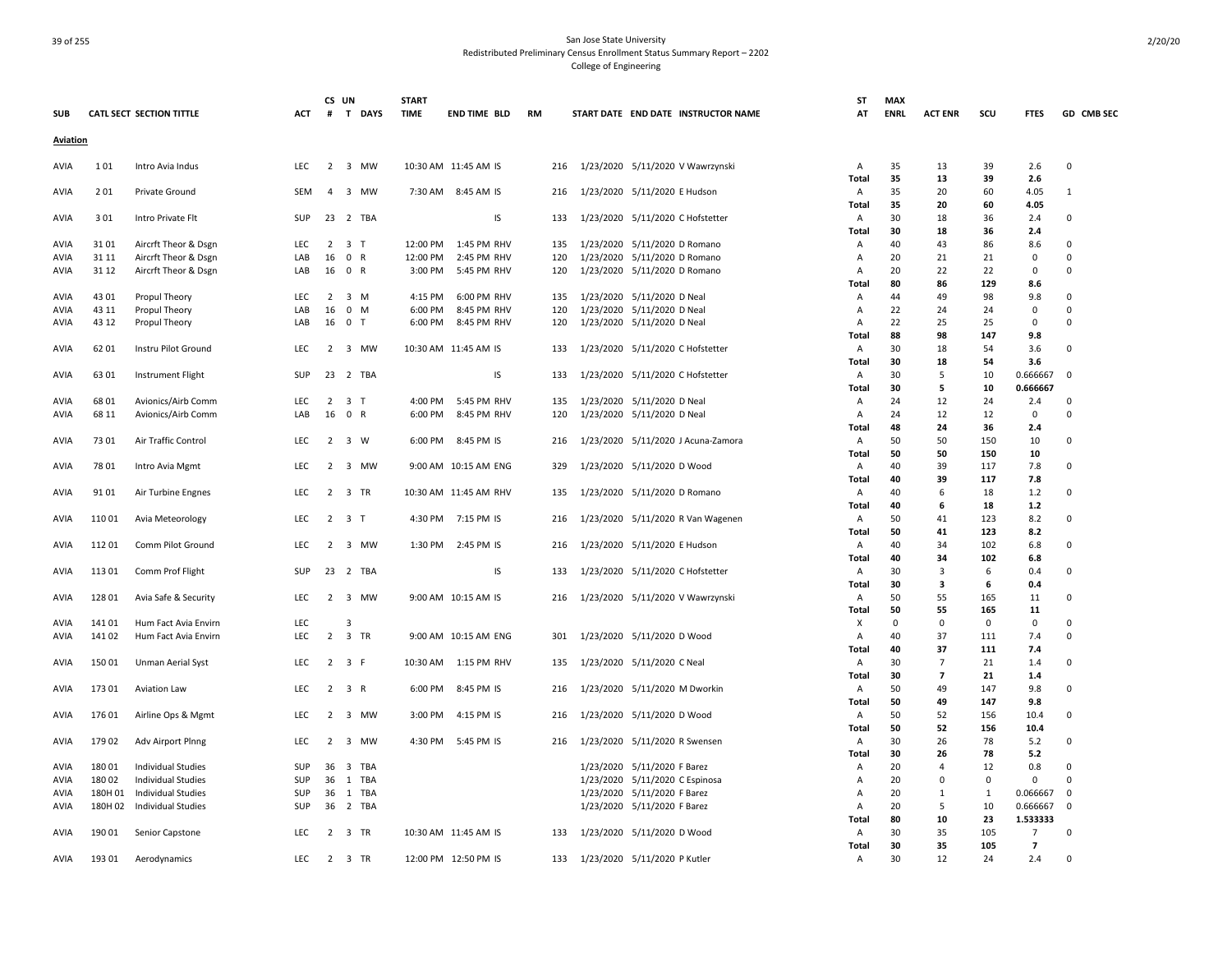| <b>SUB</b>      |                | <b>CATL SECT SECTION TITTLE</b> | <b>ACT</b> | CS UN          | # T DAYS                       | <b>START</b><br><b>TIME</b> | <b>END TIME BLD</b>    | <b>RM</b>  | START DATE END DATE INSTRUCTOR NAME                      | ST<br>AT       | <b>MAX</b><br><b>ENRL</b> | <b>ACT ENR</b> | scu          | <b>FTES</b>        | GD CMB SEC  |
|-----------------|----------------|---------------------------------|------------|----------------|--------------------------------|-----------------------------|------------------------|------------|----------------------------------------------------------|----------------|---------------------------|----------------|--------------|--------------------|-------------|
| <b>Aviation</b> |                |                                 |            |                |                                |                             |                        |            |                                                          |                |                           |                |              |                    |             |
|                 |                |                                 |            |                |                                |                             |                        |            |                                                          |                |                           |                |              |                    |             |
| AVIA            | 101            | Intro Avia Indus                | <b>LEC</b> |                | 2 3 MW                         |                             | 10:30 AM 11:45 AM IS   | 216        | 1/23/2020 5/11/2020 V Wawrzynski                         | Α              | 35                        | 13             | 39           | 2.6                | $\mathbf 0$ |
|                 |                |                                 |            |                |                                |                             |                        |            |                                                          | Total          | 35                        | 13             | 39           | 2.6                |             |
| AVIA            | 201            | Private Ground                  | SEM        | 4              | 3 MW                           |                             | 7:30 AM 8:45 AM IS     | 216        | 1/23/2020 5/11/2020 E Hudson                             | Α              | 35                        | 20             | 60           | 4.05               | 1           |
|                 |                |                                 |            |                |                                |                             |                        |            |                                                          | Total          | 35                        | 20             | 60           | 4.05               |             |
| AVIA            | 301            | Intro Private Flt               | SUP        |                | 23 2 TBA                       |                             | IS                     | 133        | 1/23/2020 5/11/2020 C Hofstetter                         | Α              | 30                        | 18             | 36           | 2.4                | 0           |
|                 |                |                                 |            |                |                                |                             |                        |            |                                                          | <b>Total</b>   | 30                        | 18             | 36           | 2.4                |             |
| AVIA            | 3101           | Aircrft Theor & Dsgn            | LEC        | 2              | 3 <sub>T</sub>                 | 12:00 PM                    | 1:45 PM RHV            | 135        | 1/23/2020 5/11/2020 D Romano                             | Α              | 40                        | 43             | 86           | 8.6                | 0           |
| AVIA            | 31 11          | Aircrft Theor & Dsgn            | LAB        | 16             | 0 R                            | 12:00 PM                    | 2:45 PM RHV            | 120        | 1/23/2020 5/11/2020 D Romano                             | Α              | 20                        | 21             | 21           | 0                  | $\Omega$    |
| AVIA            | 31 12          | Aircrft Theor & Dsgn            | LAB        | 16             | 0 R                            | 3:00 PM                     | 5:45 PM RHV            | 120        | 1/23/2020 5/11/2020 D Romano                             | Α              | 20                        | 22             | 22           | $\mathbf 0$        | $\Omega$    |
|                 | 43 01          |                                 |            |                | 3 M                            |                             | 6:00 PM RHV            |            |                                                          | Total          | 80<br>44                  | 86             | 129<br>98    | 8.6                | $\mathbf 0$ |
| AVIA            |                | Propul Theory                   | LEC<br>LAB | 2              | 0 M                            | 4:15 PM<br>6:00 PM          | 8:45 PM RHV            | 135<br>120 | 1/23/2020 5/11/2020 D Neal                               | Α              | 22                        | 49<br>24       | 24           | 9.8<br>$\mathbf 0$ | $\Omega$    |
| AVIA<br>AVIA    | 43 11<br>43 12 | Propul Theory                   | LAB        | 16             | 16 0 T                         | 6:00 PM                     | 8:45 PM RHV            | 120        | 1/23/2020 5/11/2020 D Neal<br>1/23/2020 5/11/2020 D Neal | Α<br>A         | 22                        | 25             | 25           | $\mathbf 0$        | $\Omega$    |
|                 |                | Propul Theory                   |            |                |                                |                             |                        |            |                                                          | Total          | 88                        | 98             | 147          | 9.8                |             |
| AVIA            | 62 01          | Instru Pilot Ground             | <b>LEC</b> | 2              | 3 MW                           |                             | 10:30 AM 11:45 AM IS   | 133        | 1/23/2020 5/11/2020 C Hofstetter                         | Α              | 30                        | 18             | 54           | 3.6                | 0           |
|                 |                |                                 |            |                |                                |                             |                        |            |                                                          | Total          | 30                        | 18             | 54           | 3.6                |             |
| AVIA            | 63 01          | Instrument Flight               | SUP        |                | 23 2 TBA                       |                             | <b>IS</b>              | 133        | 1/23/2020 5/11/2020 C Hofstetter                         | Α              | 30                        | 5              | 10           | 0.666667           | $\mathbf 0$ |
|                 |                |                                 |            |                |                                |                             |                        |            |                                                          | Total          | 30                        | 5              | 10           | 0.666667           |             |
| AVIA            | 6801           | Avionics/Airb Comm              | LEC        | $\overline{2}$ | 3 T                            | 4:00 PM                     | 5:45 PM RHV            | 135        | 1/23/2020 5/11/2020 D Neal                               | Α              | 24                        | 12             | 24           | 2.4                | 0           |
| AVIA            | 68 11          | Avionics/Airb Comm              | LAB        |                | 16 0 R                         | 6:00 PM                     | 8:45 PM RHV            | 120        | 1/23/2020 5/11/2020 D Neal                               | Α              | 24                        | 12             | 12           | $\mathsf 0$        | $\Omega$    |
|                 |                |                                 |            |                |                                |                             |                        |            |                                                          | Total          | 48                        | 24             | 36           | 2.4                |             |
| AVIA            | 73 01          | Air Traffic Control             | LEC        | 2              | 3 W                            | 6:00 PM                     | 8:45 PM IS             | 216        | 1/23/2020 5/11/2020 J Acuna-Zamora                       | Α              | 50                        | 50             | 150          | 10                 | 0           |
|                 |                |                                 |            |                |                                |                             |                        |            |                                                          | Total          | 50                        | 50             | 150          | 10                 |             |
| AVIA            | 78 01          | Intro Avia Mgmt                 | LEC        | $\overline{2}$ | 3 MW                           |                             | 9:00 AM 10:15 AM ENG   | 329        | 1/23/2020 5/11/2020 D Wood                               | Α              | 40                        | 39             | 117          | 7.8                | 0           |
|                 |                |                                 |            |                |                                |                             |                        |            |                                                          | Total          | 40                        | 39             | 117          | 7.8                |             |
| AVIA            | 9101           | Air Turbine Engnes              | LEC        |                | 2 3 TR                         |                             | 10:30 AM 11:45 AM RHV  | 135        | 1/23/2020 5/11/2020 D Romano                             | Α              | 40                        | 6              | 18           | 1.2                | 0           |
|                 |                |                                 |            |                |                                |                             |                        |            |                                                          | Total          | 40                        | 6              | 18           | 1.2                |             |
| AVIA            | 110 01         | Avia Meteorology                | LEC        |                | 2 3 T                          |                             | 4:30 PM 7:15 PM IS     | 216        | 1/23/2020 5/11/2020 R Van Wagenen                        | Α              | 50                        | 41             | 123          | 8.2                | 0           |
|                 |                |                                 |            |                |                                |                             |                        |            |                                                          | Total          | 50                        | 41             | 123          | 8.2                |             |
| AVIA            | 11201          | Comm Pilot Ground               | LEC        | 2              | 3 MW                           | 1:30 PM                     | 2:45 PM IS             | 216        | 1/23/2020 5/11/2020 E Hudson                             | A              | 40                        | 34             | 102          | 6.8                | 0           |
|                 |                |                                 |            |                |                                |                             |                        |            |                                                          | Total          | 40                        | 34             | 102          | 6.8                |             |
| AVIA            | 11301          | Comm Prof Flight                | SUP        |                | 23 2 TBA                       |                             | <b>IS</b>              | 133        | 1/23/2020 5/11/2020 C Hofstetter                         | Α              | 30                        | 3              | 6            | 0.4                | 0           |
|                 |                |                                 |            |                |                                |                             |                        |            |                                                          | <b>Total</b>   | 30                        | 3              | 6            | 0.4                |             |
| AVIA            | 128 01         | Avia Safe & Security            | LEC        | 2              | 3 MW                           |                             | 9:00 AM 10:15 AM IS    | 216        | 1/23/2020 5/11/2020 V Wawrzynski                         | Α              | 50                        | 55             | 165          | 11                 | 0           |
|                 |                |                                 |            |                |                                |                             |                        |            |                                                          | Total          | 50                        | 55             | 165          | 11                 |             |
| AVIA            | 141 01         | Hum Fact Avia Envirn            | LEC        |                | 3                              |                             |                        |            |                                                          | X              | $\Omega$                  | 0              | $\mathbf 0$  | 0                  | $\Omega$    |
| AVIA            | 141 02         | Hum Fact Avia Envirn            | <b>LEC</b> | $\overline{2}$ | 3 TR                           |                             | 9:00 AM 10:15 AM ENG   | 301        | 1/23/2020 5/11/2020 D Wood                               | $\overline{A}$ | 40                        | 37             | 111          | 7.4                | $\Omega$    |
|                 |                |                                 |            |                |                                |                             |                        |            |                                                          | Total          | 40                        | 37             | 111          | 7.4                |             |
| AVIA            | 15001          | Unman Aerial Syst               | LEC        |                | $2 \quad 3 \quad F$            |                             | 10:30 AM   1:15 PM RHV | 135        | 1/23/2020 5/11/2020 C Neal                               | Α              | 30                        | $\overline{7}$ | 21           | 1.4                | $\Omega$    |
|                 |                |                                 |            |                |                                |                             |                        |            |                                                          | Total          | 30                        | $\overline{7}$ | 21           | 1.4                |             |
| AVIA            | 17301          | <b>Aviation Law</b>             | <b>LEC</b> |                | $2 \t3 \tR$                    | 6:00 PM                     | 8:45 PM IS             | 216        | 1/23/2020 5/11/2020 M Dworkin                            | A              | 50                        | 49             | 147          | 9.8                | 0           |
|                 |                |                                 |            |                |                                |                             |                        |            |                                                          | Total          | 50                        | 49             | 147          | 9.8                |             |
| AVIA            | 17601          | Airline Ops & Mgmt              | LEC        | $\overline{2}$ | 3 MW                           | 3:00 PM                     | 4:15 PM IS             | 216        | 1/23/2020 5/11/2020 D Wood                               | Α              | 50                        | 52             | 156          | 10.4               | 0           |
|                 |                |                                 |            |                |                                |                             |                        |            |                                                          | Total          | 50                        | 52             | 156          | 10.4               |             |
| AVIA            | 179 02         | Adv Airport Plnng               | <b>LEC</b> | $\overline{2}$ | 3 MW                           | 4:30 PM                     | 5:45 PM IS             | 216        | 1/23/2020 5/11/2020 R Swensen                            | Α              | 30                        | 26             | 78           | 5.2                | 0           |
|                 |                |                                 |            |                |                                |                             |                        |            |                                                          | Total          | 30                        | 26             | 78           | 5.2                |             |
| AVIA            | 18001          | Individual Studies              | SUP        | 36             | $\overline{\mathbf{3}}$<br>TBA |                             |                        |            | 1/23/2020 5/11/2020 F Barez                              | Α              | 20                        | 4              | 12           | 0.8                | $\Omega$    |
| AVIA            | 180 02         | <b>Individual Studies</b>       | SUP        | 36             | 1 TBA                          |                             |                        |            | 1/23/2020 5/11/2020 C Espinosa                           | Α              | 20                        | 0              | $\Omega$     | $\mathbf 0$        | $\Omega$    |
| AVIA            | 180H 01        | <b>Individual Studies</b>       | SUP        | 36             | 1 TBA                          |                             |                        |            | 1/23/2020 5/11/2020 F Barez                              | Α              | 20                        | 1              | $\mathbf{1}$ | 0.066667           | $\mathbf 0$ |
| AVIA            | 180H 02        | Individual Studies              | SUP        | 36             | 2 TBA                          |                             |                        |            | 1/23/2020 5/11/2020 F Barez                              | Α              | 20                        | 5              | 10           | 0.666667           | $\mathsf 0$ |
|                 |                |                                 |            |                |                                |                             |                        |            |                                                          | Total          | 80                        | 10             | 23           | 1.533333           |             |
| AVIA            | 190 01         | Senior Capstone                 | LEC        |                | 2 3 TR                         |                             | 10:30 AM 11:45 AM IS   | 133        | 1/23/2020 5/11/2020 D Wood                               | A              | 30                        | 35             | 105          | $\overline{7}$     | 0           |
|                 |                |                                 |            |                |                                |                             |                        |            |                                                          | Total          | 30                        | 35             | 105          | $\overline{7}$     |             |
| AVIA            | 19301          | Aerodynamics                    | <b>LEC</b> |                | 2 3 TR                         |                             | 12:00 PM 12:50 PM IS   | 133        | 1/23/2020 5/11/2020 P Kutler                             | Α              | 30                        | 12             | 24           | 2.4                | $\Omega$    |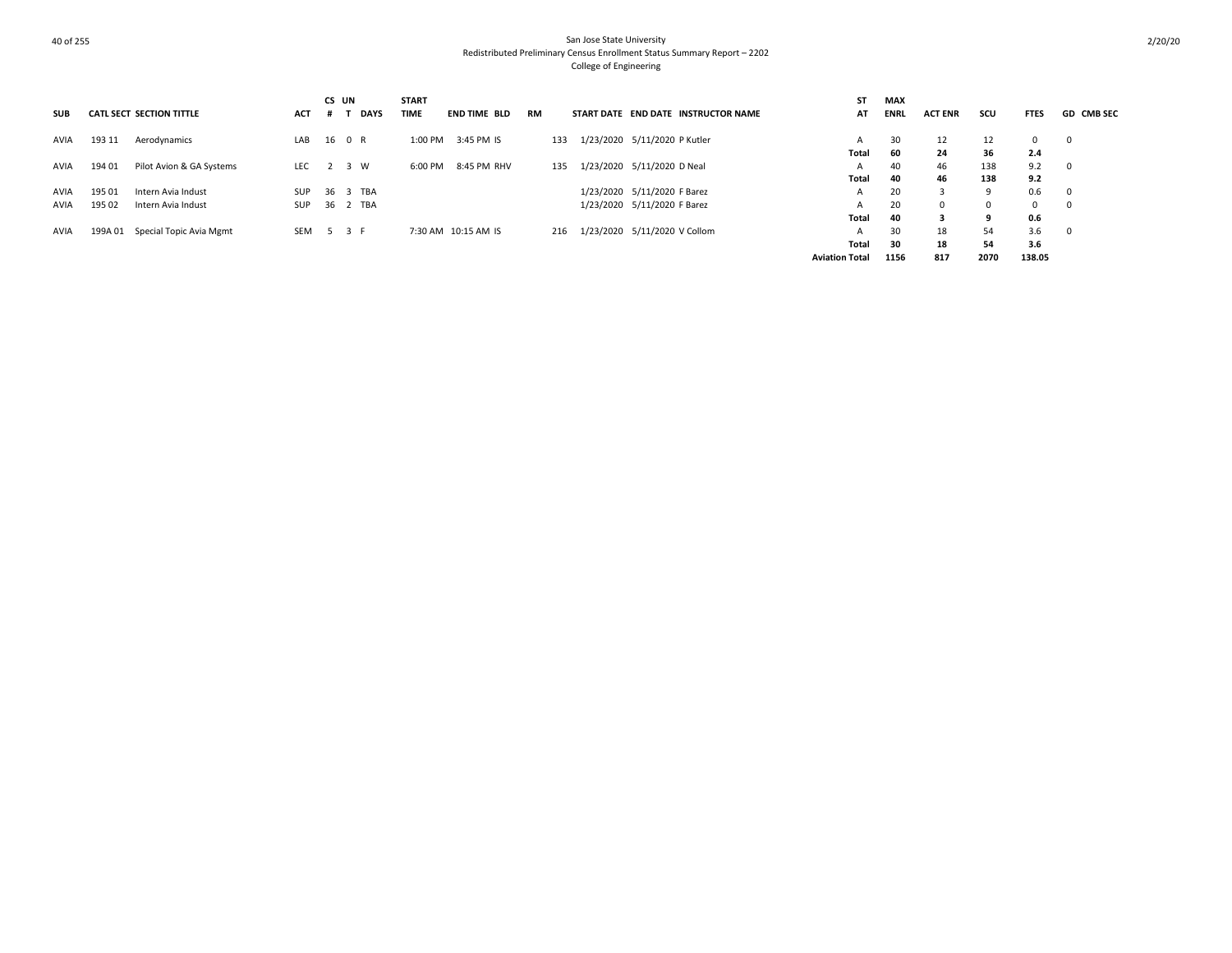| <b>SUB</b> |        | <b>CATL SECT SECTION TITTLE</b> | <b>ACT</b> | CS UN<br><b>DAYS</b> | <b>START</b><br><b>TIME</b> | END TIME BLD        | <b>RM</b> | START DATE END DATE INSTRUCTOR NAME | ST<br>AT              | <b>MAX</b><br><b>ENRL</b> | <b>ACT ENR</b> | scu      | <b>FTES</b> | <b>GD CMB SEC</b> |
|------------|--------|---------------------------------|------------|----------------------|-----------------------------|---------------------|-----------|-------------------------------------|-----------------------|---------------------------|----------------|----------|-------------|-------------------|
| AVIA       | 193 11 | Aerodynamics                    | LAB        | 16 0 R               | 1:00 PM                     | 3:45 PM IS          | 133       | 1/23/2020 5/11/2020 P Kutler        | A                     | 30                        | 12             | 12       |             | $^{\circ}$        |
|            |        |                                 |            |                      |                             |                     |           |                                     | Total                 | 60                        | 24             | 36       | 2.4         |                   |
| AVIA       | 194 01 | Pilot Avion & GA Systems        | LEC.       | 2 3 W                | 6:00 PM                     | 8:45 PM RHV         | 135       | 1/23/2020 5/11/2020 D Neal          | A                     | 40                        | 46             | 138      | 9.2         | $^{\circ}$        |
|            |        |                                 |            |                      |                             |                     |           |                                     | <b>Total</b>          | 40                        | 46             | 138      | 9.2         |                   |
| AVIA       | 195 01 | Intern Avia Indust              | SUP        | 36 3 TBA             |                             |                     |           | 1/23/2020 5/11/2020 F Barez         | A                     | 20                        | 3              | -9       | 0.6         | $\mathbf 0$       |
| AVIA       | 195 02 | Intern Avia Indust              | SUP        | 36 2 TBA             |                             |                     |           | 1/23/2020 5/11/2020 F Barez         | А                     | 20                        | $\Omega$       | $\Omega$ |             | $^{\circ}$        |
|            |        |                                 |            |                      |                             |                     |           |                                     | <b>Total</b>          | 40                        |                | 9        | 0.6         |                   |
| AVIA       |        | 199A 01 Special Topic Avia Mgmt | SEM        | 5 3 F                |                             | 7:30 AM 10:15 AM IS | 216       | 1/23/2020 5/11/2020 V Collom        | А                     | 30                        | 18             | 54       | 3.6         |                   |
|            |        |                                 |            |                      |                             |                     |           |                                     | Total                 | 30                        | 18             | 54       | 3.6         |                   |
|            |        |                                 |            |                      |                             |                     |           |                                     | <b>Aviation Total</b> | 1156                      | 817            | 2070     | 138.05      |                   |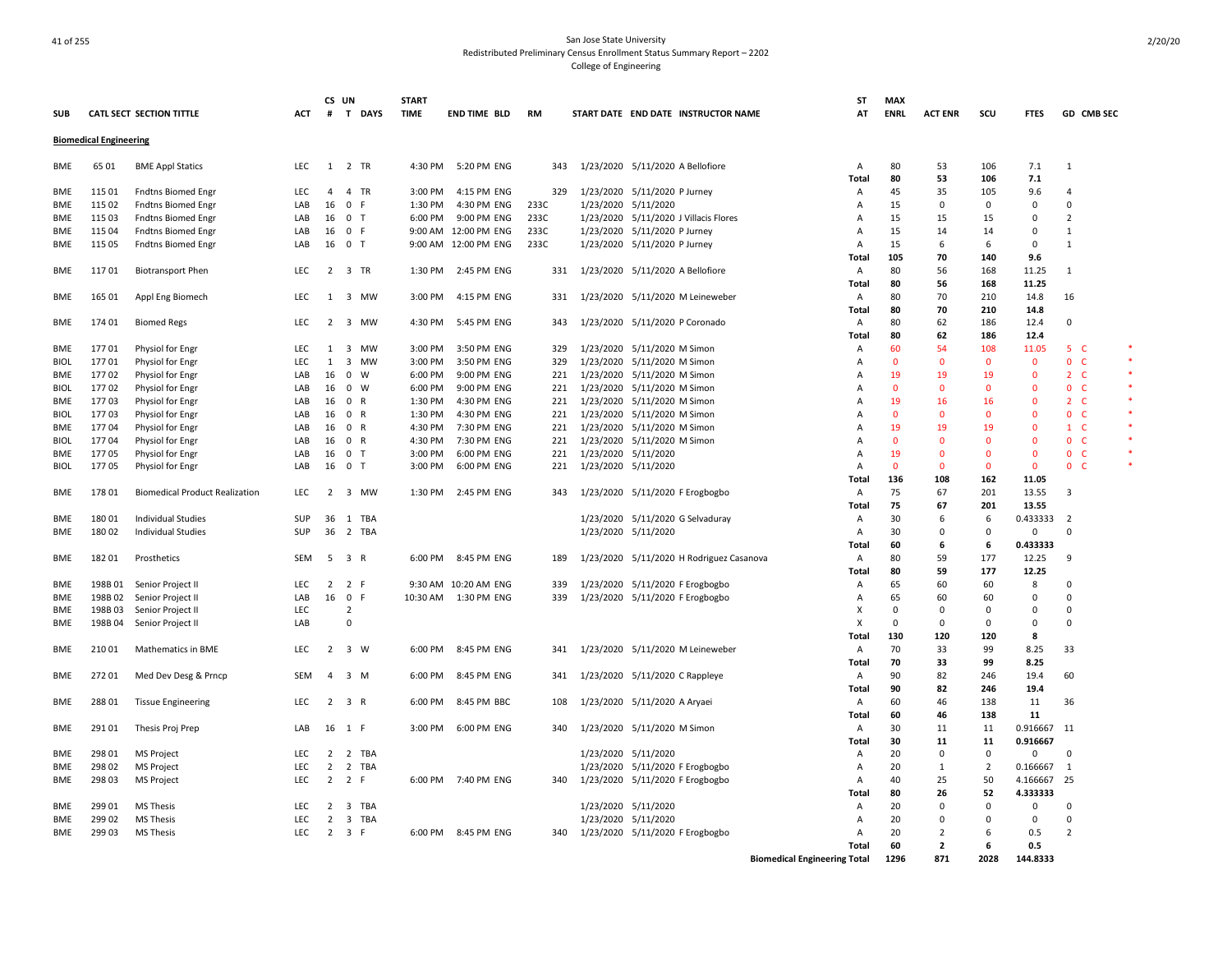|             |                               |                                       |            | CS UN          |                             | <b>START</b> |                       |           |                                          | ST                                  | <b>MAX</b>   |                |                |              |                              |  |
|-------------|-------------------------------|---------------------------------------|------------|----------------|-----------------------------|--------------|-----------------------|-----------|------------------------------------------|-------------------------------------|--------------|----------------|----------------|--------------|------------------------------|--|
| SUB         |                               | <b>CATL SECT SECTION TITTLE</b>       | ACT        | $\#$           | T DAYS                      | <b>TIME</b>  | END TIME BLD          | <b>RM</b> | START DATE END DATE INSTRUCTOR NAME      | AT                                  | <b>ENRL</b>  | <b>ACT ENR</b> | scu            | <b>FTFS</b>  | GD CMB SEC                   |  |
|             | <b>Biomedical Engineering</b> |                                       |            |                |                             |              |                       |           |                                          |                                     |              |                |                |              |                              |  |
| <b>BME</b>  | 65 01                         | <b>BME Appl Statics</b>               | <b>LEC</b> | 1              | 2 TR                        | 4:30 PM      | 5:20 PM ENG           | 343       | 1/23/2020 5/11/2020 A Bellofiore         | A                                   | 80           | 53             | 106            | 7.1          | 1                            |  |
|             |                               |                                       |            |                |                             |              |                       |           |                                          | <b>Total</b>                        | 80           | 53             | 106            | 7.1          |                              |  |
| <b>BME</b>  | 11501                         | <b>Fndtns Biomed Engr</b>             | <b>LEC</b> | 4              | 4 TR                        | 3:00 PM      | 4:15 PM ENG           | 329       | 1/23/2020 5/11/2020 P Jurney             | A                                   | 45           | 35             | 105            | 9.6          | $\overline{4}$               |  |
| <b>BME</b>  | 115 02                        | Fndtns Biomed Engr                    | LAB        | 16             | $\mathbf 0$<br>- F          | 1:30 PM      | 4:30 PM ENG           | 233C      | 1/23/2020 5/11/2020                      | A                                   | 15           | $\Omega$       | $\mathbf 0$    | $\Omega$     | $\Omega$                     |  |
| <b>BME</b>  | 115 03                        | <b>Fndtns Biomed Engr</b>             | LAB        | 16             | 0 <sub>T</sub>              | 6:00 PM      | 9:00 PM ENG           | 233C      | 1/23/2020 5/11/2020 J Villacis Flores    | A                                   | 15           | 15             | 15             | 0            | $\overline{2}$               |  |
| <b>BME</b>  | 115 04                        | <b>Fndtns Biomed Engr</b>             | LAB        | 16             | 0 F                         |              | 9:00 AM 12:00 PM ENG  | 233C      | 1/23/2020 5/11/2020 P Jurney             | A                                   | 15           | 14             | 14             | 0            | 1                            |  |
| BME         | 115 05                        | <b>Fndtns Biomed Engr</b>             | LAB        | 16             | 0 <sub>T</sub>              |              | 9:00 AM 12:00 PM ENG  | 233C      | 1/23/2020 5/11/2020 P Jurney             | A                                   | 15           | 6              | 6              | $\mathsf 0$  | 1                            |  |
|             |                               |                                       |            |                |                             |              |                       |           |                                          | Total                               | 105          | 70             | 140            | 9.6          |                              |  |
| BME         | 11701                         | <b>Biotransport Phen</b>              | LEC        |                | 2 3 TR                      | 1:30 PM      | 2:45 PM ENG           | 331       | 1/23/2020 5/11/2020 A Bellofiore         | Α                                   | 80           | 56             | 168            | 11.25        | 1                            |  |
|             |                               |                                       |            |                |                             |              |                       |           |                                          | Total                               | 80           | 56             | 168            | 11.25        |                              |  |
| <b>BME</b>  | 165 01                        | Appl Eng Biomech                      | LEC        | $\mathbf{1}$   | 3 MW                        | 3:00 PM      | 4:15 PM ENG           | 331       | 1/23/2020 5/11/2020 M Leineweber         | A                                   | 80           | 70             | 210            | 14.8         | 16                           |  |
|             |                               |                                       |            |                |                             |              |                       |           |                                          | Total                               | 80           | 70             | 210            | 14.8         |                              |  |
| BME         | 174 01                        | <b>Biomed Regs</b>                    | LEC        | $\overline{2}$ | 3 MW                        | 4:30 PM      | 5:45 PM ENG           | 343       | 1/23/2020 5/11/2020 P Coronado           | Α                                   | 80           | 62             | 186            | 12.4         | 0                            |  |
|             |                               |                                       |            |                |                             |              |                       |           |                                          | Total                               | 80           | 62             | 186            | 12.4         |                              |  |
| BME         | 17701                         | Physiol for Engr                      | LEC        | 1              | 3 MW                        | 3:00 PM      | 3:50 PM ENG           | 329       | 1/23/2020 5/11/2020 M Simon              | Α                                   | 60           | 54             | 108            | 11.05        | -5<br>- C                    |  |
| <b>BIOL</b> | 17701                         | Physiol for Engr                      | LEC        | 1              | 3 MW                        | 3:00 PM      | 3:50 PM ENG           | 329       | 1/23/2020 5/11/2020 M Simon              | Α                                   | $\Omega$     | $\Omega$       | $\Omega$       | 0            | $\mathbf 0$<br>-C            |  |
| <b>BME</b>  | 17702                         | Physiol for Engr                      | LAB        | 16             | $^{\circ}$<br><b>W</b>      | 6:00 PM      | 9:00 PM ENG           | 221       | 1/23/2020 5/11/2020 M Simon              | A                                   | 19           | 19             | 19             | $\mathbf{0}$ | 2 <sub>c</sub>               |  |
| <b>BIOL</b> | 17702                         | Physiol for Engr                      | LAB        | 16             | $0 \quad W$                 | 6:00 PM      | 9:00 PM ENG           | 221       | 1/23/2020 5/11/2020 M Simon              | A                                   | $\mathbf{0}$ | $\Omega$       | $\Omega$       | $\Omega$     | $\mathbf{0}$<br>- C          |  |
| <b>BME</b>  | 17703                         | Physiol for Engr                      | LAB        | 16             | 0 R                         | 1:30 PM      | 4:30 PM ENG           | 221       | 1/23/2020 5/11/2020 M Simon              | A                                   | 19           | 16             | 16             | $\Omega$     | $\overline{2}$<br>- C        |  |
| <b>BIOL</b> | 17703                         | Physiol for Engr                      | LAB        | 16             | 0 R                         | 1:30 PM      | 4:30 PM ENG           | 221       | 1/23/2020 5/11/2020 M Simon              | A                                   | $\mathbf{0}$ | $\Omega$       | $\Omega$       | $\Omega$     | $\overline{0}$<br>- C        |  |
| <b>BME</b>  | 17704                         | Physiol for Engr                      | LAB        | 16             | 0 R                         | 4:30 PM      | 7:30 PM ENG           | 221       | 1/23/2020 5/11/2020 M Simon              | A                                   | 19           | 19             | 19             | $\Omega$     | $1\quad$ C                   |  |
| <b>BIOL</b> | 17704                         | Physiol for Engr                      | LAB        | 16             | $\mathbf 0$<br>$\mathsf{R}$ | 4:30 PM      | 7:30 PM ENG           | 221       | 1/23/2020 5/11/2020 M Simon              | A                                   | $\mathbf 0$  | $\Omega$       | $\Omega$       | $\Omega$     | $\mathbf{0}$<br>$\mathsf{C}$ |  |
| BME         | 17705                         | Physiol for Engr                      | LAB        | 16             | 0 <sub>T</sub>              | 3:00 PM      | 6:00 PM ENG           | 221       | 1/23/2020 5/11/2020                      | A                                   | 19           | $\Omega$       | $\Omega$       | $\mathbf 0$  | $\mathbf{0}$<br>$\mathsf{C}$ |  |
| <b>BIOL</b> | 17705                         | Physiol for Engr                      | LAB        | 16             | 0 <sub>T</sub>              | 3:00 PM      | 6:00 PM ENG           | 221       | 1/23/2020 5/11/2020                      | Α                                   | $\mathbf 0$  | $\Omega$       | $\mathbf 0$    | $\mathbf 0$  | $\mathbf{0}$<br>C            |  |
|             |                               |                                       |            |                |                             |              |                       |           |                                          | Total                               | 136          | 108            | 162            | 11.05        |                              |  |
| <b>BME</b>  | 17801                         | <b>Biomedical Product Realization</b> | <b>LEC</b> | 2              | 3 MW                        | 1:30 PM      | 2:45 PM ENG           | 343       | 1/23/2020 5/11/2020 F Erogbogbo          | A                                   | 75           | 67             | 201            | 13.55        | 3                            |  |
|             |                               |                                       |            |                |                             |              |                       |           |                                          | Total                               | 75           | 67             | 201            | 13.55        |                              |  |
| BME         | 18001                         | <b>Individual Studies</b>             | SUP        | 36             | 1 TBA                       |              |                       |           | 1/23/2020 5/11/2020 G Selvaduray         | A                                   | 30           | 6              | 6              | 0.433333     | $\overline{2}$               |  |
| <b>BME</b>  | 18002                         | <b>Individual Studies</b>             | SUP        | 36             | 2 TBA                       |              |                       |           | 1/23/2020 5/11/2020                      | A                                   | 30           | $\Omega$       | $\mathbf 0$    | $\Omega$     | $\Omega$                     |  |
|             |                               |                                       |            |                |                             |              |                       |           |                                          | <b>Total</b>                        | 60           | 6              | 6              | 0.433333     |                              |  |
| <b>BME</b>  | 18201                         | Prosthetics                           | SEM        | 5              | 3 R                         | 6:00 PM      | 8:45 PM ENG           | 189       | 1/23/2020 5/11/2020 H Rodriguez Casanova | A                                   | 80           | 59             | 177            | 12.25        | 9                            |  |
|             |                               |                                       |            |                |                             |              |                       |           |                                          | Total                               | 80           | 59             | 177            | 12.25        |                              |  |
| <b>BME</b>  | 198B 01                       | Senior Project II                     | <b>LEC</b> | 2              | 2 F                         |              | 9:30 AM 10:20 AM ENG  | 339       | 1/23/2020 5/11/2020 F Erogbogbo          | A                                   | 65           | 60             | 60             | 8            | $\Omega$                     |  |
| <b>BME</b>  | 198B02                        | Senior Project II                     | LAB        | 16             | $\overline{0}$<br>F         |              | 10:30 AM  1:30 PM ENG | 339       | 1/23/2020 5/11/2020 F Erogbogbo          | Α                                   | 65           | 60             | 60             | $\Omega$     | $\Omega$                     |  |
| <b>BME</b>  | 198B03                        | Senior Project II                     | <b>LEC</b> |                | $\overline{2}$              |              |                       |           |                                          | X                                   | $\mathbf 0$  | $\Omega$       | $\Omega$       | 0            | $\mathbf 0$                  |  |
| BME         | 198B04                        | Senior Project II                     | LAB        |                | $\Omega$                    |              |                       |           |                                          | X                                   | $\mathbf 0$  | $\Omega$       | $\mathbf 0$    | 0            | $\Omega$                     |  |
|             |                               |                                       |            |                |                             |              |                       |           |                                          | Total                               | 130          | 120            | 120            | 8            |                              |  |
| <b>BME</b>  | 21001                         | Mathematics in BME                    | <b>LEC</b> | 2              | $3 \quad W$                 | 6:00 PM      | 8:45 PM ENG           | 341       | 1/23/2020 5/11/2020 M Leineweber         | A                                   | 70           | 33             | 99             | 8.25         | 33                           |  |
|             |                               |                                       |            |                |                             |              |                       |           |                                          | Total                               | 70           | 33             | 99             | 8.25         |                              |  |
| <b>BME</b>  | 27201                         | Med Dev Desg & Prncp                  | <b>SEM</b> | $\overline{4}$ | 3 M                         | 6:00 PM      | 8:45 PM ENG           | 341       | 1/23/2020 5/11/2020 C Rappleye           | A                                   | 90           | 82             | 246            | 19.4         | 60                           |  |
|             |                               |                                       |            |                |                             |              |                       |           |                                          | Total                               | 90           | 82             | 246            | 19.4         |                              |  |
| <b>BME</b>  | 28801                         | <b>Tissue Engineering</b>             | LEC        | $\overline{2}$ | 3 R                         | 6:00 PM      | 8:45 PM BBC           | 108       | 1/23/2020 5/11/2020 A Aryaei             | A                                   | 60           | 46             | 138            | 11           | 36                           |  |
|             |                               |                                       |            |                |                             |              |                       |           |                                          | Total                               | 60           | 46             | 138            | 11           |                              |  |
| <b>BME</b>  | 29101                         | Thesis Proj Prep                      | LAB        |                | 16 1 F                      | 3:00 PM      | 6:00 PM ENG           | 340       | 1/23/2020 5/11/2020 M Simon              | A                                   | 30           | 11             | 11             | 0.916667     | 11                           |  |
|             |                               |                                       |            |                |                             |              |                       |           |                                          | <b>Total</b>                        | 30           | 11             | 11             | 0.916667     |                              |  |
| <b>BME</b>  | 298 01                        | <b>MS Project</b>                     | <b>LEC</b> | 2              | 2 TBA                       |              |                       |           | 1/23/2020 5/11/2020                      | $\overline{A}$                      | 20           | $\Omega$       | $\mathbf 0$    | $\Omega$     | $\Omega$                     |  |
| <b>BME</b>  | 298 02                        | <b>MS Project</b>                     | <b>LEC</b> | $\overline{2}$ | 2 TBA                       |              |                       |           | 1/23/2020 5/11/2020 F Erogbogbo          | Α                                   | 20           | $\mathbf{1}$   | $\overline{2}$ | 0.166667     | 1                            |  |
| <b>BME</b>  | 298 03                        | <b>MS Project</b>                     | LEC.       | $\overline{2}$ | 2 F                         |              | 6:00 PM 7:40 PM ENG   | 340       | 1/23/2020 5/11/2020 F Erogbogbo          | A                                   | 40           | 25             | 50             | 4.166667     | 25                           |  |
|             |                               |                                       |            |                |                             |              |                       |           |                                          | Total                               | 80           | 26             | 52             | 4.333333     |                              |  |
| BME         | 299 01                        | <b>MS Thesis</b>                      | LEC        | $\overline{2}$ | 3 TBA                       |              |                       |           | 1/23/2020 5/11/2020                      | Α                                   | 20           | $\Omega$       | $\mathbf 0$    | 0            | 0                            |  |
| BME         | 299 02                        | <b>MS Thesis</b>                      | LEC        | $\overline{2}$ | 3 TBA                       |              |                       |           | 1/23/2020 5/11/2020                      | A                                   | 20           | $\Omega$       | $\Omega$       | $\mathsf 0$  | $\Omega$                     |  |
| <b>BME</b>  | 299 03                        | <b>MS Thesis</b>                      | LEC        | 2              | 3 F                         | 6:00 PM      | 8:45 PM ENG           | 340       | 1/23/2020 5/11/2020 F Erogbogbo          | A                                   | 20           | $\overline{2}$ | 6              | 0.5          | $\overline{2}$               |  |
|             |                               |                                       |            |                |                             |              |                       |           |                                          | Total                               | 60           | $\overline{2}$ | 6              | 0.5          |                              |  |
|             |                               |                                       |            |                |                             |              |                       |           |                                          | <b>Biomedical Engineering Total</b> | 1296         | 871            | 2028           | 144.8333     |                              |  |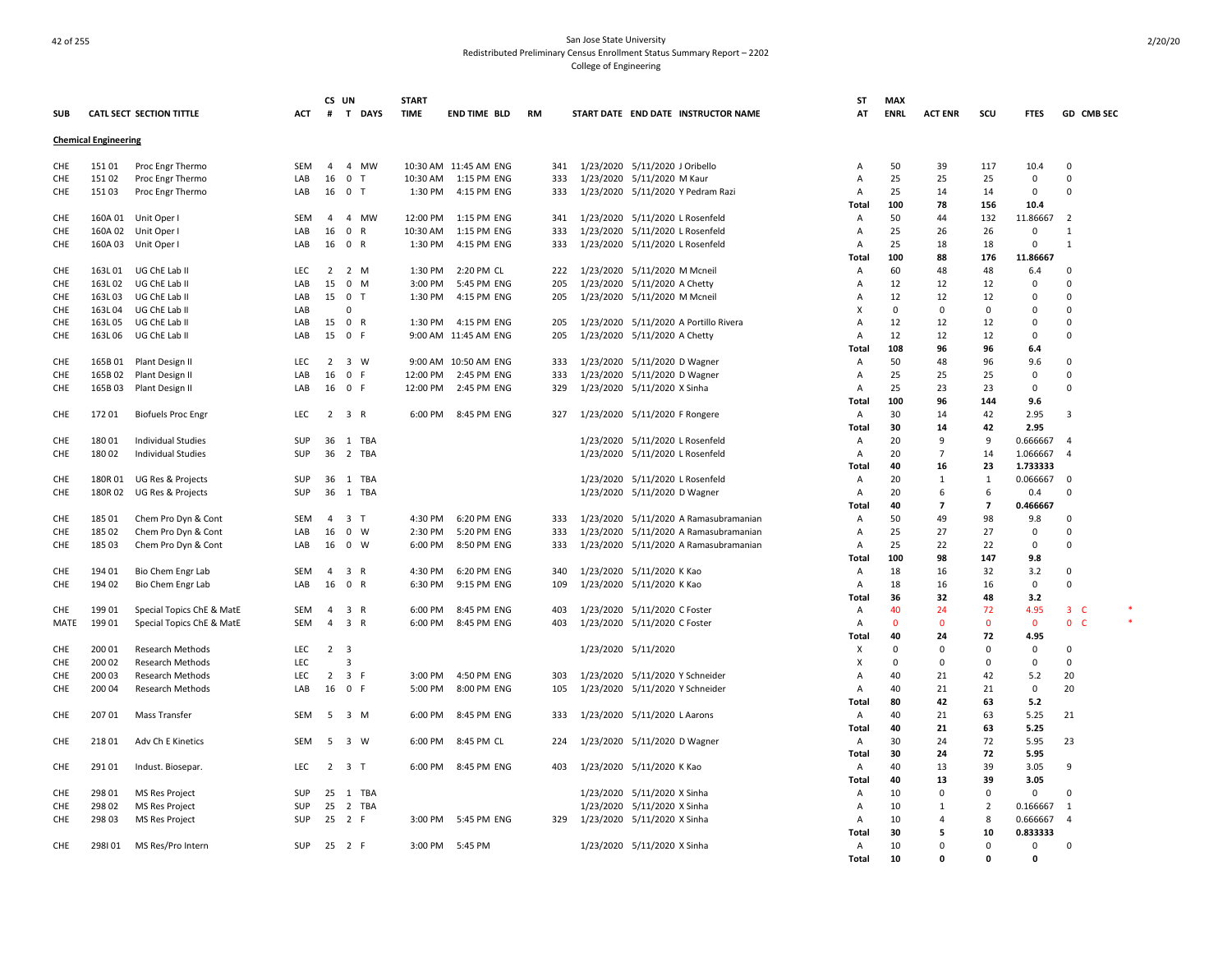# And the state University of the San Jose State University of the San Jose State University of the San Jose State University of the San Jose State University of the San Jose State University of the San Jose State University Redistributed Preliminary Census Enrollment Status Summary Report – 2202 College of Engineering

|            |                             |                           |            | CS UN          |                         | <b>START</b> |                       |           |                                       | SΤ             | <b>MAX</b>  |                    |                   |                 |                         |  |
|------------|-----------------------------|---------------------------|------------|----------------|-------------------------|--------------|-----------------------|-----------|---------------------------------------|----------------|-------------|--------------------|-------------------|-----------------|-------------------------|--|
| <b>SUB</b> |                             | CATL SECT SECTION TITTLE  | ACT        | #              | T DAYS                  | <b>TIME</b>  | <b>END TIME BLD</b>   | <b>RM</b> | START DATE END DATE INSTRUCTOR NAME   | AT             | <b>ENRL</b> | <b>ACT ENR</b>     | scu               | <b>FTES</b>     | GD CMB SEC              |  |
|            | <b>Chemical Engineering</b> |                           |            |                |                         |              |                       |           |                                       |                |             |                    |                   |                 |                         |  |
| CHE        | 15101                       | Proc Engr Thermo          | <b>SEM</b> | $\overline{4}$ | 4 MW                    |              | 10:30 AM 11:45 AM ENG | 341       | 1/23/2020 5/11/2020 J Oribello        | A              | 50          | 39                 | 117               | 10.4            | $\Omega$                |  |
| CHE        | 15102                       | Proc Engr Thermo          | LAB        | 16             | 0 <sub>T</sub>          |              | 10:30 AM  1:15 PM ENG | 333       | 1/23/2020 5/11/2020 M Kaur            | A              | 25          | 25                 | 25                | $\Omega$        | $\Omega$                |  |
| CHE        | 15103                       | Proc Engr Thermo          | LAB        | 16             | 0 <sub>T</sub>          | 1:30 PM      | 4:15 PM ENG           | 333       | 1/23/2020 5/11/2020 Y Pedram Razi     | A              | 25          | 14                 | 14                | $\mathbf 0$     | $\mathbf 0$             |  |
|            |                             |                           |            |                |                         |              |                       |           |                                       | Total          | 100         | 78                 | 156               | 10.4            |                         |  |
| CHE        | 160A 01                     | Unit Oper I               | SEM        | 4              | 4 MW                    | 12:00 PM     | 1:15 PM ENG           | 341       | 1/23/2020 5/11/2020 L Rosenfeld       | Α              | 50          | 44                 | 132               | 11.86667        | $\overline{2}$          |  |
| CHE        |                             | 160A 02 Unit Oper I       | LAB        | 16             | 0 R                     | 10:30 AM     | 1:15 PM ENG           | 333       | 1/23/2020 5/11/2020 L Rosenfeld       | Α              | 25          | 26                 | 26                | $\mathbf 0$     | $\mathbf{1}$            |  |
| CHE        | 160A03                      | Unit Oper I               | LAB        | 16             | 0 R                     | 1:30 PM      | 4:15 PM ENG           | 333       | 1/23/2020 5/11/2020 L Rosenfeld       | A              | 25          | 18                 | 18                | $\mathbf 0$     | $\mathbf{1}$            |  |
|            |                             |                           |            |                |                         |              |                       |           |                                       | Total          | 100         | 88                 | 176               | 11.86667        |                         |  |
| CHE        | 163L01                      | UG ChE Lab II             | <b>LEC</b> | 2              | 2 M                     | 1:30 PM      | 2:20 PM CL            | 222       | 1/23/2020 5/11/2020 M Mcneil          | A              | 60          | 48                 | 48                | 6.4             | $\mathbf 0$             |  |
| CHE        | 163L02                      | UG ChE Lab II             | LAB        | 15             | $0$ M                   | 3:00 PM      | 5:45 PM ENG           | 205       | 1/23/2020 5/11/2020 A Chetty          | A              | 12          | 12                 | 12                | $\Omega$        | $\Omega$                |  |
| CHE        | 163L03                      | UG ChE Lab II             | LAB        | 15             | 0 <sub>T</sub>          | 1:30 PM      | 4:15 PM ENG           | 205       | 1/23/2020 5/11/2020 M Mcneil          | A              | 12          | 12                 | 12                | $\mathbf 0$     | 0                       |  |
| CHE        | 163L04                      | UG ChE Lab II             | LAB        |                | $\Omega$                |              |                       |           |                                       | X              | $\mathbf 0$ | $\Omega$           | $\Omega$          | 0               | 0                       |  |
| CHE        | 163L05                      | UG ChE Lab II             | LAB        | 15             | 0 R                     |              | 1:30 PM 4:15 PM ENG   | 205       | 1/23/2020 5/11/2020 A Portillo Rivera | A              | 12          | 12                 | 12                | $\mathbf 0$     | 0                       |  |
| CHE        | 163L06                      | UG ChE Lab II             | LAB        | 15             | 0 F                     |              | 9:00 AM 11:45 AM ENG  | 205       | 1/23/2020 5/11/2020 A Chetty          | A              | 12          | 12                 | 12                | $\mathbf 0$     | 0                       |  |
|            |                             |                           |            |                |                         |              |                       |           |                                       | Total          | 108         | 96                 | 96                | 6.4             |                         |  |
| CHE        | 165B01                      | Plant Design II           | <b>LEC</b> | 2              | $3 \quad W$             |              | 9:00 AM 10:50 AM ENG  | 333       | 1/23/2020 5/11/2020 D Wagner          | Α              | 50          | 48                 | 96                | 9.6             | $\Omega$                |  |
| CHE        | 165B02                      | Plant Design II           | LAB        | 16             | 0 F                     |              | 12:00 PM 2:45 PM ENG  | 333       | 1/23/2020 5/11/2020 D Wagner          | A              | 25          | 25                 | 25                | $\mathbf 0$     | $\Omega$                |  |
| CHE        | 165B03                      | Plant Design II           | LAB        | 16             | 0 F                     | 12:00 PM     | 2:45 PM ENG           | 329       | 1/23/2020 5/11/2020 X Sinha           | A              | 25          | 23                 | 23                | $\Omega$        | 0                       |  |
|            |                             |                           |            |                |                         |              |                       |           |                                       | Total          | 100         | 96                 | 144               | 9.6             |                         |  |
| CHE        | 17201                       | <b>Biofuels Proc Engr</b> | <b>LEC</b> |                | $2 \quad 3 \quad R$     |              | 6:00 PM 8:45 PM ENG   | 327       | 1/23/2020 5/11/2020 F Rongere         | Α              | 30          | 14                 | 42                | 2.95            | 3                       |  |
|            |                             |                           |            |                |                         |              |                       |           |                                       | Total          | 30          | 14                 | 42                | 2.95            |                         |  |
| CHE        | 180 01                      | Individual Studies        | SUP        | 36             | 1 TBA                   |              |                       |           | 1/23/2020 5/11/2020 L Rosenfeld       | Α              | 20          | 9                  | 9                 | 0.666667        | $\overline{4}$          |  |
| CHE        | 180 02                      | <b>Individual Studies</b> | SUP        |                | 36 2 TBA                |              |                       |           | 1/23/2020 5/11/2020 L Rosenfeld       | Α              | 20          | $\overline{7}$     | 14                | 1.066667        | $\overline{4}$          |  |
|            |                             |                           |            |                |                         |              |                       |           |                                       | Total          | 40          | 16                 | 23                | 1.733333        |                         |  |
| CHE        | 180R01                      | UG Res & Projects         | <b>SUP</b> |                | 36 1 TBA                |              |                       |           | 1/23/2020 5/11/2020 L Rosenfeld       | A              | 20          | $\mathbf{1}$<br>-6 | $\mathbf{1}$<br>6 | 0.066667        | $\mathbf 0$<br>$\Omega$ |  |
| CHE        | 180R02                      | UG Res & Projects         | SUP        | 36             | 1 TBA                   |              |                       |           | 1/23/2020 5/11/2020 D Wagner          | Α              | 20<br>40    | $\overline{7}$     | $\overline{7}$    | 0.4<br>0.466667 |                         |  |
| CHE        | 18501                       | Chem Pro Dyn & Cont       | SEM        | 4              | 3 <sub>T</sub>          | 4:30 PM      | 6:20 PM ENG           | 333       | 1/23/2020 5/11/2020 A Ramasubramanian | Total<br>Α     | 50          | 49                 | 98                | 9.8             | 0                       |  |
| CHE        | 185 02                      | Chem Pro Dyn & Cont       | LAB        | 16             | $0 \quad W$             | 2:30 PM      | 5:20 PM ENG           | 333       | 1/23/2020 5/11/2020 A Ramasubramanian | Α              | 25          | 27                 | 27                | 0               | 0                       |  |
| CHE        | 185 03                      | Chem Pro Dyn & Cont       | LAB        | 16             | $0 \quad W$             | 6:00 PM      | 8:50 PM ENG           | 333       | 1/23/2020 5/11/2020 A Ramasubramanian | $\overline{A}$ | 25          | 22                 | 22                | $\Omega$        | $\Omega$                |  |
|            |                             |                           |            |                |                         |              |                       |           |                                       | Total          | 100         | 98                 | 147               | 9.8             |                         |  |
| CHE        | 194 01                      | Bio Chem Engr Lab         | <b>SEM</b> | $\overline{4}$ | 3 R                     | 4:30 PM      | 6:20 PM ENG           | 340       | 1/23/2020 5/11/2020 K Kao             | A              | 18          | 16                 | 32                | 3.2             | $\mathbf 0$             |  |
| CHE        | 194 02                      | Bio Chem Engr Lab         | LAB        | 16             | 0 R                     | 6:30 PM      | 9:15 PM ENG           | 109       | 1/23/2020 5/11/2020 K Kao             | A              | 18          | 16                 | 16                | $\mathsf 0$     | $\Omega$                |  |
|            |                             |                           |            |                |                         |              |                       |           |                                       | Total          | 36          | 32                 | 48                | 3.2             |                         |  |
| CHE        | 19901                       | Special Topics ChE & MatE | <b>SEM</b> | 4              | 3 R                     | 6:00 PM      | 8:45 PM ENG           | 403       | 1/23/2020 5/11/2020 C Foster          | Α              | 40          | 24                 | 72                | 4.95            | $3-$                    |  |
| MATE       | 19901                       | Special Topics ChE & MatE | <b>SEM</b> | $\overline{4}$ | 3 R                     | 6:00 PM      | 8:45 PM ENG           | 403       | 1/23/2020 5/11/2020 C Foster          | A              | $\mathbf 0$ | $\Omega$           | $\mathbf 0$       | $\mathbf 0$     | $\mathbf 0$<br>- C      |  |
|            |                             |                           |            |                |                         |              |                       |           |                                       | Total          | 40          | 24                 | 72                | 4.95            |                         |  |
| CHE        | 200 01                      | <b>Research Methods</b>   | <b>LEC</b> | $2^{\circ}$    | $\overline{\mathbf{3}}$ |              |                       |           | 1/23/2020 5/11/2020                   | X              | $\Omega$    | $\Omega$           | $\Omega$          | $\mathbf 0$     | 0                       |  |
| CHE        | 200 02                      | <b>Research Methods</b>   | <b>LEC</b> |                | $\overline{3}$          |              |                       |           |                                       | X              | $\mathbf 0$ | $\Omega$           | $\mathbf 0$       | $\mathbf 0$     | 0                       |  |
| CHE        | 200 03                      | <b>Research Methods</b>   | <b>LEC</b> | 2              | 3 F                     | 3:00 PM      | 4:50 PM ENG           | 303       | 1/23/2020 5/11/2020 Y Schneider       | A              | 40          | 21                 | 42                | 5.2             | 20                      |  |
| CHE        | 200 04                      | Research Methods          | LAB        | 16             | 0 F                     | 5:00 PM      | 8:00 PM ENG           | 105       | 1/23/2020 5/11/2020 Y Schneider       | Α              | 40          | 21                 | 21                | $\mathbf 0$     | 20                      |  |
|            |                             |                           |            |                |                         |              |                       |           |                                       | Total          | 80          | 42                 | 63                | 5.2             |                         |  |
| CHE        | 207 01                      | Mass Transfer             | SEM        | 5              | 3 M                     | 6:00 PM      | 8:45 PM ENG           | 333       | 1/23/2020 5/11/2020 L Aarons          | A              | 40          | 21                 | 63                | 5.25            | 21                      |  |
|            |                             |                           |            |                |                         |              |                       |           |                                       | Total          | 40          | 21                 | 63                | 5.25            |                         |  |
| CHE        | 21801                       | Adv Ch E Kinetics         | <b>SEM</b> | 5              | 3 W                     | 6:00 PM      | 8:45 PM CL            | 224       | 1/23/2020 5/11/2020 D Wagner          | A              | 30          | 24                 | 72                | 5.95            | 23                      |  |
|            |                             |                           |            |                |                         |              |                       |           |                                       | Total          | 30          | 24                 | 72                | 5.95            |                         |  |
| CHE        | 29101                       | Indust. Biosepar.         | LEC.       |                | $2 \quad 3 \quad T$     |              | 6:00 PM 8:45 PM ENG   | 403       | 1/23/2020 5/11/2020 K Kao             | Α              | 40          | 13                 | 39                | 3.05            | 9                       |  |
|            |                             |                           |            |                |                         |              |                       |           |                                       | Total          | 40          | 13                 | 39                | 3.05            |                         |  |
| CHE        | 298 01                      | MS Res Project            | SUP        |                | 25 1 TBA                |              |                       |           | 1/23/2020 5/11/2020 X Sinha           | $\overline{A}$ | 10          | $\Omega$           | $\Omega$          | $\Omega$        | $\Omega$                |  |
| CHE        | 298 02                      | MS Res Project            | SUP        | 25             | 2 TBA                   |              |                       |           | 1/23/2020 5/11/2020 X Sinha           | Α              | 10          | 1                  | 2                 | 0.166667        | -1                      |  |
| CHE        | 298 03                      | MS Res Project            | SUP        |                | 25 2 F                  |              | 3:00 PM 5:45 PM ENG   | 329       | 1/23/2020 5/11/2020 X Sinha           | A              | 10          | $\overline{4}$     | 8                 | 0.666667        | $\overline{4}$          |  |
|            |                             |                           |            |                |                         |              |                       |           |                                       | Total          | 30          | 5                  | 10                | 0.833333        |                         |  |
| CHE        | 298101                      | MS Res/Pro Intern         | <b>SUP</b> |                | 25 2 F                  | 3:00 PM      | 5:45 PM               |           | 1/23/2020 5/11/2020 X Sinha           | A              | 10          | $\Omega$           | $\Omega$          | 0               | 0                       |  |
|            |                             |                           |            |                |                         |              |                       |           |                                       | Total          | 10          | n                  | $\Omega$          | $\Omega$        |                         |  |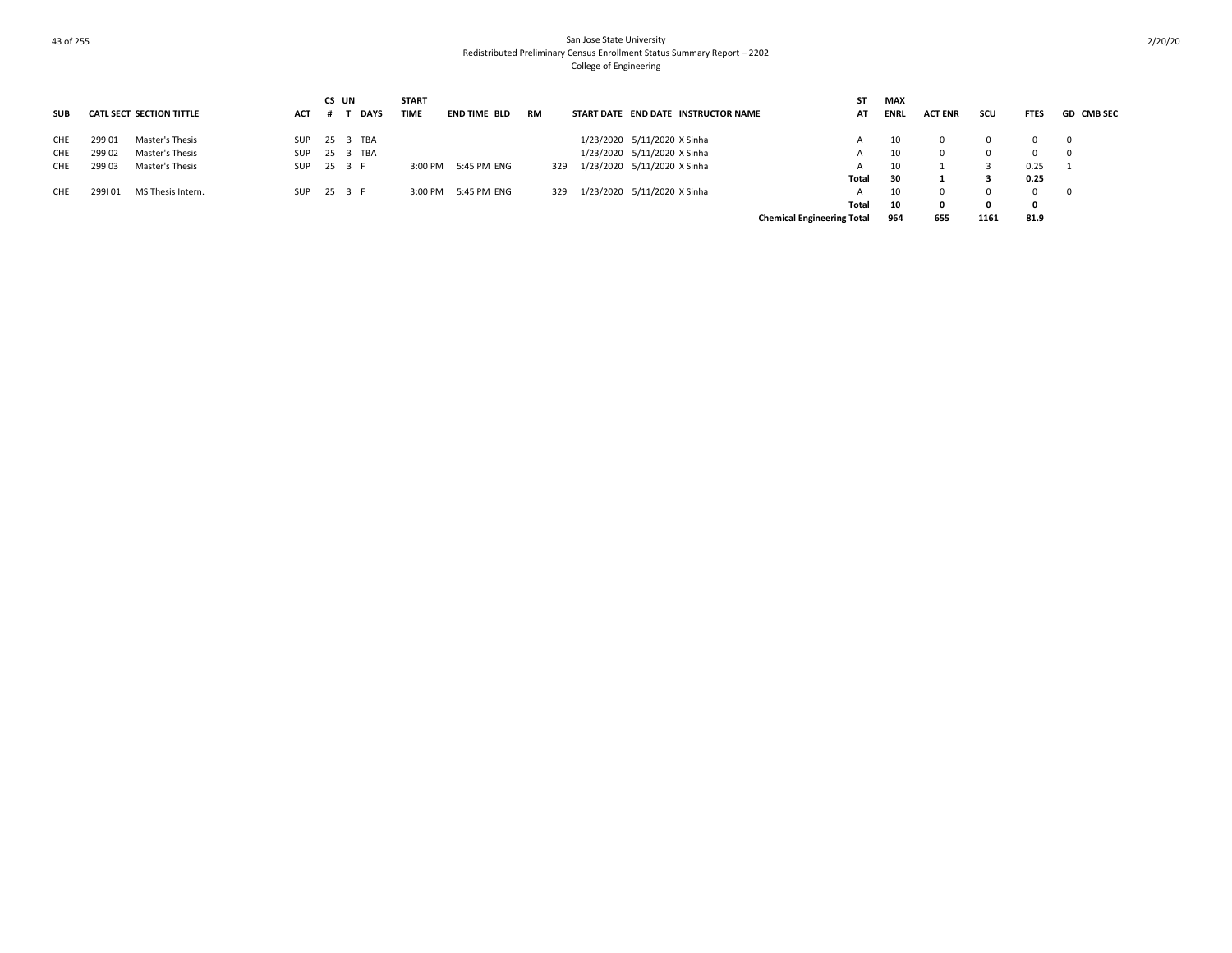|            |        |                                 |            | CS UN        | <b>START</b> |                     |           |                                     | ST                                | MAX         |                |          |             |                          |
|------------|--------|---------------------------------|------------|--------------|--------------|---------------------|-----------|-------------------------------------|-----------------------------------|-------------|----------------|----------|-------------|--------------------------|
| <b>SUB</b> |        | <b>CATL SECT SECTION TITTLE</b> | <b>ACT</b> | DAYS         | <b>TIME</b>  | <b>END TIME BLD</b> | <b>RM</b> | START DATE END DATE INSTRUCTOR NAME | AT                                | <b>ENRL</b> | <b>ACT ENR</b> | scu      | <b>FTES</b> | <b>GD CMB SEC</b>        |
| CHE        | 299 01 | Master's Thesis                 |            | SUP 25 3 TBA |              |                     |           | 1/23/2020 5/11/2020 X Sinha         |                                   | 10          | $\Omega$       | $\Omega$ | $0\qquad 0$ |                          |
| CHE        | 29902  | Master's Thesis                 | <b>SUP</b> | 25 3 TBA     |              |                     |           | 1/23/2020 5/11/2020 X Sinha         |                                   | 10          | $\Omega$       | $\Omega$ | $\Omega$    | $\overline{\phantom{0}}$ |
| CHE        | 29903  | Master's Thesis                 |            | SUP 25 3 F   |              | 3:00 PM 5:45 PM ENG | 329       | 1/23/2020 5/11/2020 X Sinha         | A                                 |             |                |          | 0.25        |                          |
|            |        |                                 |            |              |              |                     |           |                                     | Total                             | 30          |                |          | 0.25        |                          |
| CHE        | 299101 | MS Thesis Intern.               | SUP        | 25 3 F       |              | 3:00 PM 5:45 PM ENG | 329       | 1/23/2020 5/11/2020 X Sinha         |                                   |             | $\Omega$       | $\Omega$ | $\Omega$    | $\mathbf{0}$             |
|            |        |                                 |            |              |              |                     |           |                                     | Total                             | 10          | $\Omega$       | 0        | 0           |                          |
|            |        |                                 |            |              |              |                     |           |                                     | <b>Chemical Engineering Total</b> | 964         | 655            | 1161     | 81.9        |                          |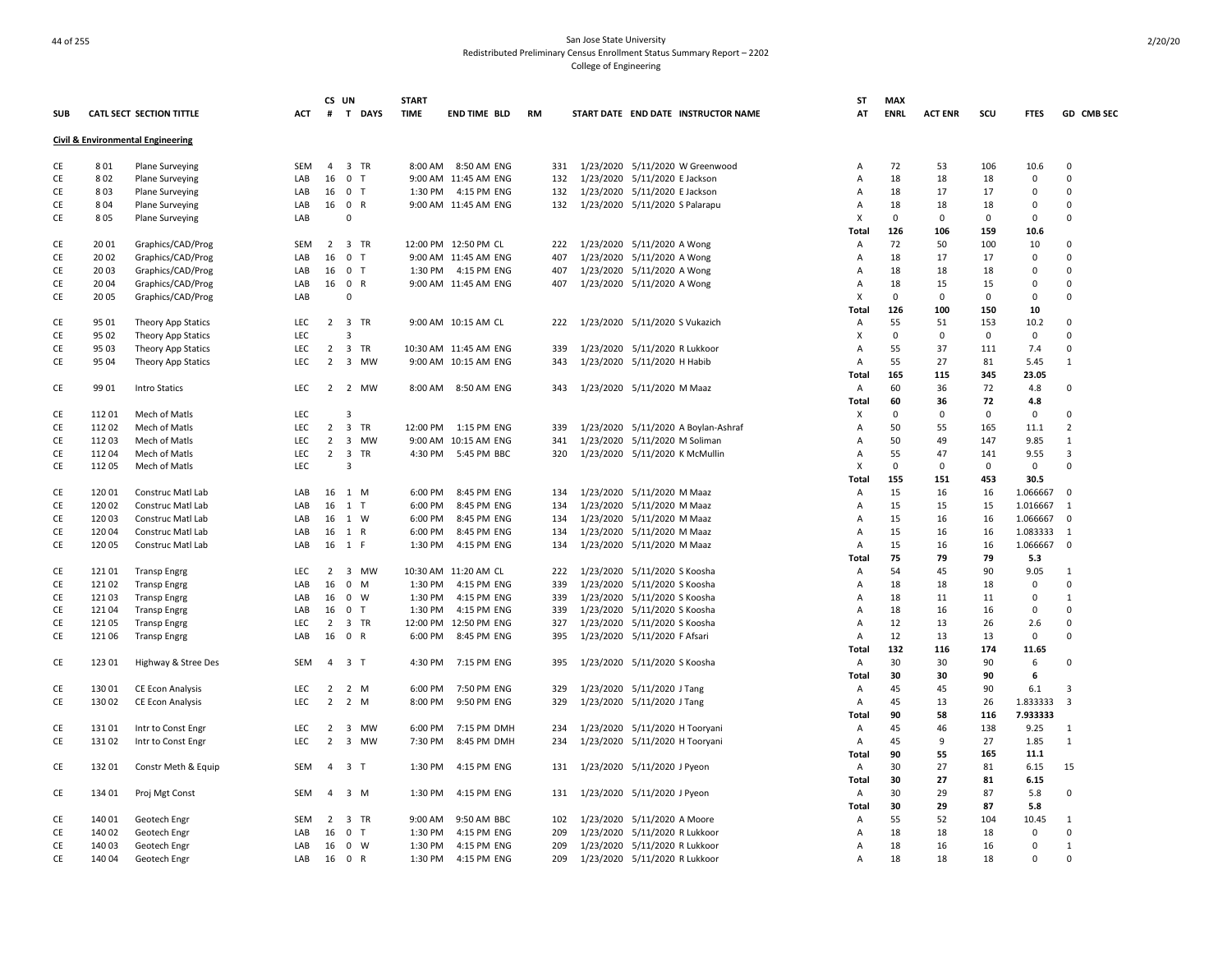# And the state University of the San Jose State University of the San Jose State University Redistributed Preliminary Census Enrollment Status Summary Report – 2202 College of Engineering

|               |        |                                   |            |                | CS UN          | <b>START</b> |                       |     |                                     | ST           | <b>MAX</b>  |                |             |             |                |
|---------------|--------|-----------------------------------|------------|----------------|----------------|--------------|-----------------------|-----|-------------------------------------|--------------|-------------|----------------|-------------|-------------|----------------|
| <b>SUB</b>    |        | <b>CATL SECT SECTION TITTLE</b>   | ACT        |                | # T DAYS       | <b>TIME</b>  | END TIME BLD          | RM  | START DATE END DATE INSTRUCTOR NAME | AT           | <b>ENRL</b> | <b>ACT ENR</b> | scu         | <b>FTES</b> | GD CMB SEC     |
|               |        | Civil & Environmental Engineering |            |                |                |              |                       |     |                                     |              |             |                |             |             |                |
| CE            | 801    | <b>Plane Surveying</b>            | <b>SEM</b> | 4              | 3 TR           |              | 8:00 AM 8:50 AM ENG   | 331 | 1/23/2020 5/11/2020 W Greenwood     | Α            | 72          | 53             | 106         | 10.6        | $\mathbf 0$    |
| CE            | 802    | <b>Plane Surveying</b>            | LAB        | 16             | 0 <sub>T</sub> |              | 9:00 AM 11:45 AM ENG  | 132 | 1/23/2020 5/11/2020 E Jackson       | Α            | 18          | 18             | 18          | 0           | $\Omega$       |
| CE            | 803    | <b>Plane Surveying</b>            | LAB        | 16             | 0 <sub>T</sub> |              | 1:30 PM 4:15 PM ENG   | 132 | 1/23/2020 5/11/2020 E Jackson       | Α            | 18          | 17             | 17          | $\mathbf 0$ | $\Omega$       |
| CE            | 804    | <b>Plane Surveying</b>            | LAB        |                | 16 0 R         |              | 9:00 AM 11:45 AM ENG  | 132 | 1/23/2020 5/11/2020 S Palarapu      | Α            | 18          | 18             | 18          | 0           | $\Omega$       |
| CE            | 805    | Plane Surveying                   | LAB        |                | $\Omega$       |              |                       |     |                                     | X            | $\mathbf 0$ | $\mathbf 0$    | $\mathbf 0$ | $\mathbf 0$ | $\Omega$       |
|               |        |                                   |            |                |                |              |                       |     |                                     | Total        | 126         | 106            | 159         | 10.6        |                |
| CE            | 2001   | Graphics/CAD/Prog                 | <b>SEM</b> |                | 2 3 TR         |              | 12:00 PM 12:50 PM CL  | 222 | 1/23/2020 5/11/2020 A Wong          | Α            | 72          | 50             | 100         | 10          | $\Omega$       |
| CE            | 2002   | Graphics/CAD/Prog                 | LAB        | 16             | 0 <sub>T</sub> |              | 9:00 AM 11:45 AM ENG  | 407 | 1/23/2020 5/11/2020 A Wong          | Α            | 18          | 17             | 17          | $\mathbf 0$ | $\Omega$       |
| CE            | 20 03  | Graphics/CAD/Prog                 | LAB        | 16             | 0 <sub>T</sub> |              | 1:30 PM 4:15 PM ENG   | 407 | 1/23/2020 5/11/2020 A Wong          | Α            | 18          | 18             | 18          | 0           | $\Omega$       |
| CE            | 2004   | Graphics/CAD/Prog                 | LAB        |                | 16 0 R         |              | 9:00 AM 11:45 AM ENG  | 407 | 1/23/2020 5/11/2020 A Wong          | Α            | 18          | 15             | 15          | $\mathbf 0$ | $\Omega$       |
| CE            | 2005   | Graphics/CAD/Prog                 | LAB        |                | $\mathbf 0$    |              |                       |     |                                     | X            | $\Omega$    | $\mathbf 0$    | $\mathbf 0$ | $\mathbf 0$ | $\mathbf 0$    |
|               |        |                                   |            |                |                |              |                       |     |                                     | Total        | 126         | 100            | 150         | 10          |                |
| CE            | 95 01  | Theory App Statics                | <b>LEC</b> |                | 2 3 TR         |              | 9:00 AM 10:15 AM CL   | 222 | 1/23/2020 5/11/2020 S Vukazich      | Α            | 55          | 51             | 153         | 10.2        | $\mathbf 0$    |
| CE            | 95 02  | Theory App Statics                | LEC        |                | 3              |              |                       |     |                                     | х            | $\mathbf 0$ | $\mathbf 0$    | $\mathbf 0$ | $\mathsf 0$ | $\mathbf 0$    |
| CE            | 95 03  | <b>Theory App Statics</b>         | LEC        |                | 2 3 TR         |              | 10:30 AM 11:45 AM ENG | 339 | 1/23/2020 5/11/2020 R Lukkoor       | Α            | 55          | 37             | 111         | 7.4         | 0              |
| CE            | 95 04  | Theory App Statics                | LEC        | $\overline{2}$ | 3 MW           |              | 9:00 AM 10:15 AM ENG  | 343 | 1/23/2020 5/11/2020 H Habib         | Α            | 55          | 27             | 81          | 5.45        | $\mathbf 1$    |
|               |        |                                   |            |                |                |              |                       |     |                                     |              | 165         | 115            | 345         | 23.05       |                |
|               |        |                                   |            |                |                |              |                       |     |                                     | Total        |             |                | 72          |             |                |
| CE            | 99 01  | Intro Statics                     | LEC        |                | 2 2 MW         |              | 8:00 AM 8:50 AM ENG   | 343 | 1/23/2020 5/11/2020 M Maaz          | Α            | 60          | 36             |             | 4.8         | 0              |
|               |        |                                   |            |                |                |              |                       |     |                                     | Total        | 60          | 36             | 72          | 4.8         |                |
| CE            | 11201  | Mech of Matls                     | <b>LEC</b> |                | 3              |              |                       |     |                                     | X            | $\mathbf 0$ | 0              | $\Omega$    | $\mathbf 0$ | $\Omega$       |
| CE            | 11202  | Mech of Matls                     | <b>LEC</b> | $\overline{2}$ | 3 TR           | 12:00 PM     | 1:15 PM ENG           | 339 | 1/23/2020 5/11/2020 A Boylan-Ashraf | Α            | 50          | 55             | 165         | 11.1        | 2              |
| CE            | 11203  | Mech of Matls                     | LEC        |                | 2 3 MW         |              | 9:00 AM 10:15 AM ENG  | 341 | 1/23/2020 5/11/2020 M Soliman       | Α            | 50          | 49             | 147         | 9.85        | $\mathbf{1}$   |
| CE            | 112 04 | Mech of Matls                     | LEC        | $\overline{2}$ | 3 TR           |              | 4:30 PM 5:45 PM BBC   | 320 | 1/23/2020 5/11/2020 K McMullin      | Α            | 55          | 47             | 141         | 9.55        | 3              |
| CE            | 11205  | Mech of Matls                     | LEC        |                | 3              |              |                       |     |                                     | X            | $\mathbf 0$ | 0              | 0           | 0           | $\Omega$       |
|               |        |                                   |            |                |                |              |                       |     |                                     | <b>Total</b> | 155         | 151            | 453         | 30.5        |                |
| CE            | 12001  | Construc Matl Lab                 | LAB        |                | 16 1 M         | 6:00 PM      | 8:45 PM ENG           | 134 | 1/23/2020 5/11/2020 M Maaz          | Α            | 15          | 16             | 16          | 1.066667    | $\mathbf 0$    |
| CE            | 120 02 | Construc Matl Lab                 | LAB        | 16             | $1$ T          | 6:00 PM      | 8:45 PM ENG           | 134 | 1/23/2020 5/11/2020 M Maaz          | A            | 15          | 15             | 15          | 1.016667    | $\mathbf{1}$   |
| CE            | 12003  | Construc Matl Lab                 | LAB        | 16             | 1 W            | 6:00 PM      | 8:45 PM ENG           | 134 | 1/23/2020 5/11/2020 M Maaz          | A            | 15          | 16             | 16          | 1.066667    | $\mathbf 0$    |
| CE            | 12004  | Construc Matl Lab                 | LAB        | 16             | 1 R            | 6:00 PM      | 8:45 PM ENG           | 134 | 1/23/2020 5/11/2020 M Maaz          | Α            | 15          | 16             | 16          | 1.083333    | 1              |
| CE            | 120 05 | Construc Matl Lab                 | LAB        | 16             | 1 F            | 1:30 PM      | 4:15 PM ENG           | 134 | 1/23/2020 5/11/2020 M Maaz          | Α            | 15          | 16             | 16          | 1.066667    | 0              |
|               |        |                                   |            |                |                |              |                       |     |                                     | Total        | 75          | 79             | 79          | 5.3         |                |
| CE            | 12101  | <b>Transp Engrg</b>               | <b>LEC</b> | $\overline{2}$ | 3 MW           |              | 10:30 AM 11:20 AM CL  | 222 | 1/23/2020 5/11/2020 S Koosha        | Α            | 54          | 45             | 90          | 9.05        | $\mathbf{1}$   |
| CE            | 12102  | <b>Transp Engrg</b>               | LAB        | 16             | $0$ M          | 1:30 PM      | 4:15 PM ENG           | 339 | 1/23/2020 5/11/2020 S Koosha        | Α            | 18          | 18             | 18          | $\mathbf 0$ | 0              |
| CE            | 12103  | <b>Transp Engrg</b>               | LAB        | 16             | 0 W            | 1:30 PM      | 4:15 PM ENG           | 339 | 1/23/2020 5/11/2020 S Koosha        | Α            | 18          | 11             | 11          | 0           | 1              |
| CE            | 12104  | <b>Transp Engrg</b>               | LAB        |                | 16 0 T         | 1:30 PM      | 4:15 PM ENG           | 339 | 1/23/2020 5/11/2020 S Koosha        | Α            | 18          | 16             | 16          | 0           | 0              |
| CE            | 121 05 | <b>Transp Engrg</b>               | LEC        | $\overline{2}$ | 3 TR           |              | 12:00 PM 12:50 PM ENG | 327 | 1/23/2020 5/11/2020 S Koosha        | Α            | 12          | 13             | 26          | 2.6         | 0              |
| CE            | 121 06 | <b>Transp Engrg</b>               | LAB        | 16             | 0 R            | 6:00 PM      | 8:45 PM ENG           | 395 | 1/23/2020 5/11/2020 F Afsari        | A            | 12          | 13             | 13          | $\mathbf 0$ | $\Omega$       |
|               |        |                                   |            |                |                |              |                       |     |                                     | <b>Total</b> | 132         | 116            | 174         | 11.65       |                |
| CE            | 123 01 | Highway & Stree Des               | <b>SEM</b> | 4              | 3 <sub>1</sub> | 4:30 PM      | 7:15 PM ENG           | 395 | 1/23/2020 5/11/2020 S Koosha        | Α            | 30          | 30             | 90          | 6           | 0              |
|               |        |                                   |            |                |                |              |                       |     |                                     | Total        | 30          | 30             | 90          | 6           |                |
| CE            | 13001  | CE Econ Analysis                  | LEC        | 2              | 2 M            | 6:00 PM      | 7:50 PM ENG           | 329 | 1/23/2020 5/11/2020 J Tang          | Α            | 45          | 45             | 90          | 6.1         | 3              |
| CE            | 13002  | CE Econ Analysis                  | <b>LEC</b> | 2              | 2 M            | 8:00 PM      | 9:50 PM ENG           | 329 | 1/23/2020 5/11/2020 J Tang          | A            | 45          | 13             | 26          | 1.833333    | $\overline{3}$ |
|               |        |                                   |            |                |                |              |                       |     |                                     | Total        | 90          | 58             | 116         | 7.933333    |                |
| CE            | 131 01 | Intr to Const Engr                | LEC        | $\overline{2}$ | 3 MW           | 6:00 PM      | 7:15 PM DMH           | 234 | 1/23/2020 5/11/2020 H Tooryani      | Α            | 45          | 46             | 138         | 9.25        | 1              |
| CE            | 131 02 | Intr to Const Engr                | <b>LEC</b> | $\overline{2}$ | 3 MW           | 7:30 PM      | 8:45 PM DMH           | 234 | 1/23/2020 5/11/2020 H Tooryani      | Α            | 45          | 9              | 27          | 1.85        | $\mathbf{1}$   |
|               |        |                                   |            |                |                |              |                       |     |                                     | Total        | 90          | 55             | 165         | 11.1        |                |
| CE            | 13201  |                                   | <b>SEM</b> |                | 4 3 T          | 1:30 PM      | 4:15 PM ENG           | 131 | 1/23/2020 5/11/2020 J Pyeon         |              | 30          | 27             | 81          | 6.15        | 15             |
|               |        | Constr Meth & Equip               |            |                |                |              |                       |     |                                     | Α<br>Total   | 30          | 27             | 81          | 6.15        |                |
|               |        |                                   |            | $\overline{a}$ |                |              |                       |     |                                     |              |             |                |             |             |                |
| CE            | 134 01 | Proj Mgt Const                    | SEM        |                | $3 \, M$       | 1:30 PM      | 4:15 PM ENG           | 131 | 1/23/2020 5/11/2020 J Pyeon         | Α            | 30          | 29             | 87          | 5.8         | 0              |
|               |        |                                   |            |                |                |              |                       |     |                                     | Total        | 30          | 29             | 87          | 5.8         |                |
| CE            | 140 01 | Geotech Engr                      | <b>SEM</b> |                | 2 3 TR         | 9:00 AM      | 9:50 AM BBC           | 102 | 1/23/2020 5/11/2020 A Moore         | Α            | 55          | 52             | 104         | 10.45       | 1              |
| CE            | 140 02 | Geotech Engr                      | LAB        | 16             | 0 <sub>T</sub> | 1:30 PM      | 4:15 PM ENG           | 209 | 1/23/2020 5/11/2020 R Lukkoor       | Α            | 18          | 18             | 18          | $\mathbf 0$ | $\mathbf 0$    |
| CE            | 140 03 | Geotech Engr                      | LAB        | 16             | 0 W            | 1:30 PM      | 4:15 PM ENG           | 209 | 1/23/2020 5/11/2020 R Lukkoor       | Α            | 18          | 16             | 16          | $\mathbf 0$ | $\mathbf{1}$   |
| $\mathsf{CE}$ | 140 04 | Geotech Engr                      | LAB        |                | 16 0 R         | 1:30 PM      | 4:15 PM ENG           | 209 | 1/23/2020 5/11/2020 R Lukkoor       | A            | 18          | 18             | 18          | $\mathbf 0$ | $\mathbf 0$    |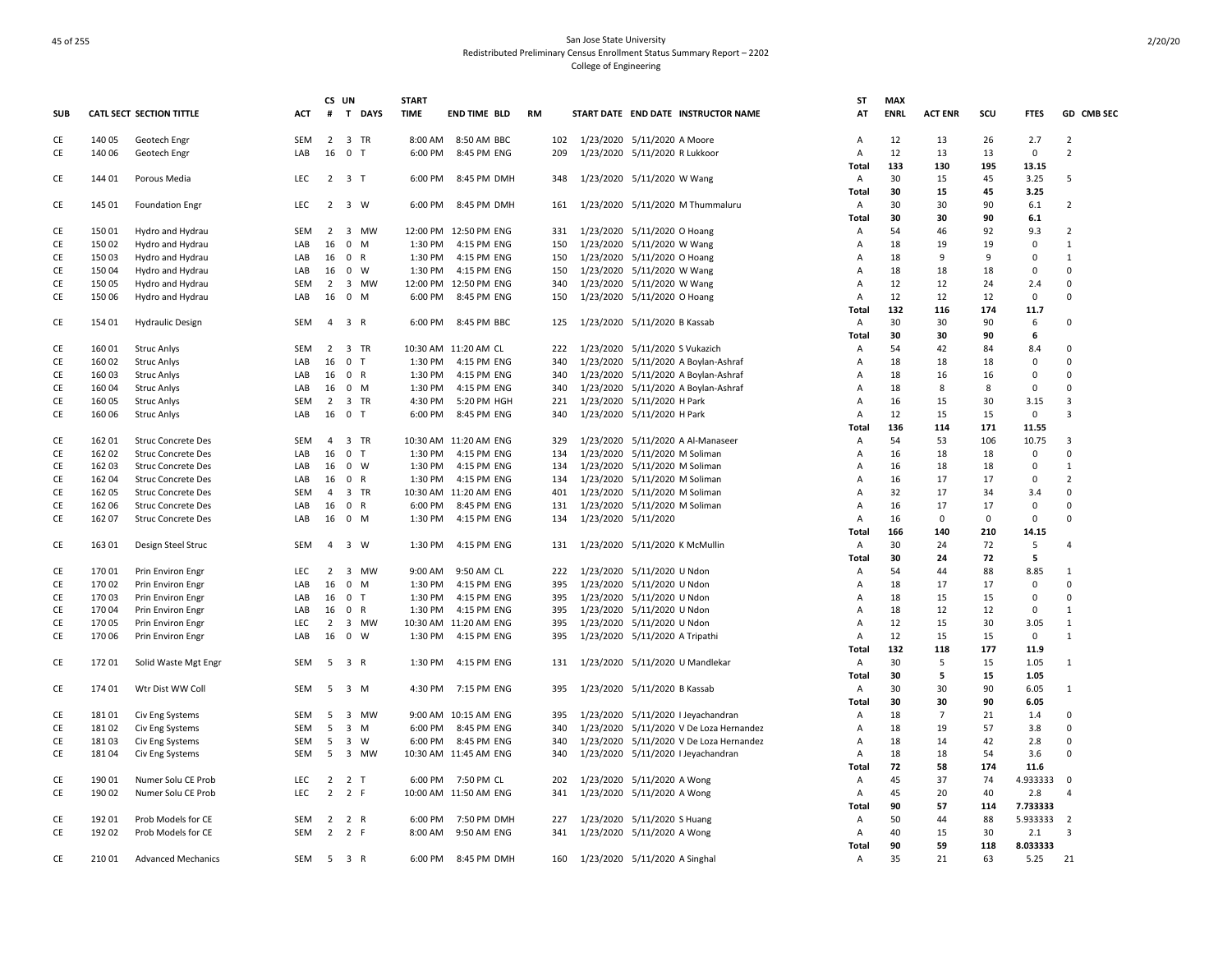|            |        |                                          |            | CS UN          |                     | <b>START</b> |                       |     |                                |                                         | ST             | <b>MAX</b>  |                |          |                    |                         |
|------------|--------|------------------------------------------|------------|----------------|---------------------|--------------|-----------------------|-----|--------------------------------|-----------------------------------------|----------------|-------------|----------------|----------|--------------------|-------------------------|
| <b>SUB</b> |        | <b>CATL SECT SECTION TITTLE</b>          | АСТ        |                | # T DAYS            | <b>TIME</b>  | <b>END TIME BLD</b>   | RM  |                                | START DATE END DATE INSTRUCTOR NAME     | AT             | <b>ENRL</b> | <b>ACT ENR</b> | scu      | <b>FTES</b>        | GD CMB SEC              |
| CE         | 140 05 | Geotech Engr                             | <b>SEM</b> | $\overline{2}$ | 3 TR                | 8:00 AM      | 8:50 AM BBC           | 102 | 1/23/2020 5/11/2020 A Moore    |                                         | Α              | 12          | 13             | 26       | 2.7                | 2                       |
| CE         | 140 06 | Geotech Engr                             | LAB        | 16             | 0 <sub>T</sub>      | 6:00 PM      | 8:45 PM ENG           | 209 | 1/23/2020 5/11/2020 R Lukkoor  |                                         | Α              | 12          | 13             | 13       | $\mathbf 0$        | $\overline{2}$          |
|            |        |                                          |            |                |                     |              |                       |     |                                |                                         | Total          | 133         | 130            | 195      | 13.15              |                         |
| CE         | 144 01 | Porous Media                             | <b>LEC</b> |                | $2 \quad 3 \quad T$ | 6:00 PM      | 8:45 PM DMH           | 348 | 1/23/2020 5/11/2020 W Wang     |                                         | A              | 30          | 15             | 45       | 3.25               | 5                       |
|            |        |                                          |            |                |                     |              |                       |     |                                |                                         | Total          | 30          | 15             | 45       | 3.25               |                         |
| CE         | 145 01 | <b>Foundation Engr</b>                   | LEC        |                | $2 \quad 3 \quad W$ | 6:00 PM      | 8:45 PM DMH           | 161 |                                | 1/23/2020 5/11/2020 M Thummaluru        | A              | 30          | 30             | 90       | 6.1                | $\overline{2}$          |
|            |        |                                          |            |                |                     |              |                       |     |                                |                                         | Total          | 30          | 30             | 90       | 6.1                |                         |
| CE         | 15001  | Hydro and Hydrau                         | <b>SEM</b> |                | 2 3 MW              |              | 12:00 PM 12:50 PM ENG | 331 | 1/23/2020 5/11/2020 O Hoang    |                                         | Α              | 54          | 46             | 92       | 9.3                | $\overline{2}$          |
| CE         | 150 02 | Hydro and Hydrau                         | LAB        | 16             | $0 \quad M$         | 1:30 PM      | 4:15 PM ENG           | 150 | 1/23/2020 5/11/2020 W Wang     |                                         | A              | 18          | 19             | 19       | $\mathbf 0$        | $\mathbf{1}$            |
| CE         | 150 03 | Hydro and Hydrau                         | LAB        | 16             | 0 R                 | 1:30 PM      | 4:15 PM ENG           | 150 | 1/23/2020 5/11/2020 O Hoang    |                                         | Α              | 18          | 9              | 9        | $\mathbf 0$        | $\mathbf{1}$            |
| CE         | 15004  | Hydro and Hydrau                         | LAB        | 16             | $0 \quad W$         | 1:30 PM      | 4:15 PM ENG           | 150 | 1/23/2020 5/11/2020 W Wang     |                                         | Α              | 18          | 18             | 18       | $\mathbf 0$        | $\Omega$                |
| CE         | 15005  | Hydro and Hydrau                         | <b>SEM</b> | $\overline{2}$ | 3 MW                |              | 12:00 PM 12:50 PM ENG | 340 | 1/23/2020 5/11/2020 W Wang     |                                         | Α              | 12          | 12             | 24       | 2.4                | $\mathbf 0$<br>$\Omega$ |
| СE         | 15006  | Hydro and Hydrau                         | LAB        | 16             | $0$ M               | 6:00 PM      | 8:45 PM ENG           | 150 | 1/23/2020 5/11/2020 O Hoang    |                                         | Α              | 12          | 12             | 12       | 0                  |                         |
|            |        |                                          |            |                |                     |              |                       |     |                                |                                         | Total          | 132         | 116            | 174      | 11.7               | $\Omega$                |
| CE         | 154 01 | <b>Hydraulic Design</b>                  | <b>SEM</b> | $\overline{a}$ | 3 R                 | 6:00 PM      | 8:45 PM BBC           | 125 | 1/23/2020 5/11/2020 B Kassab   |                                         | A              | 30<br>30    | 30<br>30       | 90<br>90 | 6<br>6             |                         |
|            | 160 01 |                                          | <b>SEM</b> |                | 2 3 TR              |              | 10:30 AM 11:20 AM CL  | 222 | 1/23/2020 5/11/2020 S Vukazich |                                         | Total          | 54          | 42             | 84       |                    | 0                       |
| CE<br>CE   | 160 02 | <b>Struc Anlys</b><br><b>Struc Anlys</b> | LAB        | 16             | 0 <sub>T</sub>      | 1:30 PM      | 4:15 PM ENG           | 340 |                                | 1/23/2020 5/11/2020 A Boylan-Ashraf     | Α<br>Α         | 18          | 18             | 18       | 8.4<br>$\mathbf 0$ | 0                       |
| CE         | 160 03 | <b>Struc Anlys</b>                       | LAB        | 16             | 0 R                 | 1:30 PM      | 4:15 PM ENG           | 340 |                                | 1/23/2020 5/11/2020 A Boylan-Ashraf     | Α              | 18          | 16             | 16       | $\overline{0}$     | 0                       |
| CE         | 16004  | <b>Struc Anlys</b>                       | LAB        | 16             | 0 M                 | 1:30 PM      | 4:15 PM ENG           | 340 |                                | 1/23/2020 5/11/2020 A Boylan-Ashraf     | Α              | 18          | 8              | 8        | 0                  | 0                       |
| CE         | 16005  | <b>Struc Anlys</b>                       | <b>SEM</b> | $\overline{2}$ | 3 TR                | 4:30 PM      | 5:20 PM HGH           | 221 | 1/23/2020 5/11/2020 H Park     |                                         | Α              | 16          | 15             | 30       | 3.15               | 3                       |
| CE         | 16006  | <b>Struc Anlys</b>                       | LAB        | 16             | 0 <sub>T</sub>      | 6:00 PM      | 8:45 PM ENG           | 340 | 1/23/2020 5/11/2020 H Park     |                                         | $\overline{A}$ | 12          | 15             | 15       | $\mathbf 0$        | 3                       |
|            |        |                                          |            |                |                     |              |                       |     |                                |                                         | Total          | 136         | 114            | 171      | 11.55              |                         |
| CE         | 162 01 | <b>Struc Concrete Des</b>                | SEM        | $\overline{4}$ | 3 TR                |              | 10:30 AM 11:20 AM ENG | 329 |                                | 1/23/2020 5/11/2020 A Al-Manaseer       | Α              | 54          | 53             | 106      | 10.75              | 3                       |
| CE         | 162 02 | <b>Struc Concrete Des</b>                | LAB        | 16             | 0 <sub>T</sub>      | 1:30 PM      | 4:15 PM ENG           | 134 | 1/23/2020 5/11/2020 M Soliman  |                                         | Α              | 16          | 18             | 18       | 0                  | $\Omega$                |
| CE         | 162 03 | <b>Struc Concrete Des</b>                | LAB        | 16             | 0 W                 | 1:30 PM      | 4:15 PM ENG           | 134 | 1/23/2020 5/11/2020 M Soliman  |                                         | A              | 16          | 18             | 18       | $\mathbf 0$        | $\mathbf{1}$            |
| CE         | 162 04 | <b>Struc Concrete Des</b>                | LAB        | 16             | 0 R                 | 1:30 PM      | 4:15 PM ENG           | 134 | 1/23/2020 5/11/2020 M Soliman  |                                         | Α              | 16          | 17             | 17       | $\mathbf 0$        | $\overline{2}$          |
| CE         | 16205  | <b>Struc Concrete Des</b>                | <b>SEM</b> | $\overline{4}$ | 3 TR                |              | 10:30 AM 11:20 AM ENG | 401 | 1/23/2020 5/11/2020 M Soliman  |                                         | Α              | 32          | 17             | 34       | 3.4                | $\Omega$                |
| CE         | 162 06 | Struc Concrete Des                       | LAB        | 16             | 0 R                 | 6:00 PM      | 8:45 PM ENG           | 131 | 1/23/2020 5/11/2020 M Soliman  |                                         | Α              | 16          | 17             | 17       | $\mathsf 0$        | 0                       |
| CE         | 162 07 | <b>Struc Concrete Des</b>                | LAB        | 16             | $0$ M               | 1:30 PM      | 4:15 PM ENG           | 134 | 1/23/2020 5/11/2020            |                                         | Α              | 16          | 0              | $\Omega$ | $\mathbf 0$        | $\Omega$                |
|            |        |                                          |            |                |                     |              |                       |     |                                |                                         | Total          | 166         | 140            | 210      | 14.15              |                         |
| CE         | 163 01 | Design Steel Struc                       | <b>SEM</b> | 4              | 3 W                 | 1:30 PM      | 4:15 PM ENG           | 131 | 1/23/2020 5/11/2020 K McMullin |                                         | Α              | 30          | 24             | 72       | 5                  | 4                       |
|            |        |                                          |            |                |                     |              |                       |     |                                |                                         | Total          | 30          | 24             | 72       | 5                  |                         |
| CE         | 17001  | Prin Environ Engr                        | LEC        |                | 2 3 MW              | 9:00 AM      | 9:50 AM CL            | 222 | 1/23/2020 5/11/2020 U Ndon     |                                         | Α              | 54          | 44             | 88       | 8.85               | $\mathbf{1}$            |
| CE         | 17002  | Prin Environ Engr                        | LAB        | 16             | $0$ M               | 1:30 PM      | 4:15 PM ENG           | 395 | 1/23/2020 5/11/2020 U Ndon     |                                         | Α              | 18          | 17             | 17       | 0                  | 0                       |
| CE         | 17003  | Prin Environ Engr                        | LAB        | 16             | 0 <sub>T</sub>      | 1:30 PM      | 4:15 PM ENG           | 395 | 1/23/2020 5/11/2020 U Ndon     |                                         | Α              | 18          | 15             | 15       | 0                  | $\mathbf 0$             |
| CE         | 17004  | Prin Environ Engr                        | LAB        | 16             | 0 R                 | 1:30 PM      | 4:15 PM ENG           | 395 | 1/23/2020 5/11/2020 U Ndon     |                                         | Α              | 18          | 12             | 12       | 0                  | $\mathbf{1}$            |
| CE         | 170 05 | Prin Environ Engr                        | LEC        | 2              | 3 MW                |              | 10:30 AM 11:20 AM ENG | 395 | 1/23/2020 5/11/2020 U Ndon     |                                         | A              | 12          | 15             | 30       | 3.05               | $\mathbf{1}$            |
| CE         | 170 06 | Prin Environ Engr                        | LAB        | 16             | $0 \quad W$         | 1:30 PM      | 4:15 PM ENG           | 395 | 1/23/2020 5/11/2020 A Tripathi |                                         | $\mathsf{A}$   | 12          | 15             | 15       | $\mathbf 0$        | $\mathbf{1}$            |
|            |        |                                          |            |                |                     |              |                       |     |                                |                                         | Total          | 132         | 118            | 177      | 11.9               |                         |
| CE         | 17201  | Solid Waste Mgt Engr                     | <b>SEM</b> | 5              | 3 R                 | 1:30 PM      | 4:15 PM ENG           | 131 |                                | 1/23/2020 5/11/2020 U Mandlekar         | A              | 30          | 5              | 15       | 1.05               | 1                       |
|            |        |                                          |            |                |                     |              |                       |     |                                |                                         | Total          | 30          | 5              | 15       | 1.05               |                         |
| CE         | 174 01 | Wtr Dist WW Coll                         | <b>SEM</b> |                | 5 3 M               |              | 4:30 PM 7:15 PM ENG   | 395 | 1/23/2020 5/11/2020 B Kassab   |                                         | Α              | 30          | 30             | 90       | 6.05               | $\mathbf{1}$            |
|            |        |                                          |            |                |                     |              |                       |     |                                |                                         | Total          | 30          | 30             | 90       | 6.05               |                         |
| CE         | 18101  | Civ Eng Systems                          | <b>SEM</b> | 5              | 3 MW                |              | 9:00 AM 10:15 AM ENG  | 395 |                                | 1/23/2020 5/11/2020 I Jeyachandran      | Α              | 18          | $\overline{7}$ | 21       | 1.4                | $\Omega$                |
| CE         | 18102  | Civ Eng Systems                          | SEM        | 5              | $3 \, M$            | 6:00 PM      | 8:45 PM ENG           | 340 |                                | 1/23/2020 5/11/2020 V De Loza Hernandez | Α              | 18          | 19             | 57       | 3.8                | $\Omega$                |
| CE         | 18103  | Civ Eng Systems                          | <b>SEM</b> | 5              | 3 W                 | 6:00 PM      | 8:45 PM ENG           | 340 |                                | 1/23/2020 5/11/2020 V De Loza Hernandez | Α              | 18          | 14             | 42       | 2.8                | $\Omega$                |
| CE         | 181 04 | Civ Eng Systems                          | <b>SEM</b> | 5              | 3 MW                |              | 10:30 AM 11:45 AM ENG | 340 |                                | 1/23/2020 5/11/2020 I Jeyachandran      | Α              | 18          | 18             | 54       | 3.6                | 0                       |
|            |        |                                          |            |                |                     |              |                       |     |                                |                                         | Total          | 72          | 58             | 174      | 11.6               |                         |
| CE         | 190 01 | Numer Solu CE Prob                       | LEC        |                | $2 \quad 2 \quad T$ | 6:00 PM      | 7:50 PM CL            | 202 | 1/23/2020 5/11/2020 A Wong     |                                         | Α              | 45          | 37             | 74       | 4.933333           | 0                       |
| CE         | 190 02 | Numer Solu CE Prob                       | <b>LEC</b> |                | $2 \quad 2 \quad F$ |              | 10:00 AM 11:50 AM ENG | 341 | 1/23/2020 5/11/2020 A Wong     |                                         | Α              | 45          | 20             | 40       | 2.8                | $\overline{4}$          |
|            |        |                                          |            |                |                     |              |                       |     |                                |                                         | Total          | 90          | 57             | 114      | 7.733333           |                         |
| CE         | 192 01 | Prob Models for CE                       | <b>SEM</b> |                | 2 2 R               | 6:00 PM      | 7:50 PM DMH           | 227 | 1/23/2020 5/11/2020 S Huang    |                                         | A              | 50          | 44             | 88       | 5.933333           | $\overline{2}$          |
| CE         | 192 02 | Prob Models for CE                       | SEM        |                | $2 \quad 2 \quad F$ | 8:00 AM      | 9:50 AM ENG           | 341 | 1/23/2020 5/11/2020 A Wong     |                                         | A              | 40          | 15             | 30       | 2.1                | 3                       |
|            |        |                                          |            |                |                     |              |                       |     |                                |                                         | Total          | 90          | 59             | 118      | 8.033333           |                         |
| CE         | 210 01 | <b>Advanced Mechanics</b>                | SEM        |                | 5 3 R               | 6:00 PM      | 8:45 PM DMH           | 160 | 1/23/2020 5/11/2020 A Singhal  |                                         | A              | 35          | 21             | 63       | 5.25               | 21                      |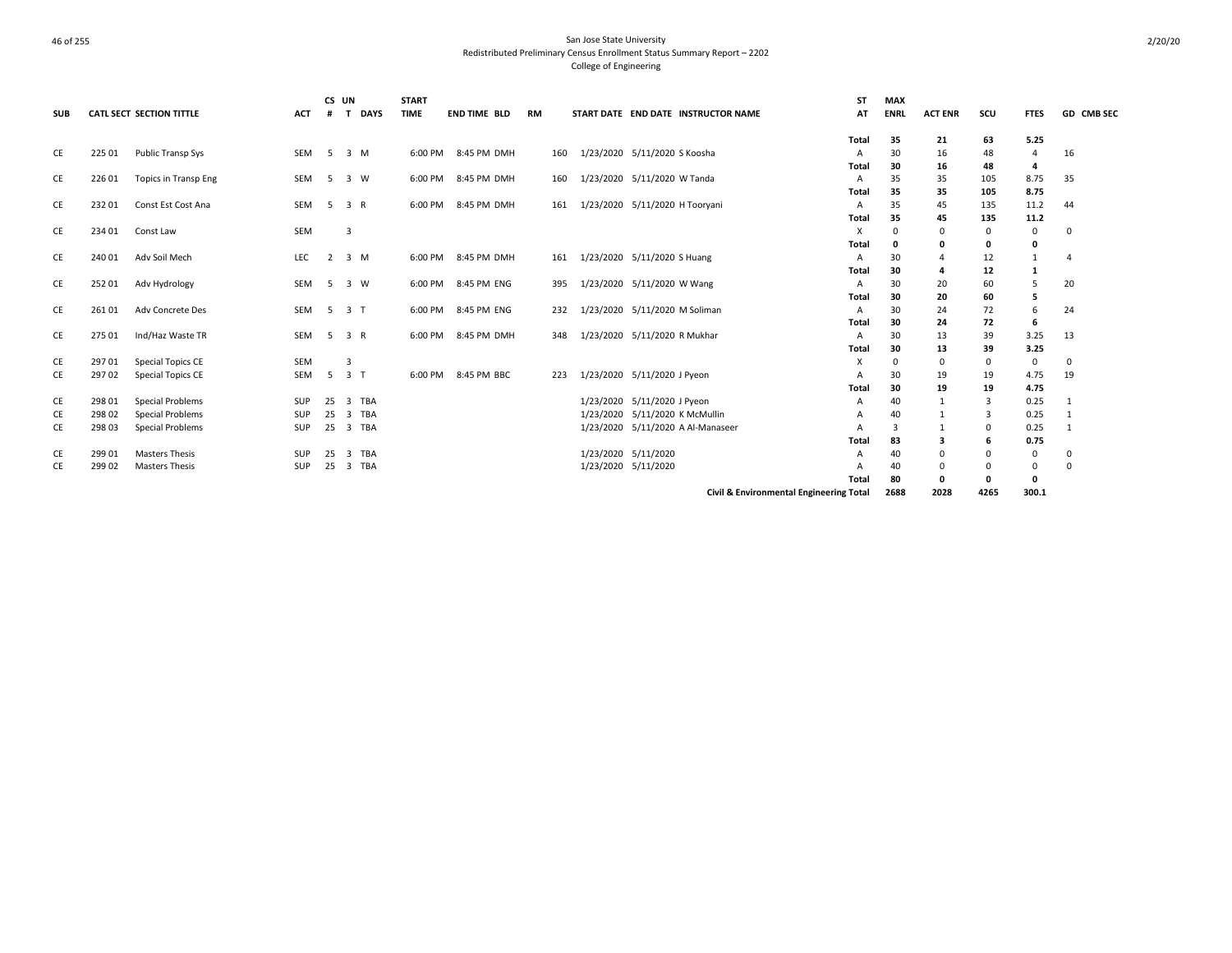| <b>SUB</b> |        | <b>CATL SECT SECTION TITTLE</b> | <b>ACT</b> | CS UN<br># | <b>DAYS</b><br>т | <b>START</b><br><b>TIME</b> | <b>END TIME BLD</b> | <b>RM</b> |                     | START DATE END DATE INSTRUCTOR NAME | <b>ST</b><br>AT                         | <b>MAX</b><br><b>ENRL</b> | <b>ACT ENR</b> | scu         | <b>FTES</b>        | GD CMB SEC   |
|------------|--------|---------------------------------|------------|------------|------------------|-----------------------------|---------------------|-----------|---------------------|-------------------------------------|-----------------------------------------|---------------------------|----------------|-------------|--------------------|--------------|
|            |        |                                 |            |            |                  |                             |                     |           |                     |                                     | <b>Total</b>                            | 35                        | 21             | 63          | 5.25               |              |
| CE         | 225 01 | Public Transp Sys               | SEM        |            | 5 3 M            | 6:00 PM                     | 8:45 PM DMH         | 160       |                     | 1/23/2020 5/11/2020 S Koosha        | A                                       | 30                        | 16             | 48          | 4                  | 16           |
|            |        |                                 |            |            |                  |                             |                     |           |                     |                                     | Total                                   | 30                        | 16             | 48          | 4                  |              |
| CE         | 226 01 | <b>Topics in Transp Eng</b>     | <b>SEM</b> | -5         | 3 W              | 6:00 PM                     | 8:45 PM DMH         | 160       |                     | 1/23/2020 5/11/2020 W Tanda         | Α                                       | 35                        | 35             | 105         | 8.75               | 35           |
|            |        |                                 | <b>SEM</b> |            |                  |                             | 8:45 PM DMH         |           |                     |                                     | <b>Total</b>                            | 35                        | 35             | 105         | 8.75               |              |
| CE         | 23201  | Const Est Cost Ana              |            | 5          | 3 R              | 6:00 PM                     |                     | 161       |                     | 1/23/2020 5/11/2020 H Tooryani      | Α                                       | 35                        | 45             | 135         | 11.2               | 44           |
| CE         | 234 01 | Const Law                       | SEM        |            | 3                |                             |                     |           |                     |                                     | Total<br>X                              | 35<br>$\Omega$            | 45<br>$\Omega$ | 135<br>0    | 11.2<br>$^{\circ}$ | $\mathbf 0$  |
|            |        |                                 |            |            |                  |                             |                     |           |                     |                                     | <b>Total</b>                            | 0                         | 0              | 0           | 0                  |              |
| CE         | 240 01 | Adv Soil Mech                   | <b>LEC</b> | 2          | 3 M              | 6:00 PM                     | 8:45 PM DMH         | 161       |                     | 1/23/2020 5/11/2020 S Huang         | A                                       | 30                        | 4              | 12          | $\mathbf{1}$       | $\Delta$     |
|            |        |                                 |            |            |                  |                             |                     |           |                     |                                     | <b>Total</b>                            | 30                        | 4              | 12          | 1                  |              |
| CE         | 252 01 | Adv Hydrology                   | <b>SEM</b> |            | 5 3 W            | 6:00 PM                     | 8:45 PM ENG         | 395       |                     | 1/23/2020 5/11/2020 W Wang          | A                                       | 30                        | 20             | 60          | 5                  | 20           |
|            |        |                                 |            |            |                  |                             |                     |           |                     |                                     | Total                                   | 30                        | 20             | 60          | 5                  |              |
| CE         | 26101  | Adv Concrete Des                | <b>SEM</b> | -5         | 3 <sub>1</sub>   | 6:00 PM                     | 8:45 PM ENG         | 232       |                     | 1/23/2020 5/11/2020 M Soliman       | Α                                       | 30                        | 24             | 72          | 6                  | 24           |
|            |        |                                 |            |            |                  |                             |                     |           |                     |                                     | <b>Total</b>                            | 30                        | 24             | 72          | 6                  |              |
| CE         | 275 01 | Ind/Haz Waste TR                | <b>SEM</b> |            | 5 3 R            | 6:00 PM                     | 8:45 PM DMH         | 348       |                     | 1/23/2020 5/11/2020 R Mukhar        | A                                       | 30                        | 13             | 39          | 3.25               | 13           |
|            |        |                                 |            |            |                  |                             |                     |           |                     |                                     | <b>Total</b>                            | 30                        | 13             | 39          | 3.25               |              |
| CE         | 29701  | <b>Special Topics CE</b>        | <b>SEM</b> |            | 3                |                             |                     |           |                     |                                     | X                                       | $\Omega$                  | 0              | $\mathbf 0$ | $\mathbf 0$        | $\mathbf 0$  |
| CE         | 297 02 | <b>Special Topics CE</b>        | <b>SEM</b> | -5         | 3 <sub>T</sub>   | 6:00 PM                     | 8:45 PM BBC         | 223       |                     | 1/23/2020 5/11/2020 J Pyeon         | A                                       | 30                        | 19             | 19          | 4.75               | 19           |
|            |        |                                 |            |            |                  |                             |                     |           |                     |                                     | <b>Total</b>                            | 30                        | 19             | 19          | 4.75               |              |
| CE         | 298 01 | Special Problems                | SUP        | 25         | 3 TBA            |                             |                     |           |                     | 1/23/2020 5/11/2020 J Pyeon         | A                                       | 40                        | 1              | 3           | 0.25               | -1           |
| CE         | 298 02 | Special Problems                | SUP        | 25         | 3 TBA            |                             |                     |           |                     | 1/23/2020 5/11/2020 K McMullin      | A                                       | 40                        | 1              | 3           | 0.25               | 1            |
| CE         | 298 03 | Special Problems                | SUP        | 25         | 3 TBA            |                             |                     |           |                     | 1/23/2020 5/11/2020 A Al-Manaseer   |                                         | 3                         | $\mathbf{1}$   | $\Omega$    | 0.25               | $\mathbf{1}$ |
|            |        |                                 |            |            |                  |                             |                     |           |                     |                                     | Total                                   | 83                        | з              | 6           | 0.75               |              |
| CE         | 29901  | <b>Masters Thesis</b>           | SUP        | 25         | 3 TBA            |                             |                     |           |                     | 1/23/2020 5/11/2020                 | A                                       | 40                        | $\Omega$       | $\Omega$    | 0                  | $\mathbf 0$  |
| CE         | 299 02 | <b>Masters Thesis</b>           | SUP        | 25         | 3 TBA            |                             |                     |           | 1/23/2020 5/11/2020 |                                     | A                                       | 40                        | $\Omega$       | $\Omega$    | 0                  | $\mathbf 0$  |
|            |        |                                 |            |            |                  |                             |                     |           |                     |                                     | Total                                   | 80                        | 0              | 0           | 0                  |              |
|            |        |                                 |            |            |                  |                             |                     |           |                     |                                     | Civil & Environmental Engineering Total | 2688                      | 2028           | 4265        | 300.1              |              |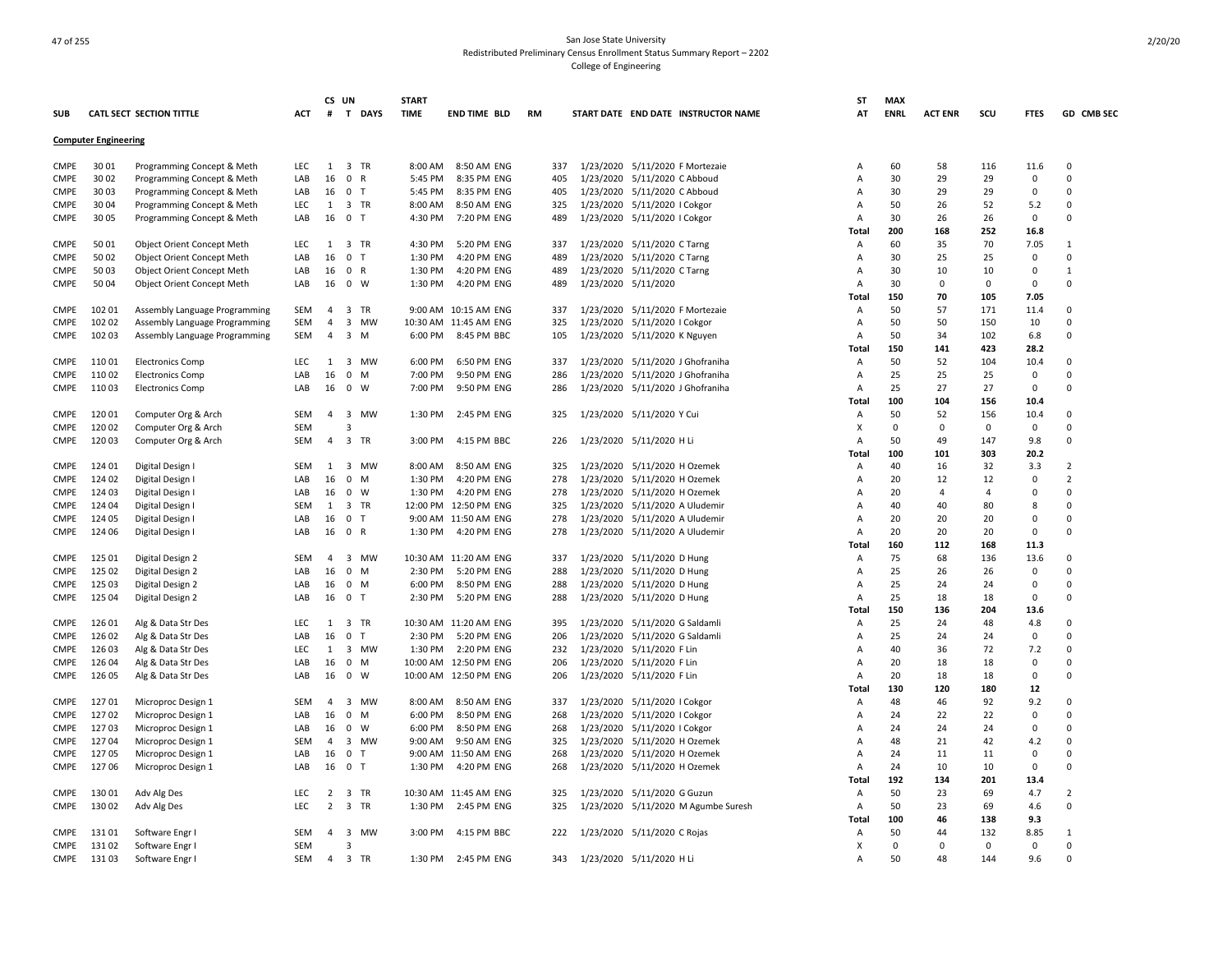| <b>SUB</b>  |                             | <b>CATL SECT SECTION TITTLE</b> | <b>ACT</b> | CS UN<br>#     | T DAYS                               | <b>START</b><br><b>TIME</b> | <b>END TIME BLD</b>   | <b>RM</b> | START DATE END DATE INSTRUCTOR NAME | ST<br>AT     | <b>MAX</b><br><b>ENRL</b> | <b>ACT ENR</b> | scu         | <b>FTES</b> | GD CMB SEC     |
|-------------|-----------------------------|---------------------------------|------------|----------------|--------------------------------------|-----------------------------|-----------------------|-----------|-------------------------------------|--------------|---------------------------|----------------|-------------|-------------|----------------|
|             | <b>Computer Engineering</b> |                                 |            |                |                                      |                             |                       |           |                                     |              |                           |                |             |             |                |
|             |                             |                                 |            |                |                                      |                             |                       |           |                                     |              |                           |                |             |             |                |
| <b>CMPE</b> | 30 01                       | Programming Concept & Meth      | <b>LEC</b> | $\mathbf{1}$   | 3 TR                                 | 8:00 AM                     | 8:50 AM ENG           | 337       | 1/23/2020 5/11/2020 F Mortezaie     | A            | 60                        | 58             | 116         | 11.6        | $\mathbf 0$    |
| <b>CMPE</b> | 30 02                       | Programming Concept & Meth      | LAB        | 16             | 0 R                                  | 5:45 PM                     | 8:35 PM ENG           | 405       | 1/23/2020 5/11/2020 C Abboud        | A            | 30                        | 29             | 29          | 0           | $\overline{0}$ |
| <b>CMPE</b> | 30 03                       | Programming Concept & Meth      | LAB        | 16             | 0 <sub>T</sub>                       | 5:45 PM                     | 8:35 PM ENG           | 405       | 1/23/2020 5/11/2020 C Abboud        | A            | 30                        | 29             | 29          | 0           | 0              |
| <b>CMPE</b> | 30 04                       | Programming Concept & Meth      | LEC        | $\mathbf{1}$   | 3 TR                                 | 8:00 AM                     | 8:50 AM ENG           | 325       | 1/23/2020 5/11/2020   Cokgor        | A            | 50                        | 26             | 52          | 5.2         | $\Omega$       |
| <b>CMPE</b> | 30 05                       | Programming Concept & Meth      | LAB        | 16             | 0 <sub>T</sub>                       | 4:30 PM                     | 7:20 PM ENG           | 489       | 1/23/2020 5/11/2020   Cokgor        | A            | 30                        | 26             | 26          | $\mathbf 0$ | $\Omega$       |
|             |                             |                                 |            |                |                                      |                             |                       |           |                                     | <b>Total</b> | 200                       | 168            | 252         | 16.8        |                |
| <b>CMPE</b> | 5001                        | Object Orient Concept Meth      | LEC        | 1              | $\overline{3}$<br>TR                 | 4:30 PM                     | 5:20 PM ENG           | 337       | 1/23/2020 5/11/2020 C Tarng         | A            | 60                        | 35             | 70          | 7.05        | 1              |
| <b>CMPE</b> | 5002                        | Object Orient Concept Meth      | LAB        | 16             | $\mathbf 0$<br>$\top$                | 1:30 PM                     | 4:20 PM ENG           | 489       | 1/23/2020 5/11/2020 C Tarng         | A            | 30                        | 25             | 25          | $\Omega$    | $\Omega$       |
| <b>CMPE</b> | 50 03                       | Object Orient Concept Meth      | LAB        | 16             | 0 R                                  | 1:30 PM                     | 4:20 PM ENG           | 489       | 1/23/2020 5/11/2020 C Tarng         | A            | 30                        | 10             | 10          | $\Omega$    | $\mathbf{1}$   |
| CMPE        | 50 04                       | Object Orient Concept Meth      | LAB        | 16             | $0 \quad W$                          | 1:30 PM                     | 4:20 PM ENG           | 489       | 1/23/2020 5/11/2020                 | A            | 30                        | $\Omega$       | $\Omega$    | $\Omega$    | $\mathbf 0$    |
|             |                             |                                 |            |                |                                      |                             |                       |           |                                     | Total        | 150                       | 70             | 105         | 7.05        |                |
| <b>CMPE</b> | 102 01                      | Assembly Language Programming   | SEM        | $\overline{4}$ | 3 TR                                 |                             | 9:00 AM 10:15 AM ENG  | 337       | 1/23/2020 5/11/2020 F Mortezaie     | A            | 50                        | 57             | 171         | 11.4        | $\Omega$       |
| <b>CMPE</b> | 102 02                      | Assembly Language Programming   | SEM        | $\overline{4}$ | $\overline{3}$<br><b>MW</b>          |                             | 10:30 AM 11:45 AM ENG | 325       | 1/23/2020 5/11/2020 I Cokgor        | A            | 50                        | 50             | 150         | 10          | $\Omega$       |
| <b>CMPE</b> | 102 03                      | Assembly Language Programming   | <b>SEM</b> | 4              | $3 \, M$                             | 6:00 PM                     | 8:45 PM BBC           | 105       | 1/23/2020 5/11/2020 K Nguyen        | A            | 50                        | 34             | 102         | 6.8         | $\Omega$       |
|             |                             |                                 |            |                |                                      |                             |                       |           |                                     |              |                           |                |             |             |                |
|             |                             |                                 |            |                |                                      |                             |                       |           |                                     | Total        | 150                       | 141            | 423         | 28.2        |                |
| CMPE        | 11001                       | <b>Electronics Comp</b>         | <b>LEC</b> | 1              | 3 MW                                 | 6:00 PM                     | 6:50 PM ENG           | 337       | 1/23/2020 5/11/2020 J Ghofraniha    | A            | 50                        | 52             | 104         | 10.4        | $\Omega$       |
| <b>CMPE</b> | 110 02                      | <b>Electronics Comp</b>         | LAB        | 16             | $\mathbf{0}$<br>M                    | 7:00 PM                     | 9:50 PM ENG           | 286       | 1/23/2020 5/11/2020 J Ghofraniha    | Α            | 25                        | 25             | 25          | $\mathbf 0$ | $\Omega$       |
| CMPE        | 11003                       | <b>Electronics Comp</b>         | LAB        | 16             | $\mathbf 0$<br>W                     | 7:00 PM                     | 9:50 PM ENG           | 286       | 1/23/2020 5/11/2020 J Ghofraniha    | A            | 25                        | 27             | 27          | 0           | $\mathbf 0$    |
|             |                             |                                 |            |                |                                      |                             |                       |           |                                     | Total        | 100                       | 104            | 156         | 10.4        |                |
| <b>CMPE</b> | 120 01                      | Computer Org & Arch             | SEM        | $\overline{a}$ | 3 MW                                 | 1:30 PM                     | 2:45 PM ENG           | 325       | 1/23/2020 5/11/2020 Y Cui           | Α            | 50                        | 52             | 156         | 10.4        | $\Omega$       |
| CMPE        | 120 02                      | Computer Org & Arch             | SEM        |                | $\overline{3}$                       |                             |                       |           |                                     | X            | $\Omega$                  | $\mathbf 0$    | $\mathbf 0$ | $\mathbf 0$ | $\Omega$       |
| <b>CMPE</b> | 120 03                      | Computer Org & Arch             | <b>SEM</b> | $\overline{4}$ | $\overline{3}$<br>TR                 | 3:00 PM                     | 4:15 PM BBC           | 226       | 1/23/2020 5/11/2020 H Li            | Α            | 50                        | 49             | 147         | 9.8         | $\overline{0}$ |
|             |                             |                                 |            |                |                                      |                             |                       |           |                                     | Total        | 100                       | 101            | 303         | 20.2        |                |
| CMPE        | 124 01                      | Digital Design I                | <b>SEM</b> | 1              | 3 MW                                 | 8:00 AM                     | 8:50 AM ENG           | 325       | 1/23/2020 5/11/2020 H Ozemek        | Α            | 40                        | 16             | 32          | 3.3         | $\overline{2}$ |
| <b>CMPE</b> | 124 02                      | Digital Design I                | LAB        | 16             | $\mathbf{0}$<br>M                    | 1:30 PM                     | 4:20 PM ENG           | 278       | 1/23/2020 5/11/2020 H Ozemek        | A            | 20                        | 12             | 12          | $\Omega$    | $\overline{2}$ |
| <b>CMPE</b> | 124 03                      | Digital Design I                | LAB        | 16             | $\mathbf{0}$<br>W                    | 1:30 PM                     | 4:20 PM ENG           | 278       | 1/23/2020 5/11/2020 H Ozemek        | Α            | 20                        | 4              | 4           | 0           | $\overline{0}$ |
| <b>CMPE</b> | 124 04                      | Digital Design I                | <b>SEM</b> | 1              | 3 TR                                 |                             | 12:00 PM 12:50 PM ENG | 325       | 1/23/2020 5/11/2020 A Uludemir      | A            | 40                        | 40             | 80          | 8           | $\Omega$       |
| <b>CMPE</b> | 124 05                      | Digital Design I                | LAB        | 16             | 0 <sub>T</sub>                       |                             | 9:00 AM 11:50 AM ENG  | 278       | 1/23/2020 5/11/2020 A Uludemir      | A            | 20                        | 20             | 20          | 0           | 0              |
| <b>CMPE</b> | 124 06                      | Digital Design I                | LAB        | 16             | 0 R                                  | 1:30 PM                     | 4:20 PM ENG           | 278       | 1/23/2020 5/11/2020 A Uludemir      | A            | 20                        | 20             | 20          | $\Omega$    | $\mathbf 0$    |
|             |                             |                                 |            |                |                                      |                             |                       |           |                                     |              | 160                       | 112            | 168         | 11.3        |                |
|             |                             |                                 |            |                |                                      |                             |                       |           |                                     | <b>Total</b> |                           |                |             |             |                |
| <b>CMPE</b> | 125 01                      | Digital Design 2                | <b>SEM</b> | 4              | 3 MW                                 |                             | 10:30 AM 11:20 AM ENG | 337       | 1/23/2020 5/11/2020 D Hung          | Α            | 75                        | 68             | 136         | 13.6        | 0              |
| <b>CMPE</b> | 125 02                      | Digital Design 2                | LAB        | 16             | $\mathbf 0$<br>M                     | 2:30 PM                     | 5:20 PM ENG           | 288       | 1/23/2020 5/11/2020 D Hung          | A            | 25                        | 26             | 26          | 0           | $\Omega$       |
| <b>CMPE</b> | 125 03                      | Digital Design 2                | LAB        | 16             | $0$ M                                | 6:00 PM                     | 8:50 PM ENG           | 288       | 1/23/2020 5/11/2020 D Hung          | A            | 25                        | 24             | 24          | $\Omega$    | $\Omega$       |
| <b>CMPE</b> | 125 04                      | Digital Design 2                | LAB        | 16             | $\mathbf 0$<br>$\mathsf{T}$          | 2:30 PM                     | 5:20 PM ENG           | 288       | 1/23/2020 5/11/2020 D Hung          | A            | 25                        | 18             | 18          | $\Omega$    | $\Omega$       |
|             |                             |                                 |            |                |                                      |                             |                       |           |                                     | Total        | 150                       | 136            | 204         | 13.6        |                |
| CMPE        | 126 01                      | Alg & Data Str Des              | LEC        | 1              | 3 TR                                 |                             | 10:30 AM 11:20 AM ENG | 395       | 1/23/2020 5/11/2020 G Saldamli      | A            | 25                        | 24             | 48          | 4.8         | $\Omega$       |
| <b>CMPE</b> | 126 02                      | Alg & Data Str Des              | LAB        | 16             | 0 <sub>T</sub>                       | 2:30 PM                     | 5:20 PM ENG           | 206       | 1/23/2020 5/11/2020 G Saldamli      | A            | 25                        | 24             | 24          | $\Omega$    | $\Omega$       |
| CMPE        | 126 03                      | Alg & Data Str Des              | LEC        | 1              | 3 MW                                 | 1:30 PM                     | 2:20 PM ENG           | 232       | 1/23/2020 5/11/2020 F Lin           | A            | 40                        | 36             | 72          | 7.2         | 0              |
| CMPE        | 126 04                      | Alg & Data Str Des              | LAB        | 16             | $\mathbf 0$<br>M                     |                             | 10:00 AM 12:50 PM ENG | 206       | 1/23/2020 5/11/2020 F Lin           | A            | 20                        | 18             | 18          | 0           | 0              |
| <b>CMPE</b> | 126 05                      | Alg & Data Str Des              | LAB        | 16             | 0 W                                  |                             | 10:00 AM 12:50 PM ENG | 206       | 1/23/2020 5/11/2020 F Lin           | A            | 20                        | 18             | 18          | $\Omega$    | $\Omega$       |
|             |                             |                                 |            |                |                                      |                             |                       |           |                                     | Total        | 130                       | 120            | 180         | 12          |                |
| <b>CMPE</b> | 12701                       | Microproc Design 1              | SEM        | $\overline{a}$ | $\overline{\mathbf{3}}$<br><b>MW</b> | 8:00 AM                     | 8:50 AM ENG           | 337       | 1/23/2020 5/11/2020   Cokgor        | Α            | 48                        | 46             | 92          | 9.2         | $\overline{0}$ |
| <b>CMPE</b> | 12702                       | Microproc Design 1              | LAB        | 16             | $^{\circ}$<br>M                      | 6:00 PM                     | 8:50 PM ENG           | 268       | 1/23/2020 5/11/2020   Cokgor        | A            | 24                        | 22             | 22          | $\mathbf 0$ | $\Omega$       |
| CMPE        | 12703                       | Microproc Design 1              | LAB        | 16             | $\mathbf 0$<br>W                     | 6:00 PM                     | 8:50 PM ENG           | 268       | 1/23/2020 5/11/2020   Cokgor        | A            | 24                        | 24             | 24          | $\Omega$    | $\Omega$       |
| <b>CMPE</b> | 12704                       | Microproc Design 1              | <b>SEM</b> | $\overline{4}$ | 3 MW                                 | 9:00 AM                     | 9:50 AM ENG           | 325       | 1/23/2020 5/11/2020 H Ozemek        | A            | 48                        | 21             | 42          | 4.2         | $\Omega$       |
| CMPE        | 12705                       | Microproc Design 1              | LAB        | 16             | $\mathbf 0$<br>т                     |                             | 9:00 AM 11:50 AM ENG  | 268       | 1/23/2020 5/11/2020 H Ozemek        | Α            | 24                        | 11             | 11          | $\Omega$    | $\Omega$       |
|             |                             |                                 |            |                |                                      |                             |                       |           |                                     |              |                           |                |             | $\Omega$    | $\Omega$       |
| CMPE        | 12706                       | Microproc Design 1              | LAB        | 16             | 0 <sub>T</sub>                       | 1:30 PM                     | 4:20 PM ENG           | 268       | 1/23/2020 5/11/2020 H Ozemek        | Α            | 24                        | 10             | 10          |             |                |
|             |                             |                                 |            |                |                                      |                             |                       |           |                                     | Total        | 192                       | 134            | 201         | 13.4        |                |
| CMPE        | 13001                       | Adv Alg Des                     | LEC        | 2              | 3 TR                                 |                             | 10:30 AM 11:45 AM ENG | 325       | 1/23/2020 5/11/2020 G Guzun         | Α            | 50                        | 23             | 69          | 4.7         | $\overline{2}$ |
| <b>CMPE</b> | 130 02                      | Adv Alg Des                     | LEC        | $\overline{2}$ | 3 TR                                 | 1:30 PM                     | 2:45 PM ENG           | 325       | 1/23/2020 5/11/2020 M Agumbe Suresh | Α            | 50                        | 23             | 69          | 4.6         | $\Omega$       |
|             |                             |                                 |            |                |                                      |                             |                       |           |                                     | Total        | 100                       | 46             | 138         | 9.3         |                |
| <b>CMPE</b> | 13101                       | Software Engr                   | <b>SEM</b> | 4              | 3 MW                                 | 3:00 PM                     | 4:15 PM BBC           | 222       | 1/23/2020 5/11/2020 C Rojas         | A            | 50                        | 44             | 132         | 8.85        | 1              |
| <b>CMPE</b> | 131 02                      | Software Engr                   | <b>SEM</b> |                | 3                                    |                             |                       |           |                                     | X            | $\Omega$                  | $\Omega$       | $\Omega$    | $\mathbf 0$ | $\Omega$       |
| CMPE        | 13103                       | Software Engr I                 | SEM        | $\overline{4}$ | 3 TR                                 | 1:30 PM                     | 2:45 PM ENG           | 343       | 1/23/2020 5/11/2020 H Li            | Α            | 50                        | 48             | 144         | 9.6         | $\Omega$       |
|             |                             |                                 |            |                |                                      |                             |                       |           |                                     |              |                           |                |             |             |                |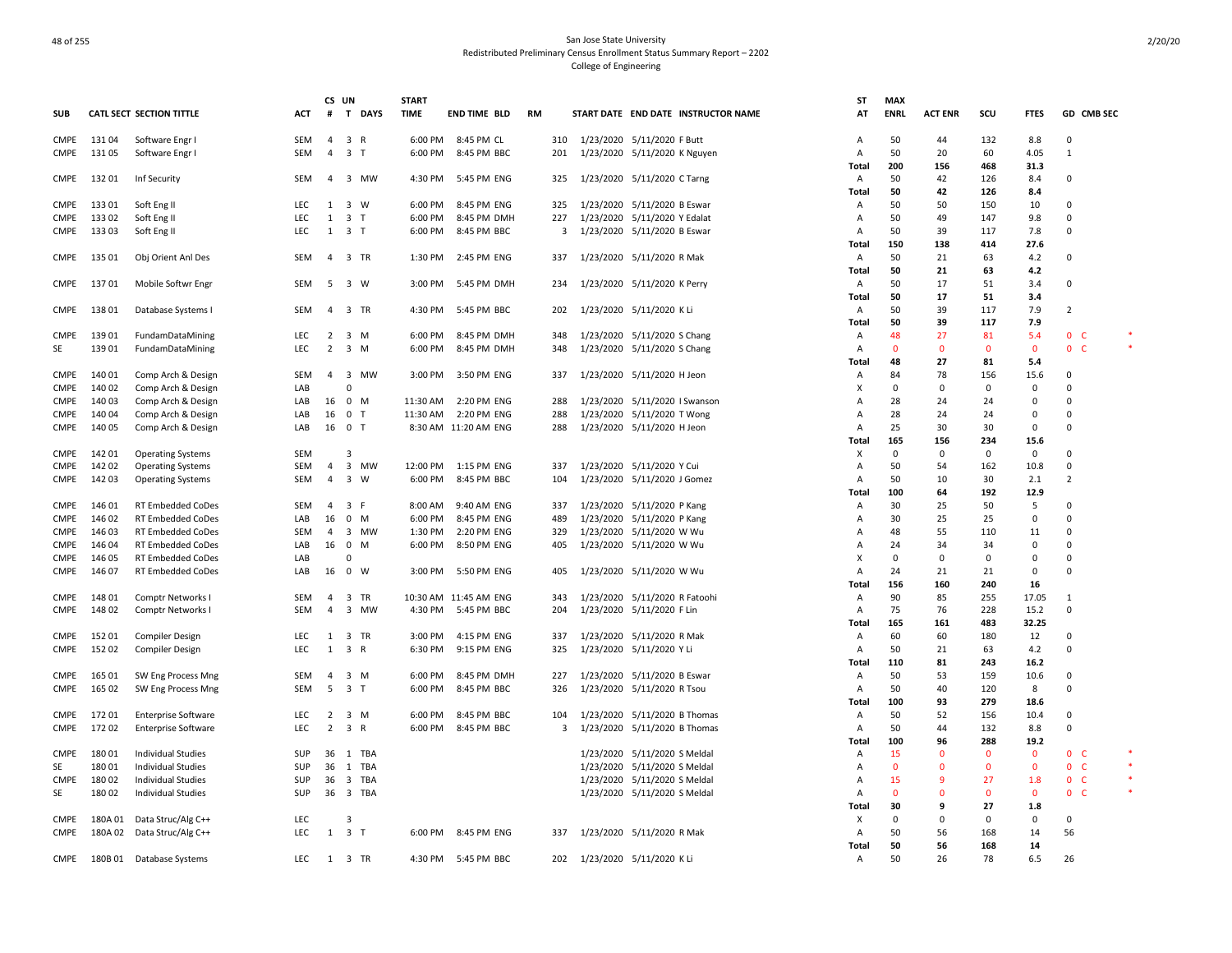|              |                |                                 |            | CS UN          |                               | <b>START</b>        |                            |            |                                                          | <b>ST</b>      | <b>MAX</b>       |                |                |                  |                         |  |
|--------------|----------------|---------------------------------|------------|----------------|-------------------------------|---------------------|----------------------------|------------|----------------------------------------------------------|----------------|------------------|----------------|----------------|------------------|-------------------------|--|
| <b>SUB</b>   |                | <b>CATL SECT SECTION TITTLE</b> | ACT        | #              | T DAYS                        | <b>TIME</b>         | <b>END TIME BLD</b>        | <b>RM</b>  | START DATE END DATE INSTRUCTOR NAME                      | AT             | <b>ENRL</b>      | <b>ACT ENR</b> | scu            | <b>FTES</b>      | GD CMB SEC              |  |
| CMPE         | 13104          | Software Engr I                 | SEM        | $\overline{4}$ | 3 R                           | 6:00 PM             | 8:45 PM CL                 | 310        | 1/23/2020 5/11/2020 F Butt                               | A              | 50               | 44             | 132            | 8.8              | $\Omega$                |  |
| CMPE         | 13105          | Software Engr I                 | <b>SEM</b> | $\overline{4}$ | 3 <sub>T</sub>                | 6:00 PM             | 8:45 PM BBC                | 201        | 1/23/2020 5/11/2020 K Nguyen                             | A              | 50               | 20             | 60             | 4.05             | 1                       |  |
|              |                |                                 |            |                |                               |                     |                            |            |                                                          | Total          | 200              | 156            | 468            | 31.3             |                         |  |
| CMPE         | 13201          | Inf Security                    | SEM        | 4              | 3 MW                          | 4:30 PM             | 5:45 PM ENG                | 325        | 1/23/2020 5/11/2020 C Tarng                              | Α              | 50               | 42             | 126            | 8.4              | 0                       |  |
|              |                |                                 |            |                |                               |                     |                            |            |                                                          | Tota           | 50               | 42             | 126            | 8.4              |                         |  |
| CMPE         | 13301          | Soft Eng II                     | LEC        | 1              | 3 W                           | 6:00 PM             | 8:45 PM ENG                | 325        | 1/23/2020 5/11/2020 B Eswar                              | Α              | 50               | 50             | 150            | 10               | $\Omega$                |  |
| CMPE         | 13302          | Soft Eng II                     | LEC        | 1              | 3 <sub>T</sub>                | 6:00 PM             | 8:45 PM DMH                | 227        | 1/23/2020 5/11/2020 Y Edalat                             | A              | 50               | 49             | 147            | 9.8              | $\Omega$                |  |
| CMPE         | 133 03         | Soft Eng II                     | LEC        | $\mathbf{1}$   | 3 <sub>T</sub>                | 6:00 PM             | 8:45 PM BBC                | 3          | 1/23/2020 5/11/2020 B Eswar                              | Α              | 50               | 39             | 117            | 7.8              | $\mathbf 0$             |  |
|              |                |                                 |            |                |                               |                     |                            |            |                                                          | Total          | 150              | 138            | 414            | 27.6             |                         |  |
| CMPE         | 135 01         | Obj Orient Anl Des              | SEM        | 4              | 3 TR                          | 1:30 PM             | 2:45 PM ENG                | 337        | 1/23/2020 5/11/2020 R Mak                                | Α<br>Total     | 50<br>50         | 21<br>21       | 63<br>63       | 4.2<br>4.2       | $\mathbf 0$             |  |
| CMPE         | 13701          | Mobile Softwr Engr              | SEM        | -5             | 3 W                           | 3:00 PM             | 5:45 PM DMH                | 234        | 1/23/2020 5/11/2020 K Perry                              | A              | 50               | 17             | 51             | 3.4              | $\Omega$                |  |
|              |                |                                 |            |                |                               |                     |                            |            |                                                          | Tota           | 50               | 17             | 51             | 3.4              |                         |  |
| CMPE         | 13801          | Database Systems I              | SEM        | 4              | 3 TR                          | 4:30 PM             | 5:45 PM BBC                | 202        | 1/23/2020 5/11/2020 K Li                                 | A              | 50               | 39             | 117            | 7.9              | $\overline{2}$          |  |
|              |                |                                 |            |                |                               |                     |                            |            |                                                          | Total          | 50               | 39             | 117            | 7.9              |                         |  |
| CMPE         | 13901          | FundamDataMining                | <b>LEC</b> | 2              | 3 M                           | 6:00 PM             | 8:45 PM DMH                | 348        | 1/23/2020 5/11/2020 S Chang                              | A              | 48               | 27             | 81             | 5.4              | 0 <sub>c</sub>          |  |
| SE           | 139 01         | FundamDataMining                | <b>LEC</b> | 2              | $3 \, M$                      | 6:00 PM             | 8:45 PM DMH                | 348        | 1/23/2020 5/11/2020 S Chang                              | $\overline{A}$ | $\Omega$         | $\Omega$       | $\Omega$       | $\mathbf{0}$     | 0 <sub>c</sub>          |  |
|              |                |                                 |            |                |                               |                     |                            |            |                                                          | Total          | 48               | 27             | 81             | 5.4              |                         |  |
| CMPE         | 140 01         | Comp Arch & Design              | SEM        | $\overline{4}$ | 3 MW                          | 3:00 PM             | 3:50 PM ENG                | 337        | 1/23/2020 5/11/2020 H Jeon                               | A              | 84               | 78             | 156            | 15.6             | 0                       |  |
| <b>CMPE</b>  | 140 02         | Comp Arch & Design              | LAB        |                | $\Omega$                      |                     |                            |            |                                                          | x              | $\mathbf 0$      | $\Omega$       | $\mathbf 0$    | $\mathbf 0$      | $\Omega$                |  |
| <b>CMPE</b>  | 14003          | Comp Arch & Design              | LAB        | 16             | $0 \mathsf{M}$                | 11:30 AM            | 2:20 PM ENG                | 288        | 1/23/2020 5/11/2020   Swanson                            | Α              | 28               | 24             | 24             | $\Omega$         | $\Omega$                |  |
| <b>CMPE</b>  | 14004          | Comp Arch & Design              | LAB        | 16             | 0 <sub>T</sub>                | 11:30 AM            | 2:20 PM ENG                | 288        | 1/23/2020 5/11/2020 T Wong                               | Α              | 28               | 24             | 24             | $\Omega$         | $\Omega$                |  |
| CMPE         | 140 05         | Comp Arch & Design              | LAB        | 16             | 0 <sub>T</sub>                |                     | 8:30 AM 11:20 AM ENG       | 288        | 1/23/2020 5/11/2020 H Jeon                               | A              | 25               | 30             | 30             | $\Omega$         | $\Omega$                |  |
|              |                |                                 |            |                |                               |                     |                            |            |                                                          | Tota           | 165              | 156            | 234            | 15.6             |                         |  |
| CMPE         | 142 01         | <b>Operating Systems</b>        | <b>SEM</b> | $\overline{a}$ | 3<br>3 MW                     |                     |                            |            |                                                          | х              | $^{\circ}$<br>50 | $\Omega$       | $\Omega$       | $\Omega$<br>10.8 | $\mathbf 0$<br>$\Omega$ |  |
| CMPE<br>CMPE | 14202<br>14203 | <b>Operating Systems</b>        | SEM<br>SEM | $\overline{4}$ | 3 W                           | 12:00 PM<br>6:00 PM | 1:15 PM ENG<br>8:45 PM BBC | 337<br>104 | 1/23/2020 5/11/2020 Y Cui<br>1/23/2020 5/11/2020 J Gomez | Α<br>A         | 50               | 54<br>10       | 162<br>30      | 2.1              | $\overline{2}$          |  |
|              |                | <b>Operating Systems</b>        |            |                |                               |                     |                            |            |                                                          | Total          | 100              | 64             | 192            | 12.9             |                         |  |
| <b>CMPE</b>  | 146 01         | RT Embedded CoDes               | SEM        | 4              | $\overline{\mathbf{3}}$<br>-F | 8:00 AM             | 9:40 AM ENG                | 337        | 1/23/2020 5/11/2020 P Kang                               | Α              | 30               | 25             | 50             | 5                | 0                       |  |
| <b>CMPE</b>  | 146 02         | <b>RT Embedded CoDes</b>        | LAB        | 16             | $0$ M                         | 6:00 PM             | 8:45 PM ENG                | 489        | 1/23/2020 5/11/2020 P Kang                               | A              | 30               | 25             | 25             | $\Omega$         | $\Omega$                |  |
| <b>CMPE</b>  | 146 03         | <b>RT Embedded CoDes</b>        | SEM        | 4              | 3 MW                          | 1:30 PM             | 2:20 PM ENG                | 329        | 1/23/2020 5/11/2020 W Wu                                 | A              | 48               | 55             | 110            | 11               | $\mathbf 0$             |  |
| <b>CMPE</b>  | 146 04         | RT Embedded CoDes               | LAB        | 16             | $^{\circ}$<br>M               | 6:00 PM             | 8:50 PM ENG                | 405        | 1/23/2020 5/11/2020 W Wu                                 | A              | 24               | 34             | 34             | $\Omega$         | $\Omega$                |  |
| CMPE         | 146 05         | RT Embedded CoDes               | LAB        |                | $\mathbf 0$                   |                     |                            |            |                                                          | X              | 0                | $\mathbf 0$    | $\mathbf 0$    | $\mathbf 0$      | $\mathbf 0$             |  |
| CMPE         | 146 07         | <b>RT Embedded CoDes</b>        | LAB        | 16             | $0 \quad W$                   | 3:00 PM             | 5:50 PM ENG                | 405        | 1/23/2020 5/11/2020 W Wu                                 | A              | 24               | 21             | 21             | $\Omega$         | $\Omega$                |  |
|              |                |                                 |            |                |                               |                     |                            |            |                                                          | Total          | 156              | 160            | 240            | 16               |                         |  |
| CMPE         | 148 01         | Comptr Networks I               | <b>SEM</b> | 4              | 3 TR                          |                     | 10:30 AM 11:45 AM ENG      | 343        | 1/23/2020 5/11/2020 R Fatoohi                            | A              | 90               | 85             | 255            | 17.05            | $\mathbf{1}$            |  |
| <b>CMPE</b>  | 148 02         | Comptr Networks I               | <b>SEM</b> | $\Delta$       | 3 MW                          | 4:30 PM             | 5:45 PM BBC                | 204        | 1/23/2020 5/11/2020 F Lin                                | A              | 75               | 76             | 228            | 15.2             | $\Omega$                |  |
|              |                |                                 |            |                |                               |                     |                            |            |                                                          | Total          | 165              | 161            | 483            | 32.25            |                         |  |
| CMPE         | 15201          | <b>Compiler Design</b>          | <b>LEC</b> | 1              | 3 TR                          | 3:00 PM             | 4:15 PM ENG                | 337        | 1/23/2020 5/11/2020 R Mak                                | A              | 60               | 60             | 180            | 12               | $\Omega$<br>$\Omega$    |  |
| CMPE         | 15202          | <b>Compiler Design</b>          | <b>LEC</b> | 1              | 3 R                           | 6:30 PM             | 9:15 PM ENG                | 325        | 1/23/2020 5/11/2020 Y Li                                 | A<br>Total     | 50<br>110        | 21<br>81       | 63<br>243      | 4.2<br>16.2      |                         |  |
| CMPE         | 165 01         | SW Eng Process Mng              | SEM        | 4              | $3 \, M$                      | 6:00 PM             | 8:45 PM DMH                | 227        | 1/23/2020 5/11/2020 B Eswar                              | Α              | 50               | 53             | 159            | 10.6             | 0                       |  |
| CMPE         | 165 02         | SW Eng Process Mng              | SEM        | 5              | 3 <sub>T</sub>                | 6:00 PM             | 8:45 PM BBC                | 326        | 1/23/2020 5/11/2020 R Tsou                               | A              | 50               | 40             | 120            | 8                | $\mathbf 0$             |  |
|              |                |                                 |            |                |                               |                     |                            |            |                                                          | Total          | 100              | 93             | 279            | 18.6             |                         |  |
| CMPE         | 17201          | <b>Enterprise Software</b>      | LEC        | $\overline{2}$ | 3 M                           | 6:00 PM             | 8:45 PM BBC                | 104        | 1/23/2020 5/11/2020 B Thomas                             | Α              | 50               | 52             | 156            | 10.4             | $\Omega$                |  |
| CMPE         | 17202          | <b>Enterprise Software</b>      | <b>LEC</b> | $\overline{2}$ | 3 R                           | 6:00 PM             | 8:45 PM BBC                | 3          | 1/23/2020 5/11/2020 B Thomas                             | Α              | 50               | 44             | 132            | 8.8              | $\Omega$                |  |
|              |                |                                 |            |                |                               |                     |                            |            |                                                          | Total          | 100              | 96             | 288            | 19.2             |                         |  |
| <b>CMPE</b>  | 18001          | Individual Studies              | SUP        | 36             | 1 TBA                         |                     |                            |            | 1/23/2020 5/11/2020 S Meldal                             | Α              | 15               | $\mathbf 0$    | $\overline{0}$ | $\mathbf{0}$     | $\mathbf{0}$<br>- C     |  |
| SE           | 18001          | Individual Studies              | SUP        | 36             | TBA<br>1                      |                     |                            |            | 1/23/2020 5/11/2020 S Meldal                             | A              | $\mathbf{0}$     | 0              | $\Omega$       | $\mathbf{0}$     | $\mathbf{0}$<br>-C      |  |
| <b>CMPE</b>  | 18002          | <b>Individual Studies</b>       | SUP        | 36             | 3<br>TBA                      |                     |                            |            | 1/23/2020 5/11/2020 S Meldal                             | A              | 15               | 9              | 27             | 1.8              | $\mathbf{0}$<br>- C     |  |
| SE           | 18002          | <b>Individual Studies</b>       | SUP        |                | 36 3 TBA                      |                     |                            |            | 1/23/2020 5/11/2020 S Meldal                             | A              | $\mathbf{0}$     | $\Omega$       | $\mathbf{0}$   | $\mathbf{0}$     | 0 <sub>c</sub>          |  |
|              |                |                                 |            |                |                               |                     |                            |            |                                                          | Total          | 30               | 9              | 27             | 1.8              |                         |  |
| <b>CMPE</b>  | 180A 01        | Data Struc/Alg C++              | LEC        |                | 3                             |                     |                            |            |                                                          | X              | 0                | 0              | $\Omega$       | 0                | 0                       |  |
| CMPE         | 180A 02        | Data Struc/Alg C++              | <b>LEC</b> | 1              | 3 <sub>T</sub>                | 6:00 PM             | 8:45 PM ENG                | 337        | 1/23/2020 5/11/2020 R Mak                                | A              | 50               | 56             | 168            | 14               | 56                      |  |
| CMPE         | 180B01         |                                 | LEC        | 1              | 3 TR                          | 4:30 PM             | 5:45 PM BBC                | 202        | 1/23/2020 5/11/2020 K Li                                 | Total          | 50<br>50         | 56<br>26       | 168<br>78      | 14<br>6.5        | 26                      |  |
|              |                | Database Systems                |            |                |                               |                     |                            |            |                                                          | Α              |                  |                |                |                  |                         |  |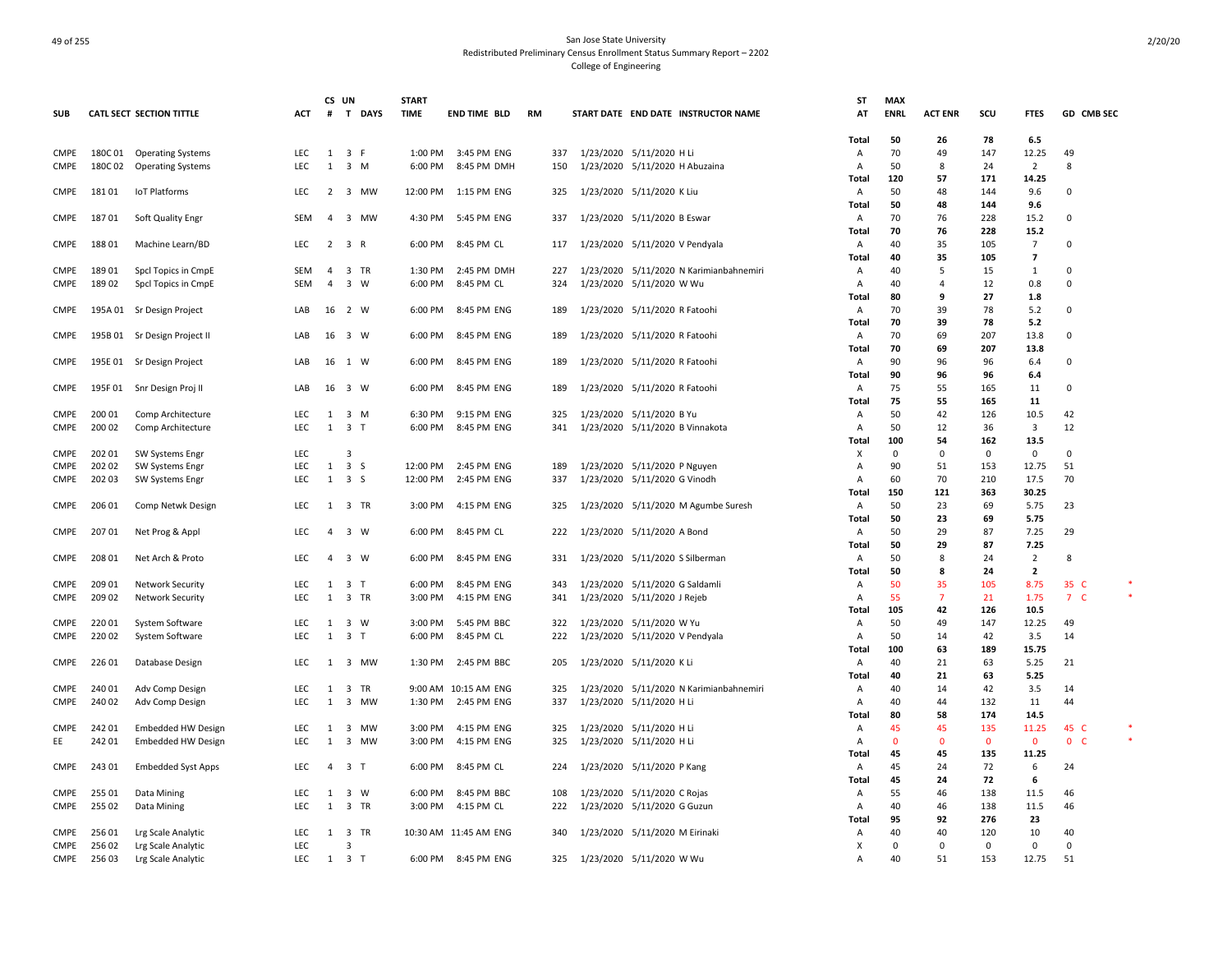|             |                  |                                 |                          | CS UN          |                               | <b>START</b> |                          |            |                                         | <b>ST</b>           | <b>MAX</b>        |                |              |                         |                     |
|-------------|------------------|---------------------------------|--------------------------|----------------|-------------------------------|--------------|--------------------------|------------|-----------------------------------------|---------------------|-------------------|----------------|--------------|-------------------------|---------------------|
| <b>SUB</b>  |                  | <b>CATL SECT SECTION TITTLE</b> | <b>ACT</b>               | #              | T DAYS                        | <b>TIME</b>  | <b>END TIME BLD</b>      | <b>RM</b>  | START DATE END DATE INSTRUCTOR NAME     | AT                  | <b>ENRL</b>       | <b>ACT ENR</b> | scu          | <b>FTES</b>             | GD CMB SEC          |
|             |                  |                                 |                          |                |                               |              |                          |            |                                         | Total               | 50                | 26             | 78           | 6.5                     |                     |
| <b>CMPE</b> |                  | 180C 01 Operating Systems       | <b>LEC</b>               | 1              | 3 F                           | 1:00 PM      | 3:45 PM ENG              | 337        | 1/23/2020 5/11/2020 H Li                | Α                   | 70                | 49             | 147          | 12.25                   | 49                  |
| CMPE        | 180C02           | <b>Operating Systems</b>        | LEC                      | $\mathbf{1}$   | $3 \, M$                      | 6:00 PM      | 8:45 PM DMH              | 150        | 1/23/2020 5/11/2020 H Abuzaina          | Α                   | 50                | 8              | 24           | $\overline{2}$          | 8                   |
|             |                  |                                 |                          |                |                               |              |                          |            |                                         | Total               | 120               | 57             | 171          | 14.25                   |                     |
| <b>CMPE</b> | 18101            | IoT Platforms                   | <b>LEC</b>               | $\overline{2}$ | 3 MW                          |              | 12:00 PM   1:15 PM   ENG | 325        | 1/23/2020 5/11/2020 K Liu               | A                   | 50                | 48             | 144          | 9.6                     | $\mathbf 0$         |
|             |                  |                                 |                          |                |                               |              |                          |            |                                         | Total               | 50                | 48             | 144          | 9.6                     |                     |
| <b>CMPE</b> | 18701            | Soft Quality Engr               | <b>SEM</b>               | $\overline{a}$ | $\overline{\mathbf{3}}$<br>MW | 4:30 PM      | 5:45 PM ENG              | 337        | 1/23/2020 5/11/2020 B Eswar             | Α                   | 70                | 76             | 228          | 15.2                    | $\mathbf 0$         |
|             |                  |                                 |                          |                |                               |              |                          |            |                                         | Total               | 70                | 76             | 228          | 15.2                    |                     |
| <b>CMPE</b> | 188 01           | Machine Learn/BD                | <b>LEC</b>               | $\overline{2}$ | 3 R                           | 6:00 PM      | 8:45 PM CL               | 117        | 1/23/2020 5/11/2020 V Pendyala          | Α                   | 40                | 35             | 105          | 7                       | 0                   |
|             |                  |                                 |                          |                |                               |              |                          |            |                                         | Total               | 40                | 35             | 105          | $\overline{7}$          |                     |
| <b>CMPE</b> | 18901            | Spcl Topics in CmpE             | <b>SEM</b>               | $\overline{a}$ | 3 TR                          | 1:30 PM      | 2:45 PM DMH              | 227        | 1/23/2020 5/11/2020 N Karimianbahnemiri | Α                   | 40                | 5              | 15           | $\mathbf{1}$            | $\Omega$            |
| <b>CMPE</b> | 18902            | Spcl Topics in CmpE             | <b>SEM</b>               | 4              | 3 W                           | 6:00 PM      | 8:45 PM CL               | 324        | 1/23/2020 5/11/2020 W Wu                | Α                   | 40                | $\overline{4}$ | 12           | 0.8                     | 0                   |
|             |                  |                                 |                          |                |                               |              |                          |            |                                         | Total               | 80                | 9              | 27           | 1.8                     |                     |
| <b>CMPE</b> |                  | 195A 01 Sr Design Project       | LAB                      | 16             | 2 W                           | 6:00 PM      | 8:45 PM ENG              | 189        | 1/23/2020 5/11/2020 R Fatoohi           | A                   | 70                | 39             | 78           | 5.2                     | $\Omega$            |
|             |                  |                                 |                          |                |                               |              |                          |            |                                         | Total               | 70                | 39             | 78           | 5.2                     |                     |
| <b>CMPE</b> |                  | 195B 01 Sr Design Project II    | LAB                      | 16             | 3 W                           | 6:00 PM      | 8:45 PM ENG              | 189        | 1/23/2020 5/11/2020 R Fatoohi           | A                   | 70                | 69             | 207          | 13.8                    | 0                   |
|             |                  |                                 |                          |                |                               |              |                          |            |                                         | Total               | 70                | 69             | 207          | 13.8                    |                     |
| <b>CMPE</b> |                  | 195E 01 Sr Design Project       | LAB                      | 16             | 1 W                           | 6:00 PM      | 8:45 PM ENG              | 189        | 1/23/2020 5/11/2020 R Fatoohi           | Α                   | 90                | 96             | 96           | 6.4                     | 0                   |
|             |                  |                                 |                          |                |                               |              |                          |            |                                         | Total               | 90                | 96             | 96           | 6.4                     |                     |
| <b>CMPE</b> |                  | 195F 01 Snr Design Proj II      | LAB                      | 16             | 3 W                           | 6:00 PM      | 8:45 PM ENG              | 189        | 1/23/2020 5/11/2020 R Fatoohi           | A                   | 75                | 55             | 165          | 11                      | $\mathbf 0$         |
|             |                  |                                 |                          |                |                               |              |                          |            |                                         | Total               | 75                | 55             | 165          | 11                      |                     |
| <b>CMPE</b> | 200 01           | Comp Architecture               | <b>LEC</b>               | 1              | 3 M                           | 6:30 PM      | 9:15 PM ENG              | 325        | 1/23/2020 5/11/2020 B Yu                | $\overline{A}$      | 50                | 42             | 126          | 10.5                    | 42                  |
| <b>CMPE</b> | 200 02           | Comp Architecture               | <b>LEC</b>               | $\mathbf{1}$   | 3 <sub>T</sub>                | 6:00 PM      | 8:45 PM ENG              | 341        | 1/23/2020 5/11/2020 B Vinnakota         | $\overline{A}$      | 50                | 12             | 36           | 3                       | 12                  |
|             |                  |                                 |                          |                |                               |              |                          |            |                                         | Total               | 100               | 54<br>$\Omega$ | 162          | 13.5<br>$\Omega$        |                     |
| <b>CMPE</b> | 202 01           | SW Systems Engr                 | <b>LEC</b><br><b>LEC</b> | 1              | 3<br>3S                       | 12:00 PM     | 2:45 PM ENG              |            |                                         | X<br>$\overline{A}$ | $\mathbf 0$<br>90 |                | $\mathbf 0$  |                         | $\mathbf 0$<br>51   |
| <b>CMPE</b> | 202 02<br>202 03 | SW Systems Engr                 | <b>LEC</b>               | 1              | 3 <sub>5</sub>                | 12:00 PM     | 2:45 PM ENG              | 189<br>337 | 1/23/2020 5/11/2020 P Nguyen            | $\overline{A}$      | 60                | 51<br>70       | 153<br>210   | 12.75<br>17.5           | 70                  |
| <b>CMPE</b> |                  | SW Systems Engr                 |                          |                |                               |              |                          |            | 1/23/2020 5/11/2020 G Vinodh            | Total               | 150               | 121            | 363          | 30.25                   |                     |
|             | 206 01           |                                 | LEC                      | -1             | 3 TR                          | 3:00 PM      | 4:15 PM ENG              | 325        | 1/23/2020 5/11/2020 M Agumbe Suresh     |                     | 50                | 23             | 69           | 5.75                    | 23                  |
| <b>CMPE</b> |                  | Comp Netwk Design               |                          |                |                               |              |                          |            |                                         | Α<br>Total          | 50                | 23             | 69           | 5.75                    |                     |
| CMPE        | 207 01           | Net Prog & Appl                 | <b>LEC</b>               | $\overline{4}$ | 3 W                           | 6:00 PM      | 8:45 PM CL               | 222        | 1/23/2020 5/11/2020 A Bond              | Α                   | 50                | 29             | 87           | 7.25                    | 29                  |
|             |                  |                                 |                          |                |                               |              |                          |            |                                         | Total               | 50                | 29             | 87           | 7.25                    |                     |
| <b>CMPE</b> | 208 01           | Net Arch & Proto                | LEC                      | 4              | 3 W                           | 6:00 PM      | 8:45 PM ENG              | 331        | 1/23/2020 5/11/2020 S Silberman         | A                   | 50                | 8              | 24           | $\overline{2}$          | 8                   |
|             |                  |                                 |                          |                |                               |              |                          |            |                                         | Total               | 50                | 8              | 24           | $\overline{\mathbf{2}}$ |                     |
| <b>CMPE</b> | 209 01           | <b>Network Security</b>         | <b>LEC</b>               | 1              | 3 <sub>T</sub>                | 6:00 PM      | 8:45 PM ENG              | 343        | 1/23/2020 5/11/2020 G Saldamli          | Α                   | 50                | 35             | 105          | 8.75                    | 35 C                |
| <b>CMPE</b> | 209 02           | <b>Network Security</b>         | <b>LEC</b>               | 1              | 3 TR                          | 3:00 PM      | 4:15 PM ENG              | 341        | 1/23/2020 5/11/2020 J Rejeb             | A                   | 55                | $\overline{7}$ | 21           | 1.75                    | 7 <sup>C</sup>      |
|             |                  |                                 |                          |                |                               |              |                          |            |                                         | Total               | 105               | 42             | 126          | 10.5                    |                     |
| <b>CMPE</b> | 220 01           | System Software                 | LEC                      | 1              | 3 W                           | 3:00 PM      | 5:45 PM BBC              | 322        | 1/23/2020 5/11/2020 W Yu                | A                   | 50                | 49             | 147          | 12.25                   | 49                  |
| <b>CMPE</b> | 22002            | System Software                 | LEC                      | $\mathbf{1}$   | 3 <sub>T</sub>                | 6:00 PM      | 8:45 PM CL               | 222        | 1/23/2020 5/11/2020 V Pendyala          | Α                   | 50                | 14             | 42           | 3.5                     | 14                  |
|             |                  |                                 |                          |                |                               |              |                          |            |                                         | Total               | 100               | 63             | 189          | 15.75                   |                     |
| <b>CMPE</b> | 22601            | Database Design                 | LEC                      | $\mathbf{1}$   | $\overline{3}$<br>MW          | 1:30 PM      | 2:45 PM BBC              | 205        | 1/23/2020 5/11/2020 K Li                | Α                   | 40                | 21             | 63           | 5.25                    | 21                  |
|             |                  |                                 |                          |                |                               |              |                          |            |                                         | Total               | 40                | 21             | 63           | 5.25                    |                     |
| <b>CMPE</b> | 240 01           | Adv Comp Design                 | <b>LEC</b>               | 1              | 3 TR                          |              | 9:00 AM 10:15 AM ENG     | 325        | 1/23/2020 5/11/2020 N Karimianbahnemiri | Α                   | 40                | 14             | 42           | 3.5                     | 14                  |
| <b>CMPE</b> | 240 02           | Adv Comp Design                 | LEC                      | $\mathbf{1}$   | $\overline{3}$<br><b>MW</b>   | 1:30 PM      | 2:45 PM ENG              | 337        | 1/23/2020 5/11/2020 H Li                | $\overline{A}$      | 40                | 44             | 132          | 11                      | 44                  |
|             |                  |                                 |                          |                |                               |              |                          |            |                                         | Total               | 80                | 58             | 174          | 14.5                    |                     |
| <b>CMPE</b> | 242 01           | <b>Embedded HW Design</b>       | LEC                      | -1             | 3 MW                          | 3:00 PM      | 4:15 PM ENG              | 325        | 1/23/2020 5/11/2020 H Li                | Α                   | 45                | 45             | 135          | 11.25                   | 45 C                |
| EE          | 242 01           | <b>Embedded HW Design</b>       | <b>LEC</b>               | 1              | $\overline{3}$<br>MW          | 3:00 PM      | 4:15 PM ENG              | 325        | 1/23/2020 5/11/2020 H Li                | $\overline{A}$      | $\mathbf{0}$      | $\Omega$       | $\mathbf{0}$ | $\mathbf{0}$            | $\mathbf{0}$<br>- C |
|             |                  |                                 |                          |                |                               |              |                          |            |                                         | Total               | 45                | 45             | 135          | 11.25                   |                     |
| CMPE        | 24301            | <b>Embedded Syst Apps</b>       | LEC                      | $\overline{a}$ | 3 <sub>T</sub>                | 6:00 PM      | 8:45 PM CL               | 224        | 1/23/2020 5/11/2020 P Kang              | Α                   | 45                | 24             | 72           | 6                       | 24                  |
|             |                  |                                 |                          |                |                               |              |                          |            |                                         | Total               | 45                | 24             | 72           | 6                       |                     |
| <b>CMPE</b> | 255 01           | Data Mining                     | <b>LEC</b>               | 1              | 3 W                           | 6:00 PM      | 8:45 PM BBC              | 108        | 1/23/2020 5/11/2020 C Rojas             | A                   | 55                | 46             | 138          | 11.5                    | 46                  |
| <b>CMPE</b> | 255 02           | Data Mining                     | <b>LEC</b>               | 1              | 3 TR                          | 3:00 PM      | 4:15 PM CL               | 222        | 1/23/2020 5/11/2020 G Guzun             | A                   | 40                | 46             | 138          | 11.5                    | 46                  |
|             |                  |                                 |                          |                |                               |              |                          |            |                                         | Total               | 95                | 92             | 276          | 23                      |                     |
| <b>CMPE</b> | 25601            | Lrg Scale Analytic              | <b>LEC</b>               | -1             | 3 TR                          |              | 10:30 AM 11:45 AM ENG    | 340        | 1/23/2020 5/11/2020 M Eirinaki          | Α                   | 40                | 40             | 120          | 10                      | 40                  |
| <b>CMPE</b> | 256 02           | Lrg Scale Analytic              | <b>LEC</b>               |                | $\overline{3}$                |              |                          |            |                                         | X                   | $\mathbf 0$       | $\mathbf 0$    | 0            | $\mathsf 0$             | $\mathbf 0$         |
| CMPE        | 25603            | Lrg Scale Analytic              | <b>LEC</b>               | 1              | 3 <sub>T</sub>                | 6:00 PM      | 8:45 PM ENG              | 325        | 1/23/2020 5/11/2020 W Wu                | Α                   | 40                | 51             | 153          | 12.75                   | 51                  |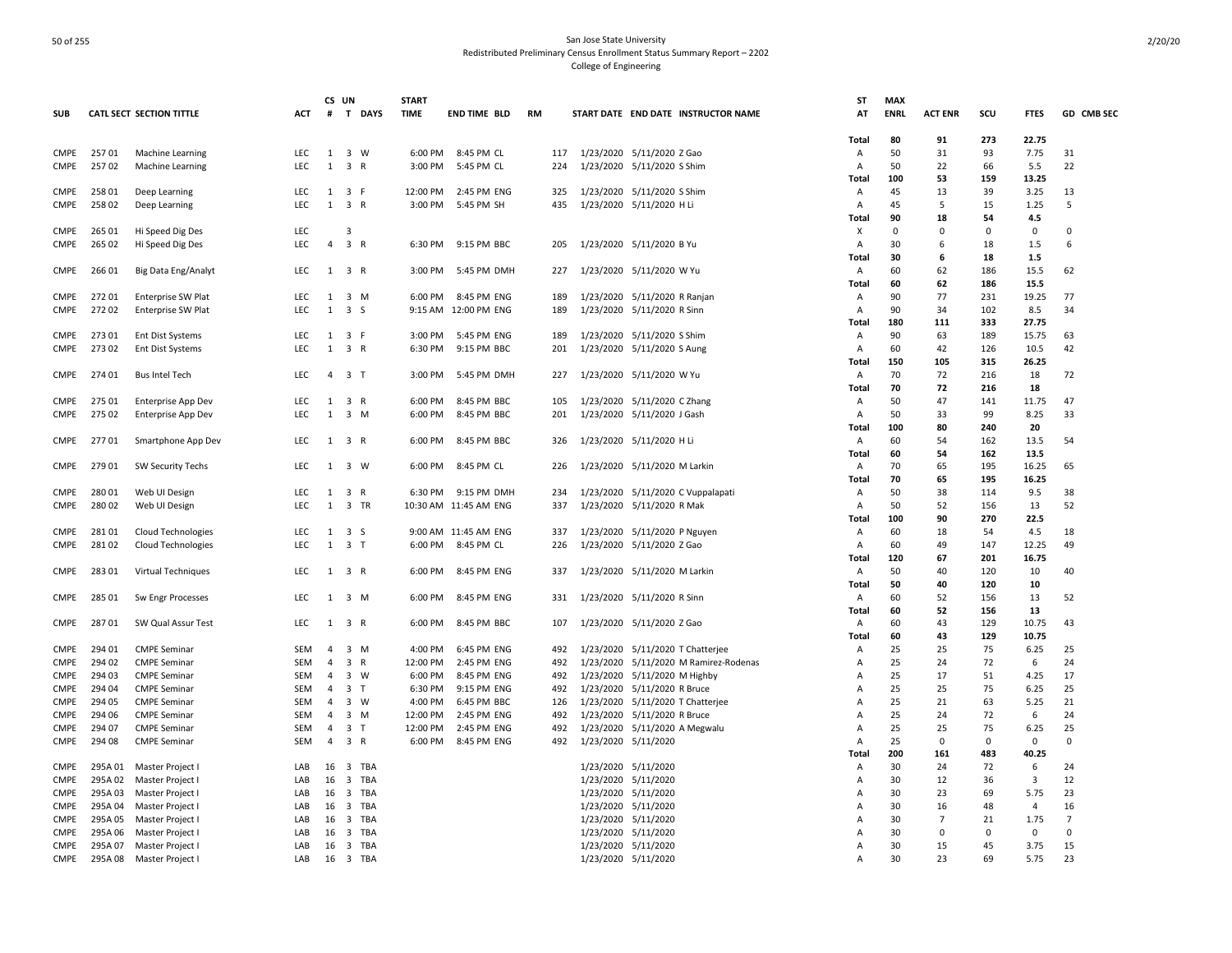|             |         |                                 |            | CS UN          |                                | <b>START</b> |                       |           |                                       | <b>ST</b>      | <b>MAX</b>  |                |             |                |                |
|-------------|---------|---------------------------------|------------|----------------|--------------------------------|--------------|-----------------------|-----------|---------------------------------------|----------------|-------------|----------------|-------------|----------------|----------------|
| <b>SUB</b>  |         | <b>CATL SECT SECTION TITTLE</b> | <b>ACT</b> | #              | T DAYS                         | <b>TIME</b>  | <b>END TIME BLD</b>   | <b>RM</b> | START DATE END DATE INSTRUCTOR NAME   | AT             | <b>ENRL</b> | <b>ACT ENR</b> | SCU         | <b>FTES</b>    | GD CMB SEC     |
|             |         |                                 |            |                |                                |              |                       |           |                                       |                |             |                |             |                |                |
|             |         |                                 |            |                |                                |              |                       |           |                                       | Total          | 80          | 91             | 273         | 22.75          |                |
| CMPE        | 25701   |                                 | <b>LEC</b> |                | 1 3 W                          | 6:00 PM      | 8:45 PM CL            | 117       | 1/23/2020 5/11/2020 Z Gao             |                | 50          | 31             | 93          | 7.75           | 31             |
|             |         | <b>Machine Learning</b>         |            |                |                                |              |                       |           |                                       | Α              |             |                |             |                |                |
| <b>CMPE</b> | 25702   | Machine Learning                | LEC        | 1              | 3 R                            | 3:00 PM      | 5:45 PM CL            | 224       | 1/23/2020 5/11/2020 S Shim            | Α              | 50          | 22             | 66          | 5.5            | 22             |
|             |         |                                 |            |                |                                |              |                       |           |                                       | Total          | 100         | 53             | 159         | 13.25          |                |
| <b>CMPE</b> | 25801   | Deep Learning                   | LEC        |                | 1 3 F                          | 12:00 PM     | 2:45 PM ENG           | 325       | 1/23/2020 5/11/2020 S Shim            | Α              | 45          | 13             | 39          | 3.25           | 13             |
| <b>CMPE</b> | 25802   | Deep Learning                   | LEC        | $\mathbf{1}$   | 3 R                            | 3:00 PM      | 5:45 PM SH            | 435       | 1/23/2020 5/11/2020 H Li              | A              | 45          | 5              | 15          | 1.25           | 5              |
|             |         |                                 |            |                |                                |              |                       |           |                                       | Total          | 90          | 18             | 54          | 4.5            |                |
| <b>CMPE</b> | 265 01  | Hi Speed Dig Des                | <b>LEC</b> |                | 3                              |              |                       |           |                                       | х              | 0           | $\mathbf 0$    | $\mathbf 0$ | 0              | 0              |
| <b>CMPE</b> | 265 02  | Hi Speed Dig Des                | LEC        | 4              | 3 R                            | 6:30 PM      | 9:15 PM BBC           | 205       | 1/23/2020 5/11/2020 B Yu              | Α              | 30          | 6              | 18          | 1.5            | 6              |
|             |         |                                 |            |                |                                |              |                       |           |                                       | Total          | 30          | 6              | 18          | 1.5            |                |
| CMPE        | 26601   | Big Data Eng/Analyt             | LEC        |                | $1 \quad 3 \quad R$            | 3:00 PM      | 5:45 PM DMH           | 227       | 1/23/2020 5/11/2020 W Yu              | A              | 60          | 62             | 186         | 15.5           | 62             |
|             |         |                                 |            |                |                                |              |                       |           |                                       | Total          | 60          | 62             | 186         | 15.5           |                |
|             |         |                                 |            |                |                                |              | 8:45 PM ENG           |           |                                       |                |             | 77             | 231         | 19.25          | 77             |
| <b>CMPE</b> | 27201   | Enterprise SW Plat              | LEC        | 1              | 3 M                            | 6:00 PM      |                       | 189       | 1/23/2020 5/11/2020 R Ranjan          | A              | 90          |                |             |                |                |
| <b>CMPE</b> | 27202   | Enterprise SW Plat              | <b>LEC</b> | 1              | 3 S                            |              | 9:15 AM 12:00 PM ENG  | 189       | 1/23/2020 5/11/2020 R Sinn            | A              | 90          | 34             | 102         | 8.5            | 34             |
|             |         |                                 |            |                |                                |              |                       |           |                                       | Total          | 180         | 111            | 333         | 27.75          |                |
| <b>CMPE</b> | 27301   | <b>Ent Dist Systems</b>         | <b>LEC</b> |                | 1 3 F                          | 3:00 PM      | 5:45 PM ENG           | 189       | 1/23/2020 5/11/2020 S Shim            | Α              | 90          | 63             | 189         | 15.75          | 63             |
| <b>CMPE</b> | 27302   | Ent Dist Systems                | LEC        | 1              | 3 R                            | 6:30 PM      | 9:15 PM BBC           | 201       | 1/23/2020 5/11/2020 S Aung            | Α              | 60          | 42             | 126         | 10.5           | 42             |
|             |         |                                 |            |                |                                |              |                       |           |                                       | Total          | 150         | 105            | 315         | 26.25          |                |
| CMPE        | 274 01  | <b>Bus Intel Tech</b>           | LEC        |                | 4 3 T                          | 3:00 PM      | 5:45 PM DMH           | 227       | 1/23/2020 5/11/2020 W Yu              | Α              | 70          | 72             | 216         | 18             | 72             |
|             |         |                                 |            |                |                                |              |                       |           |                                       | Total          | 70          | 72             | 216         | 18             |                |
| <b>CMPE</b> | 275 01  | Enterprise App Dev              | LEC        | 1              | 3 R                            | 6:00 PM      | 8:45 PM BBC           | 105       | 1/23/2020 5/11/2020 CZhang            | Α              | 50          | 47             | 141         | 11.75          | 47             |
| <b>CMPE</b> | 275 02  | <b>Enterprise App Dev</b>       | LEC        | 1              | $3 \, M$                       | 6:00 PM      | 8:45 PM BBC           | 201       | 1/23/2020 5/11/2020 J Gash            | Α              | 50          | 33             | 99          | 8.25           | 33             |
|             |         |                                 |            |                |                                |              |                       |           |                                       |                |             |                | 240         |                |                |
|             |         |                                 |            |                |                                |              |                       |           |                                       | Total          | 100         | 80             |             | 20             |                |
| CMPE        | 27701   | Smartphone App Dev              | LEC        |                | 1 3 R                          | 6:00 PM      | 8:45 PM BBC           | 326       | 1/23/2020 5/11/2020 H Li              | Α              | 60          | 54             | 162         | 13.5           | 54             |
|             |         |                                 |            |                |                                |              |                       |           |                                       | Total          | 60          | 54             | 162         | 13.5           |                |
| <b>CMPE</b> | 279 01  | <b>SW Security Techs</b>        | LEC        | 1              | 3 W                            | 6:00 PM      | 8:45 PM CL            | 226       | 1/23/2020 5/11/2020 M Larkin          | Α              | 70          | 65             | 195         | 16.25          | 65             |
|             |         |                                 |            |                |                                |              |                       |           |                                       | <b>Total</b>   | 70          | 65             | 195         | 16.25          |                |
| <b>CMPE</b> | 280 01  | Web UI Design                   | LEC        |                | 1 3 R                          | 6:30 PM      | 9:15 PM DMH           | 234       | 1/23/2020 5/11/2020 C Vuppalapati     | Α              | 50          | 38             | 114         | 9.5            | 38             |
| <b>CMPE</b> | 28002   | Web UI Design                   | LEC        | 1              | 3 TR                           |              | 10:30 AM 11:45 AM ENG | 337       | 1/23/2020 5/11/2020 R Mak             | Α              | 50          | 52             | 156         | 13             | 52             |
|             |         |                                 |            |                |                                |              |                       |           |                                       | Total          | 100         | 90             | 270         | 22.5           |                |
| <b>CMPE</b> | 28101   | Cloud Technologies              | <b>LEC</b> |                | $1 \quad 3 \quad S$            |              | 9:00 AM 11:45 AM ENG  | 337       | 1/23/2020 5/11/2020 P Nguyen          | Α              | 60          | 18             | 54          | 4.5            | 18             |
| <b>CMPE</b> | 28102   | <b>Cloud Technologies</b>       | LEC        | 1              | 3 <sub>1</sub>                 | 6:00 PM      | 8:45 PM CL            | 226       | 1/23/2020 5/11/2020 Z Gao             | A              | 60          | 49             | 147         | 12.25          | 49             |
|             |         |                                 |            |                |                                |              |                       |           |                                       |                |             | 67             |             |                |                |
|             |         |                                 |            |                |                                |              |                       |           |                                       | Total          | 120         |                | 201         | 16.75          |                |
| CMPE        | 28301   | <b>Virtual Techniques</b>       | LEC        |                | 1 3 R                          | 6:00 PM      | 8:45 PM ENG           | 337       | 1/23/2020 5/11/2020 M Larkin          | Α              | 50          | 40             | 120         | 10             | 40             |
|             |         |                                 |            |                |                                |              |                       |           |                                       | Total          | 50          | 40             | 120         | 10             |                |
| CMPE        | 285 01  | Sw Engr Processes               | <b>LEC</b> |                | $1 \quad 3 \quad M$            | 6:00 PM      | 8:45 PM ENG           | 331       | 1/23/2020 5/11/2020 R Sinn            | $\overline{A}$ | 60          | 52             | 156         | 13             | 52             |
|             |         |                                 |            |                |                                |              |                       |           |                                       | Total          | 60          | 52             | 156         | 13             |                |
| CMPE        | 28701   | SW Qual Assur Test              | LEC        |                | 1 3 R                          | 6:00 PM      | 8:45 PM BBC           | 107       | 1/23/2020 5/11/2020 Z Gao             | Α              | 60          | 43             | 129         | 10.75          | 43             |
|             |         |                                 |            |                |                                |              |                       |           |                                       | Total          | 60          | 43             | 129         | 10.75          |                |
| <b>CMPE</b> | 294 01  | <b>CMPE Seminar</b>             | SEM        | $\overline{4}$ | $3 \, M$                       | 4:00 PM      | 6:45 PM ENG           | 492       | 1/23/2020 5/11/2020 T Chatterjee      | Α              | 25          | 25             | 75          | 6.25           | 25             |
| <b>CMPE</b> | 294 02  | <b>CMPE Seminar</b>             | <b>SEM</b> | $\overline{4}$ | 3 R                            | 12:00 PM     | 2:45 PM ENG           | 492       | 1/23/2020 5/11/2020 M Ramirez-Rodenas | Α              | 25          | 24             | 72          | 6              | 24             |
| <b>CMPE</b> | 294 03  | <b>CMPE Seminar</b>             | SEM        | $\overline{4}$ | $3 \quad W$                    | 6:00 PM      | 8:45 PM ENG           | 492       | 1/23/2020 5/11/2020 M Highby          | A              | 25          | 17             | 51          | 4.25           | 17             |
| <b>CMPE</b> | 294 04  | <b>CMPE Seminar</b>             | SEM        | 4              | 3 <sub>T</sub>                 | 6:30 PM      | 9:15 PM ENG           | 492       | 1/23/2020 5/11/2020 R Bruce           | A              | 25          | 25             | 75          | 6.25           | 25             |
|             |         |                                 |            |                | 3 W                            | 4:00 PM      | 6:45 PM BBC           |           | 1/23/2020 5/11/2020 T Chatterjee      |                | 25          | 21             | 63          | 5.25           | 21             |
| <b>CMPE</b> | 294 05  | <b>CMPE Seminar</b>             | SEM        | 4              |                                |              |                       | 126       |                                       | A              |             |                |             |                |                |
| <b>CMPE</b> | 294 06  | <b>CMPE Seminar</b>             | SEM        | $\overline{4}$ | $3 \, M$                       | 12:00 PM     | 2:45 PM ENG           | 492       | 1/23/2020 5/11/2020 R Bruce           | A              | 25          | 24             | 72          | 6              | 24             |
| <b>CMPE</b> | 294 07  | <b>CMPE Seminar</b>             | SEM        | $\overline{4}$ | 3 <sub>T</sub>                 | 12:00 PM     | 2:45 PM ENG           | 492       | 1/23/2020 5/11/2020 A Megwalu         | A              | 25          | 25             | 75          | 6.25           | 25             |
| <b>CMPE</b> | 294 08  | <b>CMPE Seminar</b>             | SEM        | $\overline{4}$ | 3 R                            | 6:00 PM      | 8:45 PM ENG           | 492       | 1/23/2020 5/11/2020                   | A              | 25          | $\mathbf 0$    | $\mathbf 0$ | 0              | 0              |
|             |         |                                 |            |                |                                |              |                       |           |                                       | Total          | 200         | 161            | 483         | 40.25          |                |
| <b>CMPE</b> | 295A 01 | Master Project I                | LAB        | 16             | $\overline{\mathbf{3}}$<br>TBA |              |                       |           | 1/23/2020 5/11/2020                   | Α              | 30          | 24             | 72          | 6              | 24             |
| <b>CMPE</b> | 295A 02 | Master Project I                | LAB        | 16             | 3<br>TBA                       |              |                       |           | 1/23/2020 5/11/2020                   | Α              | 30          | 12             | 36          | 3              | 12             |
| <b>CMPE</b> | 295A 03 | Master Project I                | LAB        | 16             | $\overline{\mathbf{3}}$<br>TBA |              |                       |           | 1/23/2020 5/11/2020                   | Α              | 30          | 23             | 69          | 5.75           | 23             |
| <b>CMPE</b> | 295A 04 | Master Project I                | LAB        | 16             | TBA<br>3                       |              |                       |           | 1/23/2020 5/11/2020                   | A              | 30          | 16             | 48          | $\overline{4}$ | 16             |
| <b>CMPE</b> | 295A 05 | Master Project I                | LAB        | 16             | TBA<br>$\overline{\mathbf{3}}$ |              |                       |           | 1/23/2020 5/11/2020                   | A              | 30          | $\overline{7}$ | 21          | 1.75           | $\overline{7}$ |
| <b>CMPE</b> | 295A 06 | Master Project I                | LAB        | 16             | 3 TBA                          |              |                       |           | 1/23/2020 5/11/2020                   | A              | 30          | 0              | 0           | $^{\circ}$     | $\Omega$       |
| <b>CMPE</b> |         |                                 | LAB        |                |                                |              |                       |           |                                       | $\overline{A}$ | 30          | 15             | 45          | 3.75           | 15             |
|             | 295A 07 | Master Project I                |            | 16             | 3 TBA                          |              |                       |           | 1/23/2020 5/11/2020                   |                |             |                |             |                |                |
| <b>CMPE</b> | 295A08  | Master Project I                | LAB        |                | 16 3 TBA                       |              |                       |           | 1/23/2020 5/11/2020                   | $\overline{A}$ | 30          | 23             | 69          | 5.75           | 23             |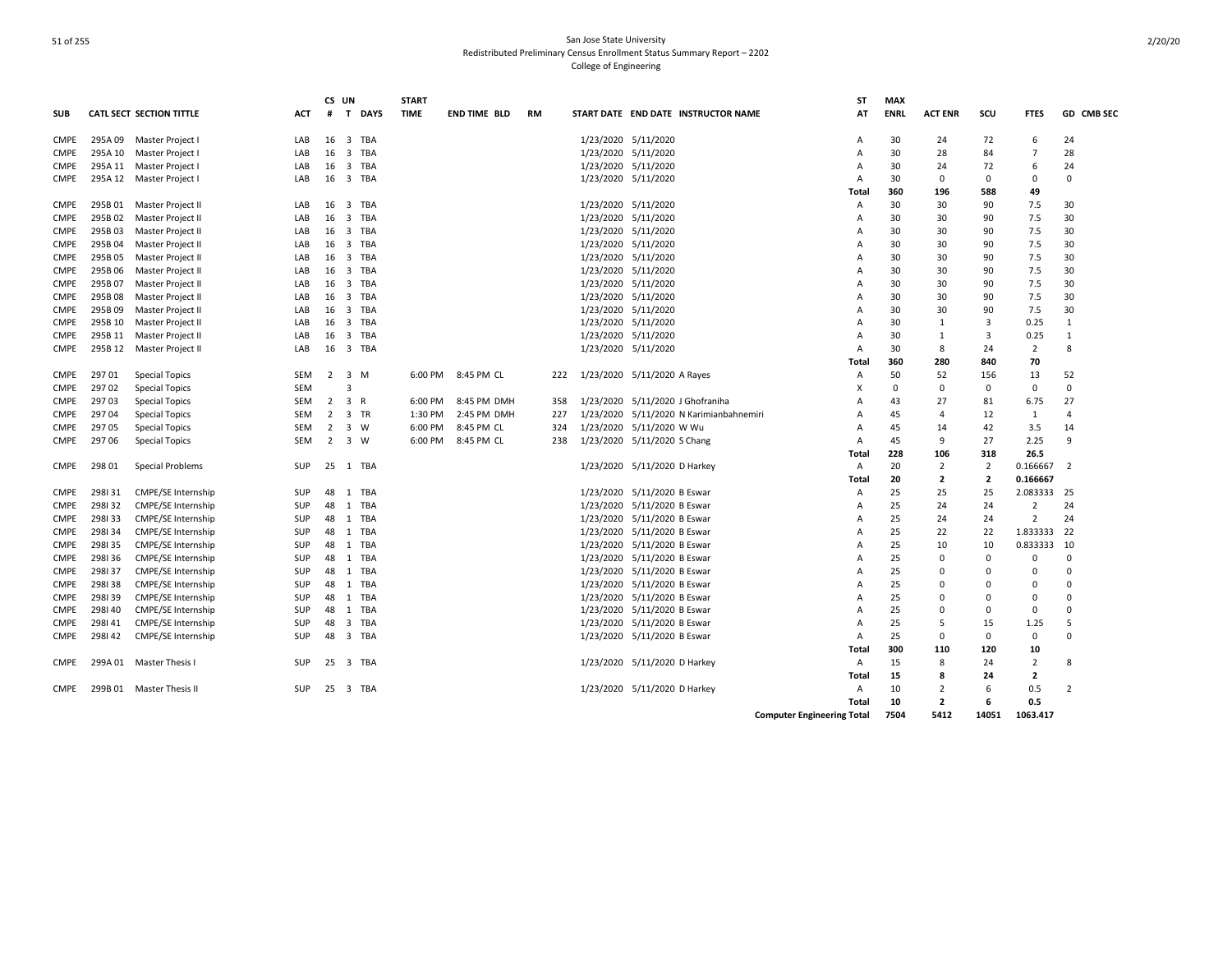| <b>CATL SECT SECTION TITTLE</b><br>$\mathbf{T}$<br><b>DAYS</b><br><b>TIME</b><br>START DATE END DATE INSTRUCTOR NAME<br>AT<br><b>ENRL</b><br><b>ACT ENR</b><br>scu<br>GD CMB SEC<br><b>SUB</b><br>ACT<br>#<br>END TIME BLD<br>RM<br><b>FTES</b><br>16<br>3 TBA<br>1/23/2020 5/11/2020<br>30<br>72<br>24<br><b>CMPE</b><br>295A 09 Master Project I<br>LAB<br>24<br>6<br>Α<br>16<br>$\overline{\mathbf{3}}$<br>TBA<br>1/23/2020 5/11/2020<br>28<br>295A 10<br>30<br>84<br>$\overline{7}$<br><b>CMPE</b><br>Master Project<br>LAB<br>28<br>Α<br>295A 11 Master Project<br>16<br>3 TBA<br>1/23/2020 5/11/2020<br>LAB<br>30<br>24<br>72<br>6<br>24<br><b>CMPE</b><br>Α<br>295A 12 Master Project I<br>16<br>3 TBA<br>1/23/2020 5/11/2020<br>30<br>0<br>$\Omega$<br><b>CMPE</b><br>LAB<br>Α<br>0<br>0<br><b>Total</b><br>360<br>196<br>588<br>49<br>295B 01<br>$\overline{\mathbf{3}}$<br><b>TBA</b><br>1/23/2020 5/11/2020<br>30<br>7.5<br>30<br><b>CMPE</b><br>Master Project II<br>LAB<br>16<br>30<br>90<br>Α<br><b>TBA</b><br>1/23/2020 5/11/2020<br>7.5<br>295B 02<br>Master Project II<br>16<br>3<br>30<br>30<br>30<br><b>CMPE</b><br>LAB<br>90<br>Α<br>16<br>TBA<br>1/23/2020 5/11/2020<br>7.5<br><b>CMPE</b><br>295B03<br>Master Project II<br>LAB<br>3<br>30<br>30<br>90<br>30<br>Α<br>295B 04<br>Master Project II<br>16<br>$\overline{\mathbf{3}}$<br>TBA<br>1/23/2020 5/11/2020<br>30<br>30<br>90<br>7.5<br>30<br><b>CMPE</b><br>LAB<br>Α<br>295B05<br>1/23/2020 5/11/2020<br>7.5<br>30<br>Master Project II<br>LAB<br>16<br>3 TBA<br>30<br>30<br>90<br><b>CMPE</b><br>Α<br>295B06<br><b>TBA</b><br>1/23/2020 5/11/2020<br>30<br>30<br>7.5<br>30<br><b>CMPE</b><br>Master Project II<br>LAB<br>16<br>3<br>90<br>Α<br>295B07<br>Master Project II<br>16<br>3 TBA<br>1/23/2020 5/11/2020<br>30<br>30<br>90<br>7.5<br>30<br><b>CMPE</b><br>LAB<br>Α<br>295B08<br>TBA<br>1/23/2020 5/11/2020<br>30<br>30<br>7.5<br>30<br><b>CMPE</b><br>Master Project II<br>LAB<br>16<br>3<br>90<br>Α<br>295B 09<br>1/23/2020 5/11/2020<br>7.5<br>30<br>16<br>3<br>TBA<br>30<br>30<br>90<br><b>CMPE</b><br>Master Project II<br>LAB<br>Α<br>1/23/2020 5/11/2020<br>3<br>295B 10<br>Master Project II<br>16<br>$\overline{\mathbf{3}}$<br>TBA<br>30<br>0.25<br>$\mathbf{1}$<br><b>CMPE</b><br>LAB<br>Α<br>1<br>295B 11<br>16<br><b>TBA</b><br>1/23/2020 5/11/2020<br>3<br><b>CMPE</b><br>Master Project II<br>LAB<br>3<br>30<br>1<br>0.25<br>$\mathbf{1}$<br>A<br><b>CMPE</b><br>295B 12 Master Project II<br>16<br>3 TBA<br>1/23/2020 5/11/2020<br>30<br>8<br>24<br>$\overline{2}$<br>8<br>LAB<br>Α<br>360<br>280<br>70<br>840<br>Total<br>29701<br>3 M<br>8:45 PM CL<br>1/23/2020 5/11/2020 A Rayes<br>50<br>52<br>52<br>CMPE<br><b>Special Topics</b><br>SEM<br>$\overline{2}$<br>6:00 PM<br>156<br>13<br>222<br>Α<br>$\Omega$<br>29702<br><b>Special Topics</b><br><b>SEM</b><br>X<br>$\mathbf 0$<br>$\Omega$<br>0<br>$\mathbf 0$<br>CMPE<br>3<br>29703<br>3 R<br>8:45 PM DMH<br>1/23/2020 5/11/2020 J Ghofraniha<br>43<br>27<br>27<br>CMPE<br><b>Special Topics</b><br>SEM<br>2<br>6:00 PM<br>81<br>6.75<br>358<br>Α<br>29704<br>2<br>3 TR<br>1:30 PM<br>2:45 PM DMH<br>227<br>1/23/2020<br>5/11/2020 N Karimianbahnemiri<br>12<br><b>CMPE</b><br><b>Special Topics</b><br>SEM<br>45<br>$\overline{4}$<br>1<br>$\overline{4}$<br>Α<br>29705<br>2<br>1/23/2020 5/11/2020 W Wu<br>3.5<br><b>Special Topics</b><br><b>SEM</b><br>3<br>W<br>6:00 PM<br>8:45 PM CL<br>324<br>45<br>42<br>14<br><b>CMPE</b><br>A<br>14<br>297 06<br>2 3 W<br>6:00 PM<br>8:45 PM CL<br>1/23/2020 5/11/2020 S Chang<br>45<br>9<br>27<br>2.25<br>9<br><b>CMPE</b><br><b>Special Topics</b><br>SEM<br>238<br>Α<br>228<br>106<br>318<br>26.5<br>Total<br><b>CMPE</b><br>298 01<br><b>Special Problems</b><br>25 1 TBA<br>1/23/2020 5/11/2020 D Harkey<br>20<br>$\overline{2}$<br>$\overline{2}$<br>0.166667<br>SUP<br>Α<br>$\overline{2}$<br>$\overline{2}$<br>$\overline{2}$<br>0.166667<br>Total<br>20<br>1/23/2020 5/11/2020 B Eswar<br>2.083333<br><b>CMPE</b><br>298131<br>CMPE/SE Internship<br>SUP<br>48<br>1 TBA<br>25<br>25<br>25<br>25<br>Α<br>298132<br>CMPE/SE Internship<br>48<br>1 TBA<br>1/23/2020 5/11/2020 B Eswar<br>25<br>24<br>$\overline{2}$<br>24<br><b>CMPE</b><br>SUP<br>Α<br>24<br>298133<br>CMPE/SE Internship<br>1/23/2020 5/11/2020 B Eswar<br>$\overline{2}$<br>24<br>SUP<br>48<br>1 TBA<br>25<br>24<br><b>CMPE</b><br>24<br>Α<br>1.833333<br>298134<br>CMPE/SE Internship<br>48<br>1/23/2020 5/11/2020 B Eswar<br>25<br>22<br>22<br><b>SUP</b><br>1 TBA<br>22<br><b>CMPE</b><br>A<br>298135<br>CMPE/SE Internship<br>48<br>1 TBA<br>1/23/2020 5/11/2020 B Eswar<br>25<br>10<br>0.833333<br>10<br><b>CMPE</b><br>SUP<br>10<br>Α<br>298136<br><b>CMPE/SE Internship</b><br>48<br>1 TBA<br>1/23/2020 5/11/2020 B Eswar<br>25<br><b>CMPE</b><br>SUP<br>$\Omega$<br>$\Omega$<br>$\Omega$<br>$\Omega$<br>А<br>298137<br><b>CMPE/SE Internship</b><br>SUP<br>48<br>1 TBA<br>1/23/2020 5/11/2020 B Eswar<br><b>CMPE</b><br>25<br>0<br>$\Omega$<br>A<br>0<br>Ω<br>48<br>1 TBA<br>298138<br><b>CMPE/SE Internship</b><br>SUP<br>1/23/2020 5/11/2020 B Eswar<br>25<br><b>CMPE</b><br>А<br>0<br>ŋ<br>$\Omega$<br>$\Omega$<br><b>CMPE/SE Internship</b><br><b>CMPE</b><br>298139<br>SUP<br>48<br>1 TBA<br>1/23/2020 5/11/2020 B Eswar<br>25<br>$\Omega$<br>$\Omega$<br>$\Omega$<br>Α<br>0<br>298140<br>CMPE/SE Internship<br>SUP<br>48<br>TBA<br>1/23/2020 5/11/2020 B Eswar<br>25<br>$\Omega$<br>$\Omega$<br><b>CMPE</b><br>1<br>$\Omega$<br>0<br>Α<br>298141<br>CMPE/SE Internship<br>1/23/2020 5/11/2020 B Eswar<br><b>CMPE</b><br>SUP<br>48<br>3<br>TBA<br>Α<br>25<br>5<br>15<br>1.25<br>.5<br>298142<br>CMPE/SE Internship<br>1/23/2020 5/11/2020 B Eswar<br>$\Omega$<br><b>CMPE</b><br><b>SUP</b><br>48<br>3 TBA<br>25<br>0<br>$\Omega$<br>0<br>A<br>300<br>110<br>120<br>10<br>Total<br>Master Thesis I<br><b>TBA</b><br>1/23/2020 5/11/2020 D Harkey<br><b>CMPE</b><br>299A 01<br><b>SUP</b><br>25<br>3<br>15<br>8<br>24<br>2<br>8<br>Α<br>Total<br>15<br>8<br>24<br>2 |      |  |            | CS UN | <b>START</b> |  |  | ST | <b>MAX</b> |                |   |     |                |
|--------------------------------------------------------------------------------------------------------------------------------------------------------------------------------------------------------------------------------------------------------------------------------------------------------------------------------------------------------------------------------------------------------------------------------------------------------------------------------------------------------------------------------------------------------------------------------------------------------------------------------------------------------------------------------------------------------------------------------------------------------------------------------------------------------------------------------------------------------------------------------------------------------------------------------------------------------------------------------------------------------------------------------------------------------------------------------------------------------------------------------------------------------------------------------------------------------------------------------------------------------------------------------------------------------------------------------------------------------------------------------------------------------------------------------------------------------------------------------------------------------------------------------------------------------------------------------------------------------------------------------------------------------------------------------------------------------------------------------------------------------------------------------------------------------------------------------------------------------------------------------------------------------------------------------------------------------------------------------------------------------------------------------------------------------------------------------------------------------------------------------------------------------------------------------------------------------------------------------------------------------------------------------------------------------------------------------------------------------------------------------------------------------------------------------------------------------------------------------------------------------------------------------------------------------------------------------------------------------------------------------------------------------------------------------------------------------------------------------------------------------------------------------------------------------------------------------------------------------------------------------------------------------------------------------------------------------------------------------------------------------------------------------------------------------------------------------------------------------------------------------------------------------------------------------------------------------------------------------------------------------------------------------------------------------------------------------------------------------------------------------------------------------------------------------------------------------------------------------------------------------------------------------------------------------------------------------------------------------------------------------------------------------------------------------------------------------------------------------------------------------------------------------------------------------------------------------------------------------------------------------------------------------------------------------------------------------------------------------------------------------------------------------------------------------------------------------------------------------------------------------------------------------------------------------------------------------------------------------------------------------------------------------------------------------------------------------------------------------------------------------------------------------------------------------------------------------------------------------------------------------------------------------------------------------------------------------------------------------------------------------------------------------------------------------------------------------------------------------------------------------------------------------------------------------------------------------------------------------------------------------------------------------------------------------------------------------------------------------------------------------------------------------------------------------------------------------------------------------------------------------------------------------------------------------------------------------------------------------------------------------------------------------------------------------------------------------------------------------------------------------------------------------------------------------------------------------------------------------------------------------------------------------------------------------------------------------------------------------------------------------------------------------------------------------------------------------------------------------------------------------------------------------------------------------------------------------------------------------------------------------------------------------------------------------------------------------------------------------------------------------------------------------------------------------------|------|--|------------|-------|--------------|--|--|----|------------|----------------|---|-----|----------------|
|                                                                                                                                                                                                                                                                                                                                                                                                                                                                                                                                                                                                                                                                                                                                                                                                                                                                                                                                                                                                                                                                                                                                                                                                                                                                                                                                                                                                                                                                                                                                                                                                                                                                                                                                                                                                                                                                                                                                                                                                                                                                                                                                                                                                                                                                                                                                                                                                                                                                                                                                                                                                                                                                                                                                                                                                                                                                                                                                                                                                                                                                                                                                                                                                                                                                                                                                                                                                                                                                                                                                                                                                                                                                                                                                                                                                                                                                                                                                                                                                                                                                                                                                                                                                                                                                                                                                                                                                                                                                                                                                                                                                                                                                                                                                                                                                                                                                                                                                                                                                                                                                                                                                                                                                                                                                                                                                                                                                                                                                                                                                                                                                                                                                                                                                                                                                                                                                                                                                                                                                                                                              |      |  |            |       |              |  |  |    |            |                |   |     |                |
|                                                                                                                                                                                                                                                                                                                                                                                                                                                                                                                                                                                                                                                                                                                                                                                                                                                                                                                                                                                                                                                                                                                                                                                                                                                                                                                                                                                                                                                                                                                                                                                                                                                                                                                                                                                                                                                                                                                                                                                                                                                                                                                                                                                                                                                                                                                                                                                                                                                                                                                                                                                                                                                                                                                                                                                                                                                                                                                                                                                                                                                                                                                                                                                                                                                                                                                                                                                                                                                                                                                                                                                                                                                                                                                                                                                                                                                                                                                                                                                                                                                                                                                                                                                                                                                                                                                                                                                                                                                                                                                                                                                                                                                                                                                                                                                                                                                                                                                                                                                                                                                                                                                                                                                                                                                                                                                                                                                                                                                                                                                                                                                                                                                                                                                                                                                                                                                                                                                                                                                                                                                              |      |  |            |       |              |  |  |    |            |                |   |     |                |
|                                                                                                                                                                                                                                                                                                                                                                                                                                                                                                                                                                                                                                                                                                                                                                                                                                                                                                                                                                                                                                                                                                                                                                                                                                                                                                                                                                                                                                                                                                                                                                                                                                                                                                                                                                                                                                                                                                                                                                                                                                                                                                                                                                                                                                                                                                                                                                                                                                                                                                                                                                                                                                                                                                                                                                                                                                                                                                                                                                                                                                                                                                                                                                                                                                                                                                                                                                                                                                                                                                                                                                                                                                                                                                                                                                                                                                                                                                                                                                                                                                                                                                                                                                                                                                                                                                                                                                                                                                                                                                                                                                                                                                                                                                                                                                                                                                                                                                                                                                                                                                                                                                                                                                                                                                                                                                                                                                                                                                                                                                                                                                                                                                                                                                                                                                                                                                                                                                                                                                                                                                                              |      |  |            |       |              |  |  |    |            |                |   |     |                |
|                                                                                                                                                                                                                                                                                                                                                                                                                                                                                                                                                                                                                                                                                                                                                                                                                                                                                                                                                                                                                                                                                                                                                                                                                                                                                                                                                                                                                                                                                                                                                                                                                                                                                                                                                                                                                                                                                                                                                                                                                                                                                                                                                                                                                                                                                                                                                                                                                                                                                                                                                                                                                                                                                                                                                                                                                                                                                                                                                                                                                                                                                                                                                                                                                                                                                                                                                                                                                                                                                                                                                                                                                                                                                                                                                                                                                                                                                                                                                                                                                                                                                                                                                                                                                                                                                                                                                                                                                                                                                                                                                                                                                                                                                                                                                                                                                                                                                                                                                                                                                                                                                                                                                                                                                                                                                                                                                                                                                                                                                                                                                                                                                                                                                                                                                                                                                                                                                                                                                                                                                                                              |      |  |            |       |              |  |  |    |            |                |   |     |                |
|                                                                                                                                                                                                                                                                                                                                                                                                                                                                                                                                                                                                                                                                                                                                                                                                                                                                                                                                                                                                                                                                                                                                                                                                                                                                                                                                                                                                                                                                                                                                                                                                                                                                                                                                                                                                                                                                                                                                                                                                                                                                                                                                                                                                                                                                                                                                                                                                                                                                                                                                                                                                                                                                                                                                                                                                                                                                                                                                                                                                                                                                                                                                                                                                                                                                                                                                                                                                                                                                                                                                                                                                                                                                                                                                                                                                                                                                                                                                                                                                                                                                                                                                                                                                                                                                                                                                                                                                                                                                                                                                                                                                                                                                                                                                                                                                                                                                                                                                                                                                                                                                                                                                                                                                                                                                                                                                                                                                                                                                                                                                                                                                                                                                                                                                                                                                                                                                                                                                                                                                                                                              |      |  |            |       |              |  |  |    |            |                |   |     |                |
|                                                                                                                                                                                                                                                                                                                                                                                                                                                                                                                                                                                                                                                                                                                                                                                                                                                                                                                                                                                                                                                                                                                                                                                                                                                                                                                                                                                                                                                                                                                                                                                                                                                                                                                                                                                                                                                                                                                                                                                                                                                                                                                                                                                                                                                                                                                                                                                                                                                                                                                                                                                                                                                                                                                                                                                                                                                                                                                                                                                                                                                                                                                                                                                                                                                                                                                                                                                                                                                                                                                                                                                                                                                                                                                                                                                                                                                                                                                                                                                                                                                                                                                                                                                                                                                                                                                                                                                                                                                                                                                                                                                                                                                                                                                                                                                                                                                                                                                                                                                                                                                                                                                                                                                                                                                                                                                                                                                                                                                                                                                                                                                                                                                                                                                                                                                                                                                                                                                                                                                                                                                              |      |  |            |       |              |  |  |    |            |                |   |     |                |
|                                                                                                                                                                                                                                                                                                                                                                                                                                                                                                                                                                                                                                                                                                                                                                                                                                                                                                                                                                                                                                                                                                                                                                                                                                                                                                                                                                                                                                                                                                                                                                                                                                                                                                                                                                                                                                                                                                                                                                                                                                                                                                                                                                                                                                                                                                                                                                                                                                                                                                                                                                                                                                                                                                                                                                                                                                                                                                                                                                                                                                                                                                                                                                                                                                                                                                                                                                                                                                                                                                                                                                                                                                                                                                                                                                                                                                                                                                                                                                                                                                                                                                                                                                                                                                                                                                                                                                                                                                                                                                                                                                                                                                                                                                                                                                                                                                                                                                                                                                                                                                                                                                                                                                                                                                                                                                                                                                                                                                                                                                                                                                                                                                                                                                                                                                                                                                                                                                                                                                                                                                                              |      |  |            |       |              |  |  |    |            |                |   |     |                |
|                                                                                                                                                                                                                                                                                                                                                                                                                                                                                                                                                                                                                                                                                                                                                                                                                                                                                                                                                                                                                                                                                                                                                                                                                                                                                                                                                                                                                                                                                                                                                                                                                                                                                                                                                                                                                                                                                                                                                                                                                                                                                                                                                                                                                                                                                                                                                                                                                                                                                                                                                                                                                                                                                                                                                                                                                                                                                                                                                                                                                                                                                                                                                                                                                                                                                                                                                                                                                                                                                                                                                                                                                                                                                                                                                                                                                                                                                                                                                                                                                                                                                                                                                                                                                                                                                                                                                                                                                                                                                                                                                                                                                                                                                                                                                                                                                                                                                                                                                                                                                                                                                                                                                                                                                                                                                                                                                                                                                                                                                                                                                                                                                                                                                                                                                                                                                                                                                                                                                                                                                                                              |      |  |            |       |              |  |  |    |            |                |   |     |                |
|                                                                                                                                                                                                                                                                                                                                                                                                                                                                                                                                                                                                                                                                                                                                                                                                                                                                                                                                                                                                                                                                                                                                                                                                                                                                                                                                                                                                                                                                                                                                                                                                                                                                                                                                                                                                                                                                                                                                                                                                                                                                                                                                                                                                                                                                                                                                                                                                                                                                                                                                                                                                                                                                                                                                                                                                                                                                                                                                                                                                                                                                                                                                                                                                                                                                                                                                                                                                                                                                                                                                                                                                                                                                                                                                                                                                                                                                                                                                                                                                                                                                                                                                                                                                                                                                                                                                                                                                                                                                                                                                                                                                                                                                                                                                                                                                                                                                                                                                                                                                                                                                                                                                                                                                                                                                                                                                                                                                                                                                                                                                                                                                                                                                                                                                                                                                                                                                                                                                                                                                                                                              |      |  |            |       |              |  |  |    |            |                |   |     |                |
|                                                                                                                                                                                                                                                                                                                                                                                                                                                                                                                                                                                                                                                                                                                                                                                                                                                                                                                                                                                                                                                                                                                                                                                                                                                                                                                                                                                                                                                                                                                                                                                                                                                                                                                                                                                                                                                                                                                                                                                                                                                                                                                                                                                                                                                                                                                                                                                                                                                                                                                                                                                                                                                                                                                                                                                                                                                                                                                                                                                                                                                                                                                                                                                                                                                                                                                                                                                                                                                                                                                                                                                                                                                                                                                                                                                                                                                                                                                                                                                                                                                                                                                                                                                                                                                                                                                                                                                                                                                                                                                                                                                                                                                                                                                                                                                                                                                                                                                                                                                                                                                                                                                                                                                                                                                                                                                                                                                                                                                                                                                                                                                                                                                                                                                                                                                                                                                                                                                                                                                                                                                              |      |  |            |       |              |  |  |    |            |                |   |     |                |
|                                                                                                                                                                                                                                                                                                                                                                                                                                                                                                                                                                                                                                                                                                                                                                                                                                                                                                                                                                                                                                                                                                                                                                                                                                                                                                                                                                                                                                                                                                                                                                                                                                                                                                                                                                                                                                                                                                                                                                                                                                                                                                                                                                                                                                                                                                                                                                                                                                                                                                                                                                                                                                                                                                                                                                                                                                                                                                                                                                                                                                                                                                                                                                                                                                                                                                                                                                                                                                                                                                                                                                                                                                                                                                                                                                                                                                                                                                                                                                                                                                                                                                                                                                                                                                                                                                                                                                                                                                                                                                                                                                                                                                                                                                                                                                                                                                                                                                                                                                                                                                                                                                                                                                                                                                                                                                                                                                                                                                                                                                                                                                                                                                                                                                                                                                                                                                                                                                                                                                                                                                                              |      |  |            |       |              |  |  |    |            |                |   |     |                |
|                                                                                                                                                                                                                                                                                                                                                                                                                                                                                                                                                                                                                                                                                                                                                                                                                                                                                                                                                                                                                                                                                                                                                                                                                                                                                                                                                                                                                                                                                                                                                                                                                                                                                                                                                                                                                                                                                                                                                                                                                                                                                                                                                                                                                                                                                                                                                                                                                                                                                                                                                                                                                                                                                                                                                                                                                                                                                                                                                                                                                                                                                                                                                                                                                                                                                                                                                                                                                                                                                                                                                                                                                                                                                                                                                                                                                                                                                                                                                                                                                                                                                                                                                                                                                                                                                                                                                                                                                                                                                                                                                                                                                                                                                                                                                                                                                                                                                                                                                                                                                                                                                                                                                                                                                                                                                                                                                                                                                                                                                                                                                                                                                                                                                                                                                                                                                                                                                                                                                                                                                                                              |      |  |            |       |              |  |  |    |            |                |   |     |                |
|                                                                                                                                                                                                                                                                                                                                                                                                                                                                                                                                                                                                                                                                                                                                                                                                                                                                                                                                                                                                                                                                                                                                                                                                                                                                                                                                                                                                                                                                                                                                                                                                                                                                                                                                                                                                                                                                                                                                                                                                                                                                                                                                                                                                                                                                                                                                                                                                                                                                                                                                                                                                                                                                                                                                                                                                                                                                                                                                                                                                                                                                                                                                                                                                                                                                                                                                                                                                                                                                                                                                                                                                                                                                                                                                                                                                                                                                                                                                                                                                                                                                                                                                                                                                                                                                                                                                                                                                                                                                                                                                                                                                                                                                                                                                                                                                                                                                                                                                                                                                                                                                                                                                                                                                                                                                                                                                                                                                                                                                                                                                                                                                                                                                                                                                                                                                                                                                                                                                                                                                                                                              |      |  |            |       |              |  |  |    |            |                |   |     |                |
|                                                                                                                                                                                                                                                                                                                                                                                                                                                                                                                                                                                                                                                                                                                                                                                                                                                                                                                                                                                                                                                                                                                                                                                                                                                                                                                                                                                                                                                                                                                                                                                                                                                                                                                                                                                                                                                                                                                                                                                                                                                                                                                                                                                                                                                                                                                                                                                                                                                                                                                                                                                                                                                                                                                                                                                                                                                                                                                                                                                                                                                                                                                                                                                                                                                                                                                                                                                                                                                                                                                                                                                                                                                                                                                                                                                                                                                                                                                                                                                                                                                                                                                                                                                                                                                                                                                                                                                                                                                                                                                                                                                                                                                                                                                                                                                                                                                                                                                                                                                                                                                                                                                                                                                                                                                                                                                                                                                                                                                                                                                                                                                                                                                                                                                                                                                                                                                                                                                                                                                                                                                              |      |  |            |       |              |  |  |    |            |                |   |     |                |
|                                                                                                                                                                                                                                                                                                                                                                                                                                                                                                                                                                                                                                                                                                                                                                                                                                                                                                                                                                                                                                                                                                                                                                                                                                                                                                                                                                                                                                                                                                                                                                                                                                                                                                                                                                                                                                                                                                                                                                                                                                                                                                                                                                                                                                                                                                                                                                                                                                                                                                                                                                                                                                                                                                                                                                                                                                                                                                                                                                                                                                                                                                                                                                                                                                                                                                                                                                                                                                                                                                                                                                                                                                                                                                                                                                                                                                                                                                                                                                                                                                                                                                                                                                                                                                                                                                                                                                                                                                                                                                                                                                                                                                                                                                                                                                                                                                                                                                                                                                                                                                                                                                                                                                                                                                                                                                                                                                                                                                                                                                                                                                                                                                                                                                                                                                                                                                                                                                                                                                                                                                                              |      |  |            |       |              |  |  |    |            |                |   |     |                |
|                                                                                                                                                                                                                                                                                                                                                                                                                                                                                                                                                                                                                                                                                                                                                                                                                                                                                                                                                                                                                                                                                                                                                                                                                                                                                                                                                                                                                                                                                                                                                                                                                                                                                                                                                                                                                                                                                                                                                                                                                                                                                                                                                                                                                                                                                                                                                                                                                                                                                                                                                                                                                                                                                                                                                                                                                                                                                                                                                                                                                                                                                                                                                                                                                                                                                                                                                                                                                                                                                                                                                                                                                                                                                                                                                                                                                                                                                                                                                                                                                                                                                                                                                                                                                                                                                                                                                                                                                                                                                                                                                                                                                                                                                                                                                                                                                                                                                                                                                                                                                                                                                                                                                                                                                                                                                                                                                                                                                                                                                                                                                                                                                                                                                                                                                                                                                                                                                                                                                                                                                                                              |      |  |            |       |              |  |  |    |            |                |   |     |                |
|                                                                                                                                                                                                                                                                                                                                                                                                                                                                                                                                                                                                                                                                                                                                                                                                                                                                                                                                                                                                                                                                                                                                                                                                                                                                                                                                                                                                                                                                                                                                                                                                                                                                                                                                                                                                                                                                                                                                                                                                                                                                                                                                                                                                                                                                                                                                                                                                                                                                                                                                                                                                                                                                                                                                                                                                                                                                                                                                                                                                                                                                                                                                                                                                                                                                                                                                                                                                                                                                                                                                                                                                                                                                                                                                                                                                                                                                                                                                                                                                                                                                                                                                                                                                                                                                                                                                                                                                                                                                                                                                                                                                                                                                                                                                                                                                                                                                                                                                                                                                                                                                                                                                                                                                                                                                                                                                                                                                                                                                                                                                                                                                                                                                                                                                                                                                                                                                                                                                                                                                                                                              |      |  |            |       |              |  |  |    |            |                |   |     |                |
|                                                                                                                                                                                                                                                                                                                                                                                                                                                                                                                                                                                                                                                                                                                                                                                                                                                                                                                                                                                                                                                                                                                                                                                                                                                                                                                                                                                                                                                                                                                                                                                                                                                                                                                                                                                                                                                                                                                                                                                                                                                                                                                                                                                                                                                                                                                                                                                                                                                                                                                                                                                                                                                                                                                                                                                                                                                                                                                                                                                                                                                                                                                                                                                                                                                                                                                                                                                                                                                                                                                                                                                                                                                                                                                                                                                                                                                                                                                                                                                                                                                                                                                                                                                                                                                                                                                                                                                                                                                                                                                                                                                                                                                                                                                                                                                                                                                                                                                                                                                                                                                                                                                                                                                                                                                                                                                                                                                                                                                                                                                                                                                                                                                                                                                                                                                                                                                                                                                                                                                                                                                              |      |  |            |       |              |  |  |    |            |                |   |     |                |
|                                                                                                                                                                                                                                                                                                                                                                                                                                                                                                                                                                                                                                                                                                                                                                                                                                                                                                                                                                                                                                                                                                                                                                                                                                                                                                                                                                                                                                                                                                                                                                                                                                                                                                                                                                                                                                                                                                                                                                                                                                                                                                                                                                                                                                                                                                                                                                                                                                                                                                                                                                                                                                                                                                                                                                                                                                                                                                                                                                                                                                                                                                                                                                                                                                                                                                                                                                                                                                                                                                                                                                                                                                                                                                                                                                                                                                                                                                                                                                                                                                                                                                                                                                                                                                                                                                                                                                                                                                                                                                                                                                                                                                                                                                                                                                                                                                                                                                                                                                                                                                                                                                                                                                                                                                                                                                                                                                                                                                                                                                                                                                                                                                                                                                                                                                                                                                                                                                                                                                                                                                                              |      |  |            |       |              |  |  |    |            |                |   |     |                |
|                                                                                                                                                                                                                                                                                                                                                                                                                                                                                                                                                                                                                                                                                                                                                                                                                                                                                                                                                                                                                                                                                                                                                                                                                                                                                                                                                                                                                                                                                                                                                                                                                                                                                                                                                                                                                                                                                                                                                                                                                                                                                                                                                                                                                                                                                                                                                                                                                                                                                                                                                                                                                                                                                                                                                                                                                                                                                                                                                                                                                                                                                                                                                                                                                                                                                                                                                                                                                                                                                                                                                                                                                                                                                                                                                                                                                                                                                                                                                                                                                                                                                                                                                                                                                                                                                                                                                                                                                                                                                                                                                                                                                                                                                                                                                                                                                                                                                                                                                                                                                                                                                                                                                                                                                                                                                                                                                                                                                                                                                                                                                                                                                                                                                                                                                                                                                                                                                                                                                                                                                                                              |      |  |            |       |              |  |  |    |            |                |   |     |                |
|                                                                                                                                                                                                                                                                                                                                                                                                                                                                                                                                                                                                                                                                                                                                                                                                                                                                                                                                                                                                                                                                                                                                                                                                                                                                                                                                                                                                                                                                                                                                                                                                                                                                                                                                                                                                                                                                                                                                                                                                                                                                                                                                                                                                                                                                                                                                                                                                                                                                                                                                                                                                                                                                                                                                                                                                                                                                                                                                                                                                                                                                                                                                                                                                                                                                                                                                                                                                                                                                                                                                                                                                                                                                                                                                                                                                                                                                                                                                                                                                                                                                                                                                                                                                                                                                                                                                                                                                                                                                                                                                                                                                                                                                                                                                                                                                                                                                                                                                                                                                                                                                                                                                                                                                                                                                                                                                                                                                                                                                                                                                                                                                                                                                                                                                                                                                                                                                                                                                                                                                                                                              |      |  |            |       |              |  |  |    |            |                |   |     |                |
|                                                                                                                                                                                                                                                                                                                                                                                                                                                                                                                                                                                                                                                                                                                                                                                                                                                                                                                                                                                                                                                                                                                                                                                                                                                                                                                                                                                                                                                                                                                                                                                                                                                                                                                                                                                                                                                                                                                                                                                                                                                                                                                                                                                                                                                                                                                                                                                                                                                                                                                                                                                                                                                                                                                                                                                                                                                                                                                                                                                                                                                                                                                                                                                                                                                                                                                                                                                                                                                                                                                                                                                                                                                                                                                                                                                                                                                                                                                                                                                                                                                                                                                                                                                                                                                                                                                                                                                                                                                                                                                                                                                                                                                                                                                                                                                                                                                                                                                                                                                                                                                                                                                                                                                                                                                                                                                                                                                                                                                                                                                                                                                                                                                                                                                                                                                                                                                                                                                                                                                                                                                              |      |  |            |       |              |  |  |    |            |                |   |     |                |
|                                                                                                                                                                                                                                                                                                                                                                                                                                                                                                                                                                                                                                                                                                                                                                                                                                                                                                                                                                                                                                                                                                                                                                                                                                                                                                                                                                                                                                                                                                                                                                                                                                                                                                                                                                                                                                                                                                                                                                                                                                                                                                                                                                                                                                                                                                                                                                                                                                                                                                                                                                                                                                                                                                                                                                                                                                                                                                                                                                                                                                                                                                                                                                                                                                                                                                                                                                                                                                                                                                                                                                                                                                                                                                                                                                                                                                                                                                                                                                                                                                                                                                                                                                                                                                                                                                                                                                                                                                                                                                                                                                                                                                                                                                                                                                                                                                                                                                                                                                                                                                                                                                                                                                                                                                                                                                                                                                                                                                                                                                                                                                                                                                                                                                                                                                                                                                                                                                                                                                                                                                                              |      |  |            |       |              |  |  |    |            |                |   |     |                |
|                                                                                                                                                                                                                                                                                                                                                                                                                                                                                                                                                                                                                                                                                                                                                                                                                                                                                                                                                                                                                                                                                                                                                                                                                                                                                                                                                                                                                                                                                                                                                                                                                                                                                                                                                                                                                                                                                                                                                                                                                                                                                                                                                                                                                                                                                                                                                                                                                                                                                                                                                                                                                                                                                                                                                                                                                                                                                                                                                                                                                                                                                                                                                                                                                                                                                                                                                                                                                                                                                                                                                                                                                                                                                                                                                                                                                                                                                                                                                                                                                                                                                                                                                                                                                                                                                                                                                                                                                                                                                                                                                                                                                                                                                                                                                                                                                                                                                                                                                                                                                                                                                                                                                                                                                                                                                                                                                                                                                                                                                                                                                                                                                                                                                                                                                                                                                                                                                                                                                                                                                                                              |      |  |            |       |              |  |  |    |            |                |   |     |                |
|                                                                                                                                                                                                                                                                                                                                                                                                                                                                                                                                                                                                                                                                                                                                                                                                                                                                                                                                                                                                                                                                                                                                                                                                                                                                                                                                                                                                                                                                                                                                                                                                                                                                                                                                                                                                                                                                                                                                                                                                                                                                                                                                                                                                                                                                                                                                                                                                                                                                                                                                                                                                                                                                                                                                                                                                                                                                                                                                                                                                                                                                                                                                                                                                                                                                                                                                                                                                                                                                                                                                                                                                                                                                                                                                                                                                                                                                                                                                                                                                                                                                                                                                                                                                                                                                                                                                                                                                                                                                                                                                                                                                                                                                                                                                                                                                                                                                                                                                                                                                                                                                                                                                                                                                                                                                                                                                                                                                                                                                                                                                                                                                                                                                                                                                                                                                                                                                                                                                                                                                                                                              |      |  |            |       |              |  |  |    |            |                |   |     |                |
|                                                                                                                                                                                                                                                                                                                                                                                                                                                                                                                                                                                                                                                                                                                                                                                                                                                                                                                                                                                                                                                                                                                                                                                                                                                                                                                                                                                                                                                                                                                                                                                                                                                                                                                                                                                                                                                                                                                                                                                                                                                                                                                                                                                                                                                                                                                                                                                                                                                                                                                                                                                                                                                                                                                                                                                                                                                                                                                                                                                                                                                                                                                                                                                                                                                                                                                                                                                                                                                                                                                                                                                                                                                                                                                                                                                                                                                                                                                                                                                                                                                                                                                                                                                                                                                                                                                                                                                                                                                                                                                                                                                                                                                                                                                                                                                                                                                                                                                                                                                                                                                                                                                                                                                                                                                                                                                                                                                                                                                                                                                                                                                                                                                                                                                                                                                                                                                                                                                                                                                                                                                              |      |  |            |       |              |  |  |    |            |                |   |     |                |
|                                                                                                                                                                                                                                                                                                                                                                                                                                                                                                                                                                                                                                                                                                                                                                                                                                                                                                                                                                                                                                                                                                                                                                                                                                                                                                                                                                                                                                                                                                                                                                                                                                                                                                                                                                                                                                                                                                                                                                                                                                                                                                                                                                                                                                                                                                                                                                                                                                                                                                                                                                                                                                                                                                                                                                                                                                                                                                                                                                                                                                                                                                                                                                                                                                                                                                                                                                                                                                                                                                                                                                                                                                                                                                                                                                                                                                                                                                                                                                                                                                                                                                                                                                                                                                                                                                                                                                                                                                                                                                                                                                                                                                                                                                                                                                                                                                                                                                                                                                                                                                                                                                                                                                                                                                                                                                                                                                                                                                                                                                                                                                                                                                                                                                                                                                                                                                                                                                                                                                                                                                                              |      |  |            |       |              |  |  |    |            |                |   |     |                |
|                                                                                                                                                                                                                                                                                                                                                                                                                                                                                                                                                                                                                                                                                                                                                                                                                                                                                                                                                                                                                                                                                                                                                                                                                                                                                                                                                                                                                                                                                                                                                                                                                                                                                                                                                                                                                                                                                                                                                                                                                                                                                                                                                                                                                                                                                                                                                                                                                                                                                                                                                                                                                                                                                                                                                                                                                                                                                                                                                                                                                                                                                                                                                                                                                                                                                                                                                                                                                                                                                                                                                                                                                                                                                                                                                                                                                                                                                                                                                                                                                                                                                                                                                                                                                                                                                                                                                                                                                                                                                                                                                                                                                                                                                                                                                                                                                                                                                                                                                                                                                                                                                                                                                                                                                                                                                                                                                                                                                                                                                                                                                                                                                                                                                                                                                                                                                                                                                                                                                                                                                                                              |      |  |            |       |              |  |  |    |            |                |   |     |                |
|                                                                                                                                                                                                                                                                                                                                                                                                                                                                                                                                                                                                                                                                                                                                                                                                                                                                                                                                                                                                                                                                                                                                                                                                                                                                                                                                                                                                                                                                                                                                                                                                                                                                                                                                                                                                                                                                                                                                                                                                                                                                                                                                                                                                                                                                                                                                                                                                                                                                                                                                                                                                                                                                                                                                                                                                                                                                                                                                                                                                                                                                                                                                                                                                                                                                                                                                                                                                                                                                                                                                                                                                                                                                                                                                                                                                                                                                                                                                                                                                                                                                                                                                                                                                                                                                                                                                                                                                                                                                                                                                                                                                                                                                                                                                                                                                                                                                                                                                                                                                                                                                                                                                                                                                                                                                                                                                                                                                                                                                                                                                                                                                                                                                                                                                                                                                                                                                                                                                                                                                                                                              |      |  |            |       |              |  |  |    |            |                |   |     |                |
|                                                                                                                                                                                                                                                                                                                                                                                                                                                                                                                                                                                                                                                                                                                                                                                                                                                                                                                                                                                                                                                                                                                                                                                                                                                                                                                                                                                                                                                                                                                                                                                                                                                                                                                                                                                                                                                                                                                                                                                                                                                                                                                                                                                                                                                                                                                                                                                                                                                                                                                                                                                                                                                                                                                                                                                                                                                                                                                                                                                                                                                                                                                                                                                                                                                                                                                                                                                                                                                                                                                                                                                                                                                                                                                                                                                                                                                                                                                                                                                                                                                                                                                                                                                                                                                                                                                                                                                                                                                                                                                                                                                                                                                                                                                                                                                                                                                                                                                                                                                                                                                                                                                                                                                                                                                                                                                                                                                                                                                                                                                                                                                                                                                                                                                                                                                                                                                                                                                                                                                                                                                              |      |  |            |       |              |  |  |    |            |                |   |     |                |
|                                                                                                                                                                                                                                                                                                                                                                                                                                                                                                                                                                                                                                                                                                                                                                                                                                                                                                                                                                                                                                                                                                                                                                                                                                                                                                                                                                                                                                                                                                                                                                                                                                                                                                                                                                                                                                                                                                                                                                                                                                                                                                                                                                                                                                                                                                                                                                                                                                                                                                                                                                                                                                                                                                                                                                                                                                                                                                                                                                                                                                                                                                                                                                                                                                                                                                                                                                                                                                                                                                                                                                                                                                                                                                                                                                                                                                                                                                                                                                                                                                                                                                                                                                                                                                                                                                                                                                                                                                                                                                                                                                                                                                                                                                                                                                                                                                                                                                                                                                                                                                                                                                                                                                                                                                                                                                                                                                                                                                                                                                                                                                                                                                                                                                                                                                                                                                                                                                                                                                                                                                                              |      |  |            |       |              |  |  |    |            |                |   |     |                |
|                                                                                                                                                                                                                                                                                                                                                                                                                                                                                                                                                                                                                                                                                                                                                                                                                                                                                                                                                                                                                                                                                                                                                                                                                                                                                                                                                                                                                                                                                                                                                                                                                                                                                                                                                                                                                                                                                                                                                                                                                                                                                                                                                                                                                                                                                                                                                                                                                                                                                                                                                                                                                                                                                                                                                                                                                                                                                                                                                                                                                                                                                                                                                                                                                                                                                                                                                                                                                                                                                                                                                                                                                                                                                                                                                                                                                                                                                                                                                                                                                                                                                                                                                                                                                                                                                                                                                                                                                                                                                                                                                                                                                                                                                                                                                                                                                                                                                                                                                                                                                                                                                                                                                                                                                                                                                                                                                                                                                                                                                                                                                                                                                                                                                                                                                                                                                                                                                                                                                                                                                                                              |      |  |            |       |              |  |  |    |            |                |   |     |                |
|                                                                                                                                                                                                                                                                                                                                                                                                                                                                                                                                                                                                                                                                                                                                                                                                                                                                                                                                                                                                                                                                                                                                                                                                                                                                                                                                                                                                                                                                                                                                                                                                                                                                                                                                                                                                                                                                                                                                                                                                                                                                                                                                                                                                                                                                                                                                                                                                                                                                                                                                                                                                                                                                                                                                                                                                                                                                                                                                                                                                                                                                                                                                                                                                                                                                                                                                                                                                                                                                                                                                                                                                                                                                                                                                                                                                                                                                                                                                                                                                                                                                                                                                                                                                                                                                                                                                                                                                                                                                                                                                                                                                                                                                                                                                                                                                                                                                                                                                                                                                                                                                                                                                                                                                                                                                                                                                                                                                                                                                                                                                                                                                                                                                                                                                                                                                                                                                                                                                                                                                                                                              |      |  |            |       |              |  |  |    |            |                |   |     |                |
|                                                                                                                                                                                                                                                                                                                                                                                                                                                                                                                                                                                                                                                                                                                                                                                                                                                                                                                                                                                                                                                                                                                                                                                                                                                                                                                                                                                                                                                                                                                                                                                                                                                                                                                                                                                                                                                                                                                                                                                                                                                                                                                                                                                                                                                                                                                                                                                                                                                                                                                                                                                                                                                                                                                                                                                                                                                                                                                                                                                                                                                                                                                                                                                                                                                                                                                                                                                                                                                                                                                                                                                                                                                                                                                                                                                                                                                                                                                                                                                                                                                                                                                                                                                                                                                                                                                                                                                                                                                                                                                                                                                                                                                                                                                                                                                                                                                                                                                                                                                                                                                                                                                                                                                                                                                                                                                                                                                                                                                                                                                                                                                                                                                                                                                                                                                                                                                                                                                                                                                                                                                              |      |  |            |       |              |  |  |    |            |                |   |     |                |
|                                                                                                                                                                                                                                                                                                                                                                                                                                                                                                                                                                                                                                                                                                                                                                                                                                                                                                                                                                                                                                                                                                                                                                                                                                                                                                                                                                                                                                                                                                                                                                                                                                                                                                                                                                                                                                                                                                                                                                                                                                                                                                                                                                                                                                                                                                                                                                                                                                                                                                                                                                                                                                                                                                                                                                                                                                                                                                                                                                                                                                                                                                                                                                                                                                                                                                                                                                                                                                                                                                                                                                                                                                                                                                                                                                                                                                                                                                                                                                                                                                                                                                                                                                                                                                                                                                                                                                                                                                                                                                                                                                                                                                                                                                                                                                                                                                                                                                                                                                                                                                                                                                                                                                                                                                                                                                                                                                                                                                                                                                                                                                                                                                                                                                                                                                                                                                                                                                                                                                                                                                                              |      |  |            |       |              |  |  |    |            |                |   |     |                |
|                                                                                                                                                                                                                                                                                                                                                                                                                                                                                                                                                                                                                                                                                                                                                                                                                                                                                                                                                                                                                                                                                                                                                                                                                                                                                                                                                                                                                                                                                                                                                                                                                                                                                                                                                                                                                                                                                                                                                                                                                                                                                                                                                                                                                                                                                                                                                                                                                                                                                                                                                                                                                                                                                                                                                                                                                                                                                                                                                                                                                                                                                                                                                                                                                                                                                                                                                                                                                                                                                                                                                                                                                                                                                                                                                                                                                                                                                                                                                                                                                                                                                                                                                                                                                                                                                                                                                                                                                                                                                                                                                                                                                                                                                                                                                                                                                                                                                                                                                                                                                                                                                                                                                                                                                                                                                                                                                                                                                                                                                                                                                                                                                                                                                                                                                                                                                                                                                                                                                                                                                                                              |      |  |            |       |              |  |  |    |            |                |   |     |                |
|                                                                                                                                                                                                                                                                                                                                                                                                                                                                                                                                                                                                                                                                                                                                                                                                                                                                                                                                                                                                                                                                                                                                                                                                                                                                                                                                                                                                                                                                                                                                                                                                                                                                                                                                                                                                                                                                                                                                                                                                                                                                                                                                                                                                                                                                                                                                                                                                                                                                                                                                                                                                                                                                                                                                                                                                                                                                                                                                                                                                                                                                                                                                                                                                                                                                                                                                                                                                                                                                                                                                                                                                                                                                                                                                                                                                                                                                                                                                                                                                                                                                                                                                                                                                                                                                                                                                                                                                                                                                                                                                                                                                                                                                                                                                                                                                                                                                                                                                                                                                                                                                                                                                                                                                                                                                                                                                                                                                                                                                                                                                                                                                                                                                                                                                                                                                                                                                                                                                                                                                                                                              |      |  |            |       |              |  |  |    |            |                |   |     |                |
|                                                                                                                                                                                                                                                                                                                                                                                                                                                                                                                                                                                                                                                                                                                                                                                                                                                                                                                                                                                                                                                                                                                                                                                                                                                                                                                                                                                                                                                                                                                                                                                                                                                                                                                                                                                                                                                                                                                                                                                                                                                                                                                                                                                                                                                                                                                                                                                                                                                                                                                                                                                                                                                                                                                                                                                                                                                                                                                                                                                                                                                                                                                                                                                                                                                                                                                                                                                                                                                                                                                                                                                                                                                                                                                                                                                                                                                                                                                                                                                                                                                                                                                                                                                                                                                                                                                                                                                                                                                                                                                                                                                                                                                                                                                                                                                                                                                                                                                                                                                                                                                                                                                                                                                                                                                                                                                                                                                                                                                                                                                                                                                                                                                                                                                                                                                                                                                                                                                                                                                                                                                              |      |  |            |       |              |  |  |    |            |                |   |     |                |
|                                                                                                                                                                                                                                                                                                                                                                                                                                                                                                                                                                                                                                                                                                                                                                                                                                                                                                                                                                                                                                                                                                                                                                                                                                                                                                                                                                                                                                                                                                                                                                                                                                                                                                                                                                                                                                                                                                                                                                                                                                                                                                                                                                                                                                                                                                                                                                                                                                                                                                                                                                                                                                                                                                                                                                                                                                                                                                                                                                                                                                                                                                                                                                                                                                                                                                                                                                                                                                                                                                                                                                                                                                                                                                                                                                                                                                                                                                                                                                                                                                                                                                                                                                                                                                                                                                                                                                                                                                                                                                                                                                                                                                                                                                                                                                                                                                                                                                                                                                                                                                                                                                                                                                                                                                                                                                                                                                                                                                                                                                                                                                                                                                                                                                                                                                                                                                                                                                                                                                                                                                                              |      |  |            |       |              |  |  |    |            |                |   |     |                |
|                                                                                                                                                                                                                                                                                                                                                                                                                                                                                                                                                                                                                                                                                                                                                                                                                                                                                                                                                                                                                                                                                                                                                                                                                                                                                                                                                                                                                                                                                                                                                                                                                                                                                                                                                                                                                                                                                                                                                                                                                                                                                                                                                                                                                                                                                                                                                                                                                                                                                                                                                                                                                                                                                                                                                                                                                                                                                                                                                                                                                                                                                                                                                                                                                                                                                                                                                                                                                                                                                                                                                                                                                                                                                                                                                                                                                                                                                                                                                                                                                                                                                                                                                                                                                                                                                                                                                                                                                                                                                                                                                                                                                                                                                                                                                                                                                                                                                                                                                                                                                                                                                                                                                                                                                                                                                                                                                                                                                                                                                                                                                                                                                                                                                                                                                                                                                                                                                                                                                                                                                                                              |      |  |            |       |              |  |  |    |            |                |   |     |                |
|                                                                                                                                                                                                                                                                                                                                                                                                                                                                                                                                                                                                                                                                                                                                                                                                                                                                                                                                                                                                                                                                                                                                                                                                                                                                                                                                                                                                                                                                                                                                                                                                                                                                                                                                                                                                                                                                                                                                                                                                                                                                                                                                                                                                                                                                                                                                                                                                                                                                                                                                                                                                                                                                                                                                                                                                                                                                                                                                                                                                                                                                                                                                                                                                                                                                                                                                                                                                                                                                                                                                                                                                                                                                                                                                                                                                                                                                                                                                                                                                                                                                                                                                                                                                                                                                                                                                                                                                                                                                                                                                                                                                                                                                                                                                                                                                                                                                                                                                                                                                                                                                                                                                                                                                                                                                                                                                                                                                                                                                                                                                                                                                                                                                                                                                                                                                                                                                                                                                                                                                                                                              |      |  |            |       |              |  |  |    |            |                |   |     |                |
|                                                                                                                                                                                                                                                                                                                                                                                                                                                                                                                                                                                                                                                                                                                                                                                                                                                                                                                                                                                                                                                                                                                                                                                                                                                                                                                                                                                                                                                                                                                                                                                                                                                                                                                                                                                                                                                                                                                                                                                                                                                                                                                                                                                                                                                                                                                                                                                                                                                                                                                                                                                                                                                                                                                                                                                                                                                                                                                                                                                                                                                                                                                                                                                                                                                                                                                                                                                                                                                                                                                                                                                                                                                                                                                                                                                                                                                                                                                                                                                                                                                                                                                                                                                                                                                                                                                                                                                                                                                                                                                                                                                                                                                                                                                                                                                                                                                                                                                                                                                                                                                                                                                                                                                                                                                                                                                                                                                                                                                                                                                                                                                                                                                                                                                                                                                                                                                                                                                                                                                                                                                              |      |  |            |       |              |  |  |    |            |                |   |     |                |
|                                                                                                                                                                                                                                                                                                                                                                                                                                                                                                                                                                                                                                                                                                                                                                                                                                                                                                                                                                                                                                                                                                                                                                                                                                                                                                                                                                                                                                                                                                                                                                                                                                                                                                                                                                                                                                                                                                                                                                                                                                                                                                                                                                                                                                                                                                                                                                                                                                                                                                                                                                                                                                                                                                                                                                                                                                                                                                                                                                                                                                                                                                                                                                                                                                                                                                                                                                                                                                                                                                                                                                                                                                                                                                                                                                                                                                                                                                                                                                                                                                                                                                                                                                                                                                                                                                                                                                                                                                                                                                                                                                                                                                                                                                                                                                                                                                                                                                                                                                                                                                                                                                                                                                                                                                                                                                                                                                                                                                                                                                                                                                                                                                                                                                                                                                                                                                                                                                                                                                                                                                                              |      |  |            |       |              |  |  |    |            |                |   |     |                |
| 1/23/2020 5/11/2020 D Harkey<br>299B 01 Master Thesis II<br>25 3 TBA                                                                                                                                                                                                                                                                                                                                                                                                                                                                                                                                                                                                                                                                                                                                                                                                                                                                                                                                                                                                                                                                                                                                                                                                                                                                                                                                                                                                                                                                                                                                                                                                                                                                                                                                                                                                                                                                                                                                                                                                                                                                                                                                                                                                                                                                                                                                                                                                                                                                                                                                                                                                                                                                                                                                                                                                                                                                                                                                                                                                                                                                                                                                                                                                                                                                                                                                                                                                                                                                                                                                                                                                                                                                                                                                                                                                                                                                                                                                                                                                                                                                                                                                                                                                                                                                                                                                                                                                                                                                                                                                                                                                                                                                                                                                                                                                                                                                                                                                                                                                                                                                                                                                                                                                                                                                                                                                                                                                                                                                                                                                                                                                                                                                                                                                                                                                                                                                                                                                                                                         | CMPE |  | <b>SUP</b> |       |              |  |  | Α  | 10         | $\overline{2}$ | 6 | 0.5 | $\overline{2}$ |
| $\overline{2}$<br>6<br>0.5<br>Total<br>10                                                                                                                                                                                                                                                                                                                                                                                                                                                                                                                                                                                                                                                                                                                                                                                                                                                                                                                                                                                                                                                                                                                                                                                                                                                                                                                                                                                                                                                                                                                                                                                                                                                                                                                                                                                                                                                                                                                                                                                                                                                                                                                                                                                                                                                                                                                                                                                                                                                                                                                                                                                                                                                                                                                                                                                                                                                                                                                                                                                                                                                                                                                                                                                                                                                                                                                                                                                                                                                                                                                                                                                                                                                                                                                                                                                                                                                                                                                                                                                                                                                                                                                                                                                                                                                                                                                                                                                                                                                                                                                                                                                                                                                                                                                                                                                                                                                                                                                                                                                                                                                                                                                                                                                                                                                                                                                                                                                                                                                                                                                                                                                                                                                                                                                                                                                                                                                                                                                                                                                                                    |      |  |            |       |              |  |  |    |            |                |   |     |                |
| 7504<br>5412<br>14051<br>1063.417<br><b>Computer Engineering Total</b>                                                                                                                                                                                                                                                                                                                                                                                                                                                                                                                                                                                                                                                                                                                                                                                                                                                                                                                                                                                                                                                                                                                                                                                                                                                                                                                                                                                                                                                                                                                                                                                                                                                                                                                                                                                                                                                                                                                                                                                                                                                                                                                                                                                                                                                                                                                                                                                                                                                                                                                                                                                                                                                                                                                                                                                                                                                                                                                                                                                                                                                                                                                                                                                                                                                                                                                                                                                                                                                                                                                                                                                                                                                                                                                                                                                                                                                                                                                                                                                                                                                                                                                                                                                                                                                                                                                                                                                                                                                                                                                                                                                                                                                                                                                                                                                                                                                                                                                                                                                                                                                                                                                                                                                                                                                                                                                                                                                                                                                                                                                                                                                                                                                                                                                                                                                                                                                                                                                                                                                       |      |  |            |       |              |  |  |    |            |                |   |     |                |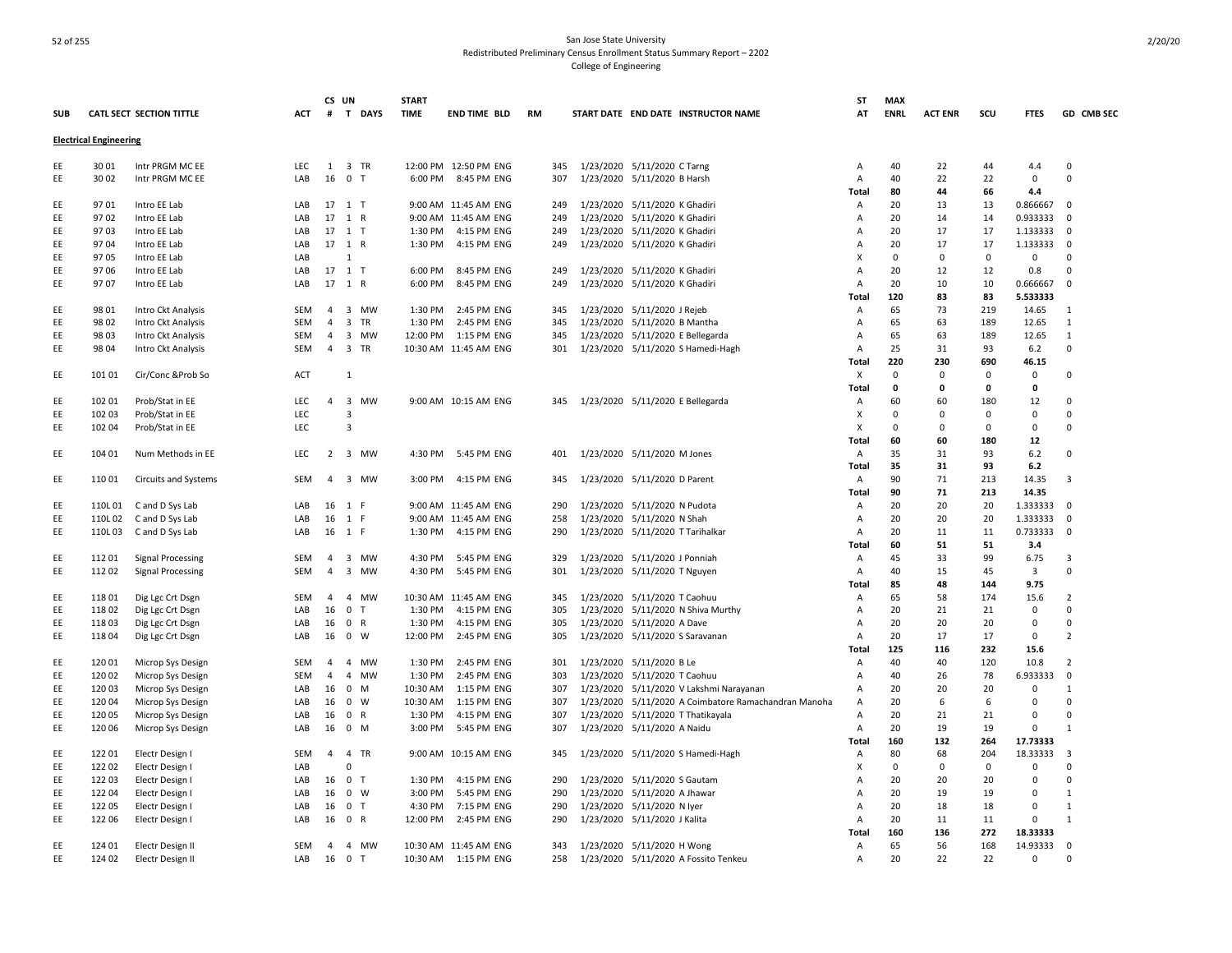|            |                               |                          |            |                | CS UN                       | <b>START</b> |                       |     |                                                      | ST             | <b>MAX</b>  |                |             |                |                |
|------------|-------------------------------|--------------------------|------------|----------------|-----------------------------|--------------|-----------------------|-----|------------------------------------------------------|----------------|-------------|----------------|-------------|----------------|----------------|
| <b>SUB</b> |                               | CATL SECT SECTION TITTLE | ACT        |                | # T DAYS                    | <b>TIME</b>  | <b>END TIME BLD</b>   | RM  | START DATE END DATE INSTRUCTOR NAME                  | AT             | <b>ENRL</b> | <b>ACT ENR</b> | scu         | <b>FTES</b>    | GD CMB SEC     |
|            | <b>Electrical Engineering</b> |                          |            |                |                             |              |                       |     |                                                      |                |             |                |             |                |                |
| EE         | 30 01                         | Intr PRGM MC EE          | LEC        |                | 1 3 TR                      |              | 12:00 PM 12:50 PM ENG | 345 | 1/23/2020 5/11/2020 C Tarng                          | Α              | 40          | 22             | 44          | 4.4            | $\mathbf 0$    |
| EE         | 30 02                         | Intr PRGM MC EE          | LAB        | 16             | 0 <sub>T</sub>              |              | 6:00 PM 8:45 PM ENG   | 307 | 1/23/2020 5/11/2020 B Harsh                          | Α              | 40          | 22             | 22          | 0              | 0              |
|            |                               |                          |            |                |                             |              |                       |     |                                                      | Total          | 80          | 44             | 66          | 4.4            |                |
| EE         | 9701                          | Intro EE Lab             | LAB        |                | 17 1 T                      |              | 9:00 AM 11:45 AM ENG  | 249 | 1/23/2020 5/11/2020 K Ghadiri                        | Α              | 20          | 13             | 13          | 0.866667       | $\mathbf 0$    |
| EE         | 9702                          | Intro EE Lab             | LAB        |                | 17 1 R                      |              | 9:00 AM 11:45 AM ENG  | 249 | 1/23/2020 5/11/2020 K Ghadiri                        | A              | 20          | 14             | 14          | 0.933333       | $\Omega$       |
| EE         | 9703                          | Intro EE Lab             | LAB        |                | 17 1 T                      | 1:30 PM      | 4:15 PM ENG           | 249 | 1/23/2020 5/11/2020 K Ghadiri                        | A              | 20          | 17             | 17          | 1.133333       | $\mathbf 0$    |
| EE         | 9704                          | Intro EE Lab             | LAB        |                | 17 1 R                      | 1:30 PM      | 4:15 PM ENG           | 249 | 1/23/2020 5/11/2020 K Ghadiri                        | Α              | 20          | 17             | 17          | 1.133333       | 0              |
| EE         | 9705                          | Intro EE Lab             | LAB        |                | 1                           |              |                       |     |                                                      | X              | $\mathbf 0$ | 0              | $\mathbf 0$ | $\mathbf 0$    | $\Omega$       |
| EE         | 9706                          | Intro EE Lab             | LAB        |                | 17 1 T                      | 6:00 PM      | 8:45 PM ENG           | 249 | 1/23/2020 5/11/2020 K Ghadiri                        | A              | 20          | 12             | 12          | 0.8            | $\Omega$       |
| EE         | 97 07                         | Intro EE Lab             | LAB        |                | 17 1 R                      | 6:00 PM      | 8:45 PM ENG           | 249 | 1/23/2020 5/11/2020 K Ghadiri                        | $\overline{A}$ | 20          | 10             | 10          | 0.666667       | $\Omega$       |
|            |                               |                          |            |                |                             |              |                       |     |                                                      | Total          | 120         | 83             | 83          | 5.533333       |                |
| EE         | 98 01                         | Intro Ckt Analysis       | SEM        | $\overline{4}$ | 3 MW                        | 1:30 PM      | 2:45 PM ENG           | 345 | 1/23/2020 5/11/2020 J Rejeb                          | Α              | 65          | 73             | 219         | 14.65          | 1              |
| EE         | 98 02                         | Intro Ckt Analysis       | <b>SEM</b> | $\overline{4}$ | 3 TR                        | 1:30 PM      | 2:45 PM ENG           | 345 | 1/23/2020 5/11/2020 B Mantha                         | Α              | 65          | 63             | 189         | 12.65          | 1              |
| EE         | 98 03                         | Intro Ckt Analysis       | SEM        | 4              | 3 MW                        | 12:00 PM     | 1:15 PM ENG           | 345 | 1/23/2020 5/11/2020 E Bellegarda                     | Α              | 65          | 63             | 189         | 12.65          | $\mathbf{1}$   |
| EE         | 98 04                         | Intro Ckt Analysis       | SEM        | $\overline{4}$ | 3 TR                        |              | 10:30 AM 11:45 AM ENG | 301 | 1/23/2020 5/11/2020 S Hamedi-Hagh                    | Α              | 25          | 31             | 93          | 6.2            | 0              |
|            |                               |                          |            |                |                             |              |                       |     |                                                      | Total          | 220         | 230            | 690         | 46.15          |                |
| EE         | 101 01                        | Cir/Conc &Prob So        | <b>ACT</b> |                | 1                           |              |                       |     |                                                      | X              | $\mathbf 0$ | 0              | 0           | 0              | 0              |
|            |                               |                          |            |                |                             |              |                       |     |                                                      | Total          | 0           | 0              | 0           | 0              |                |
| EE         | 102 01                        | Prob/Stat in EE          | LEC        |                | 4 3 MW                      |              | 9:00 AM 10:15 AM ENG  | 345 | 1/23/2020 5/11/2020 E Bellegarda                     | Α              | 60          | 60             | 180         | 12             | $\Omega$       |
| EE         | 102 03                        | Prob/Stat in EE          | LEC        |                | 3                           |              |                       |     |                                                      | X              | $\mathbf 0$ | 0              | 0           | 0              | $\mathbf 0$    |
| EE         | 102 04                        |                          | LEC        |                | 3                           |              |                       |     |                                                      | X              | 0           | 0              | 0           | 0              | 0              |
|            |                               | Prob/Stat in EE          |            |                |                             |              |                       |     |                                                      |                | 60          | 60             |             |                |                |
|            |                               |                          |            |                |                             |              |                       |     |                                                      | Total          |             |                | 180         | 12             | $\Omega$       |
| EE         | 104 01                        | Num Methods in EE        | <b>LEC</b> |                | 2 3 MW                      | 4:30 PM      | 5:45 PM ENG           | 401 | 1/23/2020 5/11/2020 M Jones                          | A              | 35<br>35    | 31<br>31       | 93<br>93    | 6.2<br>6.2     |                |
|            |                               |                          |            |                |                             |              |                       |     |                                                      | Total          |             |                |             |                |                |
| EE         | 11001                         | Circuits and Systems     | SEM        |                | 4 3 MW                      | 3:00 PM      | 4:15 PM ENG           | 345 | 1/23/2020 5/11/2020 D Parent                         | A              | 90          | 71             | 213         | 14.35          | $\overline{3}$ |
|            |                               |                          |            |                |                             |              |                       |     |                                                      | Total          | 90          | 71             | 213         | 14.35          |                |
| EE         | 110L01                        | C and D Sys Lab          | LAB        | 16             | 1 F                         |              | 9:00 AM 11:45 AM ENG  | 290 | 1/23/2020 5/11/2020 N Pudota                         | A              | 20          | 20             | 20          | 1.333333       | $\Omega$       |
| EE         | 110L02                        | C and D Sys Lab          | LAB        | 16             | 1 F                         |              | 9:00 AM 11:45 AM ENG  | 258 | 1/23/2020 5/11/2020 N Shah                           | A              | 20          | 20             | 20          | 1.333333       | $\mathbf 0$    |
| EE         | 110L03                        | C and D Sys Lab          | LAB        |                | 16 1 F                      |              | 1:30 PM 4:15 PM ENG   | 290 | 1/23/2020 5/11/2020 T Tarihalkar                     | $\overline{A}$ | 20          | 11             | 11          | 0.733333       | $\mathbf 0$    |
|            |                               |                          |            |                |                             |              |                       |     |                                                      | Total          | 60          | 51             | 51          | 3.4            |                |
| EE         | 11201                         | <b>Signal Processing</b> | SEM        | $\overline{4}$ | 3 MW                        | 4:30 PM      | 5:45 PM ENG           | 329 | 1/23/2020 5/11/2020 J Ponniah                        | A              | 45          | 33             | 99          | 6.75           | 3              |
| EE         | 112 02                        | <b>Signal Processing</b> | SEM        | 4              | 3 MW                        | 4:30 PM      | 5:45 PM ENG           | 301 | 1/23/2020 5/11/2020 T Nguyen                         | Α              | 40          | 15             | 45          | $\overline{3}$ | $\mathbf 0$    |
|            |                               |                          |            |                |                             |              |                       |     |                                                      | Total          | 85          | 48             | 144         | 9.75           |                |
| EE         | 11801                         | Dig Lgc Crt Dsgn         | <b>SEM</b> | $\overline{4}$ | 4 MW                        |              | 10:30 AM 11:45 AM ENG | 345 | 1/23/2020 5/11/2020 T Caohuu                         | Α              | 65          | 58             | 174         | 15.6           | $\overline{2}$ |
| EE         | 11802                         | Dig Lgc Crt Dsgn         | LAB        | 16             | 0 <sub>T</sub>              | 1:30 PM      | 4:15 PM ENG           | 305 | 1/23/2020 5/11/2020 N Shiva Murthy                   | Α              | 20          | 21             | 21          | $\mathsf 0$    | $\Omega$       |
| EE         | 11803                         | Dig Lgc Crt Dsgn         | LAB        | 16             | 0 R                         | 1:30 PM      | 4:15 PM ENG           | 305 | 1/23/2020 5/11/2020 A Dave                           | Α              | 20          | 20             | 20          | $\mathsf 0$    | $\mathbf 0$    |
| EE         | 11804                         | Dig Lgc Crt Dsgn         | LAB        |                | 16 0 W                      | 12:00 PM     | 2:45 PM ENG           | 305 | 1/23/2020 5/11/2020 S Saravanan                      | A              | 20          | 17             | 17          | 0              | $\overline{2}$ |
|            |                               |                          |            |                |                             |              |                       |     |                                                      | Total          | 125         | 116            | 232         | 15.6           |                |
| EE         | 120 01                        | Microp Sys Design        | <b>SEM</b> | $\overline{4}$ | <b>MW</b><br>$\overline{4}$ | 1:30 PM      | 2:45 PM ENG           | 301 | 1/23/2020 5/11/2020 B Le                             | Α              | 40          | 40             | 120         | 10.8           | $\overline{2}$ |
| EE         | 120 02                        | Microp Sys Design        | SEM        | $\overline{4}$ | 4 MW                        | 1:30 PM      | 2:45 PM ENG           | 303 | 1/23/2020 5/11/2020 T Caohuu                         | Α              | 40          | 26             | 78          | 6.933333       | $\mathbf 0$    |
| EE         | 12003                         | Microp Sys Design        | LAB        | 16             | 0 M                         | 10:30 AM     | 1:15 PM ENG           | 307 | 1/23/2020 5/11/2020 V Lakshmi Narayanan              | Α              | 20          | 20             | 20          | 0              | 1              |
| EE         | 12004                         | Microp Sys Design        | LAB        | 16             | 0 W                         | 10:30 AM     | 1:15 PM ENG           | 307 | 1/23/2020 5/11/2020 A Coimbatore Ramachandran Manoha | Α              | 20          | 6              | 6           | 0              | $\Omega$       |
| EE         | 12005                         | Microp Sys Design        | LAB        | 16             | 0 R                         | 1:30 PM      | 4:15 PM ENG           | 307 | 1/23/2020 5/11/2020 T Thatikayala                    | Α              | 20          | 21             | 21          | $\mathbf 0$    | $\Omega$       |
| EE         | 120 06                        | Microp Sys Design        | LAB        | 16             | $0$ M                       | 3:00 PM      | 5:45 PM ENG           | 307 | 1/23/2020 5/11/2020 A Naidu                          | Α              | 20          | 19             | 19          | $\mathbf 0$    | $\mathbf{1}$   |
|            |                               |                          |            |                |                             |              |                       |     |                                                      | Total          | 160         | 132            | 264         | 17.73333       |                |
| EE         | 122 01                        | Electr Design I          | <b>SEM</b> | 4              | $\overline{4}$<br>TR        |              | 9:00 AM 10:15 AM ENG  | 345 | 1/23/2020 5/11/2020 S Hamedi-Hagh                    | Α              | 80          | 68             | 204         | 18.33333       | 3              |
| EE         | 122 02                        | Electr Design I          | LAB        |                | $\Omega$                    |              |                       |     |                                                      | X              | $\mathbf 0$ | 0              | $\mathbf 0$ | $\mathbf 0$    | $\Omega$       |
| EE         | 12203                         | Electr Design I          | LAB        | 16             | 0 <sub>T</sub>              | 1:30 PM      | 4:15 PM ENG           | 290 | 1/23/2020 5/11/2020 S Gautam                         | $\overline{A}$ | 20          | 20             | 20          | $\mathbf 0$    | 0              |
| EE         | 12204                         | Electr Design I          | LAB        | 16             | 0 W                         | 3:00 PM      | 5:45 PM ENG           | 290 | 1/23/2020 5/11/2020 A Jhawar                         | Α              | 20          | 19             | 19          | $\Omega$       | $\mathbf{1}$   |
| EE         | 122 05                        | Electr Design I          | LAB        | 16             | 0 <sub>T</sub>              | 4:30 PM      | 7:15 PM ENG           | 290 | 1/23/2020 5/11/2020 N lyer                           | Α              | 20          | 18             | 18          | $\mathbf 0$    | 1              |
| EE         | 122 06                        | Electr Design I          | LAB        | 16             | 0 R                         | 12:00 PM     | 2:45 PM ENG           | 290 | 1/23/2020 5/11/2020 J Kalita                         | Α              | 20          | 11             | 11          | $\mathbf 0$    | $\mathbf{1}$   |
|            |                               |                          |            |                |                             |              |                       |     |                                                      | Total          | 160         | 136            | 272         | 18.33333       |                |
| EE         | 124 01                        | Electr Design II         | <b>SEM</b> | $\overline{4}$ | 4 MW                        |              | 10:30 AM 11:45 AM ENG | 343 | 1/23/2020 5/11/2020 H Wong                           | Α              | 65          | 56             | 168         | 14.93333       | $\mathbf 0$    |
| EE         | 124 02                        | Electr Design II         | LAB        | 16             | 0 <sub>T</sub>              |              | 10:30 AM  1:15 PM ENG | 258 | 1/23/2020 5/11/2020 A Fossito Tenkeu                 | Α              | 20          | 22             | 22          | 0              | $\Omega$       |
|            |                               |                          |            |                |                             |              |                       |     |                                                      |                |             |                |             |                |                |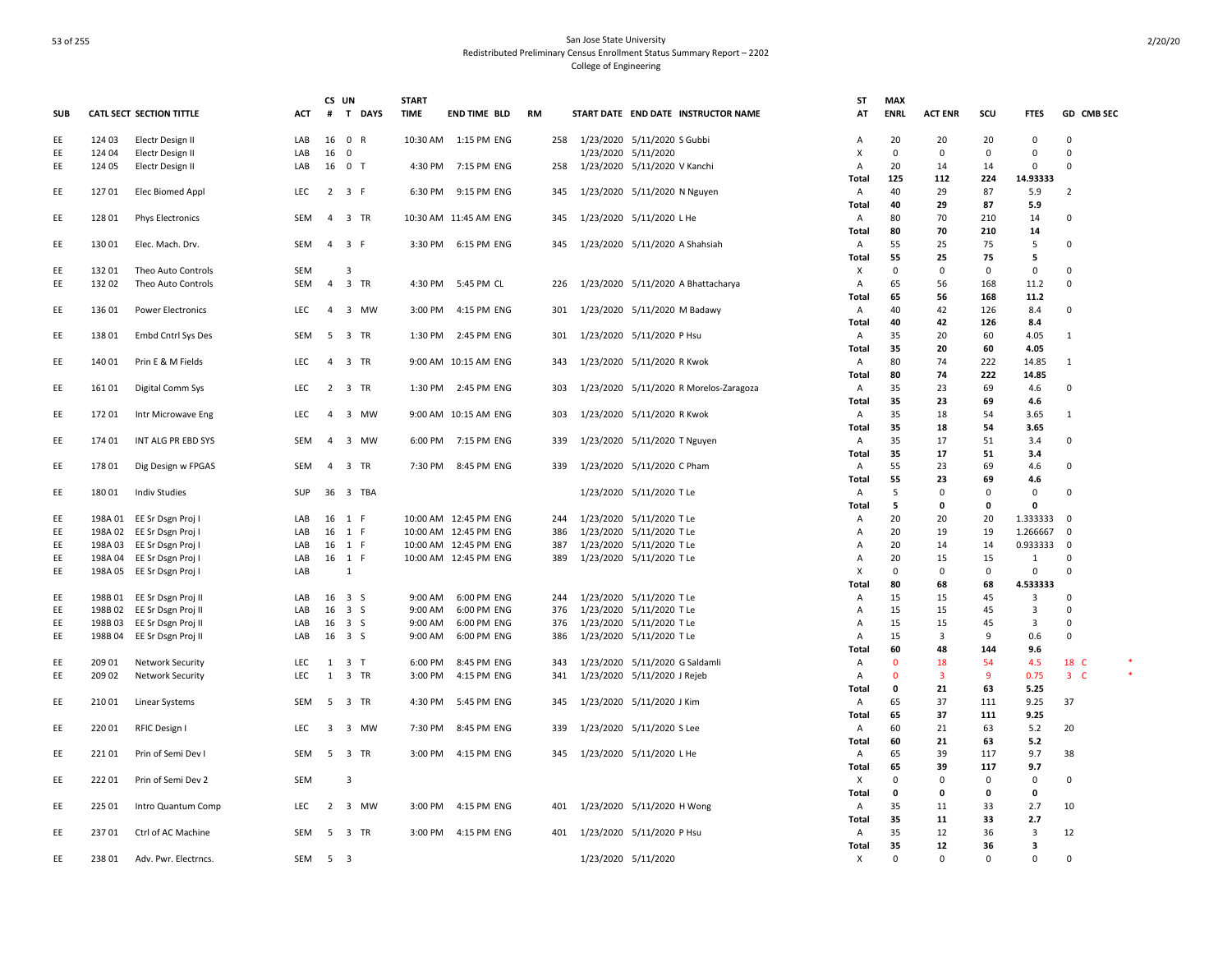|            |        |                                 |            | CS UN                   |                     | <b>START</b> |                       |     |                     |                                        | ST           | <b>MAX</b>   |                         |             |              |                |  |
|------------|--------|---------------------------------|------------|-------------------------|---------------------|--------------|-----------------------|-----|---------------------|----------------------------------------|--------------|--------------|-------------------------|-------------|--------------|----------------|--|
| <b>SUB</b> |        | <b>CATL SECT SECTION TITTLE</b> | ACT        | #                       | T DAYS              | <b>TIME</b>  | <b>END TIME BLD</b>   | RM  |                     | START DATE END DATE INSTRUCTOR NAME    | AT           | <b>ENRL</b>  | <b>ACT ENR</b>          | scu         | <b>FTES</b>  | GD CMB SEC     |  |
| EE         | 124 03 | Electr Design II                | LAB        |                         | 16 0 R              |              | 10:30 AM  1:15 PM ENG | 258 |                     | 1/23/2020 5/11/2020 S Gubbi            | Α            | 20           | 20                      | 20          | $\Omega$     | $\Omega$       |  |
| EE         | 124 04 | Electr Design II                | LAB        | 16                      | $\overline{0}$      |              |                       |     |                     | 1/23/2020 5/11/2020                    | X            | $^{\circ}$   | $\mathbf 0$             | $\mathbf 0$ | $\mathsf 0$  | $\mathbf 0$    |  |
| EE         | 124 05 | Electr Design II                | LAB        | 16 0 T                  |                     |              | 4:30 PM 7:15 PM ENG   | 258 |                     | 1/23/2020 5/11/2020 V Kanchi           | Α            | 20           | 14                      | 14          | $\mathbf 0$  | $\Omega$       |  |
|            |        |                                 |            |                         |                     |              |                       |     |                     |                                        | Total        | 125          | 112                     | 224         | 14.93333     |                |  |
| EE         | 12701  | Elec Biomed Appl                | LEC        |                         | $2 \t3 \tF$         |              | 6:30 PM 9:15 PM ENG   | 345 |                     | 1/23/2020 5/11/2020 N Nguyen           | Α            | 40           | 29                      | 87          | 5.9          | $\overline{2}$ |  |
|            |        |                                 |            |                         |                     |              |                       |     |                     |                                        | Total        | 40           | 29                      | 87          | 5.9          |                |  |
| EE         | 128 01 | <b>Phys Electronics</b>         | SEM        | $\overline{4}$          | 3 TR                |              | 10:30 AM 11:45 AM ENG | 345 |                     | 1/23/2020 5/11/2020 L He               | A            | 80           | 70                      | 210         | 14           | 0              |  |
|            |        |                                 |            |                         |                     |              |                       |     |                     |                                        | Total        | 80           | 70                      | 210         | 14           |                |  |
| EE         | 130 01 | Elec. Mach. Drv.                | SEM        |                         | 4 3 F               |              | 3:30 PM 6:15 PM ENG   | 345 |                     | 1/23/2020 5/11/2020 A Shahsiah         | A            | 55           | 25                      | 75          | 5            | $\mathbf 0$    |  |
|            |        |                                 |            |                         |                     |              |                       |     |                     |                                        | Total        | 55           | 25                      | 75          | 5            |                |  |
| EE         | 132 01 | Theo Auto Controls              | <b>SEM</b> |                         | 3                   |              |                       |     |                     |                                        | X            | $\mathbf{0}$ | $\mathbf 0$             | $\mathbf 0$ | 0            | $\Omega$       |  |
| EE         | 13202  | Theo Auto Controls              | SEM        |                         | 4 3 TR              |              | 4:30 PM 5:45 PM CL    | 226 |                     | 1/23/2020 5/11/2020 A Bhattacharya     | Α            | 65           | 56                      | 168         | 11.2         | $\mathbf 0$    |  |
|            |        |                                 |            |                         |                     |              |                       |     |                     |                                        | Total        | 65           | 56                      | 168         | 11.2         |                |  |
| EE         | 13601  | <b>Power Electronics</b>        | <b>LEC</b> | $\overline{4}$          | 3 MW                |              | 3:00 PM 4:15 PM ENG   | 301 |                     | 1/23/2020 5/11/2020 M Badawy           | A            | 40           | 42                      | 126         | 8.4          | 0              |  |
|            |        |                                 |            |                         |                     |              |                       |     |                     |                                        |              | 40           | 42                      | 126         | 8.4          |                |  |
|            |        |                                 | SEM        |                         |                     |              | 1:30 PM 2:45 PM ENG   |     |                     |                                        | Total        | 35           |                         |             |              |                |  |
| EE         | 13801  | Embd Cntrl Sys Des              |            | 5                       | 3 TR                |              |                       | 301 |                     | 1/23/2020 5/11/2020 P Hsu              | A            |              | 20                      | 60          | 4.05         | -1             |  |
|            |        |                                 |            |                         |                     |              |                       |     |                     |                                        | Total        | 35           | 20                      | 60          | 4.05         |                |  |
| EE         | 140 01 | Prin E & M Fields               | LEC        | $\overline{4}$          | 3 TR                |              | 9:00 AM 10:15 AM ENG  | 343 |                     | 1/23/2020 5/11/2020 R Kwok             | A            | 80           | 74                      | 222         | 14.85        | 1              |  |
|            |        |                                 |            |                         |                     |              |                       |     |                     |                                        | Total        | 80           | 74                      | 222         | 14.85        |                |  |
| EE         | 16101  | Digital Comm Sys                | LEC        |                         | 2 3 TR              |              | 1:30 PM 2:45 PM ENG   | 303 |                     | 1/23/2020 5/11/2020 R Morelos-Zaragoza | A            | 35           | 23                      | 69          | 4.6          | 0              |  |
|            |        |                                 |            |                         |                     |              |                       |     |                     |                                        | Total        | 35           | 23                      | 69          | 4.6          |                |  |
| EE         | 17201  | Intr Microwave Eng              | LEC        | $\overline{4}$          | 3 MW                |              | 9:00 AM 10:15 AM ENG  | 303 |                     | 1/23/2020 5/11/2020 R Kwok             | Α            | 35           | 18                      | 54          | 3.65         | 1              |  |
|            |        |                                 |            |                         |                     |              |                       |     |                     |                                        | Total        | 35           | 18                      | 54          | 3.65         |                |  |
| EE         | 174 01 | INT ALG PR EBD SYS              | SEM        | $\overline{4}$          | 3 MW                |              | 6:00 PM 7:15 PM ENG   | 339 |                     | 1/23/2020 5/11/2020 T Nguyen           | A            | 35           | 17                      | 51          | 3.4          | $\Omega$       |  |
|            |        |                                 |            |                         |                     |              |                       |     |                     |                                        | <b>Total</b> | 35           | 17                      | 51          | 3.4          |                |  |
| EE         | 17801  | Dig Design w FPGAS              | SEM        | $\overline{4}$          | 3 TR                |              | 7:30 PM 8:45 PM ENG   | 339 |                     | 1/23/2020 5/11/2020 C Pham             | Α            | 55           | 23                      | 69          | 4.6          | $\mathbf 0$    |  |
|            |        |                                 |            |                         |                     |              |                       |     |                     |                                        | <b>Total</b> | 55           | 23                      | 69          | 4.6          |                |  |
| EE         | 180 01 | <b>Indiv Studies</b>            | SUP        |                         | 36 3 TBA            |              |                       |     |                     | 1/23/2020 5/11/2020 T Le               | A            | 5            | $\mathbf 0$             | $\mathbf 0$ | 0            | $\Omega$       |  |
|            |        |                                 |            |                         |                     |              |                       |     |                     |                                        | Total        | 5            | 0                       | $\Omega$    | $\mathbf{0}$ |                |  |
| EE         |        | 198A 01 EE Sr Dsgn Proj I       | LAB        | 16 1 F                  |                     |              | 10:00 AM 12:45 PM ENG | 244 |                     | 1/23/2020 5/11/2020 T Le               | A            | 20           | 20                      | 20          | 1.333333     | 0              |  |
| EE         |        | 198A 02 EE Sr Dsgn Proj I       | LAB        | 16 1 F                  |                     |              | 10:00 AM 12:45 PM ENG | 386 |                     | 1/23/2020 5/11/2020 T Le               | Α            | 20           | 19                      | 19          | 1.266667     | $\mathbf 0$    |  |
| EE         |        | 198A 03 EE Sr Dsgn Proj I       | LAB        | 16 1 F                  |                     |              | 10:00 AM 12:45 PM ENG | 387 |                     | 1/23/2020 5/11/2020 T Le               | Α            | 20           | 14                      | 14          | 0.933333     | $\mathbf 0$    |  |
| EE         |        | 198A 04 EE Sr Dsgn Proj I       | LAB        | 16 1 F                  |                     |              | 10:00 AM 12:45 PM ENG | 389 |                     | 1/23/2020 5/11/2020 T Le               | Α            | 20           | 15                      | 15          | 1            | 0              |  |
| EE         |        | 198A 05 EE Sr Dsgn Proj I       | LAB        |                         | 1                   |              |                       |     |                     |                                        | X            | $^{\circ}$   | $\mathbf 0$             | $\mathbf 0$ | $\Omega$     | $\Omega$       |  |
|            |        |                                 |            |                         |                     |              |                       |     |                     |                                        | <b>Total</b> | 80           | 68                      | 68          | 4.533333     |                |  |
| EE         |        | 198B 01 EE Sr Dsgn Proj II      | LAB        | 16 3 S                  |                     | 9:00 AM      | 6:00 PM ENG           | 244 |                     | 1/23/2020 5/11/2020 T Le               | A            | 15           | 15                      | 45          | 3            | $\mathbf 0$    |  |
|            |        |                                 |            | $16 \quad 3 \quad S$    |                     |              |                       |     |                     |                                        |              |              |                         |             |              | $\Omega$       |  |
| EE         |        | 198B 02 EE Sr Dsgn Proj II      | LAB        |                         |                     | 9:00 AM      | 6:00 PM ENG           | 376 |                     | 1/23/2020 5/11/2020 T Le               | Α            | 15           | 15                      | 45          | 3            |                |  |
| EE         | 198B03 | EE Sr Dsgn Proj II              | LAB        | 16 3 S                  |                     | 9:00 AM      | 6:00 PM ENG           | 376 |                     | 1/23/2020 5/11/2020 T Le               | A            | 15           | 15                      | 45          | 3            | $\Omega$       |  |
| EE         | 198B04 | EE Sr Dsgn Proj II              | LAB        | 16 3 S                  |                     | 9:00 AM      | 6:00 PM ENG           | 386 |                     | 1/23/2020 5/11/2020 T Le               | Α            | 15           | 3                       | 9           | 0.6          | $\mathbf 0$    |  |
|            |        |                                 |            |                         |                     |              |                       |     |                     |                                        | Total        | 60           | 48                      | 144         | 9.6          |                |  |
| EE         | 209 01 | <b>Network Security</b>         | LEC        |                         | $1 \quad 3 \quad T$ |              | 6:00 PM 8:45 PM ENG   | 343 |                     | 1/23/2020 5/11/2020 G Saldamli         | A            | $\mathbf{0}$ | 18                      | 54          | 4.5          | 18 C           |  |
| EE         | 209 02 | <b>Network Security</b>         | <b>LEC</b> | 1                       | 3 TR                |              | 3:00 PM 4:15 PM ENG   | 341 |                     | 1/23/2020 5/11/2020 J Rejeb            | Α            | $\Omega$     | $\overline{\mathbf{3}}$ | 9           | 0.75         | $3-$           |  |
|            |        |                                 |            |                         |                     |              |                       |     |                     |                                        | Total        | $\mathbf 0$  | 21                      | 63          | 5.25         |                |  |
| EE         | 21001  | Linear Systems                  | SEM        |                         | 5 3 TR              |              | 4:30 PM 5:45 PM ENG   | 345 |                     | 1/23/2020 5/11/2020 J Kim              | A            | 65           | 37                      | 111         | 9.25         | 37             |  |
|            |        |                                 |            |                         |                     |              |                       |     |                     |                                        | Total        | 65           | 37                      | 111         | 9.25         |                |  |
| EE         | 22001  | RFIC Design I                   | <b>LEC</b> | $\overline{\mathbf{3}}$ | 3 MW                |              | 7:30 PM 8:45 PM ENG   | 339 |                     | 1/23/2020 5/11/2020 S Lee              | A            | 60           | 21                      | 63          | 5.2          | 20             |  |
|            |        |                                 |            |                         |                     |              |                       |     |                     |                                        | Total        | 60           | 21                      | 63          | 5.2          |                |  |
| EE         | 22101  | Prin of Semi Dev I              | SEM        |                         | 5 3 TR              |              | 3:00 PM 4:15 PM ENG   | 345 |                     | 1/23/2020 5/11/2020 L He               | A            | 65           | 39                      | 117         | 9.7          | 38             |  |
|            |        |                                 |            |                         |                     |              |                       |     |                     |                                        | Total        | 65           | 39                      | 117         | 9.7          |                |  |
| EE         | 22201  | Prin of Semi Dev 2              | SEM        |                         | 3                   |              |                       |     |                     |                                        | X            | 0            | $\mathbf 0$             | $\mathbf 0$ | $\mathbf 0$  | 0              |  |
|            |        |                                 |            |                         |                     |              |                       |     |                     |                                        | Total        | $\mathbf 0$  | 0                       | 0           | 0            |                |  |
| EE         | 225 01 | Intro Quantum Comp              | LEC        |                         | 2 3 MW              |              | 3:00 PM 4:15 PM ENG   | 401 |                     | 1/23/2020 5/11/2020 H Wong             | Α            | 35           | 11                      | 33          | 2.7          | 10             |  |
|            |        |                                 |            |                         |                     |              |                       |     |                     |                                        | Total        | 35           | 11                      | 33          | 2.7          |                |  |
| EE         | 23701  | Ctrl of AC Machine              | SEM        | - 5                     | 3 TR                |              | 3:00 PM 4:15 PM ENG   | 401 |                     | 1/23/2020 5/11/2020 P Hsu              | A            | 35           | 12                      | 36          | 3            | 12             |  |
|            |        |                                 |            |                         |                     |              |                       |     |                     |                                        | Total        | 35           | 12                      | 36          | 3            |                |  |
| EE         | 23801  | Adv. Pwr. Electrncs.            | SEM        | 5 <sub>3</sub>          |                     |              |                       |     | 1/23/2020 5/11/2020 |                                        | х            | 0            | $\mathbf 0$             | $\Omega$    | $\mathbf 0$  | $\mathbf 0$    |  |
|            |        |                                 |            |                         |                     |              |                       |     |                     |                                        |              |              |                         |             |              |                |  |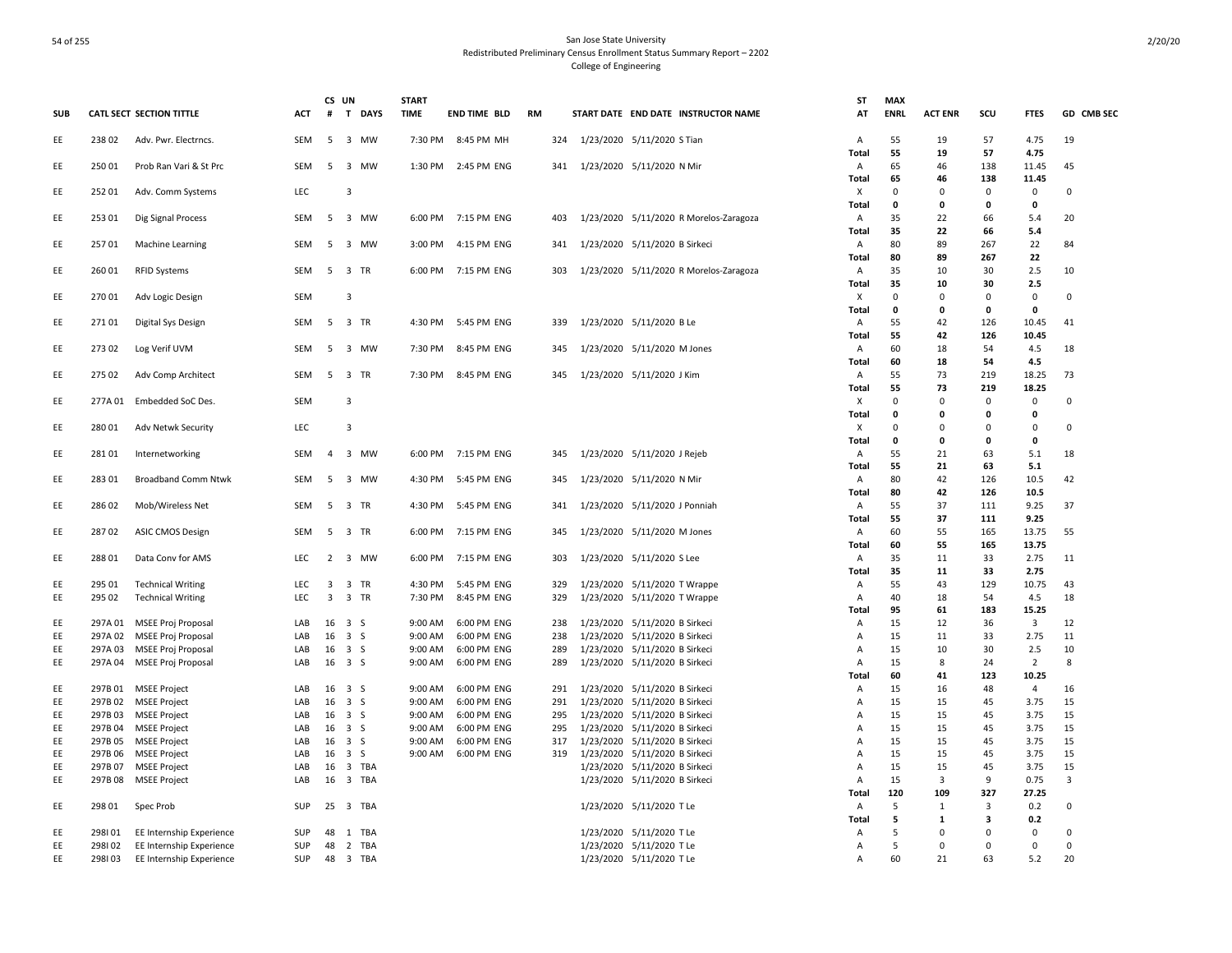|            |         |                                             |            | CS UN |                      | <b>START</b>       |                            |            |                                                                | ST           | <b>MAX</b>   |                |            |                         |             |
|------------|---------|---------------------------------------------|------------|-------|----------------------|--------------------|----------------------------|------------|----------------------------------------------------------------|--------------|--------------|----------------|------------|-------------------------|-------------|
| <b>SUB</b> |         | CATL SECT SECTION TITTLE                    | ACT        | #     | T DAYS               | <b>TIME</b>        | <b>END TIME BLD</b>        | RM         | START DATE END DATE INSTRUCTOR NAME                            | AT           | <b>ENRL</b>  | <b>ACT ENR</b> | SCU        | <b>FTES</b>             | GD CMB SEC  |
| EE         | 23802   | Adv. Pwr. Electrncs.                        | SEM        |       | 5 3 MW               | 7:30 PM            | 8:45 PM MH                 | 324        | 1/23/2020 5/11/2020 S Tian                                     | A            | 55           | 19             | 57         | 4.75                    | 19          |
|            |         |                                             |            |       |                      |                    |                            |            |                                                                | Total        | 55           | 19             | 57         | 4.75                    |             |
| EE         | 25001   | Prob Ran Vari & St Prc                      | <b>SEM</b> | 5     | 3 MW                 | 1:30 PM            | 2:45 PM ENG                | 341        | 1/23/2020 5/11/2020 N Mir                                      | Α            | 65           | 46             | 138        | 11.45                   | 45          |
|            |         |                                             |            |       |                      |                    |                            |            |                                                                | Total        | 65           | 46             | 138        | 11.45                   |             |
| EE         | 25201   | Adv. Comm Systems                           | LEC        |       | 3                    |                    |                            |            |                                                                | х            | $\Omega$     | 0              | 0          | 0                       | 0           |
|            |         |                                             |            |       |                      |                    |                            |            |                                                                | Total        | 0            | 0              | 0          | 0                       |             |
| EE         | 253 01  | Dig Signal Process                          | SEM        | 5     | 3 MW                 |                    | 6:00 PM 7:15 PM ENG        | 403        | 1/23/2020 5/11/2020 R Morelos-Zaragoza                         | Α<br>Total   | 35<br>35     | 22<br>22       | 66<br>66   | 5.4<br>5.4              | 20          |
| EE         | 25701   | Machine Learning                            | <b>SEM</b> | 5     | 3 MW                 | 3:00 PM            | 4:15 PM ENG                | 341        | 1/23/2020 5/11/2020 B Sirkeci                                  | Α            | 80           | 89             | 267        | 22                      | 84          |
|            |         |                                             |            |       |                      |                    |                            |            |                                                                | Total        | 80           | 89             | 267        | 22                      |             |
| EE         | 260 01  | <b>RFID Systems</b>                         | SEM        |       | 5 3 TR               |                    | 6:00 PM 7:15 PM ENG        | 303        | 1/23/2020 5/11/2020 R Morelos-Zaragoza                         | Α            | 35           | 10             | 30         | 2.5                     | 10          |
|            |         |                                             |            |       |                      |                    |                            |            |                                                                | Total        | 35           | 10             | 30         | 2.5                     |             |
| EE         | 27001   | Adv Logic Design                            | SEM        |       | 3                    |                    |                            |            |                                                                | х            | $\mathbf 0$  | $\mathbf 0$    | 0          | $\mathsf{O}\xspace$     | 0           |
|            |         |                                             |            |       |                      |                    |                            |            |                                                                | Total        | 0            | $\mathbf{0}$   | 0          | 0                       |             |
| EE         | 27101   | Digital Sys Design                          | SEM        |       | 5 3 TR               | 4:30 PM            | 5:45 PM ENG                | 339        | 1/23/2020 5/11/2020 B Le                                       | Α            | 55           | 42             | 126        | 10.45                   | 41          |
|            |         |                                             |            |       |                      |                    |                            |            |                                                                | Total        | 55           | 42             | 126        | 10.45                   |             |
| EE         | 27302   | Log Verif UVM                               | SEM        | 5     | 3 MW                 | 7:30 PM            | 8:45 PM ENG                | 345        | 1/23/2020 5/11/2020 M Jones                                    | A            | 60           | 18             | 54         | 4.5                     | 18          |
|            |         |                                             |            |       |                      |                    |                            |            |                                                                | Total        | 60           | 18             | 54         | 4.5                     |             |
| EE         | 275 02  | Adv Comp Architect                          | SEM        |       | 5 3 TR               | 7:30 PM            | 8:45 PM ENG                | 345        | 1/23/2020 5/11/2020 J Kim                                      | A            | 55           | 73             | 219        | 18.25                   | 73          |
|            |         |                                             |            |       |                      |                    |                            |            |                                                                | Total        | 55           | 73             | 219        | 18.25                   |             |
| EE         | 277A 01 | Embedded SoC Des.                           | SEM        |       | 3                    |                    |                            |            |                                                                | X            | $\mathbf 0$  | $\Omega$       | 0          | 0                       | $\Omega$    |
|            |         |                                             |            |       |                      |                    |                            |            |                                                                | <b>Total</b> | $\mathbf{0}$ | $\mathbf{0}$   | $\Omega$   | 0                       |             |
| EE         | 280 01  | Adv Netwk Security                          | LEC        |       | $\overline{3}$       |                    |                            |            |                                                                | X            | $\mathbf 0$  | $\mathbf 0$    | $\Omega$   | 0                       | $\mathbf 0$ |
|            |         |                                             |            |       |                      |                    |                            |            |                                                                | Total        | $\mathbf{o}$ | 0              | 0          | 0                       |             |
| EE         | 28101   | Internetworking                             | SEM        | 4     | 3 MW                 | 6:00 PM            | 7:15 PM ENG                | 345        | 1/23/2020 5/11/2020 J Rejeb                                    | A            | 55           | 21             | 63         | 5.1                     | 18          |
|            |         |                                             |            |       |                      |                    |                            |            |                                                                | Total        | 55           | 21             | 63         | 5.1                     |             |
| EE         | 283 01  | <b>Broadband Comm Ntwk</b>                  | <b>SEM</b> | -5    | 3 MW                 | 4:30 PM            | 5:45 PM ENG                | 345        | 1/23/2020 5/11/2020 N Mir                                      | Α<br>Total   | 80<br>80     | 42<br>42       | 126<br>126 | 10.5<br>10.5            | 42          |
| EE         | 28602   | Mob/Wireless Net                            | SEM        | 5     | 3 TR                 | 4:30 PM            | 5:45 PM ENG                | 341        | 1/23/2020 5/11/2020 J Ponniah                                  | Α            | 55           | 37             | 111        | 9.25                    | 37          |
|            |         |                                             |            |       |                      |                    |                            |            |                                                                | Total        | 55           | 37             | 111        | 9.25                    |             |
| EE         | 28702   | <b>ASIC CMOS Design</b>                     | SEM        |       | 5 3 TR               | 6:00 PM            | 7:15 PM ENG                | 345        | 1/23/2020 5/11/2020 M Jones                                    | Α            | 60           | 55             | 165        | 13.75                   | 55          |
|            |         |                                             |            |       |                      |                    |                            |            |                                                                | Total        | 60           | 55             | 165        | 13.75                   |             |
| EE         | 288 01  | Data Conv for AMS                           | LEC        |       | 2 3 MW               | 6:00 PM            | 7:15 PM ENG                | 303        | 1/23/2020 5/11/2020 S Lee                                      | A            | 35           | 11             | 33         | 2.75                    | 11          |
|            |         |                                             |            |       |                      |                    |                            |            |                                                                | Total        | 35           | 11             | 33         | 2.75                    |             |
| EE         | 295 01  | <b>Technical Writing</b>                    | <b>LEC</b> | 3     | 3 TR                 | 4:30 PM            | 5:45 PM ENG                | 329        | 1/23/2020 5/11/2020 T Wrappe                                   | Α            | 55           | 43             | 129        | 10.75                   | 43          |
| EE         | 295 02  | <b>Technical Writing</b>                    | LEC        | 3     | 3 TR                 | 7:30 PM            | 8:45 PM ENG                | 329        | 1/23/2020 5/11/2020 T Wrappe                                   | Α            | 40           | 18             | 54         | 4.5                     | 18          |
|            |         |                                             |            |       |                      |                    |                            |            |                                                                | <b>Total</b> | 95           | 61             | 183        | 15.25                   |             |
| EE         |         | 297A 01 MSEE Proj Proposal                  | LAB        |       | 16 3 S               | 9:00 AM            | 6:00 PM ENG                | 238        | 1/23/2020 5/11/2020 B Sirkeci                                  | Α            | 15           | 12             | 36         | $\overline{\mathbf{3}}$ | 12          |
| EE         | 297A 02 | MSEE Proj Proposal                          | LAB        | 16    | 3S                   | 9:00 AM            | 6:00 PM ENG                | 238        | 1/23/2020 5/11/2020 B Sirkeci                                  | Α            | 15           | 11             | 33         | 2.75                    | 11          |
| EE.        | 297A 03 | MSEE Proj Proposal                          | LAB        | 16    | 3S                   | 9:00 AM            | 6:00 PM ENG                | 289        | 1/23/2020 5/11/2020 B Sirkeci                                  | A            | 15           | 10             | 30         | 2.5                     | 10          |
| EE         |         | 297A 04 MSEE Proj Proposal                  | LAB        |       | $16 \quad 3 \quad S$ | 9:00 AM            | 6:00 PM ENG                | 289        | 1/23/2020 5/11/2020 B Sirkeci                                  | Α            | 15           | 8              | 24         | 2                       | 8           |
|            |         |                                             |            |       |                      |                    |                            |            |                                                                | Total        | 60           | 41             | 123        | 10.25                   |             |
| EE         |         | 297B 01 MSEE Project                        | LAB        | 16    | 3 S                  | 9:00 AM            | 6:00 PM ENG                | 291        | 1/23/2020 5/11/2020 B Sirkeci                                  | Α            | 15           | 16             | 48         | $\overline{4}$          | 16          |
| EE         |         | 297B 02 MSEE Project                        | LAB<br>LAB | 16    | 3S<br>3S             | 9:00 AM            | 6:00 PM ENG<br>6:00 PM ENG | 291<br>295 | 1/23/2020 5/11/2020 B Sirkeci<br>1/23/2020 5/11/2020 B Sirkeci | Α            | 15<br>15     | 15             | 45<br>45   | 3.75                    | 15<br>15    |
| EE<br>EE   | 297B03  | <b>MSEE Project</b><br>297B 04 MSEE Project | LAB        | 16    | 16 3 S               | 9:00 AM<br>9:00 AM | 6:00 PM ENG                | 295        | 1/23/2020 5/11/2020 B Sirkeci                                  | Α<br>Α       | 15           | 15<br>15       | 45         | 3.75<br>3.75            | 15          |
| EE         | 297B 05 | MSEE Project                                | LAB        | 16    | 3S                   | 9:00 AM            | 6:00 PM ENG                | 317        | 1/23/2020 5/11/2020 B Sirkeci                                  | Α            | 15           | 15             | 45         | 3.75                    | 15          |
| EE         | 297B 06 | <b>MSEE Project</b>                         | LAB        | 16    | 3S                   | 9:00 AM            | 6:00 PM ENG                | 319        | 1/23/2020 5/11/2020 B Sirkeci                                  | Α            | 15           | 15             | 45         | 3.75                    | 15          |
| EE         | 297B 07 | MSEE Project                                | LAB        | 16    | 3 TBA                |                    |                            |            | 1/23/2020 5/11/2020 B Sirkeci                                  | Α            | 15           | 15             | 45         | 3.75                    | 15          |
| EE         |         | 297B 08 MSEE Project                        | LAB        | 16    | 3 TBA                |                    |                            |            | 1/23/2020 5/11/2020 B Sirkeci                                  | Α            | 15           | 3              | 9          | 0.75                    | 3           |
|            |         |                                             |            |       |                      |                    |                            |            |                                                                | Total        | 120          | 109            | 327        | 27.25                   |             |
| EE         | 298 01  | Spec Prob                                   | SUP        |       | 25 3 TBA             |                    |                            |            | 1/23/2020 5/11/2020 T Le                                       | A            | 5            | $\mathbf{1}$   | 3          | 0.2                     | $\Omega$    |
|            |         |                                             |            |       |                      |                    |                            |            |                                                                | Total        | 5            | $\mathbf{1}$   | 3          | 0.2                     |             |
| EE         | 298101  | EE Internship Experience                    | SUP        | 48    | 1 TBA                |                    |                            |            | 1/23/2020 5/11/2020 T Le                                       | Α            | 5            | $\Omega$       | $\Omega$   | 0                       | $\Omega$    |
| EE         | 298102  | EE Internship Experience                    | SUP        | 48    | 2 TBA                |                    |                            |            | 1/23/2020 5/11/2020 T Le                                       | Α            | 5            | $\mathbf 0$    | $\Omega$   | 0                       | $\mathbf 0$ |
| EE         | 298103  | EE Internship Experience                    | SUP        |       | 48 3 TBA             |                    |                            |            | 1/23/2020 5/11/2020 T Le                                       | A            | 60           | 21             | 63         | 5.2                     | 20          |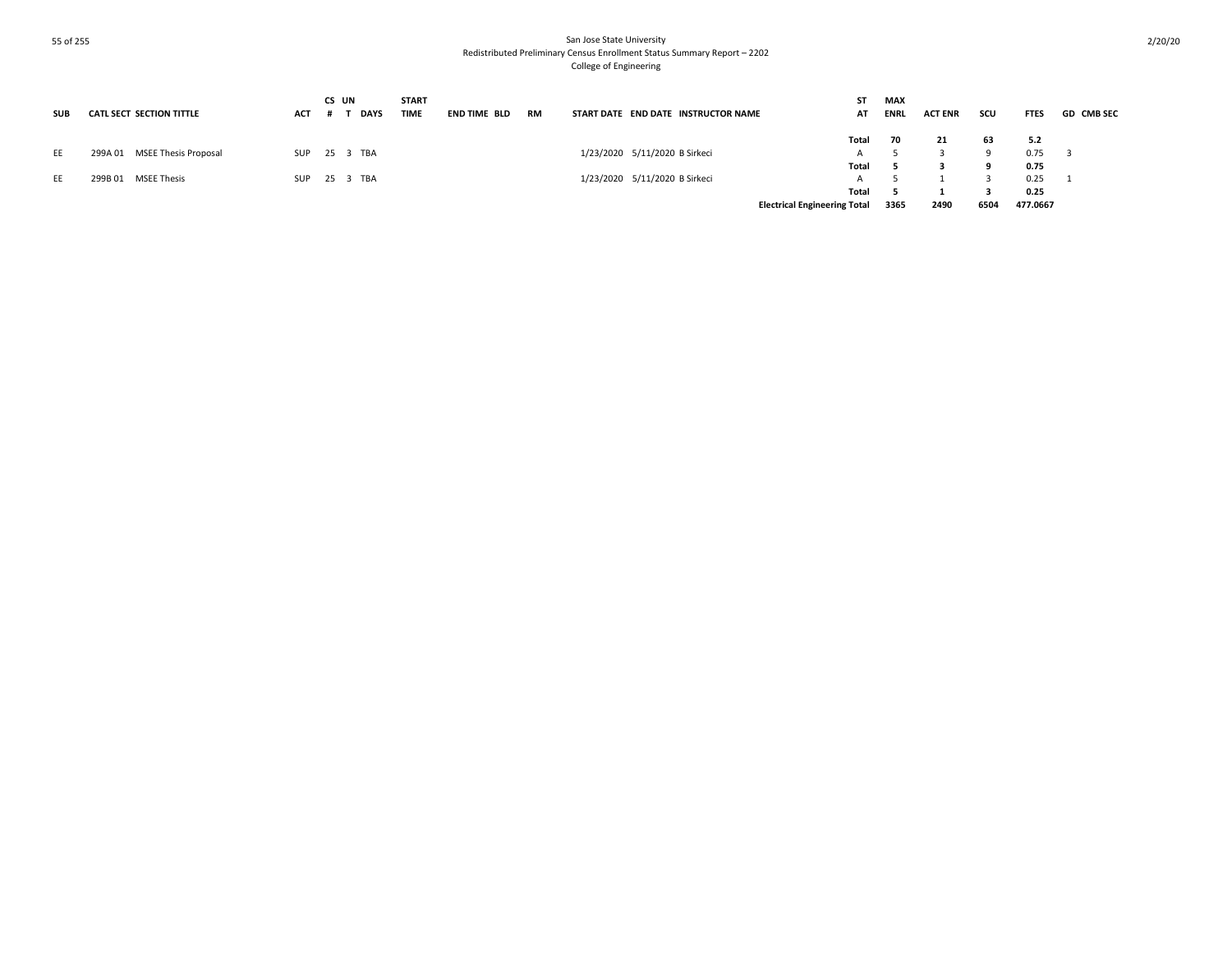| <b>SUB</b> | <b>CATL SECT SECTION TITTLE</b> | <b>ACT</b> | CS UN<br><b>DAYS</b> | <b>START</b><br><b>TIME</b> | END TIME BLD | <b>RM</b> | START DATE END DATE INSTRUCTOR NAME | <b>ST</b><br>AT                     | <b>MAX</b><br><b>ENRL</b> |    | <b>ACT ENR</b> | scu  | <b>FTES</b> | <b>GD CMB SEC</b> |
|------------|---------------------------------|------------|----------------------|-----------------------------|--------------|-----------|-------------------------------------|-------------------------------------|---------------------------|----|----------------|------|-------------|-------------------|
|            |                                 |            |                      |                             |              |           |                                     | Total                               |                           | 70 | 21             | 63   | 5.2         |                   |
| EE         | 299A 01 MSEE Thesis Proposal    | <b>SUP</b> | 25 3 TBA             |                             |              |           | 1/23/2020 5/11/2020 B Sirkeci       | $\overline{A}$                      |                           |    |                |      | 0.75        |                   |
|            |                                 |            |                      |                             |              |           |                                     | Total                               |                           |    |                |      | 0.75        |                   |
| EE         | 299B 01 MSEE Thesis             | SUP        | 25 3 TBA             |                             |              |           | 1/23/2020 5/11/2020 B Sirkeci       | $\overline{A}$                      |                           |    |                |      | 0.25        |                   |
|            |                                 |            |                      |                             |              |           |                                     | Total                               |                           |    |                |      | 0.25        |                   |
|            |                                 |            |                      |                             |              |           |                                     | <b>Electrical Engineering Total</b> | 3365                      |    | 2490           | 6504 | 477.0667    |                   |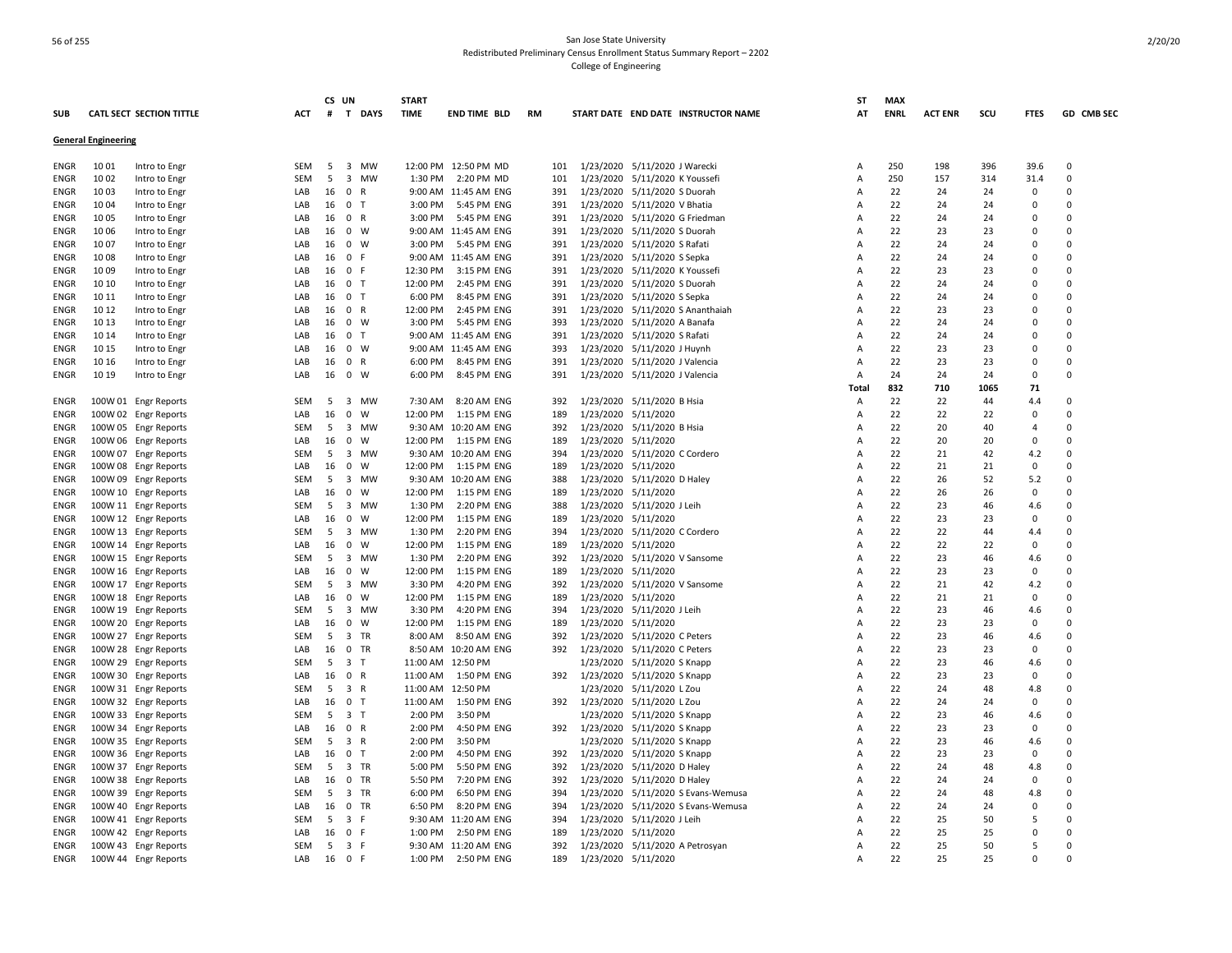|             |                            |                                 |     | CS UN |                               | <b>START</b> |                          |     |           |                                     | SΤ             | <b>MAX</b>  |                |      |                |            |
|-------------|----------------------------|---------------------------------|-----|-------|-------------------------------|--------------|--------------------------|-----|-----------|-------------------------------------|----------------|-------------|----------------|------|----------------|------------|
| SUB         |                            | <b>CATL SECT SECTION TITTLE</b> | ACT | #     | T DAYS                        | <b>TIME</b>  | <b>END TIME BLD</b>      | RM  |           | START DATE END DATE INSTRUCTOR NAME | AT             | <b>ENRL</b> | <b>ACT ENR</b> | scu  | <b>FTES</b>    | GD CMB SEC |
|             | <b>General Engineering</b> |                                 |     |       |                               |              |                          |     |           |                                     |                |             |                |      |                |            |
|             |                            |                                 |     |       |                               |              |                          |     |           |                                     |                |             |                |      |                |            |
| ENGR        | 10 01                      | Intro to Engr                   | SEM | 5     | 3 MW                          |              | 12:00 PM 12:50 PM MD     | 101 |           | 1/23/2020 5/11/2020 J Warecki       | Α              | 250         | 198            | 396  | 39.6           | 0          |
| ENGR        | 10 02                      | Intro to Engr                   | SEM | - 5   | 3 MW                          |              | 1:30 PM 2:20 PM MD       | 101 |           | 1/23/2020 5/11/2020 K Youssefi      | Α              | 250         | 157            | 314  | 31.4           | $\Omega$   |
| ENGR        | 10 03                      | Intro to Engr                   | LAB | 16    | $^{\circ}$<br>$\mathsf{R}$    |              | 9:00 AM 11:45 AM ENG     | 391 | 1/23/2020 | 5/11/2020 S Duorah                  | Α              | 22          | 24             | 24   | 0              | $\Omega$   |
| ENGR        | 10 04                      | Intro to Engr                   | LAB | 16    | 0 <sub>T</sub>                |              | 3:00 PM 5:45 PM ENG      | 391 |           | 1/23/2020 5/11/2020 V Bhatia        | $\overline{A}$ | 22          | 24             | 24   | $\mathbf 0$    | $\Omega$   |
| ENGR        | 10 05                      | Intro to Engr                   | LAB | 16    | 0 R                           | 3:00 PM      | 5:45 PM ENG              | 391 | 1/23/2020 | 5/11/2020 G Friedman                | A              | 22          | 24             | 24   | $\overline{0}$ | $\Omega$   |
| ENGR        | 1006                       | Intro to Engr                   | LAB | 16    | $0 \quad W$                   |              | 9:00 AM 11:45 AM ENG     | 391 |           | 1/23/2020 5/11/2020 S Duorah        | A              | 22          | 23             | 23   | $\mathbf 0$    | $\Omega$   |
| ENGR        | 1007                       | Intro to Engr                   | LAB | 16    | $0 \quad W$                   |              | 3:00 PM 5:45 PM ENG      | 391 |           | 1/23/2020 5/11/2020 S Rafati        | Α              | 22          | 24             | 24   | $\overline{0}$ | 0          |
| ENGR        | 1008                       | Intro to Engr                   | LAB | 16    | $\mathbf 0$<br>- F            |              | 9:00 AM 11:45 AM ENG     | 391 | 1/23/2020 | 5/11/2020 S Sepka                   | Α              | 22          | 24             | 24   | $\mathbf 0$    | $\Omega$   |
| ENGR        | 10 09                      | Intro to Engr                   | LAB | 16    | 0 F                           | 12:30 PM     | 3:15 PM ENG              | 391 | 1/23/2020 | 5/11/2020 K Youssefi                | Α              | 22          | 23             | 23   | $\overline{0}$ | $\Omega$   |
| <b>ENGR</b> | 10 10                      | Intro to Engr                   | LAB | 16    | 0 <sub>T</sub>                | 12:00 PM     | 2:45 PM ENG              | 391 |           | 1/23/2020 5/11/2020 S Duorah        | Α              | 22          | 24             | 24   | $\Omega$       | $\Omega$   |
| ENGR        | 10 11                      | Intro to Engr                   | LAB | 16    | 0 <sub>T</sub>                | 6:00 PM      | 8:45 PM ENG              | 391 |           | 1/23/2020 5/11/2020 S Sepka         | Α              | 22          | 24             | 24   | 0              | $\Omega$   |
|             | 10 12                      | Intro to Engr                   | LAB | 16    | 0 R                           | 12:00 PM     | 2:45 PM ENG              | 391 |           | 1/23/2020 5/11/2020 S Ananthaiah    | A              | 22          | 23             | 23   | $\Omega$       | $\Omega$   |
| ENGR        | 10 13                      |                                 | LAB |       | $0 \quad W$                   |              | 5:45 PM ENG              | 393 |           |                                     | A              | 22          | 24             | 24   | 0              | 0          |
| ENGR        |                            | Intro to Engr                   |     | 16    |                               | 3:00 PM      |                          |     | 1/23/2020 | 5/11/2020 A Banafa                  |                |             |                |      | $\overline{0}$ | 0          |
| <b>ENGR</b> | 10 14                      | Intro to Engr                   | LAB | 16    | 0 <sub>T</sub>                |              | 9:00 AM 11:45 AM ENG     | 391 |           | 1/23/2020 5/11/2020 S Rafati        | А              | 22          | 24             | 24   |                |            |
| ENGR        | 10 15                      | Intro to Engr                   | LAB | 16    | 0 W                           |              | 9:00 AM 11:45 AM ENG     | 393 |           | 1/23/2020 5/11/2020 J Huynh         | A              | 22          | 23             | 23   | $\overline{0}$ | $\Omega$   |
| <b>ENGR</b> | 10 16                      | Intro to Engr                   | LAB | 16    | 0 R                           | 6:00 PM      | 8:45 PM ENG              | 391 |           | 1/23/2020 5/11/2020 J Valencia      | Α              | 22          | 23             | 23   | $\Omega$       | $\Omega$   |
| ENGR        | 10 19                      | Intro to Engr                   | LAB |       | 16 0 W                        | 6:00 PM      | 8:45 PM ENG              | 391 |           | 1/23/2020 5/11/2020 J Valencia      | $\overline{A}$ | 24          | 24             | 24   | $\mathbf 0$    | $\Omega$   |
|             |                            |                                 |     |       |                               |              |                          |     |           |                                     | Total          | 832         | 710            | 1065 | 71             |            |
| ENGR        |                            | 100W 01 Engr Reports            | SEM | 5     | $\overline{\mathbf{3}}$<br>MW | 7:30 AM      | 8:20 AM ENG              | 392 |           | 1/23/2020 5/11/2020 B Hsia          | Α              | 22          | 22             | 44   | 4.4            | $\Omega$   |
| ENGR        |                            | 100W 02 Engr Reports            | LAB | 16    | $\mathbf 0$<br>W              | 12:00 PM     | 1:15 PM ENG              | 189 |           | 1/23/2020 5/11/2020                 | Α              | 22          | 22             | 22   | 0              | $\Omega$   |
| ENGR        |                            | 100W 05 Engr Reports            | SEM | 5     | 3 MW                          |              | 9:30 AM 10:20 AM ENG     | 392 |           | 1/23/2020 5/11/2020 B Hsia          | A              | 22          | 20             | 40   | $\overline{4}$ | $\Omega$   |
| ENGR        |                            | 100W 06 Engr Reports            | LAB | 16    | $\overline{0}$<br>W           | 12:00 PM     | 1:15 PM ENG              | 189 |           | 1/23/2020 5/11/2020                 | Α              | 22          | 20             | 20   | $\mathbf 0$    | $\Omega$   |
| ENGR        |                            | 100W 07 Engr Reports            | SEM | 5     | 3 MW                          |              | 9:30 AM 10:20 AM ENG     | 394 |           | 1/23/2020 5/11/2020 C Cordero       | A              | 22          | 21             | 42   | 4.2            | $\Omega$   |
| ENGR        |                            | 100W 08 Engr Reports            | LAB | 16    | $\mathbf 0$<br>W              |              | 12:00 PM   1:15 PM   ENG | 189 |           | 1/23/2020 5/11/2020                 | Α              | 22          | 21             | 21   | $\mathbf 0$    | $\Omega$   |
| ENGR        |                            | 100W 09 Engr Reports            | SEM | 5     | 3 MW                          |              | 9:30 AM 10:20 AM ENG     | 388 |           | 1/23/2020 5/11/2020 D Haley         | А              | 22          | 26             | 52   | 5.2            | $\Omega$   |
| ENGR        |                            | 100W 10 Engr Reports            | LAB | 16    | $\mathbf 0$<br>W              | 12:00 PM     | 1:15 PM ENG              | 189 | 1/23/2020 | 5/11/2020                           | Α              | 22          | 26             | 26   | 0              | $\Omega$   |
| ENGR        |                            | 100W 11 Engr Reports            | SEM | 5     | 3 MW                          | 1:30 PM      | 2:20 PM ENG              | 388 |           | 1/23/2020 5/11/2020 J Leih          | Α              | 22          | 23             | 46   | 4.6            | $\Omega$   |
| ENGR        |                            | 100W 12 Engr Reports            | LAB | 16    | $\mathbf 0$<br>W              | 12:00 PM     | 1:15 PM ENG              | 189 |           | 1/23/2020 5/11/2020                 | Α              | 22          | 23             | 23   | 0              | $\Omega$   |
| ENGR        |                            | 100W 13 Engr Reports            | SEM | 5     | 3 MW                          | 1:30 PM      | 2:20 PM ENG              | 394 |           | 1/23/2020 5/11/2020 C Cordero       | Α              | 22          | 22             | 44   | 4.4            | $\Omega$   |
| ENGR        |                            | 100W 14 Engr Reports            | LAB | 16    | 0<br>W                        | 12:00 PM     | 1:15 PM ENG              | 189 | 1/23/2020 | 5/11/2020                           | А              | 22          | 22             | 22   | $\mathbf 0$    | 0          |
| <b>ENGR</b> |                            | 100W 15 Engr Reports            | SEM | 5     | 3 MW                          | 1:30 PM      | 2:20 PM ENG              | 392 |           | 1/23/2020 5/11/2020 V Sansome       | А              | 22          | 23             | 46   | 4.6            | 0          |
|             |                            |                                 |     |       | W                             |              |                          |     |           |                                     |                |             |                |      |                | $\Omega$   |
| ENGR        |                            | 100W 16 Engr Reports            | LAB | 16    | $\mathbf 0$                   | 12:00 PM     | 1:15 PM ENG              | 189 |           | 1/23/2020 5/11/2020                 | A              | 22          | 23             | 23   | 0              |            |
| ENGR        |                            | 100W 17 Engr Reports            | SEM | 5     | 3 MW                          | 3:30 PM      | 4:20 PM ENG              | 392 |           | 1/23/2020 5/11/2020 V Sansome       | A              | 22          | 21             | 42   | 4.2            | $\Omega$   |
| ENGR        |                            | 100W 18 Engr Reports            | LAB | 16    | $\mathbf 0$<br>W              | 12:00 PM     | 1:15 PM ENG              | 189 | 1/23/2020 | 5/11/2020                           | A              | 22          | 21             | 21   | $\mathbf 0$    | $\Omega$   |
| ENGR        |                            | 100W 19 Engr Reports            | SEM | 5     | 3 MW                          | 3:30 PM      | 4:20 PM ENG              | 394 |           | 1/23/2020 5/11/2020 J Leih          | A              | 22          | 23             | 46   | 4.6            | $\Omega$   |
| ENGR        |                            | 100W 20 Engr Reports            | LAB | 16    | $\mathbf 0$<br>W              | 12:00 PM     | 1:15 PM ENG              | 189 |           | 1/23/2020 5/11/2020                 | Α              | 22          | 23             | 23   | $\mathbf 0$    | $\Omega$   |
| ENGR        |                            | 100W 27 Engr Reports            | SEM | - 5   | 3 TR                          | 8:00 AM      | 8:50 AM ENG              | 392 |           | 1/23/2020 5/11/2020 C Peters        | А              | 22          | 23             | 46   | 4.6            | $\Omega$   |
| ENGR        |                            | 100W 28 Engr Reports            | LAB | 16    | 0 TR                          |              | 8:50 AM 10:20 AM ENG     | 392 | 1/23/2020 | 5/11/2020 C Peters                  | A              | 22          | 23             | 23   | $\mathbf 0$    | $\Omega$   |
| ENGR        |                            | 100W 29 Engr Reports            | SEM | - 5   | 3 <sub>1</sub>                |              | 11:00 AM 12:50 PM        |     |           | 1/23/2020 5/11/2020 S Knapp         | Α              | 22          | 23             | 46   | 4.6            | $\Omega$   |
| ENGR        |                            | 100W 30 Engr Reports            | LAB | 16    | 0 R                           |              | 11:00 AM  1:50 PM ENG    | 392 |           | 1/23/2020 5/11/2020 S Knapp         | A              | 22          | 23             | 23   | $\mathbf 0$    | $\Omega$   |
| ENGR        |                            | 100W 31 Engr Reports            | SEM | 5     | 3 R                           |              | 11:00 AM 12:50 PM        |     | 1/23/2020 | 5/11/2020 L Zou                     | Α              | 22          | 24             | 48   | 4.8            | $\Omega$   |
| ENGR        |                            | 100W 32 Engr Reports            | LAB | 16    | 0 <sub>T</sub>                | 11:00 AM     | 1:50 PM ENG              | 392 |           | 1/23/2020 5/11/2020 L Zou           | Α              | 22          | 24             | 24   | 0              | $\Omega$   |
| ENGR        |                            | 100W 33 Engr Reports            | SEM | 5     | 3 <sub>1</sub>                | 2:00 PM      | 3:50 PM                  |     | 1/23/2020 | 5/11/2020 S Knapp                   | Α              | 22          | 23             | 46   | 4.6            | 0          |
| ENGR        |                            | 100W 34 Engr Reports            | LAB | 16    | 0 R                           | 2:00 PM      | 4:50 PM ENG              | 392 |           | 1/23/2020 5/11/2020 S Knapp         | A              | 22          | 23             | 23   | $\mathbf 0$    | $\Omega$   |
| ENGR        |                            | 100W 35 Engr Reports            | SEM | 5     | 3 R                           | 2:00 PM      | 3:50 PM                  |     |           | 1/23/2020 5/11/2020 S Knapp         | A              | 22          | 23             | 46   | 4.6            | $\Omega$   |
| ENGR        |                            | 100W 36 Engr Reports            | LAB | 16    | 0 <sub>T</sub>                | 2:00 PM      | 4:50 PM ENG              | 392 |           | 1/23/2020 5/11/2020 S Knapp         | Α              | 22          | 23             | 23   | $\mathbf 0$    | $\Omega$   |
| ENGR        |                            | 100W 37 Engr Reports            | SEM | 5     | 3 TR                          | 5:00 PM      | 5:50 PM ENG              | 392 | 1/23/2020 | 5/11/2020 D Haley                   | Α              | 22          | 24             | 48   | 4.8            | 0          |
| ENGR        |                            | 100W 38 Engr Reports            | LAB | 16    | $\mathbf 0$<br>TR             | 5:50 PM      | 7:20 PM ENG              | 392 |           | 1/23/2020 5/11/2020 D Haley         | Α              | 22          | 24             | 24   | 0              | 0          |
| ENGR        |                            | 100W 39 Engr Reports            | SEM | 5     | 3 TR                          | 6:00 PM      | 6:50 PM ENG              | 394 |           | 1/23/2020 5/11/2020 S Evans-Wemusa  | Α              | 22          | 24             | 48   | 4.8            | 0          |
|             |                            |                                 |     | 16    | 0 TR                          | 6:50 PM      | 8:20 PM ENG              | 394 |           | 1/23/2020 5/11/2020 S Evans-Wemusa  | A              | 22          | 24             | 24   | $\Omega$       | $\Omega$   |
| ENGR        |                            | 100W 40 Engr Reports            | LAB |       |                               |              |                          |     |           |                                     |                |             |                |      | 5              | $\Omega$   |
| ENGR        |                            | 100W 41 Engr Reports            | SEM | 5     | 3 F                           |              | 9:30 AM 11:20 AM ENG     | 394 |           | 1/23/2020 5/11/2020 J Leih          | A              | 22          | 25             | 50   |                |            |
| <b>ENGR</b> |                            | 100W 42 Engr Reports            | LAB | 16    | 0 F                           | 1:00 PM      | 2:50 PM ENG              | 189 |           | 1/23/2020 5/11/2020                 | A              | 22          | 25             | 25   | $\Omega$       | $\Omega$   |
| ENGR        |                            | 100W 43 Engr Reports            | SEM | 5     | 3 F                           |              | 9:30 AM 11:20 AM ENG     | 392 |           | 1/23/2020 5/11/2020 A Petrosyan     | A              | 22          | 25             | 50   | 5              | $\Omega$   |
| ENGR        |                            | 100W 44 Engr Reports            | LAB |       | 16 0 F                        |              | 1:00 PM 2:50 PM ENG      | 189 |           | 1/23/2020 5/11/2020                 | Α              | 22          | 25             | 25   | $\Omega$       | $\Omega$   |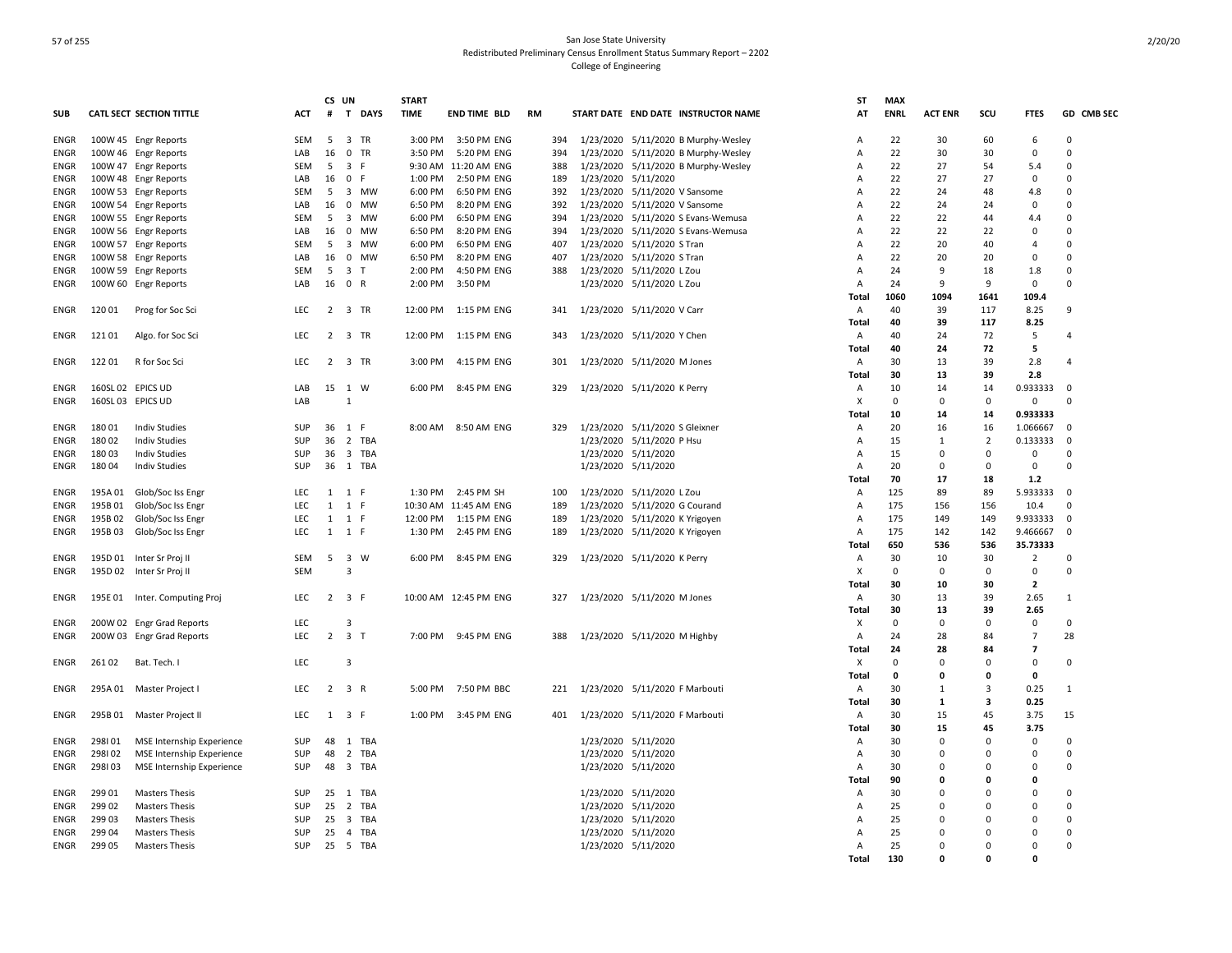|             |         |                                 |            | CS UN |                          | <b>START</b> |                       |           |                                     | <b>ST</b>      | <b>MAX</b>  |                |                |                |                |
|-------------|---------|---------------------------------|------------|-------|--------------------------|--------------|-----------------------|-----------|-------------------------------------|----------------|-------------|----------------|----------------|----------------|----------------|
| <b>SUB</b>  |         | <b>CATL SECT SECTION TITTLE</b> | <b>ACT</b> | #     | T DAYS                   | <b>TIME</b>  | <b>END TIME BLD</b>   | <b>RM</b> | START DATE END DATE INSTRUCTOR NAME | AT             | <b>ENRL</b> | <b>ACT ENR</b> | SCU            | <b>FTES</b>    | GD CMB SEC     |
| <b>ENGR</b> |         | 100W 45 Engr Reports            | SEM        | 5     | 3 TR                     | 3:00 PM      | 3:50 PM ENG           | 394       | 1/23/2020 5/11/2020 B Murphy-Wesley | A              | 22          | 30             | 60             | 6              | $\mathbf 0$    |
| ENGR        |         | 100W 46 Engr Reports            | LAB        | 16    | 0 TR                     | 3:50 PM      | 5:20 PM ENG           | 394       | 1/23/2020 5/11/2020 B Murphy-Wesley | Α              | 22          | 30             | 30             | 0              | 0              |
| ENGR        |         | 100W 47 Engr Reports            | SEM        | 5     | 3 F                      |              | 9:30 AM 11:20 AM ENG  | 388       | 1/23/2020 5/11/2020 B Murphy-Wesley | Α              | 22          | 27             | 54             | 5.4            | $\mathbf 0$    |
| <b>ENGR</b> |         | 100W 48 Engr Reports            | LAB        | 16    | 0 F                      | 1:00 PM      | 2:50 PM ENG           | 189       | 1/23/2020 5/11/2020                 | A              | 22          | 27             | 27             | 0              | 0              |
| <b>ENGR</b> |         | 100W 53 Engr Reports            | SEM        | -5    | 3 MW                     | 6:00 PM      | 6:50 PM ENG           | 392       | 1/23/2020 5/11/2020 V Sansome       | A              | 22          | 24             | 48             | 4.8            | $\Omega$       |
| <b>ENGR</b> |         | 100W 54 Engr Reports            | LAB        | 16    | MW<br>0                  | 6:50 PM      | 8:20 PM ENG           | 392       | 1/23/2020 5/11/2020 V Sansome       | A              | 22          | 24             | 24             | 0              | 0              |
| <b>ENGR</b> |         | 100W 55 Engr Reports            | SEM        | -5    | 3<br><b>MW</b>           | 6:00 PM      | 6:50 PM ENG           | 394       | 1/23/2020 5/11/2020 S Evans-Wemusa  | A              | 22          | 22             | 44             | 4.4            | $\Omega$       |
| <b>ENGR</b> |         | 100W 56 Engr Reports            | LAB        | 16    | 0<br>MW                  | 6:50 PM      | 8:20 PM ENG           | 394       | 1/23/2020 5/11/2020 S Evans-Wemusa  | A              | 22          | 22             | 22             | 0              | $\Omega$       |
| <b>ENGR</b> |         | 100W 57 Engr Reports            | <b>SEM</b> | -5    | 3 MW                     | 6:00 PM      | 6:50 PM ENG           | 407       | 1/23/2020 5/11/2020 S Tran          | A              | 22          | 20             | 40             | 4              | $\Omega$       |
| <b>ENGR</b> |         | 100W 58 Engr Reports            | LAB        | 16    | $\mathbf 0$<br><b>MW</b> | 6:50 PM      | 8:20 PM ENG           | 407       | 1/23/2020 5/11/2020 S Tran          | A              | 22          | 20             | 20             | $\mathbf 0$    | $\Omega$       |
| <b>ENGR</b> |         | 100W 59 Engr Reports            | <b>SEM</b> | 5     | 3 <sub>1</sub>           | 2:00 PM      | 4:50 PM ENG           | 388       | 1/23/2020 5/11/2020 L Zou           | A              | 24          | 9              | 18             | 1.8            | $\Omega$       |
| <b>ENGR</b> |         | 100W 60 Engr Reports            | LAB        | 16    | 0 R                      | 2:00 PM      | 3:50 PM               |           | 1/23/2020 5/11/2020 L Zou           | A              | 24          | 9              | 9              | 0              | $\Omega$       |
|             |         |                                 |            |       |                          |              |                       |           |                                     | Total          | 1060        | 1094           | 1641           | 109.4          |                |
| ENGR        | 12001   | Prog for Soc Sci                | LEC        |       | 2 3 TR                   |              | 12:00 PM  1:15 PM ENG | 341       | 1/23/2020 5/11/2020 V Carr          | Α              | 40          | 39             | 117            | 8.25           | $\mathbf{q}$   |
|             |         |                                 |            |       |                          |              |                       |           |                                     | Total          | 40          | 39             | 117            | 8.25           |                |
| ENGR        | 121 01  | Algo. for Soc Sci               | LEC        |       | 2 3 TR                   |              | 12:00 PM  1:15 PM ENG | 343       | 1/23/2020 5/11/2020 Y Chen          | A              | 40          | 24             | 72             | 5              | 4              |
|             |         |                                 |            |       |                          |              |                       |           |                                     | Total          | 40          | 24             | 72             | 5              |                |
| ENGR        | 12201   | R for Soc Sci                   | LEC        |       | 2 3 TR                   | 3:00 PM      | 4:15 PM ENG           | 301       | 1/23/2020 5/11/2020 M Jones         | A              | 30          | 13             | 39             | 2.8            | $\overline{4}$ |
|             |         |                                 |            |       |                          |              |                       |           |                                     | <b>Total</b>   | 30          | 13             | 39             | 2.8            |                |
| <b>ENGR</b> |         | 160SL 02 EPICS UD               | LAB        |       | 15 1 W                   | 6:00 PM      | 8:45 PM ENG           | 329       | 1/23/2020 5/11/2020 K Perry         | Α              | 10          | 14             | 14             | 0.933333       | $\mathbf 0$    |
| <b>ENGR</b> |         | 160SL 03 EPICS UD               | LAB        |       | $\mathbf{1}$             |              |                       |           |                                     | X              | $\Omega$    | $\Omega$       | $\Omega$       | $\mathbf 0$    | $\Omega$       |
|             |         |                                 |            |       |                          |              |                       |           |                                     | Total          | 10          | 14             | 14             | 0.933333       |                |
| <b>ENGR</b> | 18001   | <b>Indiv Studies</b>            | SUP        |       | 36 1 F                   |              | 8:00 AM 8:50 AM ENG   | 329       | 1/23/2020 5/11/2020 S Gleixner      | $\overline{A}$ | 20          | 16             | 16             | 1.066667       | $\Omega$       |
| <b>ENGR</b> | 180 02  | <b>Indiv Studies</b>            | SUP        | 36    | 2 TBA                    |              |                       |           | 1/23/2020 5/11/2020 P Hsu           | Α              | 15          | $\mathbf{1}$   | $\overline{2}$ | 0.133333       | $\Omega$       |
| ENGR        | 18003   | <b>Indiv Studies</b>            | SUP        | 36    | 3 TBA                    |              |                       |           | 1/23/2020 5/11/2020                 | A              | 15          | $\Omega$       | $\Omega$       | 0              | $\Omega$       |
| ENGR        | 18004   | <b>Indiv Studies</b>            | SUP        | 36    | 1 TBA                    |              |                       |           | 1/23/2020 5/11/2020                 | A              | 20          | $\mathbf 0$    | $\Omega$       | 0              | $\Omega$       |
|             |         |                                 |            |       |                          |              |                       |           |                                     | Total          | 70          | 17             | 18             | $1.2$          |                |
| ENGR        | 195A 01 | Glob/Soc Iss Engr               | LEC        | 1     | 1 F                      | 1:30 PM      | 2:45 PM SH            | 100       | 1/23/2020 5/11/2020 L Zou           | Α              | 125         | 89             | 89             | 5.933333       | 0              |
| <b>ENGR</b> | 195B 01 | Glob/Soc Iss Engr               | LEC        | 1     | 1 F                      |              | 10:30 AM 11:45 AM ENG | 189       | 1/23/2020 5/11/2020 G Courand       | A              | 175         | 156            | 156            | 10.4           | $\Omega$       |
| ENGR        | 195B 02 | Glob/Soc Iss Engr               | LEC        | 1     | 1 F                      | 12:00 PM     | 1:15 PM ENG           | 189       | 1/23/2020 5/11/2020 K Yrigoyen      | A              | 175         | 149            | 149            | 9.933333       | $\Omega$       |
| ENGR        | 195B03  | Glob/Soc Iss Engr               | LEC        | 1     | 1 F                      | 1:30 PM      | 2:45 PM ENG           | 189       | 1/23/2020 5/11/2020 K Yrigoyen      | Α              | 175         | 142            | 142            | 9.466667       | $\Omega$       |
|             |         |                                 |            |       |                          |              |                       |           |                                     | Total          | 650         | 536            | 536            | 35.73333       |                |
| <b>ENGR</b> |         | 195D 01 Inter Sr Proj II        | SEM        | 5     | 3 W                      | 6:00 PM      | 8:45 PM ENG           | 329       | 1/23/2020 5/11/2020 K Perry         | Α              | 30          | 10             | 30             | $\overline{2}$ | $\Omega$       |
| <b>ENGR</b> |         | 195D 02 Inter Sr Proj II        | <b>SEM</b> |       | 3                        |              |                       |           |                                     | X              | $\mathbf 0$ | $\Omega$       | 0              | $\mathbf 0$    | $\Omega$       |
|             |         |                                 |            |       |                          |              |                       |           |                                     | Total          | 30          | 10             | 30             | $\overline{2}$ |                |
| <b>ENGR</b> |         | 195E 01 Inter. Computing Proj   | <b>LEC</b> |       | $2 \t3 \tF$              |              | 10:00 AM 12:45 PM ENG | 327       | 1/23/2020 5/11/2020 M Jones         | $\overline{A}$ | 30          | 13             | 39             | 2.65           | $\mathbf{1}$   |
|             |         |                                 |            |       |                          |              |                       |           |                                     | Total          | 30          | 13             | 39             | 2.65           |                |
| ENGR        |         | 200W 02 Engr Grad Reports       | LEC        |       | 3                        |              |                       |           |                                     | Х              | $\mathbf 0$ | $\mathbf 0$    | $\Omega$       | 0              | $\mathbf 0$    |
| ENGR        |         | 200W 03 Engr Grad Reports       | LEC        |       | $2 \quad 3 \quad T$      | 7:00 PM      | 9:45 PM ENG           | 388       | 1/23/2020 5/11/2020 M Highby        | Α              | 24          | 28             | -84            | $\overline{7}$ | 28             |
|             |         |                                 |            |       |                          |              |                       |           |                                     | Total          | 24          | 28             | 84             | $\overline{7}$ |                |
| ENGR        | 26102   | Bat. Tech. I                    | LEC        |       | 3                        |              |                       |           |                                     | х              | $\mathbf 0$ | 0              | $\Omega$       | 0              | $\mathbf 0$    |
|             |         |                                 |            |       |                          |              |                       |           |                                     | Total          | 0           | $\mathbf 0$    | 0              | 0              |                |
| <b>ENGR</b> | 295A 01 | Master Project I                | LEC        |       | 2 3 R                    | 5:00 PM      | 7:50 PM BBC           | 221       | 1/23/2020 5/11/2020 F Marbouti      | Α              | 30          | 1              | 3              | 0.25           | 1              |
|             |         |                                 |            |       |                          |              |                       |           |                                     | Total          | 30          | 1              | 3              | 0.25           |                |
| ENGR        |         | 295B 01 Master Project II       | <b>LEC</b> |       | 1 3 F                    |              | 1:00 PM 3:45 PM ENG   | 401       | 1/23/2020 5/11/2020 F Marbouti      | A              | 30          | 15             | 45             | 3.75           | 15             |
|             |         |                                 |            |       |                          |              |                       |           |                                     | Total          | 30          | 15             | 45             | 3.75           |                |
| <b>ENGR</b> | 298101  | MSE Internship Experience       | SUP        | 48    | 1 TBA                    |              |                       |           | 1/23/2020 5/11/2020                 | $\overline{A}$ | 30          | $\Omega$       | $\Omega$       | $\mathbf 0$    | $\Omega$       |
| <b>ENGR</b> | 298102  | MSE Internship Experience       | SUP        | 48    | 2 TBA                    |              |                       |           | 1/23/2020 5/11/2020                 | A              | 30          | $\Omega$       | C              | $\mathbf 0$    | $\Omega$       |
| ENGR        | 298103  | MSE Internship Experience       | SUP        | 48    | 3 TBA                    |              |                       |           | 1/23/2020 5/11/2020                 | A              | 30          | $\Omega$       | n              | 0              | $\Omega$       |
|             |         |                                 |            |       |                          |              |                       |           |                                     | Total          | 90          | $\mathbf 0$    | л              | $\mathbf 0$    |                |
| ENGR        | 299 01  | <b>Masters Thesis</b>           | <b>SUP</b> |       | 25 1 TBA                 |              |                       |           | 1/23/2020 5/11/2020                 | A              | 30          | $\Omega$       | n              | $\Omega$       | $\Omega$       |
| <b>ENGR</b> | 299 02  | <b>Masters Thesis</b>           | SUP        | 25    | 2 TBA                    |              |                       |           | 1/23/2020 5/11/2020                 | Α              | 25          | 0              | n              | 0              | 0              |
| <b>ENGR</b> | 299 03  | <b>Masters Thesis</b>           | SUP        | 25    | 3 TBA                    |              |                       |           | 1/23/2020 5/11/2020                 | A              | 25          | $\Omega$       | n              | 0              | $\Omega$       |
| <b>ENGR</b> | 299 04  | <b>Masters Thesis</b>           | SUP        | 25    | TBA<br>$\overline{4}$    |              |                       |           | 1/23/2020 5/11/2020                 | A              | 25          | 0              | $\Omega$       | 0              | 0              |
| <b>ENGR</b> | 299 05  | <b>Masters Thesis</b>           | SUP        |       | 25 5 TBA                 |              |                       |           | 1/23/2020 5/11/2020                 | A              | 25          | $\Omega$       | $\Omega$       | 0              | $\Omega$       |
|             |         |                                 |            |       |                          |              |                       |           |                                     | Total          | 130         | $\Omega$       | n              | 0              |                |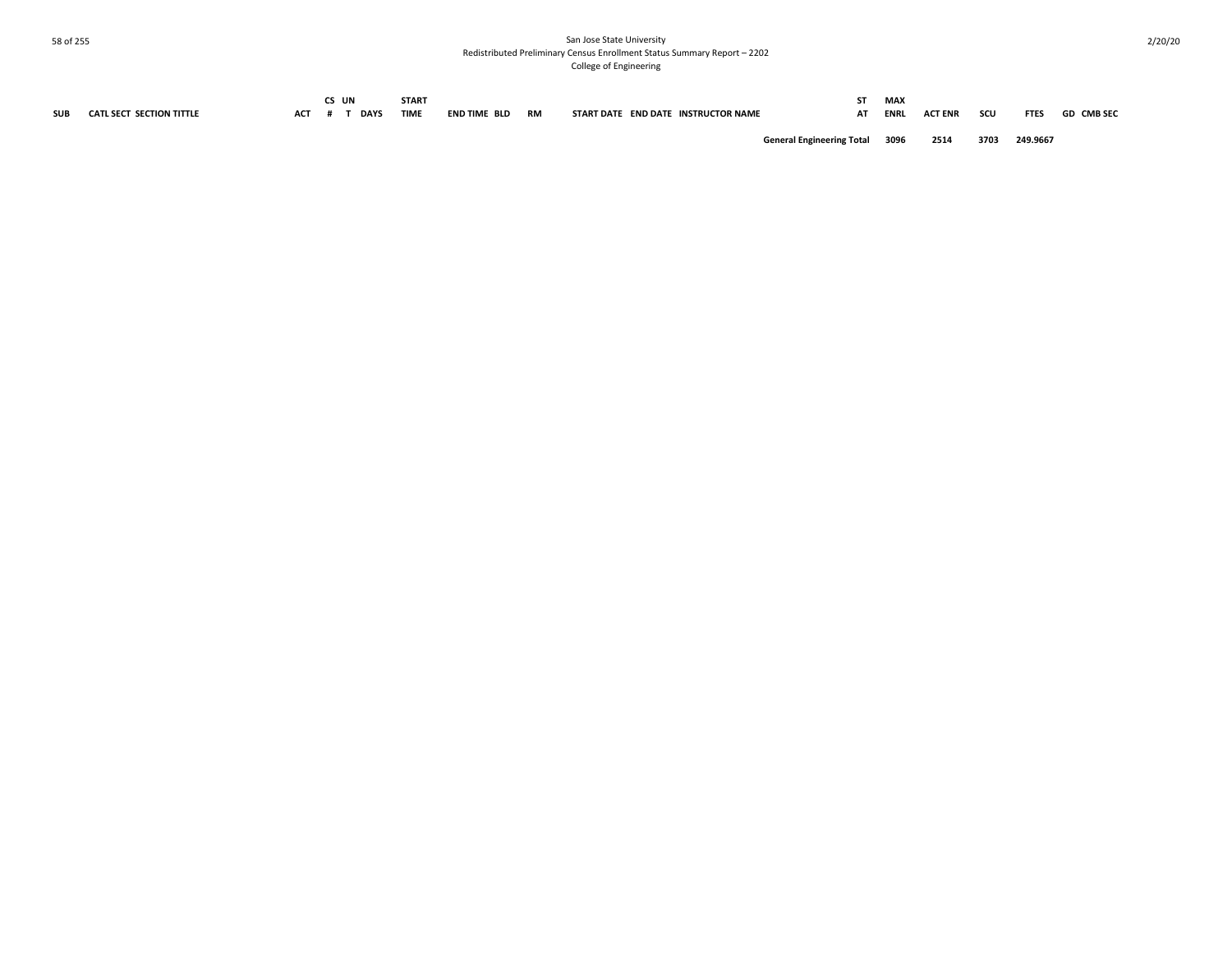| <b>SUB</b> | CATL SECT SECTION TITTLE | АСТ | :s un | <b>DAYS</b> | START<br><b>TIME</b> | END TIME BLD | RM | START DATE END DATE INSTRUCTOR NAME   | AΤ | MAX<br><b>ENRL</b> | <b>ACT ENR</b> | scu  | <b>FTES</b> | <b>GD CMB SEC</b> |
|------------|--------------------------|-----|-------|-------------|----------------------|--------------|----|---------------------------------------|----|--------------------|----------------|------|-------------|-------------------|
|            |                          |     |       |             |                      |              |    | <b>General Engineering Total 3096</b> |    |                    | 2514           | 3703 | 249.9667    |                   |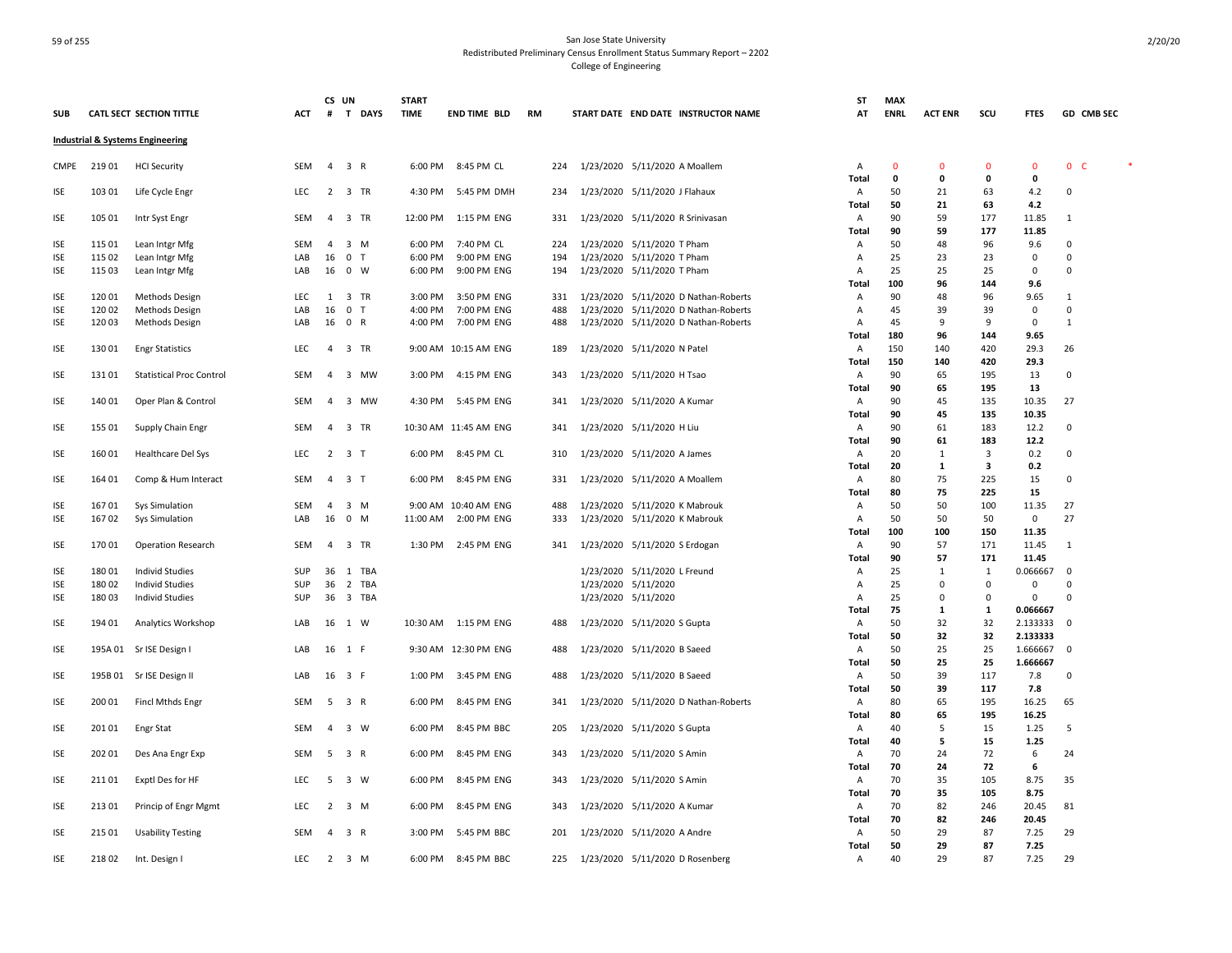|                          |                  |                                  |            | CS UN          |                         | <b>START</b>       |                           |            |                                                          | ST             | <b>MAX</b>  |                |              |                      |                         |                   |  |
|--------------------------|------------------|----------------------------------|------------|----------------|-------------------------|--------------------|---------------------------|------------|----------------------------------------------------------|----------------|-------------|----------------|--------------|----------------------|-------------------------|-------------------|--|
| <b>SUB</b>               |                  | CATL SECT SECTION TITTLE         | ACT        | #              | T DAYS                  | <b>TIME</b>        | END TIME BLD              | <b>RM</b>  | START DATE END DATE INSTRUCTOR NAME                      | AT             | <b>ENRL</b> | <b>ACT ENR</b> | scu          | <b>FTES</b>          |                         | <b>GD CMB SEC</b> |  |
|                          |                  | Industrial & Systems Engineering |            |                |                         |                    |                           |            |                                                          |                |             |                |              |                      |                         |                   |  |
| <b>CMPE</b>              | 21901            | <b>HCI Security</b>              | SEM        | 4              | 3 R                     | 6:00 PM            | 8:45 PM CL                | 224        | 1/23/2020 5/11/2020 A Moallem                            | Α              | $\mathbf 0$ | $\mathbf 0$    | $\mathbf 0$  | $\mathbf 0$          | 0 <sub>c</sub>          |                   |  |
|                          |                  |                                  |            |                |                         |                    |                           |            |                                                          | Total          | 0           | 0              | 0            | 0                    |                         |                   |  |
| <b>ISE</b>               | 103 01           | Life Cycle Engr                  | LEC        |                | 2 3 TR                  | 4:30 PM            | 5:45 PM DMH               | 234        | 1/23/2020 5/11/2020 J Flahaux                            | Α              | 50          | 21             | 63           | 4.2                  | 0                       |                   |  |
|                          |                  |                                  |            |                |                         |                    |                           |            |                                                          | Total          | 50          | 21             | 63           | 4.2                  |                         |                   |  |
| <b>ISE</b>               | 105 01           | Intr Syst Engr                   | <b>SEM</b> |                | 4 3 TR                  | 12:00 PM           | 1:15 PM ENG               | 331        | 1/23/2020 5/11/2020 R Srinivasan                         | Α              | 90          | 59             | 177          | 11.85                | 1                       |                   |  |
|                          |                  |                                  |            |                |                         |                    |                           |            |                                                          | Total          | 90          | 59             | 177          | 11.85                |                         |                   |  |
| <b>ISE</b><br><b>ISE</b> | 115 01<br>115 02 | Lean Intgr Mfg                   | SEM<br>LAB | 16             | 4 3 M<br>0 <sub>T</sub> | 6:00 PM<br>6:00 PM | 7:40 PM CL<br>9:00 PM ENG | 224<br>194 | 1/23/2020 5/11/2020 T Pham                               | Α<br>Α         | 50<br>25    | 48<br>23       | 96<br>23     | 9.6<br>$\mathbf 0$   | $\mathbf 0$<br>$\Omega$ |                   |  |
| <b>ISE</b>               | 115 03           | Lean Intgr Mfg<br>Lean Intgr Mfg | LAB        |                | 16 0 W                  | 6:00 PM            | 9:00 PM ENG               | 194        | 1/23/2020 5/11/2020 T Pham<br>1/23/2020 5/11/2020 T Pham | A              | 25          | 25             | 25           | $\mathbf 0$          | $\Omega$                |                   |  |
|                          |                  |                                  |            |                |                         |                    |                           |            |                                                          | Total          | 100         | 96             | 144          | 9.6                  |                         |                   |  |
| <b>ISE</b>               | 12001            | Methods Design                   | <b>LEC</b> | 1              | 3 TR                    | 3:00 PM            | 3:50 PM ENG               | 331        | 1/23/2020 5/11/2020 D Nathan-Roberts                     | Α              | 90          | 48             | 96           | 9.65                 | 1                       |                   |  |
| <b>ISE</b>               | 120 02           | Methods Design                   | LAB        | 16             | 0 <sub>T</sub>          | 4:00 PM            | 7:00 PM ENG               | 488        | 1/23/2020 5/11/2020 D Nathan-Roberts                     | A              | 45          | 39             | 39           | $\mathbf 0$          | 0                       |                   |  |
| <b>ISE</b>               | 12003            | Methods Design                   | LAB        |                | 16 0 R                  | 4:00 PM            | 7:00 PM ENG               | 488        | 1/23/2020 5/11/2020 D Nathan-Roberts                     | Α              | 45          | 9              | 9            | $\mathbf 0$          | 1                       |                   |  |
|                          |                  |                                  |            |                |                         |                    |                           |            |                                                          | Total          | 180         | 96             | 144          | 9.65                 |                         |                   |  |
| <b>ISE</b>               | 13001            | <b>Engr Statistics</b>           | LEC        | $\overline{a}$ | 3 TR                    |                    | 9:00 AM 10:15 AM ENG      | 189        | 1/23/2020 5/11/2020 N Patel                              | A              | 150         | 140            | 420          | 29.3                 | 26                      |                   |  |
|                          |                  |                                  |            |                |                         |                    |                           |            |                                                          | Total          | 150         | 140            | 420          | 29.3                 |                         |                   |  |
| ISE                      | 131 01           | <b>Statistical Proc Control</b>  | SEM        | 4              | 3 MW                    | 3:00 PM            | 4:15 PM ENG               | 343        | 1/23/2020 5/11/2020 H Tsao                               | Α              | 90          | 65             | 195          | 13                   | 0                       |                   |  |
|                          |                  |                                  |            |                |                         |                    |                           |            |                                                          | Total          | 90          | 65             | 195          | 13                   |                         |                   |  |
| <b>ISE</b>               | 140 01           | Oper Plan & Control              | SEM        | $\overline{a}$ | 3 MW                    | 4:30 PM            | 5:45 PM ENG               | 341        | 1/23/2020 5/11/2020 A Kumar                              | Α              | 90          | 45             | 135          | 10.35                | 27                      |                   |  |
|                          |                  |                                  |            |                |                         |                    |                           |            |                                                          | Total          | 90          | 45             | 135          | 10.35                |                         |                   |  |
| <b>ISE</b>               | 155 01           | Supply Chain Engr                | SEM        | $\overline{4}$ | 3 TR                    |                    | 10:30 AM 11:45 AM ENG     | 341        | 1/23/2020 5/11/2020 H Liu                                | A              | 90          | 61             | 183          | 12.2                 | $\Omega$                |                   |  |
|                          |                  |                                  |            |                |                         |                    |                           |            |                                                          | Total          | 90          | 61             | 183          | 12.2                 |                         |                   |  |
| <b>ISE</b>               | 16001            | Healthcare Del Sys               | LEC        | 2              | 3 T                     | 6:00 PM            | 8:45 PM CL                | 310        | 1/23/2020 5/11/2020 A James                              | A              | 20          | 1              | 3            | 0.2                  | 0                       |                   |  |
|                          |                  |                                  |            |                |                         |                    |                           |            |                                                          | <b>Total</b>   | 20          | 1              | 3            | 0.2                  |                         |                   |  |
| <b>ISE</b>               | 164 01           | Comp & Hum Interact              | <b>SEM</b> |                | 4 3 T                   |                    | 6:00 PM 8:45 PM ENG       | 331        | 1/23/2020 5/11/2020 A Moallem                            | $\overline{A}$ | 80          | 75             | 225          | 15                   | $\Omega$                |                   |  |
|                          |                  |                                  |            |                |                         |                    |                           |            |                                                          | <b>Total</b>   | 80          | 75             | 225          | 15                   |                         |                   |  |
| <b>ISE</b>               | 16701            | <b>Sys Simulation</b>            | SEM<br>LAB | $\overline{a}$ | 3 M<br>16 0 M           | 11:00 AM           | 9:00 AM 10:40 AM ENG      | 488<br>333 | 1/23/2020 5/11/2020 K Mabrouk                            | Α              | 50<br>50    | 50<br>50       | 100          | 11.35                | 27<br>27                |                   |  |
| ISE                      | 16702            | Sys Simulation                   |            |                |                         |                    | 2:00 PM ENG               |            | 1/23/2020 5/11/2020 K Mabrouk                            | Α<br>Total     | 100         | 100            | 50<br>150    | $\mathbf 0$<br>11.35 |                         |                   |  |
| <b>ISE</b>               | 17001            | <b>Operation Research</b>        | SEM        | $\overline{a}$ | 3 TR                    | 1:30 PM            | 2:45 PM ENG               | 341        | 1/23/2020 5/11/2020 S Erdogan                            | Α              | 90          | 57             | 171          | 11.45                | 1                       |                   |  |
|                          |                  |                                  |            |                |                         |                    |                           |            |                                                          | Total          | 90          | 57             | 171          | 11.45                |                         |                   |  |
| <b>ISE</b>               | 18001            | <b>Individ Studies</b>           | SUP        |                | 36 1 TBA                |                    |                           |            | 1/23/2020 5/11/2020 L Freund                             | A              | 25          | $\mathbf{1}$   | $\mathbf{1}$ | 0.066667             | 0                       |                   |  |
| <b>ISE</b>               | 18002            | Individ Studies                  | SUP        | 36             | 2 TBA                   |                    |                           |            | 1/23/2020 5/11/2020                                      | Α              | 25          | $\mathsf 0$    | 0            | $\mathsf 0$          | $\Omega$                |                   |  |
| <b>ISE</b>               | 18003            | Individ Studies                  | SUP        |                | 36 3 TBA                |                    |                           |            | 1/23/2020 5/11/2020                                      | Α              | 25          | 0              | 0            | $\mathsf 0$          | $\Omega$                |                   |  |
|                          |                  |                                  |            |                |                         |                    |                           |            |                                                          | Total          | 75          | 1              | $\mathbf{1}$ | 0.066667             |                         |                   |  |
| <b>ISE</b>               | 194 01           | Analytics Workshop               | LAB        |                | 16 1 W                  |                    | 10:30 AM  1:15 PM ENG     | 488        | 1/23/2020 5/11/2020 S Gupta                              | Α              | 50          | 32             | 32           | 2.133333             | $\overline{0}$          |                   |  |
|                          |                  |                                  |            |                |                         |                    |                           |            |                                                          | <b>Total</b>   | 50          | 32             | 32           | 2.133333             |                         |                   |  |
| ISE                      | 195A 01          | Sr ISE Design I                  | LAB        |                | 16 1 F                  |                    | 9:30 AM 12:30 PM ENG      | 488        | 1/23/2020 5/11/2020 B Saeed                              | Α              | 50          | 25             | 25           | 1.666667             | 0                       |                   |  |
|                          |                  |                                  |            |                |                         |                    |                           |            |                                                          | Total          | 50          | 25             | 25           | 1.666667             |                         |                   |  |
| <b>ISE</b>               |                  | 195B 01 Sr ISE Design II         | LAB        | 16 3 F         |                         | 1:00 PM            | 3:45 PM ENG               | 488        | 1/23/2020 5/11/2020 B Saeed                              | A              | 50          | 39             | 117          | 7.8                  | 0                       |                   |  |
|                          |                  |                                  |            |                |                         |                    |                           |            |                                                          | <b>Total</b>   | 50          | 39             | 117          | 7.8                  |                         |                   |  |
| <b>ISE</b>               | 200 01           | Fincl Mthds Engr                 | <b>SEM</b> | - 5            | 3 R                     | 6:00 PM            | 8:45 PM ENG               | 341        | 1/23/2020 5/11/2020 D Nathan-Roberts                     | Α              | 80          | 65             | 195          | 16.25                | 65                      |                   |  |
|                          |                  |                                  |            |                |                         |                    |                           |            |                                                          | <b>Total</b>   | 80          | 65             | 195          | 16.25                |                         |                   |  |
| <b>ISE</b>               | 201 01           | Engr Stat                        | SEM        |                | 4 3 W                   | 6:00 PM            | 8:45 PM BBC               | 205        | 1/23/2020 5/11/2020 S Gupta                              | A              | 40          | 5              | 15           | 1.25                 | -5                      |                   |  |
|                          |                  |                                  |            |                |                         |                    |                           |            |                                                          | Total          | 40          | 5              | 15           | 1.25                 |                         |                   |  |
| <b>ISE</b>               | 202 01           | Des Ana Engr Exp                 | <b>SEM</b> | - 5            | 3 R                     | 6:00 PM            | 8:45 PM ENG               | 343        | 1/23/2020 5/11/2020 S Amin                               | A              | 70          | 24             | 72           | 6                    | 24                      |                   |  |
|                          |                  |                                  |            |                |                         |                    |                           |            |                                                          | Total          | 70<br>70    | 24             | 72           | 6                    |                         |                   |  |
| <b>ISE</b>               | 21101            | Exptl Des for HF                 | LEC        | 5              | 3 W                     | 6:00 PM            | 8:45 PM ENG               | 343        | 1/23/2020 5/11/2020 S Amin                               | Α              | 70          | 35             | 105          | 8.75                 | 35                      |                   |  |
|                          | 21301            |                                  | LEC        |                | $2 \quad 3 \quad M$     | 6:00 PM            | 8:45 PM ENG               | 343        |                                                          | Total          | 70          | 35             | 105<br>246   | 8.75                 | 81                      |                   |  |
| <b>ISE</b>               |                  | Princip of Engr Mgmt             |            |                |                         |                    |                           |            | 1/23/2020 5/11/2020 A Kumar                              | Α<br>Total     | 70          | 82<br>82       | 246          | 20.45<br>20.45       |                         |                   |  |
| <b>ISE</b>               | 215 01           | <b>Usability Testing</b>         | SEM        | $\overline{4}$ | 3 R                     | 3:00 PM            | 5:45 PM BBC               | 201        | 1/23/2020 5/11/2020 A Andre                              | Α              | 50          | 29             | 87           | 7.25                 | 29                      |                   |  |
|                          |                  |                                  |            |                |                         |                    |                           |            |                                                          | Total          | 50          | 29             | 87           | 7.25                 |                         |                   |  |
| <b>ISE</b>               | 21802            | Int. Design I                    | LEC        |                | $2 \quad 3 \quad M$     | 6:00 PM            | 8:45 PM BBC               | 225        | 1/23/2020 5/11/2020 D Rosenberg                          | Α              | 40          | 29             | 87           | 7.25                 | 29                      |                   |  |
|                          |                  |                                  |            |                |                         |                    |                           |            |                                                          |                |             |                |              |                      |                         |                   |  |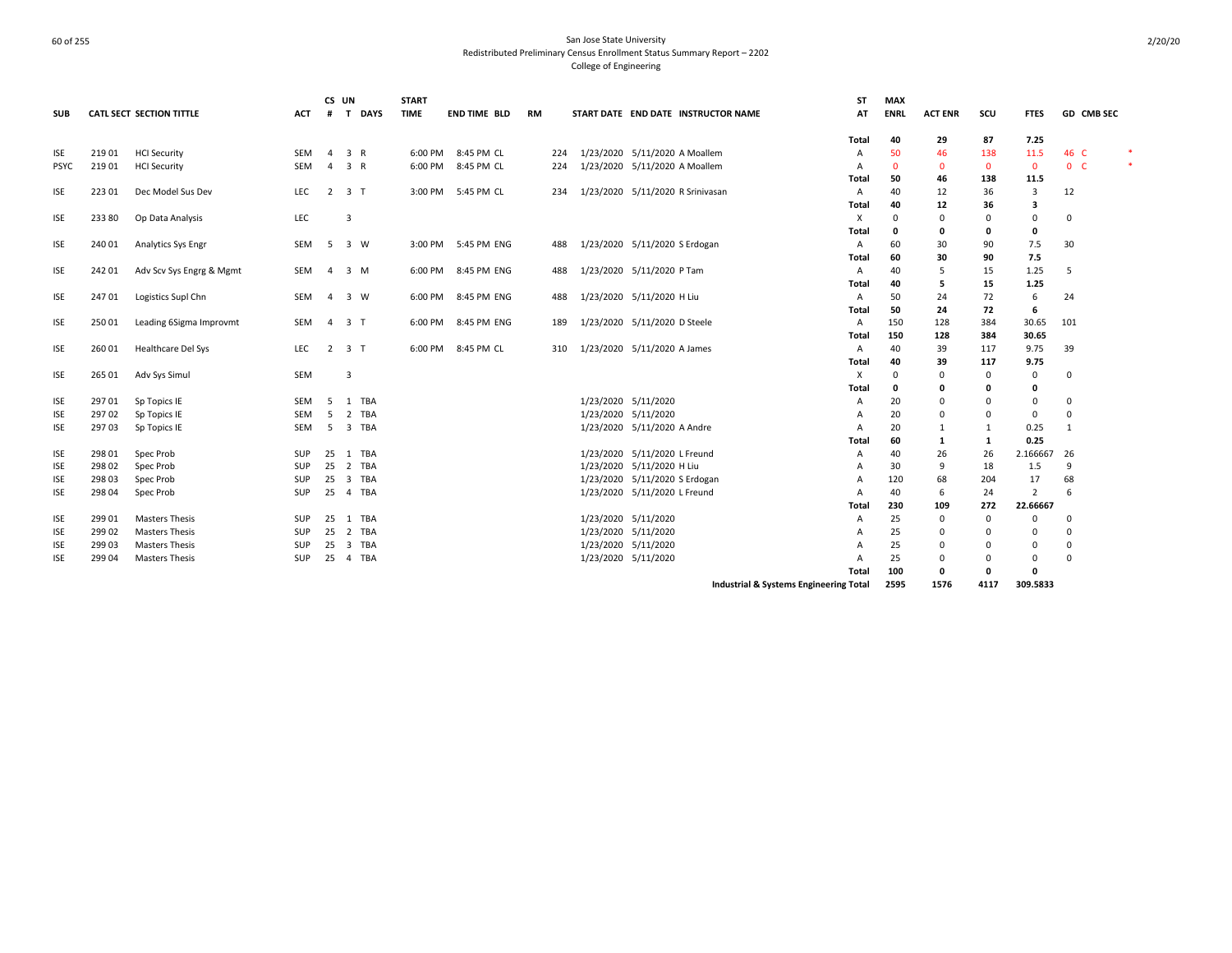| SUB         |        | <b>CATL SECT SECTION TITTLE</b> | ACT        | #              | CS UN<br>T DAYS     | <b>START</b><br><b>TIME</b> | <b>END TIME BLD</b> | RM  | START DATE END DATE INSTRUCTOR NAME | <b>ST</b><br>AT                                   | <b>MAX</b><br><b>ENRL</b> | <b>ACT ENR</b> | scu          | <b>FTES</b> | GD CMB SEC     |  |
|-------------|--------|---------------------------------|------------|----------------|---------------------|-----------------------------|---------------------|-----|-------------------------------------|---------------------------------------------------|---------------------------|----------------|--------------|-------------|----------------|--|
|             |        |                                 |            |                |                     |                             |                     |     |                                     | Total                                             | 40                        | 29             | 87           | 7.25        |                |  |
| <b>ISE</b>  | 21901  | <b>HCI Security</b>             | SEM        | $\overline{4}$ | 3 R                 | 6:00 PM                     | 8:45 PM CL          | 224 | 1/23/2020 5/11/2020 A Moallem       | А                                                 | 50                        | 46             | 138          | 11.5        | 46 C           |  |
| <b>PSYC</b> | 21901  | <b>HCI Security</b>             | <b>SEM</b> | $\overline{4}$ | 3 R                 |                             | 6:00 PM 8:45 PM CL  | 224 | 1/23/2020 5/11/2020 A Moallem       | A                                                 | $\mathbf{0}$              | $\Omega$       | $\mathbf{0}$ | $\mathbf 0$ | 0 <sub>c</sub> |  |
|             |        |                                 |            |                |                     |                             |                     |     |                                     | Total                                             | 50                        | 46             | 138          | 11.5        |                |  |
| <b>ISE</b>  | 22301  | Dec Model Sus Dev               | LEC        | $\overline{2}$ | 3 <sub>T</sub>      |                             | 3:00 PM 5:45 PM CL  | 234 | 1/23/2020 5/11/2020 R Srinivasan    | Α                                                 | 40                        | 12             | 36           | 3           | 12             |  |
|             |        |                                 |            |                |                     |                             |                     |     |                                     | Total                                             | 40                        | 12             | 36           | 3           |                |  |
| <b>ISE</b>  | 233 80 | Op Data Analysis                | LEC        |                | 3                   |                             |                     |     |                                     | X                                                 | $\Omega$                  | $\Omega$       | $\Omega$     | 0           | 0              |  |
|             |        |                                 |            |                |                     |                             |                     |     |                                     | Total                                             | 0                         | 0              | 0            | 0           |                |  |
| <b>ISE</b>  | 240 01 | Analytics Sys Engr              | SEM        | - 5            | 3 W                 | 3:00 PM                     | 5:45 PM ENG         | 488 | 1/23/2020 5/11/2020 S Erdogan       | Α                                                 | 60                        | 30             | 90           | 7.5         | 30             |  |
|             |        |                                 |            |                |                     |                             |                     |     |                                     | Total                                             | 60                        | 30             | 90           | 7.5         |                |  |
| <b>ISE</b>  | 242 01 | Adv Scv Sys Engrg & Mgmt        | SEM        | 4              | 3 M                 | 6:00 PM                     | 8:45 PM ENG         | 488 | 1/23/2020 5/11/2020 P Tam           | $\mathsf{A}$                                      | 40                        | 5              | 15           | 1.25        | 5              |  |
|             |        |                                 |            |                |                     |                             |                     |     |                                     | Total                                             | 40                        | 5              | 15           | 1.25        |                |  |
| <b>ISE</b>  | 24701  | Logistics Supl Chn              | <b>SEM</b> | $\overline{4}$ | 3 W                 | 6:00 PM                     | 8:45 PM ENG         | 488 | 1/23/2020 5/11/2020 H Liu           | Α                                                 | 50                        | 24             | 72           | 6           | 24             |  |
|             |        |                                 |            |                |                     |                             |                     |     |                                     | Total                                             | 50                        | 24             | 72           | 6           |                |  |
| <b>ISE</b>  | 25001  | Leading 6Sigma Improvmt         | <b>SEM</b> | $\overline{4}$ | 3 <sub>1</sub>      | 6:00 PM                     | 8:45 PM ENG         | 189 | 1/23/2020 5/11/2020 D Steele        | A                                                 | 150                       | 128            | 384          | 30.65       | 101            |  |
|             |        |                                 |            |                |                     |                             |                     |     |                                     | Total                                             | 150                       | 128            | 384          | 30.65       |                |  |
| <b>ISE</b>  | 26001  | Healthcare Del Sys              | <b>LEC</b> |                | $2 \quad 3 \quad T$ |                             | 6:00 PM 8:45 PM CL  | 310 | 1/23/2020 5/11/2020 A James         | A                                                 | 40                        | 39             | 117          | 9.75        | 39             |  |
|             |        |                                 |            |                |                     |                             |                     |     |                                     | Total                                             | 40                        | 39             | 117          | 9.75        |                |  |
| <b>ISE</b>  | 265 01 | Adv Sys Simul                   | <b>SEM</b> |                | 3                   |                             |                     |     |                                     | X                                                 | $^{\circ}$                | $\Omega$       | $\mathbf 0$  | 0           | 0              |  |
|             |        |                                 |            |                |                     |                             |                     |     |                                     | Total                                             | 0                         | $\Omega$       | 0            | 0           |                |  |
| <b>ISE</b>  | 297 01 | Sp Topics IE                    | SEM        | 5              | 1 TBA               |                             |                     |     | 1/23/2020 5/11/2020                 | А                                                 | 20                        | $\Omega$       | $\Omega$     | 0           | 0              |  |
| <b>ISE</b>  | 29702  | Sp Topics IE                    | <b>SEM</b> | -5             | 2 TBA               |                             |                     |     | 1/23/2020 5/11/2020                 | А                                                 | 20                        | $\Omega$       | 0            | $\mathbf 0$ | $\mathbf 0$    |  |
| <b>ISE</b>  | 29703  | Sp Topics IE                    | SEM        | 5              | 3 TBA               |                             |                     |     | 1/23/2020 5/11/2020 A Andre         | A                                                 | 20                        | $\mathbf{1}$   | $\mathbf{1}$ | 0.25        | 1              |  |
|             |        |                                 |            |                |                     |                             |                     |     |                                     | Total                                             | 60                        | 1              | 1            | 0.25        |                |  |
| <b>ISE</b>  | 298 01 | Spec Prob                       | SUP        |                | 25 1 TBA            |                             |                     |     | 1/23/2020 5/11/2020 L Freund        | А                                                 | 40                        | 26             | 26           | 2.166667    | 26             |  |
| <b>ISE</b>  | 298 02 | Spec Prob                       | SUP        |                | 25 2 TBA            |                             |                     |     | 1/23/2020 5/11/2020 H Liu           | А                                                 | 30                        | 9              | 18           | 1.5         | 9              |  |
| <b>ISE</b>  | 298 03 | Spec Prob                       | SUP        | 25             | 3 TBA               |                             |                     |     | 1/23/2020 5/11/2020 S Erdogan       | A                                                 | 120                       | 68             | 204          | 17          | 68             |  |
| <b>ISE</b>  | 298 04 | Spec Prob                       | SUP        | 25             | 4 TBA               |                             |                     |     | 1/23/2020 5/11/2020 L Freund        | A                                                 | 40                        | 6              | 24           | 2           | -6             |  |
|             |        |                                 |            |                |                     |                             |                     |     |                                     | Total                                             | 230                       | 109            | 272          | 22.66667    |                |  |
| <b>ISE</b>  | 299 01 | <b>Masters Thesis</b>           | SUP        | 25             | 1 TBA               |                             |                     |     | 1/23/2020 5/11/2020                 | А                                                 | 25                        | 0              | $\mathbf 0$  | $\Omega$    | 0              |  |
| <b>ISE</b>  | 299 02 | <b>Masters Thesis</b>           | SUP        |                | 25 2 TBA            |                             |                     |     | 1/23/2020 5/11/2020                 | А                                                 | 25                        | $\Omega$       | $\Omega$     | $\Omega$    | $\Omega$       |  |
| <b>ISE</b>  | 29903  | <b>Masters Thesis</b>           | SUP        | 25             | 3 TBA               |                             |                     |     | 1/23/2020 5/11/2020                 |                                                   | 25                        | $\Omega$       | $\Omega$     | 0           | 0              |  |
| ISE         | 299 04 | <b>Masters Thesis</b>           | <b>SUP</b> | 25             | 4 TBA               |                             |                     |     | 1/23/2020 5/11/2020                 | А                                                 | 25                        | $\Omega$       | 0            | 0           | $\mathbf 0$    |  |
|             |        |                                 |            |                |                     |                             |                     |     |                                     | Total                                             | 100                       | 0              | 0            | 0           |                |  |
|             |        |                                 |            |                |                     |                             |                     |     |                                     | <b>Industrial &amp; Systems Engineering Total</b> | 2595                      | 1576           | 4117         | 309.5833    |                |  |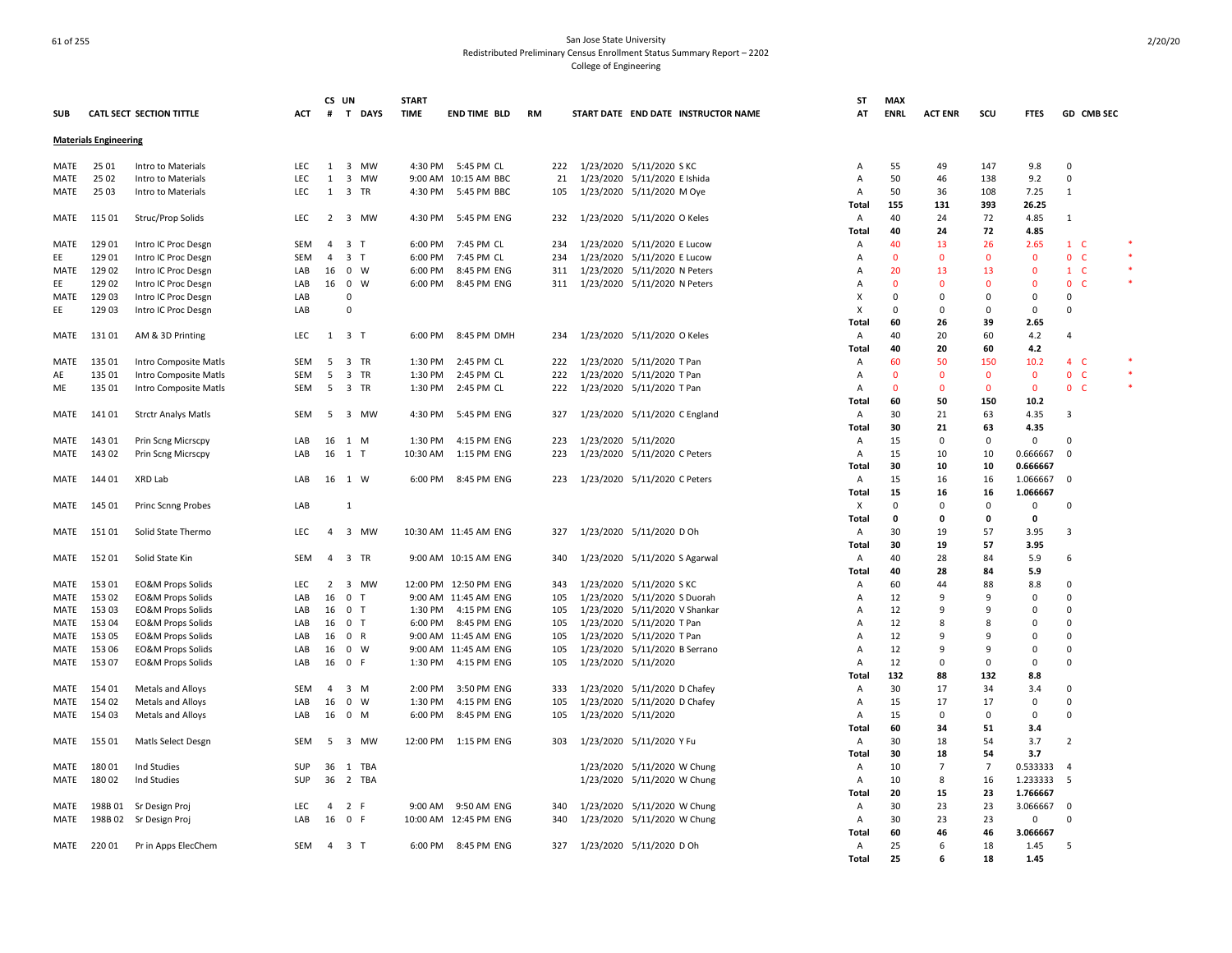|            |                              |                              |            | CS UN          |                             | <b>START</b> |                       |     |                                     | <b>ST</b>      | <b>MAX</b>   |                |                |              |                    |  |
|------------|------------------------------|------------------------------|------------|----------------|-----------------------------|--------------|-----------------------|-----|-------------------------------------|----------------|--------------|----------------|----------------|--------------|--------------------|--|
| <b>SUB</b> |                              | CATL SECT SECTION TITTLE     | ACT        | #              | T DAYS                      | <b>TIME</b>  | <b>END TIME BLD</b>   | RM  | START DATE END DATE INSTRUCTOR NAME | AT             | <b>ENRL</b>  | <b>ACT ENR</b> | scu            | <b>FTES</b>  | GD CMB SEC         |  |
|            | <b>Materials Engineering</b> |                              |            |                |                             |              |                       |     |                                     |                |              |                |                |              |                    |  |
| MATE       | 25 01                        | Intro to Materials           | LEC        | 1              | 3 MW                        | 4:30 PM      | 5:45 PM CL            | 222 | 1/23/2020 5/11/2020 SKC             | A              | 55           | 49             | 147            | 9.8          | $\Omega$           |  |
| MATE       | 25 02                        | Intro to Materials           | <b>LEC</b> | 1              | 3 MW                        |              | 9:00 AM 10:15 AM BBC  | 21  | 1/23/2020 5/11/2020 E Ishida        | A              | 50           | 46             | 138            | 9.2          | 0                  |  |
| MATE       | 25 03                        | Intro to Materials           | <b>LEC</b> | 1              | 3 TR                        | 4:30 PM      | 5:45 PM BBC           | 105 | 1/23/2020 5/11/2020 M Oye           | A              | 50           | 36             | 108            | 7.25         | $\mathbf{1}$       |  |
|            |                              |                              |            |                |                             |              |                       |     |                                     | Total          | 155          | 131            | 393            | 26.25        |                    |  |
| MATE       | 115 01                       | Struc/Prop Solids            | <b>LEC</b> | 2              | 3 MW                        | 4:30 PM      | 5:45 PM ENG           | 232 | 1/23/2020 5/11/2020 O Keles         | Α              | 40           | 24             | 72             | 4.85         | $\mathbf{1}$       |  |
|            |                              |                              |            |                |                             |              |                       |     |                                     | Total          | 40           | 24             | 72             | 4.85         |                    |  |
| MATE       | 129 01                       | Intro IC Proc Desgn          | <b>SEM</b> | $\overline{a}$ | 3 <sub>T</sub>              | 6:00 PM      | 7:45 PM CL            | 234 | 1/23/2020 5/11/2020 E Lucow         | A              | 40           | 13             | 26             | 2.65         | $1\quad C$         |  |
| EE         | 129 01                       | Intro IC Proc Desgn          | <b>SEM</b> | $\overline{a}$ | 3 <sub>T</sub>              | 6:00 PM      | 7:45 PM CL            | 234 | 1/23/2020 5/11/2020 E Lucow         | A              | $\Omega$     | $\Omega$       | $\mathbf{0}$   | $\mathbf{0}$ | 0 <sub>c</sub>     |  |
| MATE       | 129 02                       | Intro IC Proc Desgn          | LAB        | 16             | $0 \quad W$                 | 6:00 PM      | 8:45 PM ENG           | 311 | 1/23/2020 5/11/2020 N Peters        | A              | 20           | 13             | 13             | 0            | $1\quad$ C         |  |
| EE         | 129 02                       | Intro IC Proc Desgn          | LAB        |                | 16 0 W                      | 6:00 PM      | 8:45 PM ENG           | 311 | 1/23/2020 5/11/2020 N Peters        | A              | $\mathbf{0}$ | $\Omega$       | $\Omega$       | $\mathbf{0}$ | $\mathbf{0}$<br>-C |  |
| MATE       | 12903                        | Intro IC Proc Desgn          | LAB        |                | $\Omega$                    |              |                       |     |                                     | X              | $\mathsf 0$  | $\Omega$       | 0              | 0            | $\Omega$           |  |
| EE         | 12903                        | Intro IC Proc Desgn          | LAB        |                | $\overline{0}$              |              |                       |     |                                     | $\times$       | $\Omega$     | 0              | 0              | 0            | $\Omega$           |  |
|            |                              |                              |            |                |                             |              |                       |     |                                     | Total          | 60           | 26             | 39             | 2.65         |                    |  |
| MATE       | 131 01                       | AM & 3D Printing             | LEC        |                | $1 \quad 3 \quad T$         | 6:00 PM      | 8:45 PM DMH           | 234 | 1/23/2020 5/11/2020 O Keles         | A              | 40           | 20             | 60             | 4.2          | $\overline{4}$     |  |
|            |                              |                              |            |                |                             |              |                       |     |                                     | Total          | 40           | 20             | 60             | 4.2          |                    |  |
| MATE       | 135 01                       | Intro Composite Matls        | <b>SEM</b> | 5              | 3 TR                        | 1:30 PM      | 2:45 PM CL            | 222 | 1/23/2020 5/11/2020 T Pan           | A              | 60           | 50             | 150            | 10.2         | 4 C                |  |
| AE         | 135 01                       | Intro Composite Matls        | SEM        | -5             | 3 TR                        | 1:30 PM      | 2:45 PM CL            | 222 | 1/23/2020 5/11/2020 T Pan           | Α              | $\Omega$     | $\mathbf 0$    | $\mathbf 0$    | 0            | 0 <sub>c</sub>     |  |
| ME         | 135 01                       | Intro Composite Matls        | SEM        | 5              | 3 TR                        | 1:30 PM      | 2:45 PM CL            | 222 | 1/23/2020 5/11/2020 T Pan           | Α              | $\Omega$     | $\Omega$       | $\Omega$       | $\Omega$     | 0 <sub>c</sub>     |  |
|            |                              |                              |            |                |                             |              |                       |     |                                     | Total          | 60           | 50             | 150            | 10.2         |                    |  |
| MATE       | 14101                        | <b>Strctr Analys Matls</b>   | <b>SEM</b> | -5             | 3 MW                        | 4:30 PM      | 5:45 PM ENG           | 327 | 1/23/2020 5/11/2020 C England       | $\overline{A}$ | 30           | 21             | 63             | 4.35         | 3                  |  |
|            |                              |                              |            |                |                             |              |                       |     |                                     | Total          | 30           | 21             | 63             | 4.35         |                    |  |
| MATE       | 143 01                       | Prin Scng Micrscpy           | LAB        | 16             | 1 M                         | 1:30 PM      | 4:15 PM ENG           | 223 | 1/23/2020 5/11/2020                 | Α              | 15           | $\Omega$       | $\mathbf 0$    | 0            | $\Omega$           |  |
| MATE       | 143 02                       | Prin Scng Micrscpy           | LAB        | 16             | 1 T                         | 10:30 AM     | 1:15 PM ENG           | 223 | 1/23/2020 5/11/2020 C Peters        | $\overline{A}$ | 15           | 10             | 10             | 0.666667     | $\Omega$           |  |
|            |                              |                              |            |                |                             |              |                       |     |                                     | Total          | 30           | 10             | 10             | 0.666667     |                    |  |
| MATE       | 144 01                       | XRD Lab                      | LAB        |                | 16 1 W                      |              | 6:00 PM 8:45 PM ENG   | 223 | 1/23/2020 5/11/2020 C Peters        | Α              | 15           | 16             | 16             | 1.066667     | $\mathbf 0$        |  |
|            |                              |                              |            |                |                             |              |                       |     |                                     | Total          | 15           | 16             | 16             | 1.066667     |                    |  |
| MATE       | 145 01                       | <b>Princ Scnng Probes</b>    | LAB        |                | 1                           |              |                       |     |                                     | х              | $\mathbf 0$  | $\Omega$       | $\mathbf 0$    | 0            | $\Omega$           |  |
|            |                              |                              |            |                |                             |              |                       |     |                                     | Total          | 0            | 0              | 0              | 0            |                    |  |
| MATE       | 15101                        | Solid State Thermo           | <b>LEC</b> | $\overline{a}$ | 3 MW                        |              | 10:30 AM 11:45 AM ENG | 327 | 1/23/2020 5/11/2020 D Oh            | A              | 30           | 19             | 57             | 3.95         | 3                  |  |
|            |                              |                              |            |                |                             |              |                       |     |                                     | Total          | 30           | 19             | 57             | 3.95         |                    |  |
| MATE       | 152 01                       | Solid State Kin              | <b>SEM</b> | $\overline{a}$ | 3 TR                        |              | 9:00 AM 10:15 AM ENG  | 340 | 1/23/2020 5/11/2020 S Agarwal       | Α              | 40           | 28             | 84             | 5.9          | -6                 |  |
|            |                              |                              |            |                |                             |              |                       |     |                                     | Total          | 40           | 28             | 84             | 5.9          |                    |  |
| MATE       | 153 01                       | <b>EO&amp;M Props Solids</b> | <b>LEC</b> | 2              | 3 MW                        |              | 12:00 PM 12:50 PM ENG | 343 | 1/23/2020 5/11/2020 SKC             | A              | 60           | 44             | 88             | 8.8          | 0                  |  |
| MATE       | 153 02                       | <b>EO&amp;M Props Solids</b> | LAB        | 16             | $\mathbf 0$<br>$\mathsf{T}$ |              | 9:00 AM 11:45 AM ENG  | 105 | 1/23/2020 5/11/2020 S Duorah        | A              | 12           | 9              | 9              | 0            | $\Omega$           |  |
| MATE       | 153 03                       | <b>EO&amp;M Props Solids</b> | LAB        | 16             | 0 <sub>T</sub>              | 1:30 PM      | 4:15 PM ENG           | 105 | 1/23/2020 5/11/2020 V Shankar       | A              | 12           | 9              | 9              | $\Omega$     | $\Omega$           |  |
| MATE       | 153 04                       | <b>EO&amp;M Props Solids</b> | LAB        | 16             | 0 <sub>T</sub>              | 6:00 PM      | 8:45 PM ENG           | 105 | 1/23/2020 5/11/2020 T Pan           | A              | 12           | 8              | 8              | $\Omega$     | $\Omega$           |  |
| MATE       | 153 05                       | <b>EO&amp;M Props Solids</b> | LAB        | 16             | 0 R                         |              | 9:00 AM 11:45 AM ENG  | 105 | 1/23/2020 5/11/2020 T Pan           | $\overline{A}$ | 12           | 9              | q              | $\Omega$     | $\Omega$           |  |
| MATE       | 153 06                       | <b>EO&amp;M Props Solids</b> | LAB        | 16             | $0 \quad W$                 |              | 9:00 AM 11:45 AM ENG  | 105 | 1/23/2020 5/11/2020 B Serrano       | A              | 12           | 9              | 9              | 0            | $\Omega$           |  |
| MATE       | 153 07                       | <b>EO&amp;M Props Solids</b> | LAB        | 16             | 0 F                         | 1:30 PM      | 4:15 PM ENG           | 105 | 1/23/2020 5/11/2020                 | Α              | 12           | $\Omega$       | $\Omega$       | 0            | $\Omega$           |  |
|            |                              |                              |            |                |                             |              |                       |     |                                     | Total          | 132          | 88             | 132            | 8.8          |                    |  |
| MATE       | 154 01                       | Metals and Alloys            | <b>SEM</b> | $\overline{a}$ | 3 M                         | 2:00 PM      | 3:50 PM ENG           | 333 | 1/23/2020 5/11/2020 D Chafey        | $\overline{A}$ | 30           | 17             | 34             | 3.4          | $\Omega$           |  |
| MATE       | 154 02                       | Metals and Alloys            | LAB        | 16             | $0 \quad W$                 | 1:30 PM      | 4:15 PM ENG           | 105 | 1/23/2020 5/11/2020 D Chafey        | A              | 15           | 17             | 17             | 0            | $\Omega$           |  |
| MATE       | 154 03                       | Metals and Alloys            | LAB        | 16             | $0 \quad M$                 | 6:00 PM      | 8:45 PM ENG           | 105 | 1/23/2020 5/11/2020                 | A              | 15           | $\Omega$       | $\mathbf 0$    | 0            | $\Omega$           |  |
|            |                              |                              |            |                |                             |              |                       |     |                                     | Total          | 60           | 34             | 51             | 3.4          |                    |  |
| MATE       | 155 01                       | Matls Select Desgn           | SEM        | -5             | 3 MW                        | 12:00 PM     | 1:15 PM ENG           | 303 | 1/23/2020 5/11/2020 Y Fu            | Α              | 30           | 18             | 54             | 3.7          | $\overline{2}$     |  |
|            |                              |                              |            |                |                             |              |                       |     |                                     | Total          | 30           | 18             | 54             | 3.7          |                    |  |
| MATE       | 18001                        | Ind Studies                  | <b>SUP</b> | 36             | 1 TBA                       |              |                       |     | 1/23/2020 5/11/2020 W Chung         | Α              | 10           | $\overline{7}$ | $\overline{7}$ | 0.533333     | $\overline{a}$     |  |
| MATE       | 180 02                       | Ind Studies                  | SUP        | 36             | 2 TBA                       |              |                       |     | 1/23/2020 5/11/2020 W Chung         | A              | 10           | 8              | 16             | 1.233333     | 5                  |  |
|            |                              |                              |            |                |                             |              |                       |     |                                     | Total          | 20           | 15             | 23             | 1.766667     |                    |  |
| MATE       |                              | 198B 01 Sr Design Proj       | <b>LEC</b> | $\overline{a}$ | 2 F                         |              | 9:00 AM 9:50 AM ENG   | 340 | 1/23/2020 5/11/2020 W Chung         | Α              | 30           | 23             | 23             | 3.066667     | $\Omega$           |  |
| MATE       | 198B02                       | Sr Design Proj               | LAB        | 16             | 0 F                         |              | 10:00 AM 12:45 PM ENG | 340 | 1/23/2020 5/11/2020 W Chung         | Α              | 30           | 23             | 23             | 0            | $\Omega$           |  |
|            |                              |                              |            |                |                             |              |                       |     |                                     | Total          | 60           | 46             | 46             | 3.066667     |                    |  |
| MATE       | 22001                        | Pr in Apps ElecChem          | SEM        | 4              | 3 <sub>T</sub>              | 6:00 PM      | 8:45 PM ENG           | 327 | 1/23/2020 5/11/2020 D Oh            | $\overline{A}$ | 25           | 6              | 18             | 1.45         | .5                 |  |
|            |                              |                              |            |                |                             |              |                       |     |                                     | Total          | 25           | 6              | 18             | 1.45         |                    |  |
|            |                              |                              |            |                |                             |              |                       |     |                                     |                |              |                |                |              |                    |  |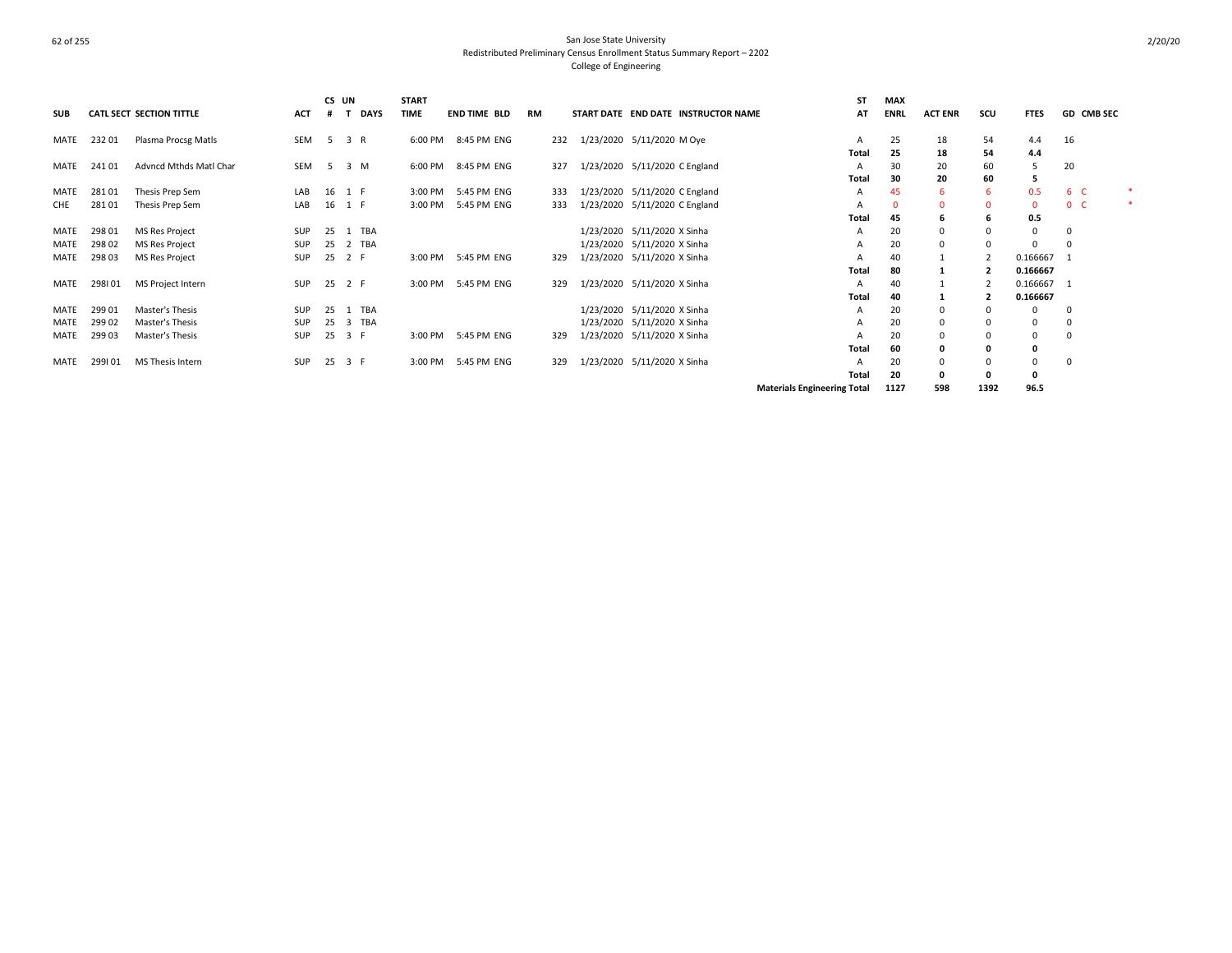|             |        |                                 |            | CS UN  |             | <b>START</b> |                     |           |     |                                     | <b>ST</b>                          | <b>MAX</b>  |                |                |              |                |  |
|-------------|--------|---------------------------------|------------|--------|-------------|--------------|---------------------|-----------|-----|-------------------------------------|------------------------------------|-------------|----------------|----------------|--------------|----------------|--|
| <b>SUB</b>  |        | <b>CATL SECT SECTION TITTLE</b> | ACT        |        | <b>DAYS</b> | <b>TIME</b>  | <b>END TIME BLD</b> | <b>RM</b> |     | START DATE END DATE INSTRUCTOR NAME | AT                                 | <b>ENRL</b> | <b>ACT ENR</b> | SCU            | <b>FTES</b>  | GD CMB SEC     |  |
| MATE        | 23201  | Plasma Procsg Matls             | SEM        | 5 3 R  |             |              | 6:00 PM 8:45 PM ENG |           | 232 | 1/23/2020 5/11/2020 M Oye           | A                                  | 25          | 18             | 54             | 4.4          | 16             |  |
|             |        |                                 |            |        |             |              |                     |           |     |                                     | Total                              | 25          | 18             | 54             | 4.4          |                |  |
| MATE        | 24101  | Advncd Mthds Matl Char          | SEM        |        | 5 3 M       |              | 6:00 PM 8:45 PM ENG |           | 327 | 1/23/2020 5/11/2020 C England       | A                                  | 30          | 20             | 60             |              | 20             |  |
|             |        |                                 |            |        |             |              |                     |           |     |                                     | Total                              | 30          | 20             | 60             | 5            |                |  |
| MATE        | 28101  | Thesis Prep Sem                 | LAB        | 16 1 F |             |              | 3:00 PM 5:45 PM ENG |           | 333 | 1/23/2020 5/11/2020 C England       | A                                  | 45          | 6              | 6              | 0.5          | 6 C            |  |
| CHE         | 28101  | Thesis Prep Sem                 | LAB        |        | 16 1 F      | 3:00 PM      | 5:45 PM ENG         |           | 333 | 1/23/2020 5/11/2020 C England       | A                                  | $\Omega$    | 0              | $\mathbf 0$    | $\Omega$     | 0 <sub>c</sub> |  |
|             |        |                                 |            |        |             |              |                     |           |     |                                     | <b>Total</b>                       | 45          | h              | 6              | 0.5          |                |  |
| MATE        | 298 01 | MS Res Project                  | SUP        |        | 25 1 TBA    |              |                     |           |     | 1/23/2020 5/11/2020 X Sinha         | A                                  | 20          |                | $\Omega$       | $\Omega$     | 0              |  |
| MATE        | 298 02 | <b>MS Res Project</b>           | SUP        | 25     | 2 TBA       |              |                     |           |     | 1/23/2020 5/11/2020 X Sinha         | A                                  | 20          |                | 0              |              |                |  |
| MATE        | 298 03 | <b>MS Res Project</b>           | SUP        |        | 25 2 F      |              | 3:00 PM 5:45 PM ENG |           | 329 | 1/23/2020 5/11/2020 X Sinha         |                                    | 40          |                | $\overline{2}$ | 0.166667     |                |  |
|             |        |                                 |            |        |             |              |                     |           |     |                                     | Total                              | 80          |                | 2              | 0.166667     |                |  |
| MATE        | 298101 | MS Project Intern               | SUP        | 25 2 F |             |              | 3:00 PM 5:45 PM ENG |           | 329 | 1/23/2020 5/11/2020 X Sinha         |                                    | 40          |                |                | 0.166667 1   |                |  |
|             |        |                                 |            |        |             |              |                     |           |     |                                     | Total                              | 40          |                | $\overline{2}$ | 0.166667     |                |  |
| MATE        | 299 01 | Master's Thesis                 | <b>SUP</b> |        | 25 1 TBA    |              |                     |           |     | 1/23/2020 5/11/2020 X Sinha         | A                                  | 20          | 0              | 0              | $\Omega$     | $\Omega$       |  |
| MATE        | 299 02 | Master's Thesis                 | <b>SUP</b> |        | 25 3 TBA    |              |                     |           |     | 1/23/2020 5/11/2020 X Sinha         | A                                  | 20          |                | $\Omega$       | $\Omega$     |                |  |
| MATE        | 29903  | Master's Thesis                 | SUP        | 25     | 3 F         |              | 3:00 PM 5:45 PM ENG |           | 329 | 1/23/2020 5/11/2020 X Sinha         |                                    | 20          |                | 0              | $\Omega$     |                |  |
|             |        |                                 |            |        |             |              |                     |           |     |                                     | Total                              | 60          |                | 0              | 0            |                |  |
| <b>MATE</b> | 299101 | MS Thesis Intern                | <b>SUP</b> | 25 3 F |             |              | 3:00 PM 5:45 PM ENG |           | 329 | 1/23/2020 5/11/2020 X Sinha         |                                    | 20          |                | 0              | 0            | 0              |  |
|             |        |                                 |            |        |             |              |                     |           |     |                                     | Total                              | 20          | O              | 0              | $\mathbf{0}$ |                |  |
|             |        |                                 |            |        |             |              |                     |           |     |                                     | <b>Materials Engineering Total</b> | 1127        | 598            | 1392           | 96.5         |                |  |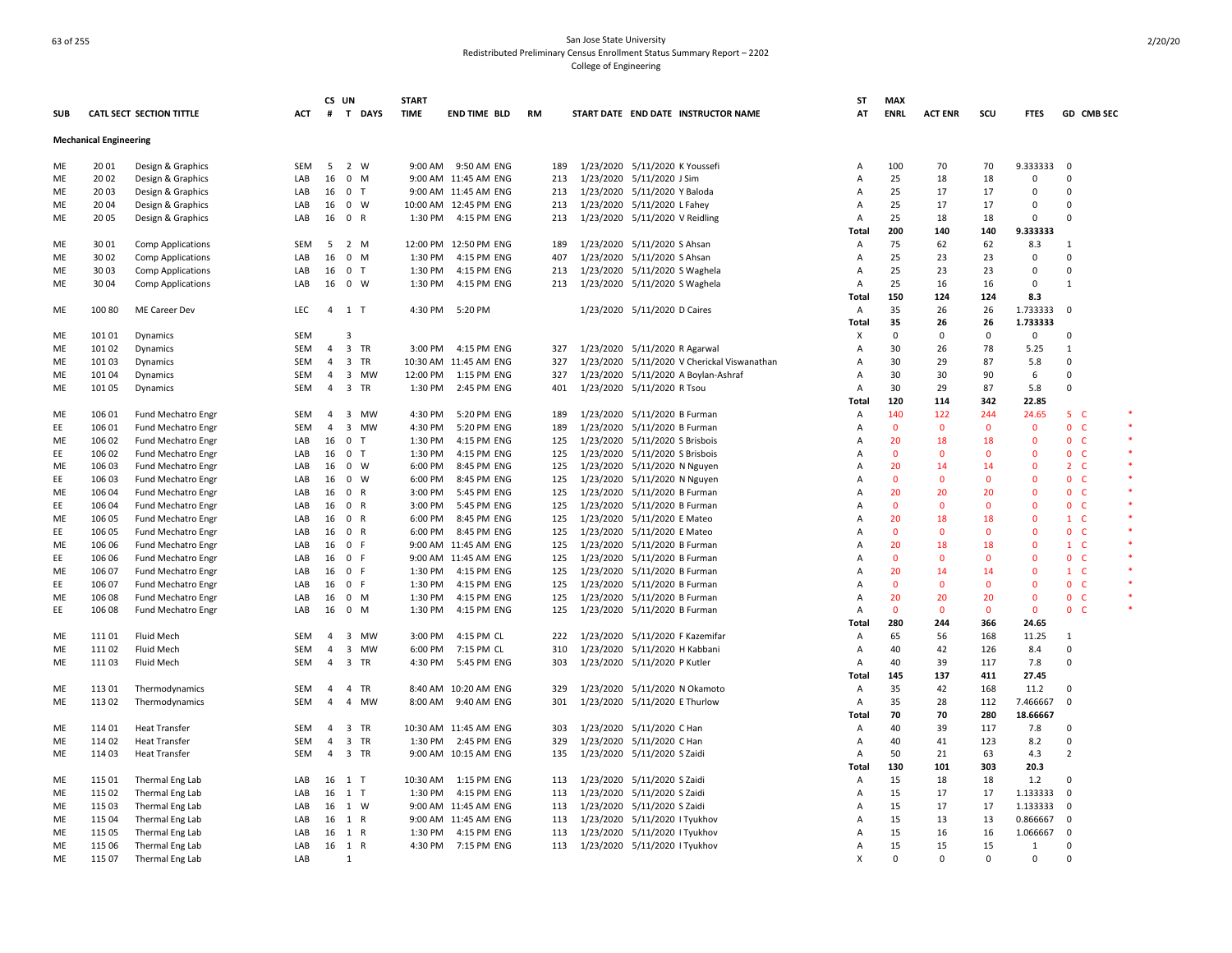|            |                               |                                 |            | CS UN          |                     | <b>START</b>       |                            |           |           |                                                              | ST             | <b>MAX</b>   |                |                |                          |                          |  |
|------------|-------------------------------|---------------------------------|------------|----------------|---------------------|--------------------|----------------------------|-----------|-----------|--------------------------------------------------------------|----------------|--------------|----------------|----------------|--------------------------|--------------------------|--|
| <b>SUB</b> |                               | <b>CATL SECT SECTION TITTLE</b> | ACT        | #              | T DAYS              | <b>TIME</b>        | <b>END TIME BLD</b>        | <b>RM</b> |           | START DATE END DATE INSTRUCTOR NAME                          | AT             | <b>ENRL</b>  | <b>ACT ENR</b> | scu            | <b>FTES</b>              | GD CMB SEC               |  |
|            | <b>Mechanical Engineering</b> |                                 |            |                |                     |                    |                            |           |           |                                                              |                |              |                |                |                          |                          |  |
| ME         | 20 01                         | Design & Graphics               | <b>SEM</b> | 5              | 2 W                 |                    | 9:00 AM 9:50 AM ENG        | 189       |           | 1/23/2020 5/11/2020 K Youssefi                               | A              | 100          | 70             | 70             | 9.333333                 | 0                        |  |
| ME         | 20 02                         | Design & Graphics               | LAB        | 16             | $0$ M               |                    | 9:00 AM 11:45 AM ENG       | 213       |           | 1/23/2020 5/11/2020 J Sim                                    | A              | 25           | 18             | 18             | $\Omega$                 | $\Omega$                 |  |
| ME         | 20 03                         | Design & Graphics               | LAB        | 16             | 0 <sub>T</sub>      |                    | 9:00 AM 11:45 AM ENG       | 213       |           | 1/23/2020 5/11/2020 Y Baloda                                 | A              | 25           | 17             | 17             | $\mathbf 0$              | $\Omega$                 |  |
| <b>ME</b>  | 20 04                         | Design & Graphics               | LAB        | 16             | $0 \quad W$         |                    | 10:00 AM 12:45 PM ENG      | 213       |           | 1/23/2020 5/11/2020 L Fahey                                  | A              | 25           | 17             | 17             | $\Omega$                 | $\Omega$                 |  |
| ME         | 20 05                         | Design & Graphics               | LAB        | 16             | 0 R                 |                    | 1:30 PM 4:15 PM ENG        | 213       |           | 1/23/2020 5/11/2020 V Reidling                               | Α              | 25           | 18             | 18             | $\Omega$                 | $\Omega$                 |  |
|            |                               |                                 |            |                |                     |                    |                            |           |           |                                                              | Total          | 200          | 140            | 140            | 9.333333                 |                          |  |
| ME         | 3001                          | <b>Comp Applications</b>        | <b>SEM</b> | 5              | 2 M                 |                    | 12:00 PM 12:50 PM ENG      | 189       |           | 1/23/2020 5/11/2020 S Ahsan                                  | Α              | 75           | 62             | 62             | 8.3                      | 1                        |  |
| ME         | 3002                          | <b>Comp Applications</b>        | LAB        | 16             | $0$ M               | 1:30 PM            | 4:15 PM ENG                | 407       |           | 1/23/2020 5/11/2020 S Ahsan                                  | A              | 25           | 23             | 23             | $\Omega$                 | $\Omega$                 |  |
| ME         | 30 03                         | <b>Comp Applications</b>        | LAB        | 16             | 0 <sub>T</sub>      | 1:30 PM            | 4:15 PM ENG                | 213       |           | 1/23/2020 5/11/2020 S Waghela                                | Α              | 25           | 23             | 23             | $\Omega$                 | $\Omega$                 |  |
| ME         | 30 04                         | Comp Applications               | LAB        |                | 16 0 W              | 1:30 PM            | 4:15 PM ENG                | 213       |           | 1/23/2020 5/11/2020 S Waghela                                | A              | 25           | 16             | 16             | $\mathbf 0$              | $\mathbf{1}$             |  |
|            |                               |                                 |            |                |                     |                    |                            |           |           |                                                              | Total          | 150          | 124            | 124            | 8.3                      |                          |  |
| ME         | 100 80                        | ME Career Dev                   | <b>LEC</b> | $\overline{a}$ | 1 T                 | 4:30 PM            | 5:20 PM                    |           |           | 1/23/2020 5/11/2020 D Caires                                 | Α              | 35           | 26             | 26             | 1.733333                 | $\mathbf 0$              |  |
|            |                               |                                 |            |                |                     |                    |                            |           |           |                                                              | Total          | 35           | 26             | 26             | 1.733333                 |                          |  |
| ME         | 101 01                        | Dynamics                        | SEM        |                | 3                   |                    |                            |           |           |                                                              | X              | $\mathbf 0$  | $\mathbf 0$    | $\mathbf 0$    | $\Omega$                 | $\Omega$                 |  |
| ME         | 101 02                        | Dynamics                        | SEM        | 4              | 3 TR                | 3:00 PM            | 4:15 PM ENG                | 327       |           | 1/23/2020 5/11/2020 R Agarwal                                | A              | 30           | 26             | 78             | 5.25                     | 1                        |  |
| ME         | 101 03                        | Dynamics                        | <b>SEM</b> | 4              | 3 TR                |                    | 10:30 AM 11:45 AM ENG      | 327       |           | 1/23/2020 5/11/2020 V Cherickal Viswanathan                  | A              | 30           | 29             | 87             | 5.8                      | 0                        |  |
| ME         | 101 04                        | Dynamics                        | SEM        | 4              | 3 MW                |                    | 12:00 PM  1:15 PM ENG      | 327       |           | 1/23/2020 5/11/2020 A Boylan-Ashraf                          | A              | 30           | 30             | 90             | 6                        | 0                        |  |
| ME         | 101 05                        | Dynamics                        | <b>SEM</b> | $\overline{4}$ | 3 TR                | 1:30 PM            | 2:45 PM ENG                | 401       |           | 1/23/2020 5/11/2020 R Tsou                                   | A              | 30           | 29             | 87             | 5.8                      | 0                        |  |
|            |                               |                                 |            |                |                     |                    |                            |           |           |                                                              | <b>Total</b>   | 120          | 114            | 342            | 22.85                    |                          |  |
| ME         | 106 01                        | <b>Fund Mechatro Engr</b>       | <b>SEM</b> | 4              | 3 MW                | 4:30 PM            | 5:20 PM ENG                | 189       |           | 1/23/2020 5/11/2020 B Furman                                 | Α              | 140          | 122            | 244            | 24.65                    | 5<br><b>C</b>            |  |
| EE         | 106 01                        | <b>Fund Mechatro Engr</b>       | <b>SEM</b> | 4              | 3<br>MW             | 4:30 PM            | 5:20 PM ENG                | 189       |           | 1/23/2020 5/11/2020 B Furman                                 | A              | $\mathbf 0$  | $\mathbf 0$    | $\mathbf 0$    | $\mathbf 0$              | $\mathbf 0$<br>-C        |  |
| ME         | 106 02                        | Fund Mechatro Engr              | LAB        | 16             | $\overline{0}$<br>T | 1:30 PM            | 4:15 PM ENG                | 125       |           | 1/23/2020 5/11/2020 S Brisbois                               | A              | 20           | 18             | 18             | $\Omega$                 | $\mathbf{0}$<br>- C      |  |
| EE         | 106 02                        | Fund Mechatro Engr              | LAB        | 16             | 0 <sub>T</sub>      | 1:30 PM            | 4:15 PM ENG                | 125       |           | 1/23/2020 5/11/2020 S Brisbois                               | A              | $\mathbf{0}$ | $\Omega$       | $\Omega$       | $\Omega$                 | $\mathbf{0}$<br>- C      |  |
| ME         | 106 03                        | Fund Mechatro Engr              | LAB        | 16             | $0 \quad W$         | 6:00 PM            | 8:45 PM ENG                | 125       |           | 1/23/2020 5/11/2020 N Nguyen                                 | A              | 20           | 14             | 14             | $\Omega$                 | 2 <sub>c</sub>           |  |
| EE         | 106 03                        | Fund Mechatro Engr              | LAB        | 16             | $0 \quad W$         | 6:00 PM            | 8:45 PM ENG                | 125       |           | 1/23/2020 5/11/2020 N Nguyen                                 | A              | $\mathbf{0}$ | $\Omega$       | $\Omega$       | $\Omega$                 | $\mathbf{0}$<br><b>C</b> |  |
| ME         | 106 04                        | Fund Mechatro Engr              | LAB        | 16             | 0 R                 | 3:00 PM            | 5:45 PM ENG                | 125       |           |                                                              | A              | 20           | 20             | 20             | $\Omega$                 | $\mathbf{0}$<br>- C      |  |
| EE         | 106 04                        |                                 | LAB        | 16             | 0 R                 | 3:00 PM            | 5:45 PM ENG                | 125       |           | 1/23/2020 5/11/2020 B Furman<br>1/23/2020 5/11/2020 B Furman | A              | $\mathbf{0}$ | $\Omega$       | $\Omega$       | $\Omega$                 | 0 <sub>c</sub>           |  |
|            |                               | Fund Mechatro Engr              |            |                | 0 R                 |                    |                            | 125       |           |                                                              | A              | 20           | 18             | 18             | $\Omega$                 | $\mathbf{1}$<br>- C      |  |
| ME         | 106 05                        | Fund Mechatro Engr              | LAB<br>LAB | 16<br>16       | 0 R                 | 6:00 PM<br>6:00 PM | 8:45 PM ENG<br>8:45 PM ENG | 125       |           | 1/23/2020 5/11/2020 E Mateo                                  | A              | $\Omega$     | $\Omega$       | $\Omega$       | $\Omega$                 | 0 <sub>c</sub>           |  |
| EE         | 106 05                        | Fund Mechatro Engr              |            |                |                     |                    |                            |           |           | 1/23/2020 5/11/2020 E Mateo                                  |                |              |                |                |                          |                          |  |
| ME         | 106 06                        | <b>Fund Mechatro Engr</b>       | LAB        | 16             | 0 F<br>0 F          |                    | 9:00 AM 11:45 AM ENG       | 125       |           | 1/23/2020 5/11/2020 B Furman                                 | Α              | 20           | 18<br>$\Omega$ | 18<br>$\Omega$ | $\mathbf{0}$<br>$\Omega$ | $\mathbf{1}$<br>- C      |  |
| EE         | 106 06                        | Fund Mechatro Engr              | LAB        | 16             |                     |                    | 9:00 AM 11:45 AM ENG       | 125       |           | 1/23/2020 5/11/2020 B Furman                                 | A              | $\mathbf{0}$ |                |                |                          | $\mathbf{0}$<br>- C      |  |
| ME         | 106 07                        | <b>Fund Mechatro Engr</b>       | LAB        | 16             | 0 F                 | 1:30 PM            | 4:15 PM ENG                | 125       |           | 1/23/2020 5/11/2020 B Furman                                 | A              | 20           | 14             | 14             | $\mathbf{0}$             | $1 \quad C$              |  |
| EE         | 106 07                        | Fund Mechatro Engr              | LAB        | 16             | 0 F                 | 1:30 PM            | 4:15 PM ENG                | 125       |           | 1/23/2020 5/11/2020 B Furman                                 | A              | $\mathbf{0}$ | $\Omega$       | $\Omega$       | $\Omega$                 | $\mathbf{0}$<br><b>C</b> |  |
| ME         | 106 08                        | Fund Mechatro Engr              | LAB        | 16             | $0 \quad M$         | 1:30 PM            | 4:15 PM ENG                | 125       |           | 1/23/2020 5/11/2020 B Furman                                 | Α              | 20           | 20             | 20             | $\mathbf 0$              | $\mathbf{0}$<br>- C      |  |
| EE         | 106 08                        | <b>Fund Mechatro Engr</b>       | LAB        | 16             | $0$ M               | 1:30 PM            | 4:15 PM ENG                | 125       |           | 1/23/2020 5/11/2020 B Furman                                 | A              | $\mathbf 0$  | $\mathbf 0$    | $\mathbf 0$    | $\mathbf 0$              | $\mathbf{0}$<br>-C       |  |
|            |                               |                                 |            |                |                     |                    |                            |           |           |                                                              | Total          | 280          | 244            | 366            | 24.65                    |                          |  |
| ME         | 11101                         | Fluid Mech                      | <b>SEM</b> | $\overline{4}$ | 3 MW                | 3:00 PM            | 4:15 PM CL                 | 222       |           | 1/23/2020 5/11/2020 F Kazemifar                              | A              | 65           | 56             | 168            | 11.25                    | 1                        |  |
| ME         | 11102                         | Fluid Mech                      | <b>SEM</b> | $\overline{4}$ | 3<br><b>MW</b>      | 6:00 PM            | 7:15 PM CL                 | 310       | 1/23/2020 | 5/11/2020 H Kabbani                                          | Α              | 40           | 42             | 126            | 8.4                      | $\Omega$                 |  |
| ME         | 11103                         | Fluid Mech                      | <b>SEM</b> | 4              | 3 TR                | 4:30 PM            | 5:45 PM ENG                | 303       |           | 1/23/2020 5/11/2020 P Kutler                                 | Α              | 40           | 39             | 117            | 7.8                      | $\Omega$                 |  |
|            |                               |                                 |            |                |                     |                    |                            |           |           |                                                              | Total          | 145          | 137            | 411            | 27.45                    |                          |  |
| ME         | 11301                         | Thermodynamics                  | <b>SEM</b> | 4              | 4 TR                |                    | 8:40 AM 10:20 AM ENG       | 329       |           | 1/23/2020 5/11/2020 N Okamoto                                | Α              | 35           | 42             | 168            | 11.2                     | 0                        |  |
| ME         | 11302                         | Thermodynamics                  | <b>SEM</b> | $\overline{4}$ | 4 MW                | 8:00 AM            | 9:40 AM ENG                | 301       |           | 1/23/2020 5/11/2020 E Thurlow                                | $\overline{A}$ | 35           | 28             | 112            | 7.466667                 | $\Omega$                 |  |
|            |                               |                                 |            |                |                     |                    |                            |           |           |                                                              | Total          | 70           | 70             | 280            | 18.66667                 |                          |  |
| ME         | 114 01                        | <b>Heat Transfer</b>            | SEM        | 4              | 3 TR                |                    | 10:30 AM 11:45 AM ENG      | 303       |           | 1/23/2020 5/11/2020 C Han                                    | A              | 40           | 39             | 117            | 7.8                      | $\Omega$                 |  |
| ME         | 114 02                        | <b>Heat Transfer</b>            | <b>SEM</b> | $\overline{4}$ | 3 TR                |                    | 1:30 PM 2:45 PM ENG        | 329       |           | 1/23/2020 5/11/2020 C Han                                    | Α              | 40           | 41             | 123            | 8.2                      | $\Omega$                 |  |
| <b>ME</b>  | 11403                         | <b>Heat Transfer</b>            | <b>SEM</b> | $\overline{4}$ | 3 TR                |                    | 9:00 AM 10:15 AM ENG       | 135       |           | 1/23/2020 5/11/2020 S Zaidi                                  | $\overline{A}$ | 50           | 21             | 63             | 4.3                      | 2                        |  |
|            |                               |                                 |            |                |                     |                    |                            |           |           |                                                              | Total          | 130          | 101            | 303            | 20.3                     |                          |  |
| ME         | 115 01                        | Thermal Eng Lab                 | LAB        |                | 16 1 T              |                    | 10:30 AM  1:15 PM ENG      | 113       |           | 1/23/2020 5/11/2020 S Zaidi                                  | $\overline{A}$ | 15           | 18             | 18             | $1.2$                    | $\Omega$                 |  |
| ME         | 115 02                        | Thermal Eng Lab                 | LAB        | 16             | $1$ T               | 1:30 PM            | 4:15 PM ENG                | 113       |           | 1/23/2020 5/11/2020 S Zaidi                                  | Α              | 15           | 17             | 17             | 1.133333                 | $\Omega$                 |  |
| ME         | 115 03                        | Thermal Eng Lab                 | LAB        |                | 16 1 W              |                    | 9:00 AM 11:45 AM ENG       | 113       |           | 1/23/2020 5/11/2020 S Zaidi                                  | $\overline{A}$ | 15           | 17             | 17             | 1.133333                 | $\Omega$                 |  |
| ME         | 115 04                        | Thermal Eng Lab                 | LAB        | 16             | 1 R                 |                    | 9:00 AM 11:45 AM ENG       | 113       |           | 1/23/2020 5/11/2020 I Tyukhov                                | A              | 15           | 13             | 13             | 0.866667                 | 0                        |  |
| ME         | 115 05                        | Thermal Eng Lab                 | LAB        |                | 16 1 R              | 1:30 PM            | 4:15 PM ENG                | 113       |           | 1/23/2020 5/11/2020 I Tyukhov                                | A              | 15           | 16             | 16             | 1.066667                 | $\mathbf 0$              |  |
| ME         | 115 06                        | Thermal Eng Lab                 | LAB        | 16             | 1 R                 |                    | 4:30 PM 7:15 PM ENG        | 113       |           | 1/23/2020 5/11/2020 I Tyukhov                                | A              | 15           | 15             | 15             | 1                        | $\Omega$                 |  |
| ME         | 115 07                        | Thermal Eng Lab                 | LAB        |                | 1                   |                    |                            |           |           |                                                              | X              | $\Omega$     | $\Omega$       | $\Omega$       | $\Omega$                 | $\Omega$                 |  |
|            |                               |                                 |            |                |                     |                    |                            |           |           |                                                              |                |              |                |                |                          |                          |  |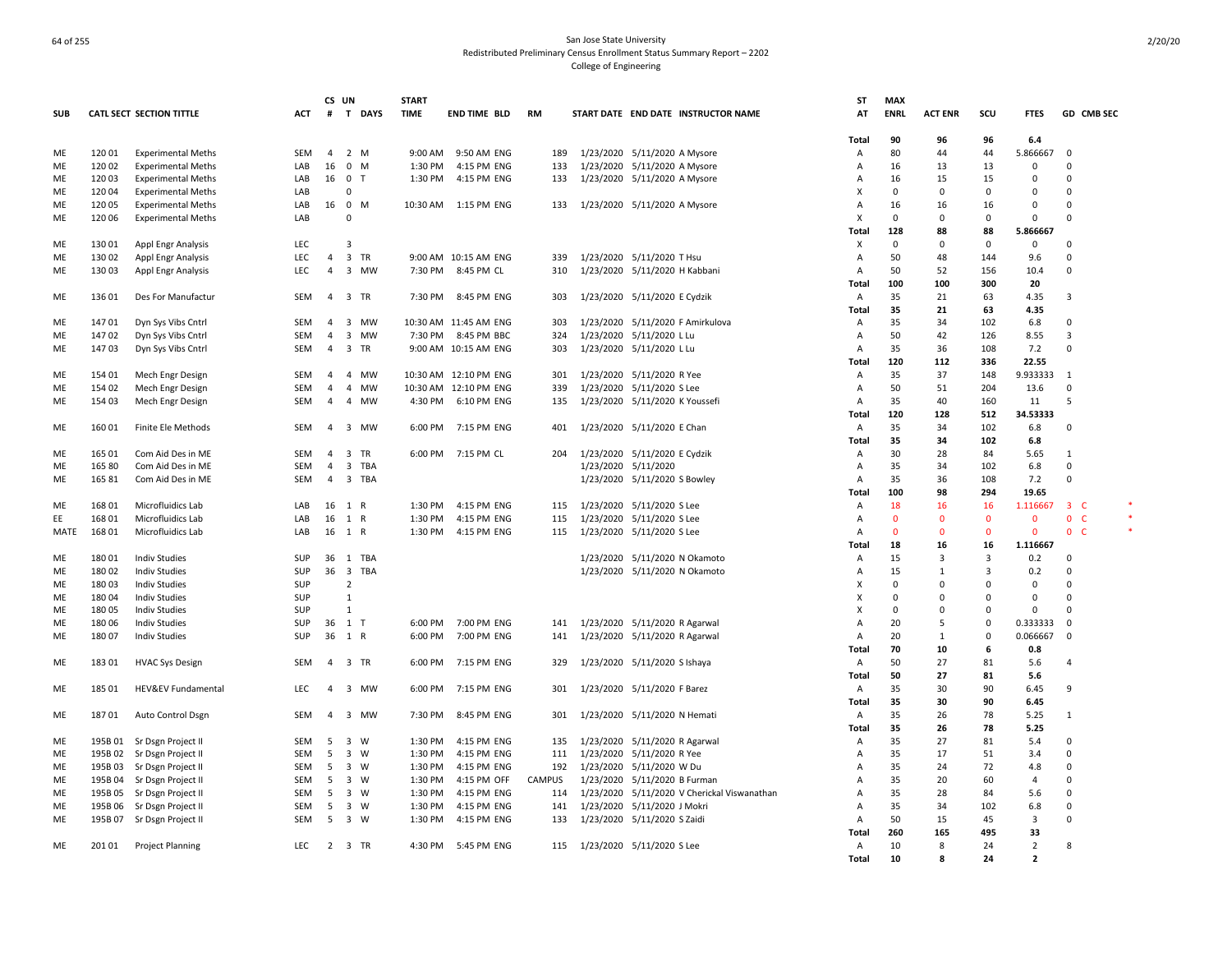|            |         |                                 |            | CS UN          |                         | <b>START</b> |                       |               |                                             | <b>ST</b>      | <b>MAX</b>   |                |             |                |                          |  |
|------------|---------|---------------------------------|------------|----------------|-------------------------|--------------|-----------------------|---------------|---------------------------------------------|----------------|--------------|----------------|-------------|----------------|--------------------------|--|
| <b>SUB</b> |         | <b>CATL SECT SECTION TITTLE</b> | <b>ACT</b> | #              | T DAYS                  | <b>TIME</b>  | <b>END TIME BLD</b>   | <b>RM</b>     | START DATE END DATE INSTRUCTOR NAME         | AT             | <b>ENRL</b>  | <b>ACT ENR</b> | scu         | <b>FTES</b>    | GD CMB SEC               |  |
|            |         |                                 |            |                |                         |              |                       |               |                                             | Total          | 90           | 96             | 96          | $6.4\,$        |                          |  |
| ME         | 12001   | <b>Experimental Meths</b>       | SEM        | 4              | 2 M                     | 9:00 AM      | 9:50 AM ENG           | 189           | 1/23/2020 5/11/2020 A Mysore                | Α              | 80           | 44             | 44          | 5.866667       | 0                        |  |
| ME         | 120 02  | <b>Experimental Meths</b>       | LAB        | 16             | 0 M                     | 1:30 PM      | 4:15 PM ENG           | 133           | 1/23/2020 5/11/2020 A Mysore                | Α              | 16           | 13             | 13          | 0              | $\Omega$                 |  |
| ME         | 12003   | <b>Experimental Meths</b>       | LAB        | 16             | 0 <sub>T</sub>          | 1:30 PM      | 4:15 PM ENG           | 133           | 1/23/2020 5/11/2020 A Mysore                | Α              | 16           | 15             | 15          | 0              | 0                        |  |
| ME         | 12004   | <b>Experimental Meths</b>       | LAB        |                | 0                       |              |                       |               |                                             | X              | 0            | $\Omega$       | 0           | $\mathbf 0$    | 0                        |  |
| ME         | 12005   | <b>Experimental Meths</b>       | LAB        | 16             | 0 M                     | 10:30 AM     | 1:15 PM ENG           | 133           | 1/23/2020 5/11/2020 A Mysore                | A              | 16           | 16             | 16          | 0              | $\mathbf 0$              |  |
| ME         | 120 06  | <b>Experimental Meths</b>       | LAB        |                | $\Omega$                |              |                       |               |                                             | X              | $\mathbf 0$  | $\Omega$       | $\Omega$    | $\Omega$       | $\Omega$                 |  |
|            |         |                                 |            |                |                         |              |                       |               |                                             | Total          | 128          | 88             | 88          | 5.866667       |                          |  |
| ME         | 130 01  | Appl Engr Analysis              | <b>LEC</b> |                | $\overline{\mathbf{3}}$ |              |                       |               |                                             | X              | $\mathbf 0$  | $\Omega$       | $\Omega$    | $\Omega$       | $\Omega$                 |  |
| ME         | 130 02  | Appl Engr Analysis              | <b>LEC</b> | $\overline{4}$ | 3 TR                    |              | 9:00 AM 10:15 AM ENG  | 339           | 1/23/2020 5/11/2020 T Hsu                   | A              | 50           | 48             | 144         | 9.6            | $\Omega$                 |  |
| ME         | 13003   | Appl Engr Analysis              | <b>LEC</b> | $\overline{4}$ | 3 MW                    | 7:30 PM      | 8:45 PM CL            | 310           | 1/23/2020 5/11/2020 H Kabbani               | $\overline{A}$ | 50           | 52             | 156         | 10.4           | $\Omega$                 |  |
|            |         |                                 |            |                |                         |              |                       |               |                                             |                | 100          | 100            | 300         | 20             |                          |  |
|            |         |                                 |            | $\overline{a}$ |                         |              |                       |               |                                             | Total          |              |                |             |                |                          |  |
| ME         | 136 01  | Des For Manufactur              | SEM        |                | 3 TR                    | 7:30 PM      | 8:45 PM ENG           | 303           | 1/23/2020 5/11/2020 E Cydzik                | Α              | 35           | 21             | 63          | 4.35           | $\overline{\mathbf{3}}$  |  |
|            |         |                                 |            |                |                         |              |                       |               |                                             | Total          | 35           | 21             | 63          | 4.35           |                          |  |
| ME         | 14701   | Dyn Sys Vibs Cntrl              | SEM        | 4              | 3 MW                    |              | 10:30 AM 11:45 AM ENG | 303           | 1/23/2020 5/11/2020 F Amirkulova            | Α              | 35           | 34             | 102         | 6.8            | $\mathbf 0$              |  |
| ME         | 14702   | Dyn Sys Vibs Cntrl              | SEM        | 4              | 3 MW                    | 7:30 PM      | 8:45 PM BBC           | 324           | 1/23/2020 5/11/2020 L Lu                    | Α              | 50           | 42             | 126         | 8.55           | 3                        |  |
| ME         | 14703   | Dyn Sys Vibs Cntrl              | SEM        | 4              | 3 TR                    |              | 9:00 AM 10:15 AM ENG  | 303           | 1/23/2020 5/11/2020 L Lu                    | A              | 35           | 36             | 108         | 7.2            | $\mathbf 0$              |  |
|            |         |                                 |            |                |                         |              |                       |               |                                             | Total          | 120          | 112            | 336         | 22.55          |                          |  |
| ME         | 154 01  | Mech Engr Design                | SEM        | $\overline{4}$ | 4 MW                    |              | 10:30 AM 12:10 PM ENG | 301           | 1/23/2020 5/11/2020 R Yee                   | Α              | 35           | 37             | 148         | 9.933333       | $\mathbf{1}$             |  |
| ME         | 154 02  | Mech Engr Design                | SEM        | $\overline{4}$ | $\overline{4}$<br>MW    |              | 10:30 AM 12:10 PM ENG | 339           | 1/23/2020 5/11/2020 S Lee                   | A              | 50           | 51             | 204         | 13.6           | $\mathbf 0$              |  |
| ME         | 154 03  | Mech Engr Design                | SEM        | $\overline{4}$ | 4 MW                    | 4:30 PM      | 6:10 PM ENG           | 135           | 1/23/2020 5/11/2020 K Youssefi              | Α              | 35           | 40             | 160         | 11             | 5                        |  |
|            |         |                                 |            |                |                         |              |                       |               |                                             | Total          | 120          | 128            | 512         | 34.53333       |                          |  |
| ME         | 16001   | Finite Ele Methods              | <b>SEM</b> | $\overline{4}$ | 3 MW                    | 6:00 PM      | 7:15 PM ENG           | 401           | 1/23/2020 5/11/2020 E Chan                  | $\overline{A}$ | 35           | 34             | 102         | 6.8            | $\Omega$                 |  |
|            |         |                                 |            |                |                         |              |                       |               |                                             | Total          | 35           | 34             | 102         | 6.8            |                          |  |
| ME         | 165 01  | Com Aid Des in ME               | SEM        | $\overline{a}$ | 3 TR                    |              | 6:00 PM 7:15 PM CL    | 204           | 1/23/2020 5/11/2020 E Cydzik                | Α              | 30           | 28             | 84          | 5.65           | -1                       |  |
| ME         | 165 80  | Com Aid Des in ME               | SEM        | $\overline{4}$ | 3 TBA                   |              |                       |               | 1/23/2020 5/11/2020                         | Α              | 35           | 34             | 102         | 6.8            | $\mathbf 0$              |  |
| ME         | 16581   | Com Aid Des in ME               | SEM        | 4              | 3 TBA                   |              |                       |               | 1/23/2020 5/11/2020 S Bowley                | Α              | 35           | 36             | 108         | 7.2            | $\Omega$                 |  |
|            |         |                                 |            |                |                         |              |                       |               |                                             | Total          | 100          | 98             | 294         | 19.65          |                          |  |
| ME         | 168 01  | Microfluidics Lab               | LAB        |                | 16 1 R                  | 1:30 PM      | 4:15 PM ENG           | 115           | 1/23/2020 5/11/2020 S Lee                   | A              | 18           | 16             | 16          | 1.116667       | 3 <sup>°</sup>           |  |
| EE         | 168 01  | Microfluidics Lab               | LAB        |                | 16 1 R                  | 1:30 PM      | 4:15 PM ENG           | 115           | 1/23/2020 5/11/2020 S Lee                   | A              | $\mathbf 0$  | $\mathbf 0$    | $\mathbf 0$ | $\mathbf{0}$   | $\mathbf 0$<br>C         |  |
|            | 16801   | Microfluidics Lab               |            |                | 16 1 R                  | 1:30 PM      |                       |               |                                             | A              | $\mathbf{0}$ | $\Omega$       | $\Omega$    | $\mathbf 0$    | <b>C</b><br>$\mathbf{0}$ |  |
| MATE       |         |                                 | LAB        |                |                         |              | 4:15 PM ENG           | 115           | 1/23/2020 5/11/2020 S Lee                   |                |              |                |             |                |                          |  |
|            |         |                                 |            |                |                         |              |                       |               |                                             | Total          | 18           | 16             | 16          | 1.116667       |                          |  |
| ME         | 180 01  | <b>Indiv Studies</b>            | SUP        |                | 36 1 TBA                |              |                       |               | 1/23/2020 5/11/2020 N Okamoto               | A              | 15           | $\mathbf{3}$   | 3           | 0.2            | $\Omega$                 |  |
| ME         | 18002   | <b>Indiv Studies</b>            | <b>SUP</b> |                | 36 3 TBA                |              |                       |               | 1/23/2020 5/11/2020 N Okamoto               | A              | 15           | $\mathbf{1}$   | 3           | 0.2            | $\Omega$                 |  |
| ME         | 18003   | <b>Indiv Studies</b>            | SUP        |                | $\overline{2}$          |              |                       |               |                                             | X              | $\Omega$     | $\Omega$       | $\Omega$    | $\Omega$       | $\Omega$                 |  |
| ME         | 18004   | <b>Indiv Studies</b>            | SUP        |                | $\mathbf{1}$            |              |                       |               |                                             | X              | $\Omega$     | $\Omega$       | $\Omega$    | $\Omega$       | $\Omega$                 |  |
| ME         | 18005   | <b>Indiv Studies</b>            | SUP        |                | $\mathbf{1}$            |              |                       |               |                                             | X              | $\Omega$     | $\overline{0}$ | $\Omega$    | $\Omega$       | $\Omega$                 |  |
| ME         | 18006   | <b>Indiv Studies</b>            | SUP        |                | 36 1 T                  |              | 6:00 PM 7:00 PM ENG   | 141           | 1/23/2020 5/11/2020 R Agarwal               | Α              | 20           | 5              | 0           | 0.333333       | $\mathbf 0$              |  |
| ME         | 18007   | <b>Indiv Studies</b>            | SUP        |                | 36 1 R                  | 6:00 PM      | 7:00 PM ENG           | 141           | 1/23/2020 5/11/2020 R Agarwal               | Α              | 20           | $\mathbf{1}$   | 0           | 0.066667       | 0                        |  |
|            |         |                                 |            |                |                         |              |                       |               |                                             | Total          | 70           | 10             | 6           | 0.8            |                          |  |
| ME         | 18301   | <b>HVAC Sys Design</b>          | SEM        |                | 4 3 TR                  | 6:00 PM      | 7:15 PM ENG           | 329           | 1/23/2020 5/11/2020 S Ishaya                | Α              | 50           | 27             | 81          | 5.6            | 4                        |  |
|            |         |                                 |            |                |                         |              |                       |               |                                             | Total          | 50           | 27             | 81          | 5.6            |                          |  |
| ME         | 185 01  | HEV&EV Fundamental              | LEC        | $\overline{a}$ | 3 MW                    | 6:00 PM      | 7:15 PM ENG           | 301           | 1/23/2020 5/11/2020 F Barez                 | Α              | 35           | 30             | 90          | 6.45           | 9                        |  |
|            |         |                                 |            |                |                         |              |                       |               |                                             | Total          | 35           | 30             | 90          | 6.45           |                          |  |
| ME         | 18701   | Auto Control Dsgn               | SEM        | $\overline{4}$ | 3 MW                    | 7:30 PM      | 8:45 PM ENG           | 301           | 1/23/2020 5/11/2020 N Hemati                | A              | 35           | 26             | 78          | 5.25           | $\mathbf{1}$             |  |
|            |         |                                 |            |                |                         |              |                       |               |                                             | Total          | 35           | 26             | 78          | 5.25           |                          |  |
| ME         | 195B 01 | Sr Dsgn Project II              | <b>SEM</b> | -5             | $3 \quad W$             | 1:30 PM      | 4:15 PM ENG           | 135           | 1/23/2020 5/11/2020 R Agarwal               | A              | 35           | 27             | 81          | 5.4            | $\Omega$                 |  |
| ME         | 195B 02 | Sr Dsgn Project II              | <b>SEM</b> | 5              | $3 \quad W$             | 1:30 PM      | 4:15 PM ENG           | 111           | 1/23/2020 5/11/2020 R Yee                   | A              | 35           | 17             | 51          | 3.4            | $\Omega$                 |  |
| ME         | 195B03  | Sr Dsgn Project II              | SEM        | 5              | 3 W                     | 1:30 PM      | 4:15 PM ENG           | 192           | 1/23/2020 5/11/2020 W Du                    | A              | 35           | 24             | 72          | 4.8            | $\mathbf 0$              |  |
|            |         |                                 | SEM        | 5              |                         | 1:30 PM      |                       | <b>CAMPUS</b> |                                             |                | 35           | 20             |             | 4              | 0                        |  |
| ME         | 195B04  | Sr Dsgn Project II              |            |                | 3 W                     |              | 4:15 PM OFF           |               | 1/23/2020 5/11/2020 B Furman                | A              |              |                | 60          |                |                          |  |
| ME         | 195B05  | Sr Dsgn Project II              | SEM        | 5              | 3 W                     | 1:30 PM      | 4:15 PM ENG           | 114           | 1/23/2020 5/11/2020 V Cherickal Viswanathan | A              | 35           | 28             | 84          | 5.6            | $\mathbf 0$              |  |
| ME         | 195B 06 | Sr Dsgn Project II              | SEM        | 5              | 3 W                     | 1:30 PM      | 4:15 PM ENG           | 141           | 1/23/2020 5/11/2020 J Mokri                 | Α              | 35           | 34             | 102         | 6.8            | $\mathbf 0$              |  |
| ME         | 195B 07 | Sr Dsgn Project I               | SEM        | 5              | 3 W                     | 1:30 PM      | 4:15 PM ENG           | 133           | 1/23/2020 5/11/2020 S Zaidi                 | A              | 50           | 15             | 45          | 3              | $\mathbf 0$              |  |
|            |         |                                 |            |                |                         |              |                       |               |                                             | Total          | 260          | 165            | 495         | 33             |                          |  |
| ME         | 20101   | <b>Project Planning</b>         | <b>LEC</b> | $\overline{2}$ | 3 TR                    | 4:30 PM      | 5:45 PM ENG           | 115           | 1/23/2020 5/11/2020 S Lee                   | A              | 10           | 8              | 24          | $\overline{2}$ | 8                        |  |
|            |         |                                 |            |                |                         |              |                       |               |                                             | Total          | 10           | Я              | 24          | $\overline{2}$ |                          |  |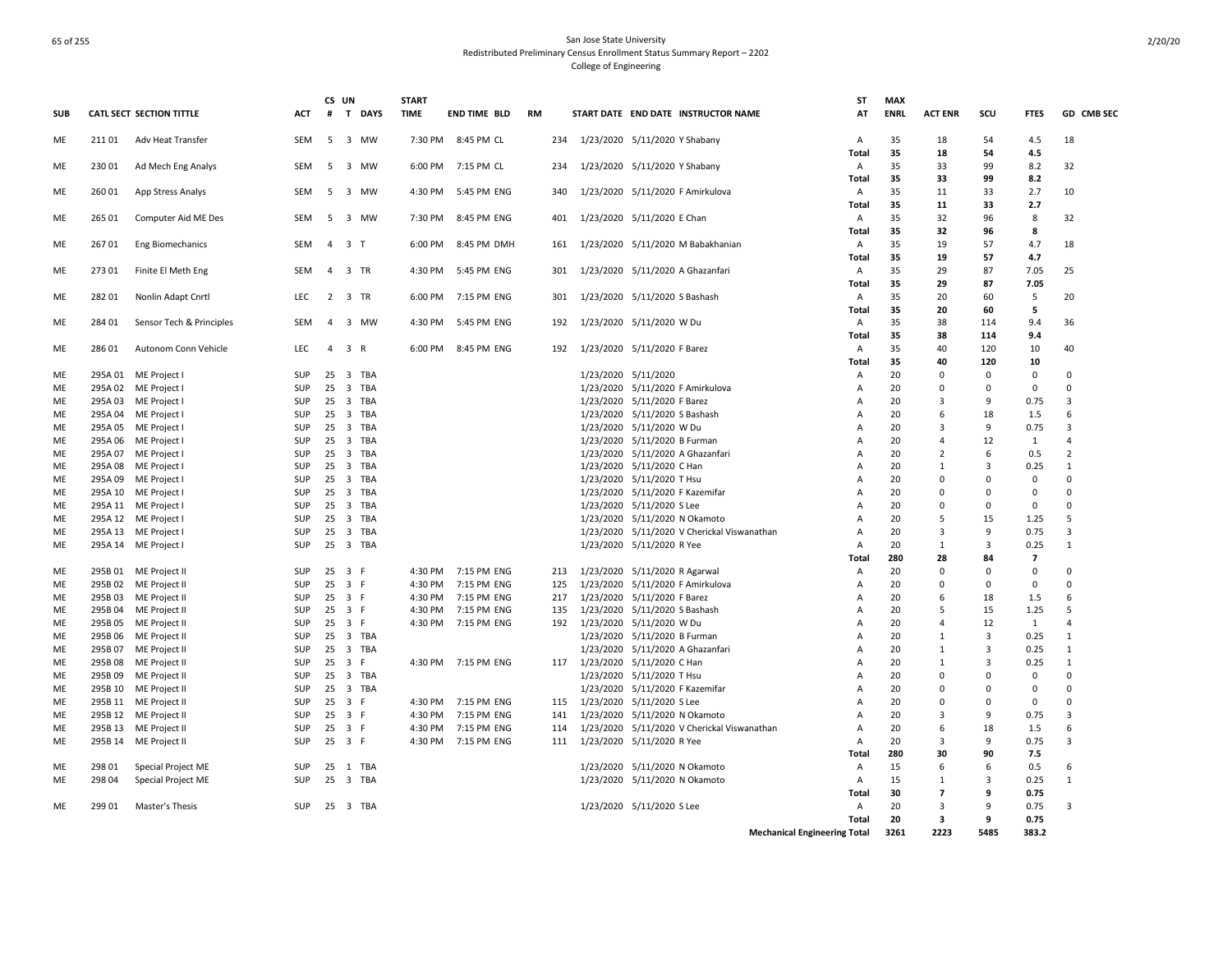|            |         |                                 |            | CS UN          |          | <b>START</b> |                     |           |                           |                                 |                                             | ST           | <b>MAX</b>  |                         |                |                |                         |
|------------|---------|---------------------------------|------------|----------------|----------|--------------|---------------------|-----------|---------------------------|---------------------------------|---------------------------------------------|--------------|-------------|-------------------------|----------------|----------------|-------------------------|
| <b>SUB</b> |         | <b>CATL SECT SECTION TITTLE</b> | ACT        | #              | T DAYS   | <b>TIME</b>  | <b>END TIME BLD</b> | <b>RM</b> |                           |                                 | START DATE END DATE INSTRUCTOR NAME         | AT           | <b>ENRL</b> | <b>ACT ENR</b>          | scu            | <b>FTES</b>    | GD CMB SEC              |
| ME         | 21101   | Adv Heat Transfer               | SEM        |                | 5 3 MW   | 7:30 PM      | 8:45 PM CL          | 234       |                           | 1/23/2020 5/11/2020 Y Shabany   |                                             | A            | 35          | 18                      | 54             | 4.5            | 18                      |
|            |         |                                 |            |                |          |              |                     |           |                           |                                 |                                             | Total        | 35          | 18                      | 54             | 4.5            |                         |
| ME         | 23001   | Ad Mech Eng Analys              | SEM        | - 5            | 3 MW     | 6:00 PM      | 7:15 PM CL          | 234       |                           | 1/23/2020 5/11/2020 Y Shabany   |                                             | A            | 35          | 33                      | 99             | 8.2            | 32                      |
|            |         |                                 |            |                |          |              |                     |           |                           |                                 |                                             | Total        | 35          | 33                      | 99             | 8.2            |                         |
| ME         | 260 01  | App Stress Analys               | SEM        | -5             | 3 MW     | 4:30 PM      | 5:45 PM ENG         | 340       |                           |                                 | 1/23/2020 5/11/2020 F Amirkulova            | A            | 35          | 11                      | 33             | 2.7            | 10                      |
|            |         |                                 |            |                |          |              |                     |           |                           |                                 |                                             | Total        | 35          | 11                      | 33             | 2.7            |                         |
| ME         | 265 01  |                                 | SEM        |                | 5 3 MW   | 7:30 PM      | 8:45 PM ENG         | 401       |                           | 1/23/2020 5/11/2020 E Chan      |                                             | A            | 35          | 32                      | 96             | 8              | 32                      |
|            |         | Computer Aid ME Des             |            |                |          |              |                     |           |                           |                                 |                                             |              | 35          | 32                      | 96             | 8              |                         |
|            |         |                                 |            |                |          |              |                     |           |                           |                                 |                                             | Total        |             |                         |                |                |                         |
| ME         | 26701   | <b>Eng Biomechanics</b>         | SEM        | $\overline{4}$ | 3 T      | 6:00 PM      | 8:45 PM DMH         | 161       |                           |                                 | 1/23/2020 5/11/2020 M Babakhanian           | A            | 35          | 19                      | 57             | 4.7            | 18                      |
|            |         |                                 |            |                |          |              |                     |           |                           |                                 |                                             | Total        | 35          | 19                      | 57             | 4.7            |                         |
| ME         | 273 01  | Finite El Meth Eng              | SEM        | $\overline{4}$ | 3 TR     | 4:30 PM      | 5:45 PM ENG         | 301       |                           |                                 | 1/23/2020 5/11/2020 A Ghazanfari            | A            | 35          | 29                      | 87             | 7.05           | 25                      |
|            |         |                                 |            |                |          |              |                     |           |                           |                                 |                                             | Total        | 35          | 29                      | 87             | 7.05           |                         |
| ME         | 28201   | Nonlin Adapt Cnrtl              | LEC        |                | 2 3 TR   | 6:00 PM      | 7:15 PM ENG         | 301       |                           | 1/23/2020 5/11/2020 S Bashash   |                                             | A            | 35          | 20                      | 60             | -5             | 20                      |
|            |         |                                 |            |                |          |              |                     |           |                           |                                 |                                             | Total        | 35          | 20                      | 60             | 5              |                         |
| ME         | 284 01  | Sensor Tech & Principles        | SEM        | $\overline{a}$ | 3 MW     | 4:30 PM      | 5:45 PM ENG         | 192       |                           | 1/23/2020 5/11/2020 W Du        |                                             | A            | 35          | 38                      | 114            | 9.4            | 36                      |
|            |         |                                 |            |                |          |              |                     |           |                           |                                 |                                             | Total        | 35          | 38                      | 114            | 9.4            |                         |
| ME         | 28601   | Autonom Conn Vehicle            | <b>LEC</b> | $\overline{4}$ | 3 R      | 6:00 PM      | 8:45 PM ENG         | 192       |                           | 1/23/2020 5/11/2020 F Barez     |                                             | $\mathsf{A}$ | 35          | 40                      | 120            | 10             | 40                      |
|            |         |                                 |            |                |          |              |                     |           |                           |                                 |                                             | <b>Total</b> | 35          | 40                      | 120            | 10             |                         |
| ME         |         | 295A 01 ME Project I            | SUP        | 25             | 3 TBA    |              |                     |           |                           | 1/23/2020 5/11/2020             |                                             | Α            | 20          | $\mathbf 0$             | $\mathbf 0$    | $\mathbf 0$    | $\mathbf 0$             |
| ME         |         | 295A 02 ME Project I            | SUP        |                | 25 3 TBA |              |                     |           |                           |                                 | 1/23/2020 5/11/2020 F Amirkulova            | A            | 20          | $\mathbf 0$             | $\mathbf 0$    | $\mathbf 0$    | $\Omega$                |
| ME         |         | 295A 03 ME Project I            | SUP        |                | 25 3 TBA |              |                     |           |                           | 1/23/2020 5/11/2020 F Barez     |                                             | A            | 20          | 3                       | 9              | 0.75           | 3                       |
| ME         |         | 295A 04 ME Project I            | SUP        |                | 25 3 TBA |              |                     |           |                           | 1/23/2020 5/11/2020 S Bashash   |                                             | Α            | 20          | 6                       | 18             | 1.5            | 6                       |
| ME         |         | 295A 05 ME Project I            | SUP        |                | 25 3 TBA |              |                     |           |                           | 1/23/2020 5/11/2020 W Du        |                                             | Α            | 20          | 3                       | 9              | 0.75           | 3                       |
| ME         |         | 295A 06 ME Project I            | SUP        |                | 25 3 TBA |              |                     |           |                           | 1/23/2020 5/11/2020 B Furman    |                                             | Α            | 20          | $\overline{4}$          | 12             | 1              | $\overline{4}$          |
| ME         |         | 295A 07 ME Project I            | SUP        |                | 25 3 TBA |              |                     |           |                           |                                 | 1/23/2020 5/11/2020 A Ghazanfari            | A            | 20          | $\overline{2}$          | 6              | 0.5            | $\overline{2}$          |
| ME         |         | 295A 08 ME Project I            | SUP        |                | 25 3 TBA |              |                     |           |                           | 1/23/2020 5/11/2020 C Han       |                                             | A            | 20          | 1                       | 3              | 0.25           | 1                       |
| ME         |         | 295A 09 ME Project I            | SUP        | 25             | 3 TBA    |              |                     |           |                           | 1/23/2020 5/11/2020 T Hsu       |                                             | Α            | 20          | 0                       | $\Omega$       | $\mathbf 0$    | 0                       |
| ME         |         | 295A 10 ME Project I            | SUP        |                | 25 3 TBA |              |                     |           |                           | 1/23/2020 5/11/2020 F Kazemifar |                                             | Α            | 20          | $\Omega$                | $\Omega$       | $\mathbf 0$    | $\Omega$                |
| ME         |         | 295A 11 ME Project I            | SUP        |                | 25 3 TBA |              |                     |           |                           | 1/23/2020 5/11/2020 S Lee       |                                             | Α            | 20          | 0                       | $\Omega$       | 0              | $\Omega$                |
| ME         |         |                                 | SUP        | 25             | 3 TBA    |              |                     |           |                           | 1/23/2020 5/11/2020 N Okamoto   |                                             |              | 20          | -5                      | 15             | 1.25           | 5                       |
| ME         |         | 295A 12 ME Project I            | SUP        |                | 25 3 TBA |              |                     |           |                           |                                 | 1/23/2020 5/11/2020 V Cherickal Viswanathan | Α            | 20          | $\overline{3}$          | 9              | 0.75           | $\overline{\mathbf{3}}$ |
|            |         | 295A 13 ME Project I            |            |                |          |              |                     |           |                           |                                 |                                             | Α            |             |                         |                |                |                         |
| ME         |         | 295A 14 ME Project I            | SUP        |                | 25 3 TBA |              |                     |           |                           | 1/23/2020 5/11/2020 R Yee       |                                             | A            | 20          | $\mathbf{1}$            | 3              | 0.25           | $\mathbf{1}$            |
|            |         |                                 |            |                |          |              |                     |           |                           |                                 |                                             | Total        | 280         | 28                      | 84             | $\overline{7}$ |                         |
| ME         |         | 295B 01 ME Project II           | SUP        |                | 25 3 F   |              | 4:30 PM 7:15 PM ENG | 213       |                           | 1/23/2020 5/11/2020 R Agarwal   |                                             | A            | 20          | $\mathbf 0$             | $\Omega$       | $\mathbf 0$    | $\Omega$                |
| ME         |         | 295B 02 ME Project II           | SUP        | 25             | 3 F      | 4:30 PM      | 7:15 PM ENG         | 125       |                           |                                 | 1/23/2020 5/11/2020 F Amirkulova            | Α            | 20          | 0                       | 0              | $\mathbf 0$    | $\mathbf 0$             |
| ME         |         | 295B 03 ME Project II           | SUP        |                | 25 3 F   | 4:30 PM      | 7:15 PM ENG         | 217       |                           | 1/23/2020 5/11/2020 F Barez     |                                             | Α            | 20          | 6                       | 18             | 1.5            | 6                       |
| ME         |         | 295B 04 ME Project II           | SUP        |                | 25 3 F   | 4:30 PM      | 7:15 PM ENG         | 135       |                           | 1/23/2020 5/11/2020 S Bashash   |                                             | Α            | 20          | 5                       | 15             | 1.25           | 5                       |
| ME         |         | 295B 05 ME Project II           | SUP        |                | 25 3 F   |              | 4:30 PM 7:15 PM ENG | 192       |                           | 1/23/2020 5/11/2020 W Du        |                                             | Α            | 20          | $\overline{4}$          | 12             | $\mathbf{1}$   | $\overline{4}$          |
| ME         |         | 295B 06 ME Project II           | SUP        |                | 25 3 TBA |              |                     |           |                           | 1/23/2020 5/11/2020 B Furman    |                                             | Α            | 20          | $\mathbf{1}$            | $\overline{3}$ | 0.25           | $\mathbf{1}$            |
| <b>ME</b>  | 295B 07 | ME Project II                   | SUP        |                | 25 3 TBA |              |                     |           |                           |                                 | 1/23/2020 5/11/2020 A Ghazanfari            | A            | 20          | 1                       | 3              | 0.25           | 1                       |
| ME         |         | 295B 08 ME Project II           | SUP        |                | 25 3 F   |              | 4:30 PM 7:15 PM ENG | 117       | 1/23/2020 5/11/2020 C Han |                                 |                                             | Α            | 20          | 1                       | 3              | 0.25           | 1                       |
| ME         |         | 295B 09 ME Project II           | SUP        |                | 25 3 TBA |              |                     |           |                           | 1/23/2020 5/11/2020 T Hsu       |                                             | Α            | 20          | $\mathbf 0$             | $\Omega$       | $\mathbf 0$    | $\Omega$                |
| ME         |         | 295B 10 ME Project II           | SUP        | 25             | 3 TBA    |              |                     |           |                           | 1/23/2020 5/11/2020 F Kazemifar |                                             | Α            | 20          | $\Omega$                | $\Omega$       | $\mathbf 0$    | $\Omega$                |
| ME         |         | 295B 11 ME Project II           | SUP        |                | 25 3 F   |              | 4:30 PM 7:15 PM ENG | 115       |                           | 1/23/2020 5/11/2020 S Lee       |                                             | Α            | 20          | 0                       | $\Omega$       | $\mathbf 0$    | $\Omega$                |
| ME         |         | 295B 12 ME Project II           | SUP        |                | 25 3 F   | 4:30 PM      | 7:15 PM ENG         | 141       |                           | 1/23/2020 5/11/2020 N Okamoto   |                                             | A            | 20          | $\overline{3}$          | 9              | 0.75           | 3                       |
| ME         |         | 295B 13 ME Project II           | SUP        | 25             | 3 F      | 4:30 PM      | 7:15 PM ENG         | 114       |                           |                                 | 1/23/2020 5/11/2020 V Cherickal Viswanathan | Α            | 20          | 6                       | 18             | 1.5            | 6                       |
| ME         |         | 295B 14 ME Project II           | SUP        |                | 25 3 F   |              | 4:30 PM 7:15 PM ENG | 111       |                           | 1/23/2020 5/11/2020 R Yee       |                                             | A            | 20          | 3                       | 9              | 0.75           | 3                       |
|            |         |                                 |            |                |          |              |                     |           |                           |                                 |                                             | Total        | 280         | 30                      | 90             | 7.5            |                         |
| ME         | 298 01  | Special Project ME              | SUP        | 25             | 1 TBA    |              |                     |           |                           | 1/23/2020 5/11/2020 N Okamoto   |                                             | A            | 15          | 6                       | 6              | 0.5            | 6                       |
| ME         | 298 04  | Special Project ME              | SUP        |                | 25 3 TBA |              |                     |           |                           | 1/23/2020 5/11/2020 N Okamoto   |                                             | A            | 15          | 1                       | 3              | 0.25           | 1                       |
|            |         |                                 |            |                |          |              |                     |           |                           |                                 |                                             | Total        | 30          | $\overline{\mathbf{z}}$ | 9              | 0.75           |                         |
|            | 29901   |                                 |            |                |          |              |                     |           |                           |                                 |                                             |              | 20          |                         | q              |                | 3                       |
| ME         |         | Master's Thesis                 | SUP        |                | 25 3 TBA |              |                     |           |                           | 1/23/2020 5/11/2020 S Lee       |                                             | A            | 20          | 3                       | 9              | 0.75           |                         |
|            |         |                                 |            |                |          |              |                     |           |                           |                                 |                                             | Total        |             | 3                       |                | 0.75           |                         |
|            |         |                                 |            |                |          |              |                     |           |                           |                                 | <b>Mechanical Engineering Total</b>         |              | 3261        | 2223                    | 5485           | 383.2          |                         |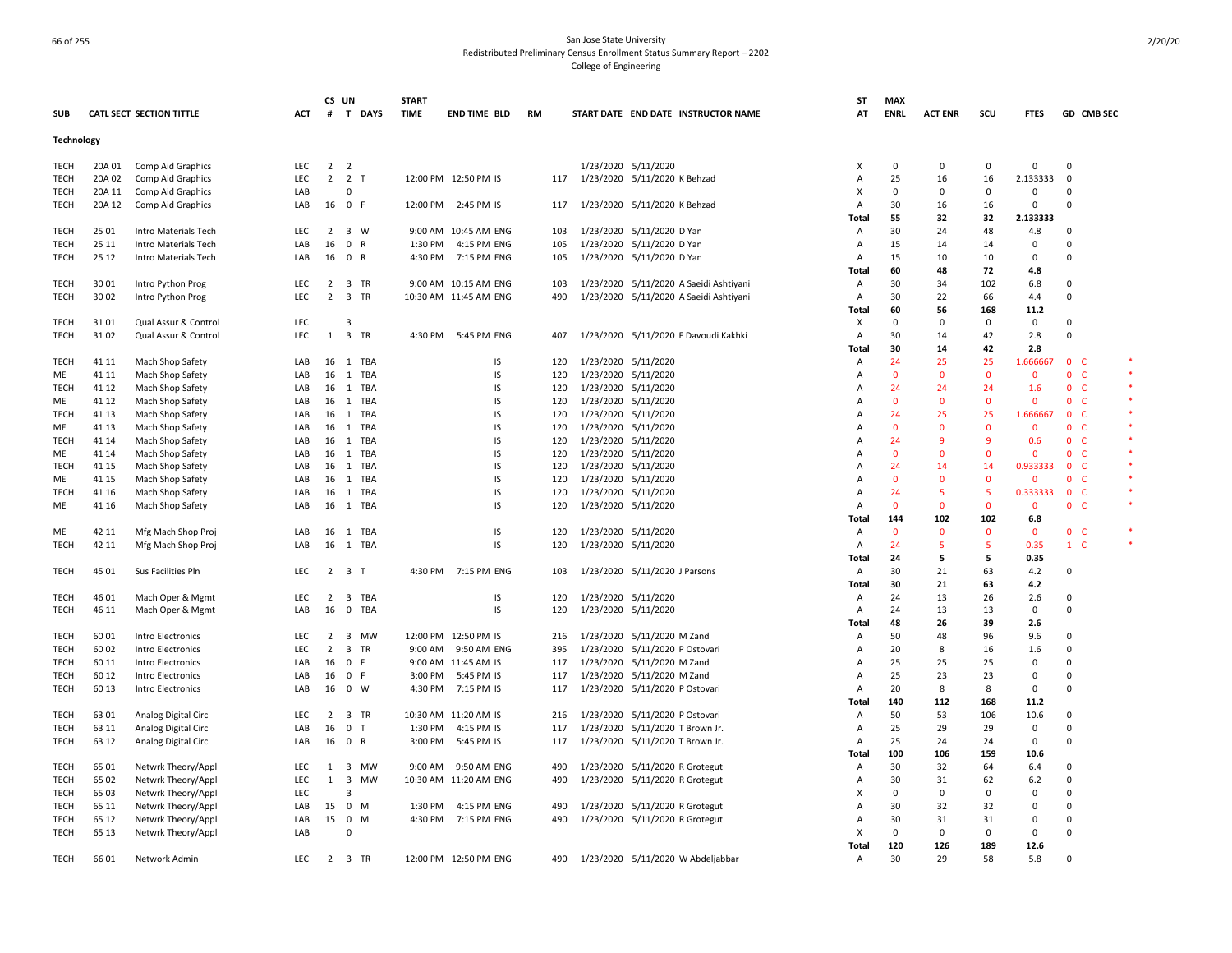|             |        |                          |            |                | CS UN               | <b>START</b> |                       |           |                                        | SΤ             | <b>MAX</b>     |                |             |              |                              |  |
|-------------|--------|--------------------------|------------|----------------|---------------------|--------------|-----------------------|-----------|----------------------------------------|----------------|----------------|----------------|-------------|--------------|------------------------------|--|
| <b>SUB</b>  |        | CATL SECT SECTION TITTLE | ACT        | #              | T DAYS              | <b>TIME</b>  | <b>END TIME BLD</b>   | <b>RM</b> | START DATE END DATE INSTRUCTOR NAME    | AT             | <b>ENRL</b>    | <b>ACT ENR</b> | scu         | <b>FTES</b>  | GD CMB SEC                   |  |
| Technology  |        |                          |            |                |                     |              |                       |           |                                        |                |                |                |             |              |                              |  |
| <b>TECH</b> | 20A 01 | Comp Aid Graphics        | <b>LEC</b> | $\overline{2}$ | $\overline{2}$      |              |                       |           | 1/23/2020 5/11/2020                    | $\times$       | $\mathbf 0$    | $\overline{0}$ | $\mathbf 0$ | $\mathbf 0$  | $\mathbf 0$                  |  |
| <b>TECH</b> | 20A 02 | Comp Aid Graphics        | LEC        | $\overline{2}$ | 2 <sub>T</sub>      |              | 12:00 PM 12:50 PM IS  | 117       | 1/23/2020 5/11/2020 K Behzad           | A              | 25             | 16             | 16          | 2.133333     | $\mathbf 0$                  |  |
| TECH        | 20A 11 | Comp Aid Graphics        | LAB        |                | $\Omega$            |              |                       |           |                                        | X              | $\Omega$       | $\Omega$       | $\Omega$    | $\mathbf 0$  | $\Omega$                     |  |
| <b>TECH</b> | 20A 12 |                          | LAB        |                | 16 0 F              |              | 12:00 PM 2:45 PM IS   | 117       | 1/23/2020 5/11/2020 K Behzad           | A              | 30             | 16             | 16          | $\Omega$     | $\Omega$                     |  |
|             |        | Comp Aid Graphics        |            |                |                     |              |                       |           |                                        | Total          | 55             | 32             | 32          | 2.133333     |                              |  |
| <b>TECH</b> | 25 01  | Intro Materials Tech     | <b>LEC</b> |                | $2 \quad 3 \quad W$ |              | 9:00 AM 10:45 AM ENG  | 103       | 1/23/2020 5/11/2020 D Yan              | A              | 30             | 24             | 48          | 4.8          | $\Omega$                     |  |
|             |        |                          |            |                |                     |              |                       |           |                                        |                |                |                |             | $\mathbf 0$  | 0                            |  |
| TECH        | 25 11  | Intro Materials Tech     | LAB        | 16             | 0 R                 | 1:30 PM      | 4:15 PM ENG           | 105       | 1/23/2020 5/11/2020 D Yan              | Α              | 15             | 14             | 14          | $\mathbf 0$  |                              |  |
| <b>TECH</b> | 25 12  | Intro Materials Tech     | LAB        | 16             | 0 R                 | 4:30 PM      | 7:15 PM ENG           | 105       | 1/23/2020 5/11/2020 D Yan              | $\overline{A}$ | 15             | 10             | 10          |              | $\Omega$                     |  |
|             |        |                          |            |                |                     |              |                       |           |                                        | Total          | 60             | 48             | 72          | 4.8          |                              |  |
| TECH        | 30 01  | Intro Python Prog        | <b>LEC</b> |                | 2 3 TR              |              | 9:00 AM 10:15 AM ENG  | 103       | 1/23/2020 5/11/2020 A Saeidi Ashtiyani | A              | 30             | 34             | 102         | 6.8          | $\mathbf 0$                  |  |
| <b>TECH</b> | 30 02  | Intro Python Prog        | <b>LEC</b> | $\overline{2}$ | 3 TR                |              | 10:30 AM 11:45 AM ENG | 490       | 1/23/2020 5/11/2020 A Saeidi Ashtiyani | Α              | 30             | 22             | 66          | 4.4          | $\mathbf 0$                  |  |
|             |        |                          |            |                |                     |              |                       |           |                                        | Total          | 60             | 56             | 168         | 11.2         |                              |  |
| TECH        | 31 01  | Qual Assur & Control     | LEC        |                | $\overline{3}$      |              |                       |           |                                        | х              | 0              | 0              | 0           | 0            | 0                            |  |
| TECH        | 31 02  | Qual Assur & Control     | LEC        | 1              | 3 TR                |              | 4:30 PM 5:45 PM ENG   | 407       | 1/23/2020 5/11/2020 F Davoudi Kakhki   | A              | 30             | 14             | 42          | 2.8          | 0                            |  |
|             |        |                          |            |                |                     |              |                       |           |                                        | Total          | 30             | 14             | 42          | 2.8          |                              |  |
| TECH        | 41 11  | Mach Shop Safety         | LAB        | 16             | 1 TBA               |              | IS                    | 120       | 1/23/2020 5/11/2020                    | $\overline{A}$ | 24             | 25             | 25          | 1.666667     | $\mathbf{0}$<br>-C           |  |
| <b>ME</b>   | 41 11  | Mach Shop Safety         | LAB        | 16             | 1 TBA               |              | IS                    | 120       | 1/23/2020 5/11/2020                    | A              | $\Omega$       | $\Omega$       | $\Omega$    | $\Omega$     | $\overline{0}$<br><b>C</b>   |  |
| <b>TECH</b> | 41 12  | Mach Shop Safety         | LAB        | 16             | 1 TBA               |              | IS                    | 120       | 1/23/2020 5/11/2020                    | А              | 24             | 24             | 24          | 1.6          | $\mathbf 0$<br>-C            |  |
| ME          | 41 12  | Mach Shop Safety         | LAB        | 16             | 1 TBA               |              | IS                    | 120       | 1/23/2020 5/11/2020                    | A              | $\mathbf 0$    | 0              | $\Omega$    | $\mathbf{0}$ | $\mathbf 0$<br>- C           |  |
| <b>TECH</b> | 41 13  | Mach Shop Safety         | LAB        | 16             | TBA<br><sup>1</sup> |              | IS                    | 120       | 1/23/2020 5/11/2020                    | Α              | 24             | 25             | 25          | 1.666667     | $\mathbf{0}$<br>- C          |  |
| ME          | 41 13  | Mach Shop Safety         | LAB        | 16             | 1 TBA               |              | IS.                   | 120       | 1/23/2020 5/11/2020                    | A              | $\mathbf{0}$   | $\Omega$       | $\Omega$    | $\Omega$     | $\mathbf{0}$<br>- C          |  |
| <b>TECH</b> | 41 14  | Mach Shop Safety         | LAB        | 16             | 1 TBA               |              | IS                    | 120       | 1/23/2020 5/11/2020                    | Α              | 24             | -9             | q           | 0.6          | $\mathbf{0}$<br><b>C</b>     |  |
| ME          | 41 14  | Mach Shop Safety         | LAB        | 16             | <b>TBA</b><br>1     |              | IS                    | 120       | 1/23/2020 5/11/2020                    | A              | $\overline{0}$ | $\Omega$       | $\Omega$    | $\mathbf{0}$ | $\mathbf{0}$<br>- C          |  |
| <b>TECH</b> | 41 15  | Mach Shop Safety         | LAB        | 16             | 1 TBA               |              | IS                    | 120       | 1/23/2020 5/11/2020                    | A              | 24             | 14             | 14          | 0.933333     | $\mathbf{0}$<br>$\mathsf{C}$ |  |
| ME          | 41 15  | Mach Shop Safety         | LAB        | 16             | 1 TBA               |              | IS                    | 120       | 1/23/2020 5/11/2020                    | A              | $\mathbf{0}$   | $\mathbf 0$    | $\Omega$    | $\mathbf 0$  | $0-$                         |  |
| <b>TECH</b> | 41 16  | Mach Shop Safety         | LAB        | 16             | 1 TBA               |              | IS                    | 120       | 1/23/2020 5/11/2020                    | Α              | 24             | -5             | -5          | 0.333333     | $\overline{0}$<br>- C        |  |
| ME          | 41 16  | Mach Shop Safety         | LAB        | 16             | 1 TBA               |              | IS                    | 120       | 1/23/2020 5/11/2020                    | A              | $\mathbf{0}$   | $\Omega$       | $\Omega$    | $\mathbf 0$  | 0 <sub>c</sub>               |  |
|             |        |                          |            |                |                     |              |                       |           |                                        | Total          | 144            | 102            | 102         | 6.8          |                              |  |
| ME          | 42 11  | Mfg Mach Shop Proj       | LAB        |                | 16 1 TBA            |              | IS                    | 120       | 1/23/2020 5/11/2020                    | A              | $\mathbf{0}$   | $\Omega$       | $\Omega$    | $\mathbf{0}$ | 0 <sub>c</sub>               |  |
|             | 42 11  |                          |            |                |                     |              | IS                    |           | 1/23/2020 5/11/2020                    |                |                | 5              | -5          | 0.35         | $1\quad C$                   |  |
| TECH        |        | Mfg Mach Shop Proj       | LAB        | 16             | 1 TBA               |              |                       | 120       |                                        | A              | 24             | 5              |             |              |                              |  |
|             |        |                          |            |                |                     |              |                       |           |                                        | Total          | 24             |                | 5           | 0.35         |                              |  |
| <b>TECH</b> | 45 01  | Sus Facilities Pln       | LEC        |                | $2 \quad 3 \quad T$ |              | 4:30 PM 7:15 PM ENG   | 103       | 1/23/2020 5/11/2020 J Parsons          | Α              | 30             | 21             | 63          | 4.2          | 0                            |  |
|             |        |                          |            |                |                     |              |                       |           |                                        | Total          | 30             | 21             | 63          | 4.2          |                              |  |
| <b>TECH</b> | 46 01  | Mach Oper & Mgmt         | LEC        | 2              | 3 TBA               |              | IS                    | 120       | 1/23/2020 5/11/2020                    | Α              | 24             | 13             | 26          | 2.6          | $\mathbf 0$                  |  |
| <b>TECH</b> | 46 11  | Mach Oper & Mgmt         | LAB        | 16             | 0 TBA               |              | IS                    | 120       | 1/23/2020 5/11/2020                    | Α              | 24             | 13             | 13          | $\Omega$     | $\Omega$                     |  |
|             |        |                          |            |                |                     |              |                       |           |                                        | Total          | 48             | 26             | 39          | 2.6          |                              |  |
| TECH        | 6001   | Intro Electronics        | LEC        | 2              | 3 MW                |              | 12:00 PM 12:50 PM IS  | 216       | 1/23/2020 5/11/2020 M Zand             | Α              | 50             | 48             | 96          | 9.6          | $\mathbf 0$                  |  |
| <b>TECH</b> | 6002   | Intro Electronics        | <b>LEC</b> | 2              | 3 TR                | 9:00 AM      | 9:50 AM ENG           | 395       | 1/23/2020 5/11/2020 P Ostovari         | A              | 20             | 8              | 16          | 1.6          | $\Omega$                     |  |
| <b>TECH</b> | 60 11  | Intro Electronics        | LAB        | 16             | 0 F                 |              | 9:00 AM 11:45 AM IS   | 117       | 1/23/2020 5/11/2020 M Zand             | A              | 25             | 25             | 25          | $\Omega$     | 0                            |  |
| <b>TECH</b> | 60 12  | Intro Electronics        | LAB        | 16             | 0 F                 |              | 3:00 PM 5:45 PM IS    | 117       | 1/23/2020 5/11/2020 M Zand             | A              | 25             | 23             | 23          | $\mathbf 0$  | $\Omega$                     |  |
| <b>TECH</b> | 60 13  | Intro Electronics        | LAB        | 16             | $0 \quad W$         | 4:30 PM      | 7:15 PM IS            | 117       | 1/23/2020 5/11/2020 P Ostovari         | A              | 20             | 8              | 8           | $\Omega$     | $\Omega$                     |  |
|             |        |                          |            |                |                     |              |                       |           |                                        | Total          | 140            | 112            | 168         | 11.2         |                              |  |
| <b>TECH</b> | 63 01  | Analog Digital Circ      | LEC        | $\overline{2}$ | 3 TR                |              | 10:30 AM 11:20 AM IS  | 216       | 1/23/2020 5/11/2020 P Ostovari         | Α              | 50             | 53             | 106         | 10.6         | $\mathbf 0$                  |  |
| <b>TECH</b> | 63 11  | Analog Digital Circ      | LAB        | 16             | 0 <sub>T</sub>      |              | 1:30 PM 4:15 PM IS    | 117       | 1/23/2020 5/11/2020 T Brown Jr.        | A              | 25             | 29             | 29          | $\mathbf 0$  | $\Omega$                     |  |
| <b>TECH</b> | 63 12  | Analog Digital Circ      | LAB        | 16             | 0 R                 | 3:00 PM      | 5:45 PM IS            | 117       | 1/23/2020 5/11/2020 T Brown Jr.        | A              | 25             | 24             | 24          | $\mathbf 0$  | $\mathbf 0$                  |  |
|             |        |                          |            |                |                     |              |                       |           |                                        | Total          | 100            | 106            | 159         | 10.6         |                              |  |
| TECH        | 65 01  | Netwrk Theory/Appl       | LEC        | 1              | 3<br>MW             | 9:00 AM      | 9:50 AM ENG           | 490       | 1/23/2020 5/11/2020 R Grotegut         | A              | 30             | 32             | 64          | 6.4          | 0                            |  |
| TECH        | 65 02  | Netwrk Theory/Appl       | LEC        | 1              | 3<br>MW             |              | 10:30 AM 11:20 AM ENG | 490       | 1/23/2020 5/11/2020 R Grotegut         | Α              | 30             | 31             | 62          | 6.2          | 0                            |  |
| TECH        | 65 03  | Netwrk Theory/Appl       | LEC        |                | 3                   |              |                       |           |                                        | X              | 0              | 0              | 0           | 0            | 0                            |  |
| TECH        | 65 11  | Netwrk Theory/Appl       | LAB        | 15             | $0$ M               | 1:30 PM      | 4:15 PM ENG           | 490       | 1/23/2020 5/11/2020 R Grotegut         | A              | 30             | 32             | 32          | $\mathbf 0$  | 0                            |  |
| <b>TECH</b> | 65 12  | Netwrk Theory/Appl       | LAB        | 15             | 0<br>M              |              | 4:30 PM 7:15 PM ENG   | 490       | 1/23/2020 5/11/2020 R Grotegut         | A              | 30             | 31             | 31          | $\mathbf 0$  | 0                            |  |
| <b>TECH</b> | 65 13  | Netwrk Theory/Appl       | LAB        |                | $\Omega$            |              |                       |           |                                        | X              | $\Omega$       | $\Omega$       | $\Omega$    | $\Omega$     | $\Omega$                     |  |
|             |        |                          |            |                |                     |              |                       |           |                                        | Total          | 120            | 126            | 189         | 12.6         |                              |  |
| <b>TECH</b> | 66 01  |                          | <b>LEC</b> | 2              | 3 TR                |              | 12:00 PM 12:50 PM ENG |           |                                        |                | 30             | 29             | 58          | 5.8          | $\Omega$                     |  |
|             |        | Network Admin            |            |                |                     |              |                       | 490       | 1/23/2020 5/11/2020 W Abdeljabbar      | Α              |                |                |             |              |                              |  |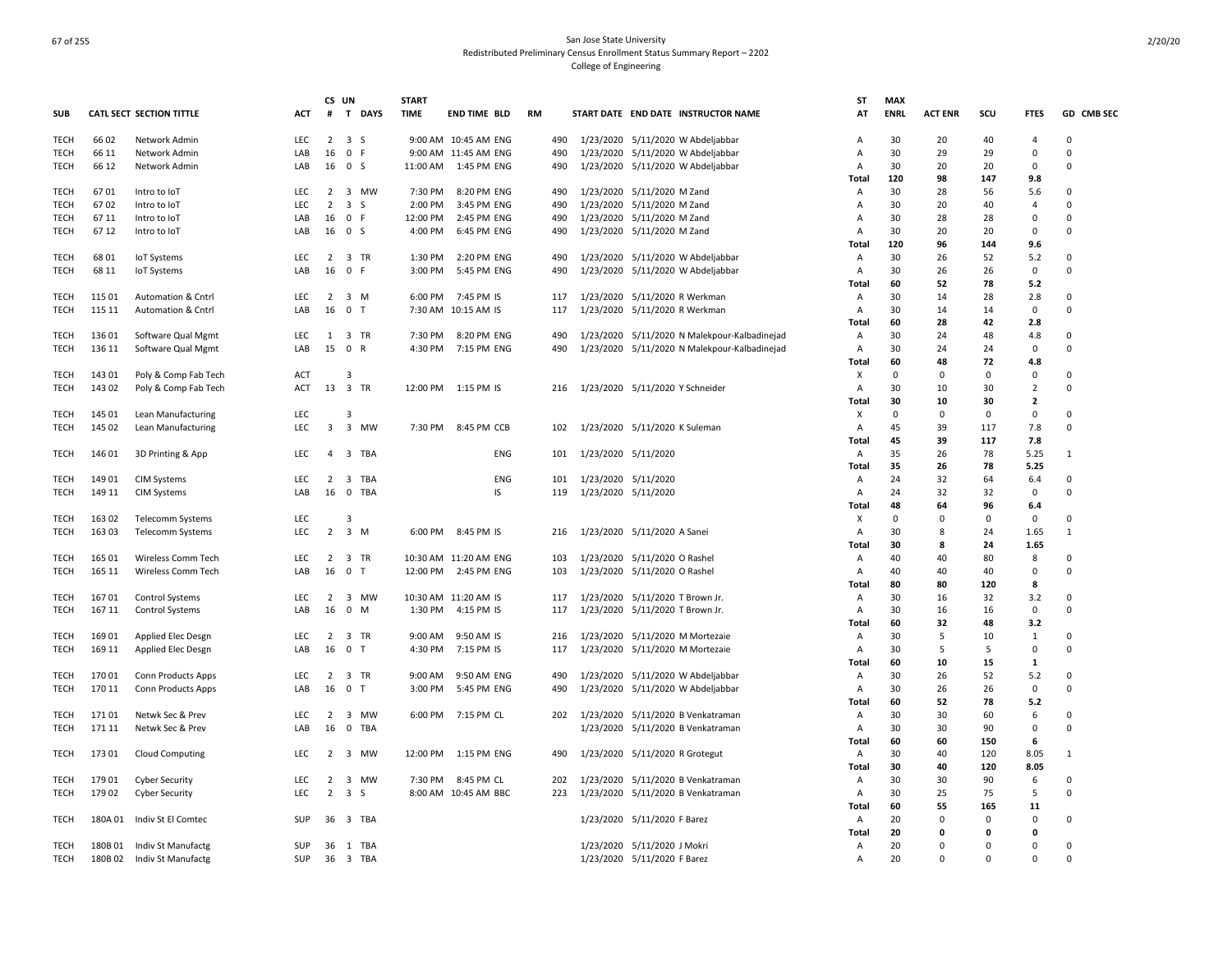|             |         |                                 |            | CS UN                   |                     | <b>START</b> |                       |           |                     |                                              | <b>ST</b>      | <b>MAX</b>  |                |          |                |             |
|-------------|---------|---------------------------------|------------|-------------------------|---------------------|--------------|-----------------------|-----------|---------------------|----------------------------------------------|----------------|-------------|----------------|----------|----------------|-------------|
| <b>SUB</b>  |         | <b>CATL SECT SECTION TITTLE</b> | <b>ACT</b> | #                       | T DAYS              | <b>TIME</b>  | <b>END TIME BLD</b>   | <b>RM</b> |                     | START DATE END DATE INSTRUCTOR NAME          | AT             | <b>ENRL</b> | <b>ACT ENR</b> | scu      | <b>FTES</b>    | GD CMB SEC  |
| TECH        | 66 02   | Network Admin                   | <b>LEC</b> |                         | $2 \quad 3 \quad S$ |              | 9:00 AM 10:45 AM ENG  | 490       |                     | 1/23/2020 5/11/2020 W Abdeljabbar            | A              | 30          | 20             | 40       | 4              | $\mathbf 0$ |
| <b>TECH</b> | 66 11   | Network Admin                   | LAB        | 16                      | 0 F                 |              | 9:00 AM 11:45 AM ENG  | 490       |                     | 1/23/2020 5/11/2020 W Abdeljabbar            | A              | 30          | 29             | 29       | $\mathbf 0$    | $\Omega$    |
| <b>TECH</b> | 66 12   | Network Admin                   | LAB        | 16                      | 0 <sup>5</sup>      | 11:00 AM     | 1:45 PM ENG           | 490       |                     | 1/23/2020 5/11/2020 W Abdeljabbar            | A              | 30          | 20             | 20       | $\mathbf 0$    | $\Omega$    |
|             |         |                                 |            |                         |                     |              |                       |           |                     |                                              | Total          | 120         | 98             | 147      | 9.8            |             |
| TECH        | 6701    | Intro to IoT                    | LEC        | $\overline{2}$          | 3 MW                | 7:30 PM      | 8:20 PM ENG           | 490       |                     | 1/23/2020 5/11/2020 M Zand                   | A              | 30          | 28             | 56       | 5.6            | 0           |
| <b>TECH</b> | 6702    | Intro to IoT                    | <b>LEC</b> | $\overline{2}$          | 3S                  | 2:00 PM      | 3:45 PM ENG           | 490       | 1/23/2020           | 5/11/2020 M Zand                             | Α              | 30          | 20             | 40       | 4              | 0           |
| TECH        | 67 11   | Intro to IoT                    | LAB        | 16                      | 0 F                 | 12:00 PM     | 2:45 PM ENG           | 490       |                     | 1/23/2020 5/11/2020 M Zand                   | A              | 30          | 28             | 28       | 0              | $\Omega$    |
| <b>TECH</b> | 67 12   | Intro to IoT                    | LAB        | 16 0 S                  |                     | 4:00 PM      | 6:45 PM ENG           | 490       |                     | 1/23/2020 5/11/2020 M Zand                   | Α              | 30          | 20             | 20       | 0              | $\Omega$    |
|             |         |                                 |            |                         |                     |              |                       |           |                     |                                              | Total          | 120         | 96             | 144      | 9.6            |             |
| TECH        | 68 01   | IoT Systems                     | LEC        | $\overline{2}$          | 3 TR                | 1:30 PM      | 2:20 PM ENG           | 490       |                     | 1/23/2020 5/11/2020 W Abdeljabbar            | A              | 30          | 26             | 52       | 5.2            | 0           |
| TECH        | 68 11   | <b>IoT Systems</b>              | LAB        | 16                      | 0 F                 | 3:00 PM      | 5:45 PM ENG           | 490       |                     | 1/23/2020 5/11/2020 W Abdeljabbar            | A              | 30          | 26             | 26       | 0              | $\Omega$    |
|             |         |                                 |            |                         |                     |              |                       |           |                     |                                              | Total          | 60          | 52             | 78       | 5.2            |             |
| <b>TECH</b> | 115 01  | Automation & Cntrl              | LEC        | $\overline{2}$          | 3 M                 | 6:00 PM      | 7:45 PM IS            | 117       |                     | 1/23/2020 5/11/2020 R Werkman                | Α              | 30          | 14             | 28       | 2.8            | $\Omega$    |
| <b>TECH</b> | 115 11  | Automation & Cntrl              | LAB        | 16                      | 0 <sub>T</sub>      |              | 7:30 AM 10:15 AM IS   | 117       |                     | 1/23/2020 5/11/2020 R Werkman                | A              | 30          | 14             | 14       | 0              | $\Omega$    |
|             |         |                                 |            |                         |                     |              |                       |           |                     |                                              | Total          | 60          | 28             | 42       | 2.8            |             |
| TECH        | 136 01  | Software Qual Mgmt              | LEC        | 1                       | 3 TR                | 7:30 PM      | 8:20 PM ENG           | 490       |                     | 1/23/2020 5/11/2020 N Malekpour-Kalbadinejad | Α              | 30          | 24             | 48       | 4.8            | $\Omega$    |
| <b>TECH</b> | 136 11  | Software Qual Mgmt              | LAB        | 15                      | 0 R                 | 4:30 PM      | 7:15 PM ENG           | 490       |                     | 1/23/2020 5/11/2020 N Malekpour-Kalbadinejad | $\overline{A}$ | 30          | 24             | 24       | $\mathbf 0$    | $\Omega$    |
|             |         |                                 |            |                         |                     |              |                       |           |                     |                                              | Total          | 60          | 48             | 72       | 4.8            |             |
| TECH        | 143 01  | Poly & Comp Fab Tech            | ACT        |                         | 3                   |              |                       |           |                     |                                              | X              | $\Omega$    | $\Omega$       | $\Omega$ | 0              | 0           |
| <b>TECH</b> | 143 02  | Poly & Comp Fab Tech            | ACT        |                         | 13 3 TR             |              | 12:00 PM 1:15 PM IS   | 216       |                     | 1/23/2020 5/11/2020 Y Schneider              | A              | 30          | 10             | 30       | $\overline{2}$ | $\Omega$    |
|             |         |                                 |            |                         |                     |              |                       |           |                     |                                              | Total          | 30          | 10             | 30       | $\overline{2}$ |             |
| <b>TECH</b> | 145 01  | Lean Manufacturing              | LEC        |                         | 3                   |              |                       |           |                     |                                              | х              | $\Omega$    | $\Omega$       | $\Omega$ | $\mathbf 0$    | $\Omega$    |
| <b>TECH</b> | 145 02  | Lean Manufacturing              | LEC        | $\overline{\mathbf{3}}$ | 3 MW                | 7:30 PM      | 8:45 PM CCB           | 102       |                     | 1/23/2020 5/11/2020 K Suleman                | Α              | 45          | 39             | 117      | 7.8            | $\Omega$    |
|             |         |                                 |            |                         |                     |              |                       |           |                     |                                              |                | 45          | 39             | 117      | 7.8            |             |
|             |         |                                 |            | $\overline{a}$          |                     |              |                       |           |                     |                                              | Total          |             |                |          |                |             |
| TECH        | 146 01  | 3D Printing & App               | LEC        |                         | 3 TBA               |              | ENG                   | 101       | 1/23/2020 5/11/2020 |                                              | Α              | 35<br>35    | 26             | 78<br>78 | 5.25           | -1          |
|             |         |                                 |            |                         |                     |              |                       |           |                     |                                              | Total          |             | 26             |          | 5.25           |             |
| TECH        | 149 01  | <b>CIM Systems</b>              | <b>LEC</b> | $\overline{2}$          | 3 TBA               |              | ENG                   | 101       | 1/23/2020 5/11/2020 |                                              | A              | 24          | 32             | 64       | 6.4            | $\mathbf 0$ |
| <b>TECH</b> | 149 11  | <b>CIM Systems</b>              | LAB        | 16                      | 0 TBA               |              | IS                    | 119       | 1/23/2020 5/11/2020 |                                              | Α              | 24          | 32             | 32       | 0              | $\mathbf 0$ |
|             |         |                                 |            |                         |                     |              |                       |           |                     |                                              | Total          | 48          | 64             | 96       | 6.4            |             |
| TECH        | 163 02  | Telecomm Systems                | LEC        |                         | 3                   |              |                       |           |                     |                                              | х              | $\Omega$    | 0              | $\Omega$ | 0              | $\mathbf 0$ |
| TECH        | 163 03  | Telecomm Systems                | LEC        | $\overline{2}$          | 3 M                 | 6:00 PM      | 8:45 PM IS            | 216       |                     | 1/23/2020 5/11/2020 A Sanei                  | Α              | 30          | 8              | 24       | 1.65           | 1           |
|             |         |                                 |            |                         |                     |              |                       |           |                     |                                              | Total          | 30          | 8              | 24       | 1.65           |             |
| <b>TECH</b> | 165 01  | Wireless Comm Tech              | LEC        | $\overline{2}$          | 3 TR                |              | 10:30 AM 11:20 AM ENG | 103       |                     | 1/23/2020 5/11/2020 O Rashel                 | Α              | 40          | 40             | 80       | 8              | 0           |
| <b>TECH</b> | 165 11  | Wireless Comm Tech              | LAB        | 16                      | 0 <sub>T</sub>      | 12:00 PM     | 2:45 PM ENG           | 103       |                     | 1/23/2020 5/11/2020 O Rashel                 | A              | 40          | 40             | 40       | 0              | $\Omega$    |
|             |         |                                 |            |                         |                     |              |                       |           |                     |                                              | Total          | 80          | 80             | 120      | 8              |             |
| TECH        | 16701   | <b>Control Systems</b>          | LEC        | $\overline{2}$          | 3 MW                |              | 10:30 AM 11:20 AM IS  | 117       |                     | 1/23/2020 5/11/2020 T Brown Jr.              | A              | 30          | 16             | 32       | 3.2            | $\Omega$    |
| <b>TECH</b> | 167 11  | <b>Control Systems</b>          | LAB        | 16                      | $\mathbf 0$<br>M    | 1:30 PM      | 4:15 PM IS            | 117       |                     | 1/23/2020 5/11/2020 T Brown Jr.              | A              | 30          | 16             | 16       | $\mathbf 0$    | $\Omega$    |
|             |         |                                 |            |                         |                     |              |                       |           |                     |                                              | Total          | 60          | 32             | 48       | 3.2            |             |
| TECH        | 16901   | Applied Elec Desgn              | <b>LEC</b> |                         | 2 3 TR              | 9:00 AM      | 9:50 AM IS            | 216       |                     | 1/23/2020 5/11/2020 M Mortezaie              | A              | 30          | 5              | 10       | $\mathbf{1}$   | $\Omega$    |
| <b>TECH</b> | 169 11  | Applied Elec Desgn              | LAB        | 16                      | 0 <sub>T</sub>      | 4:30 PM      | 7:15 PM IS            | 117       |                     | 1/23/2020 5/11/2020 M Mortezaie              | A              | 30          | 5              | 5        | $\mathbf 0$    | $\Omega$    |
|             |         |                                 |            |                         |                     |              |                       |           |                     |                                              | Total          | 60          | 10             | 15       | $\mathbf{1}$   |             |
| TECH        | 170 01  | Conn Products Apps              | LEC        | $\overline{2}$          | 3 TR                | 9:00 AM      | 9:50 AM ENG           | 490       |                     | 1/23/2020 5/11/2020 W Abdeljabbar            | Α              | 30          | 26             | 52       | 5.2            | $\Omega$    |
| <b>TECH</b> | 170 11  | <b>Conn Products Apps</b>       | LAB        | 16                      | 0 <sub>T</sub>      | 3:00 PM      | 5:45 PM ENG           | 490       |                     | 1/23/2020 5/11/2020 W Abdeljabbar            | A              | 30          | 26             | 26       | 0              | $\mathbf 0$ |
|             |         |                                 |            |                         |                     |              |                       |           |                     |                                              | Total          | 60          | 52             | 78       | 5.2            |             |
| TECH        | 17101   | Netwk Sec & Prev                | <b>LEC</b> | $\overline{2}$          | 3<br>MW             | 6:00 PM      | 7:15 PM CL            | 202       |                     | 1/23/2020 5/11/2020 B Venkatraman            | Α              | 30          | 30             | 60       | 6              | 0           |
| <b>TECH</b> | 171 11  | Netwk Sec & Prev                | LAB        | 16                      | 0 TBA               |              |                       |           |                     | 1/23/2020 5/11/2020 B Venkatraman            | A              | 30          | 30             | 90       | 0              | $\Omega$    |
|             |         |                                 |            |                         |                     |              |                       |           |                     |                                              | Total          | 60          | 60             | 150      | 6              |             |
| TECH        | 17301   | Cloud Computing                 | LEC        | $\overline{2}$          | 3<br>MW             | 12:00 PM     | 1:15 PM ENG           | 490       |                     | 1/23/2020 5/11/2020 R Grotegut               | Α              | 30          | 40             | 120      | 8.05           | 1           |
|             |         |                                 |            |                         |                     |              |                       |           |                     |                                              | Total          | 30          | 40             | 120      | 8.05           |             |
| TECH        | 17901   | <b>Cyber Security</b>           | LEC        | $\overline{2}$          | 3 MW                | 7:30 PM      | 8:45 PM CL            | 202       |                     | 1/23/2020 5/11/2020 B Venkatraman            | A              | 30          | 30             | 90       | 6              | 0           |
| TECH        | 179 02  | <b>Cyber Security</b>           | <b>LEC</b> | $\overline{2}$          | 3S                  |              | 8:00 AM 10:45 AM BBC  | 223       |                     | 1/23/2020 5/11/2020 B Venkatraman            | A              | 30          | 25             | 75       | 5              | $\mathbf 0$ |
|             |         |                                 |            |                         |                     |              |                       |           |                     |                                              | <b>Total</b>   | 60          | 55             | 165      | 11             |             |
| TECH        | 180A 01 | Indiv St El Comtec              | SUP        | 36                      | 3 TBA               |              |                       |           |                     | 1/23/2020 5/11/2020 F Barez                  | Α              | 20          | 0              | 0        | 0              | 0           |
|             |         |                                 |            |                         |                     |              |                       |           |                     |                                              | Total          | 20          | 0              | 0        | 0              |             |
| TECH        | 180B01  | Indiv St Manufactg              | SUP        | 36                      | 1 TBA               |              |                       |           |                     | 1/23/2020 5/11/2020 J Mokri                  | A              | 20          | $\Omega$       | $\Omega$ | 0              | $\Omega$    |
| TECH        | 180B02  | Indiv St Manufactg              | SUP        | 36                      | 3 TBA               |              |                       |           |                     | 1/23/2020 5/11/2020 F Barez                  | Α              | 20          | $\Omega$       | $\Omega$ | 0              | $\Omega$    |
|             |         |                                 |            |                         |                     |              |                       |           |                     |                                              |                |             |                |          |                |             |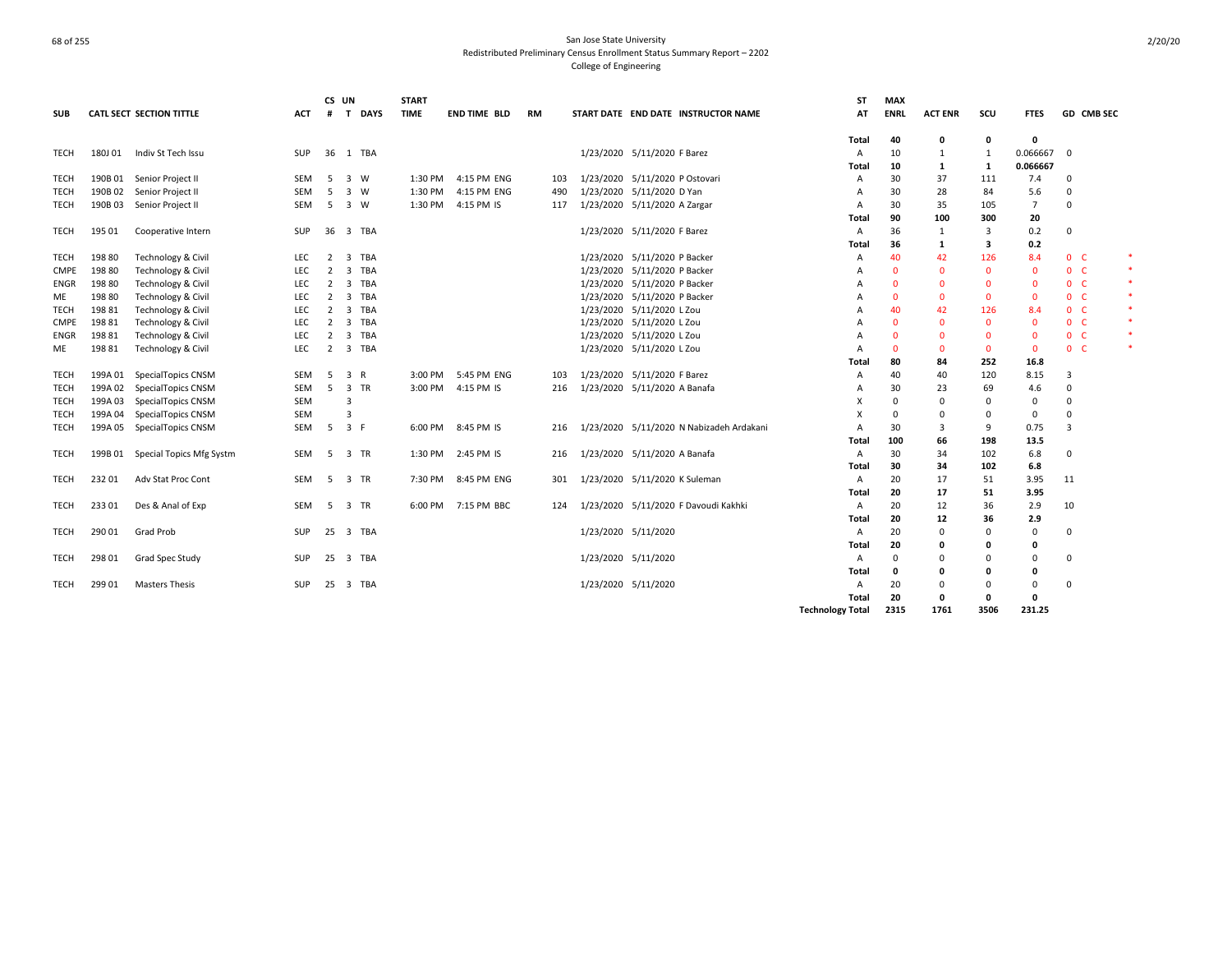|             |         |                                  |            | CS UN             |             | <b>START</b> |                     |           |                                          | <b>ST</b>               | <b>MAX</b>   |                |                |                |                |        |
|-------------|---------|----------------------------------|------------|-------------------|-------------|--------------|---------------------|-----------|------------------------------------------|-------------------------|--------------|----------------|----------------|----------------|----------------|--------|
| <b>SUB</b>  |         | <b>CATL SECT SECTION TITTLE</b>  | ACT        | $\mathbf{T}$<br># | <b>DAYS</b> | <b>TIME</b>  | <b>END TIME BLD</b> | <b>RM</b> | START DATE END DATE INSTRUCTOR NAME      | AT                      | <b>ENRL</b>  | <b>ACT ENR</b> | SCU            | <b>FTES</b>    | GD CMB SEC     |        |
|             |         |                                  |            |                   |             |              |                     |           |                                          | Total                   | 40           | 0              | 0              | $\mathbf{0}$   |                |        |
| TECH        | 180J 01 | Indiv St Tech Issu               | SUP        |                   | 36 1 TBA    |              |                     |           | 1/23/2020 5/11/2020 F Barez              | A                       | 10           | 1              | 1              | 0.066667       | $\Omega$       |        |
|             |         |                                  |            |                   |             |              |                     |           |                                          | Total                   | 10           | 1              | 1              | 0.066667       |                |        |
| TECH        | 190B 01 | Senior Project II                | <b>SEM</b> | - 5               | 3 W         |              | 1:30 PM 4:15 PM ENG | 103       | 1/23/2020 5/11/2020 P Ostovari           | A                       | 30           | 37             | 111            | 7.4            | 0              |        |
| TECH        | 190B02  | Senior Project II                | SEM        | 5                 | 3 W         | 1:30 PM      | 4:15 PM ENG         | 490       | 1/23/2020 5/11/2020 D Yan                | A                       | 30           | 28             | 84             | 5.6            | $\Omega$       |        |
| TECH        | 190B 03 | Senior Project II                | SEM        | - 5               | 3 W         | 1:30 PM      | 4:15 PM IS          | 117       | 1/23/2020 5/11/2020 A Zargar             | A                       | 30           | 35             | 105            | $\overline{7}$ | 0              |        |
|             |         |                                  |            |                   |             |              |                     |           |                                          | Total                   | 90           | 100            | 300            | 20             |                |        |
| <b>TECH</b> | 195 01  | Cooperative Intern               | SUP        | 36                | 3 TBA       |              |                     |           | 1/23/2020 5/11/2020 F Barez              | A                       | 36           | 1              | $\overline{3}$ | 0.2            | 0              |        |
|             |         |                                  |            |                   |             |              |                     |           |                                          | Total                   | 36           | 1              | 3              | 0.2            |                |        |
| TECH        | 198 80  | Technology & Civil               | <b>LEC</b> | 2                 | 3 TBA       |              |                     |           | 1/23/2020 5/11/2020 P Backer             | A                       | 40           | 42             | 126            | 8.4            | 0 <sub>c</sub> |        |
| <b>CMPE</b> | 198 80  | Technology & Civil               | LEC        | $\overline{2}$    | 3 TBA       |              |                     |           | 1/23/2020 5/11/2020 P Backer             | A                       | $\Omega$     | $\Omega$       | $\mathbf{0}$   | $\mathbf{0}$   | 0 <sub>c</sub> |        |
| ENGR        | 198 80  | Technology & Civil               | LEC        | $\overline{2}$    | 3 TBA       |              |                     |           | 1/23/2020 5/11/2020 P Backer             | A                       | $\mathbf{0}$ | $\Omega$       | $\mathbf{0}$   | $\mathbf{0}$   | 0 <sup>o</sup> |        |
| ME          | 198 80  | Technology & Civil               | LEC        | 2                 | 3 TBA       |              |                     |           | 1/23/2020 5/11/2020 P Backer             | A                       | $\mathbf{0}$ | $\Omega$       | $\mathbf 0$    | $\mathbf{0}$   | 0 <sup>o</sup> | $\ast$ |
| TECH        | 19881   | Technology & Civil               | LEC        | 2                 | 3 TBA       |              |                     |           | 1/23/2020 5/11/2020 L Zou                | A                       | 40           | 42             | 126            | 8.4            | 0 <sup>o</sup> | $\ast$ |
| <b>CMPE</b> | 19881   | Technology & Civil               | LEC        | 2                 | 3 TBA       |              |                     |           | 1/23/2020 5/11/2020 L Zou                | A                       | $\Omega$     | $\Omega$       | $\mathbf 0$    | $\mathbf{0}$   | $0-$           | $\ast$ |
| ENGR        | 198 81  | Technology & Civil               | LEC        | 2                 | 3 TBA       |              |                     |           | 1/23/2020 5/11/2020 L Zou                | А                       | $\Omega$     | 0              | $\mathbf{0}$   | $\Omega$       | 0 <sup>o</sup> | $\ast$ |
| ME          | 198 81  | Technology & Civil               | LEC        | 2                 | 3 TBA       |              |                     |           | 1/23/2020 5/11/2020 L Zou                | Α                       | $\mathbf{0}$ | $\Omega$       | 0              | 0              | 0 <sub>c</sub> | *      |
|             |         |                                  |            |                   |             |              |                     |           |                                          | Total                   | 80           | 84             | 252            | 16.8           |                |        |
| <b>TECH</b> | 199A 01 | SpecialTopics CNSM               | SEM        | -5                | 3 R         | 3:00 PM      | 5:45 PM ENG         | 103       | 1/23/2020 5/11/2020 F Barez              | A                       | 40           | 40             | 120            | 8.15           | 3              |        |
| TECH        | 199A 02 | SpecialTopics CNSM               | SEM        | 5                 | 3 TR        | 3:00 PM      | 4:15 PM IS          | 216       | 1/23/2020 5/11/2020 A Banafa             | A                       | 30           | 23             | 69             | 4.6            | $\Omega$       |        |
| TECH        | 199A03  | SpecialTopics CNSM               | SEM        |                   | 3           |              |                     |           |                                          | X                       | $\Omega$     | $\Omega$       | 0              | 0              | $\Omega$       |        |
| TECH        | 199A 04 | SpecialTopics CNSM               | SEM        |                   | 3           |              |                     |           |                                          | x                       | $\Omega$     | 0              | 0              | 0              | $\Omega$       |        |
| <b>TECH</b> | 199A 05 | SpecialTopics CNSM               | <b>SEM</b> | - 5               | 3 F         |              | 6:00 PM 8:45 PM IS  | 216       | 1/23/2020 5/11/2020 N Nabizadeh Ardakani | A                       | 30           | 3              | 9              | 0.75           | 3              |        |
|             |         |                                  |            |                   |             |              |                     |           |                                          | Total                   | 100          | 66             | 198            | 13.5           |                |        |
| <b>TECH</b> |         | 199B 01 Special Topics Mfg Systm | SEM        | - 5               | 3 TR        |              | 1:30 PM 2:45 PM IS  | 216       | 1/23/2020 5/11/2020 A Banafa             | A                       | 30           | 34             | 102            | 6.8            | 0              |        |
|             |         |                                  |            |                   |             |              |                     |           |                                          | Total                   | 30           | 34             | 102            | 6.8            |                |        |
| <b>TECH</b> | 23201   | Adv Stat Proc Cont               | SEM        | 5 3 TR            |             |              | 7:30 PM 8:45 PM ENG | 301       | 1/23/2020 5/11/2020 K Suleman            | A                       | 20           | 17             | 51             | 3.95           | 11             |        |
|             |         |                                  |            |                   |             |              |                     |           |                                          | Total                   | 20           | 17             | 51             | 3.95           |                |        |
| TECH        | 23301   | Des & Anal of Exp                | SEM        | 5                 | 3 TR        |              | 6:00 PM 7:15 PM BBC | 124       | 1/23/2020 5/11/2020 F Davoudi Kakhki     | Α                       | 20           | 12             | 36             | 2.9            | 10             |        |
|             |         |                                  |            |                   |             |              |                     |           |                                          | Total                   | 20           | 12             | 36             | 2.9            |                |        |
| TECH        | 29001   | Grad Prob                        | <b>SUP</b> |                   | 25 3 TBA    |              |                     |           | 1/23/2020 5/11/2020                      | A                       | 20           | $\Omega$       | $\mathbf 0$    | $\mathbf 0$    | 0              |        |
|             |         |                                  |            |                   |             |              |                     |           |                                          | Total                   | 20           | 0              | 0              | 0              |                |        |
| TECH        | 298 01  | Grad Spec Study                  | <b>SUP</b> |                   | 25 3 TBA    |              |                     |           | 1/23/2020 5/11/2020                      | A                       | $\mathbf 0$  | 0              | $\Omega$       | 0              | $\Omega$       |        |
|             |         |                                  |            |                   |             |              |                     |           |                                          | Total                   | 0            | 0              | 0              | 0              |                |        |
| TECH        | 299 01  | <b>Masters Thesis</b>            | <b>SUP</b> |                   | 25 3 TBA    |              |                     |           | 1/23/2020 5/11/2020                      | A                       | 20           | $\Omega$       | 0              | 0              | $\Omega$       |        |
|             |         |                                  |            |                   |             |              |                     |           |                                          | Total                   | 20           | 0              | 0              | 0              |                |        |
|             |         |                                  |            |                   |             |              |                     |           |                                          | <b>Technology Total</b> | 2315         | 1761           | 3506           | 231.25         |                |        |